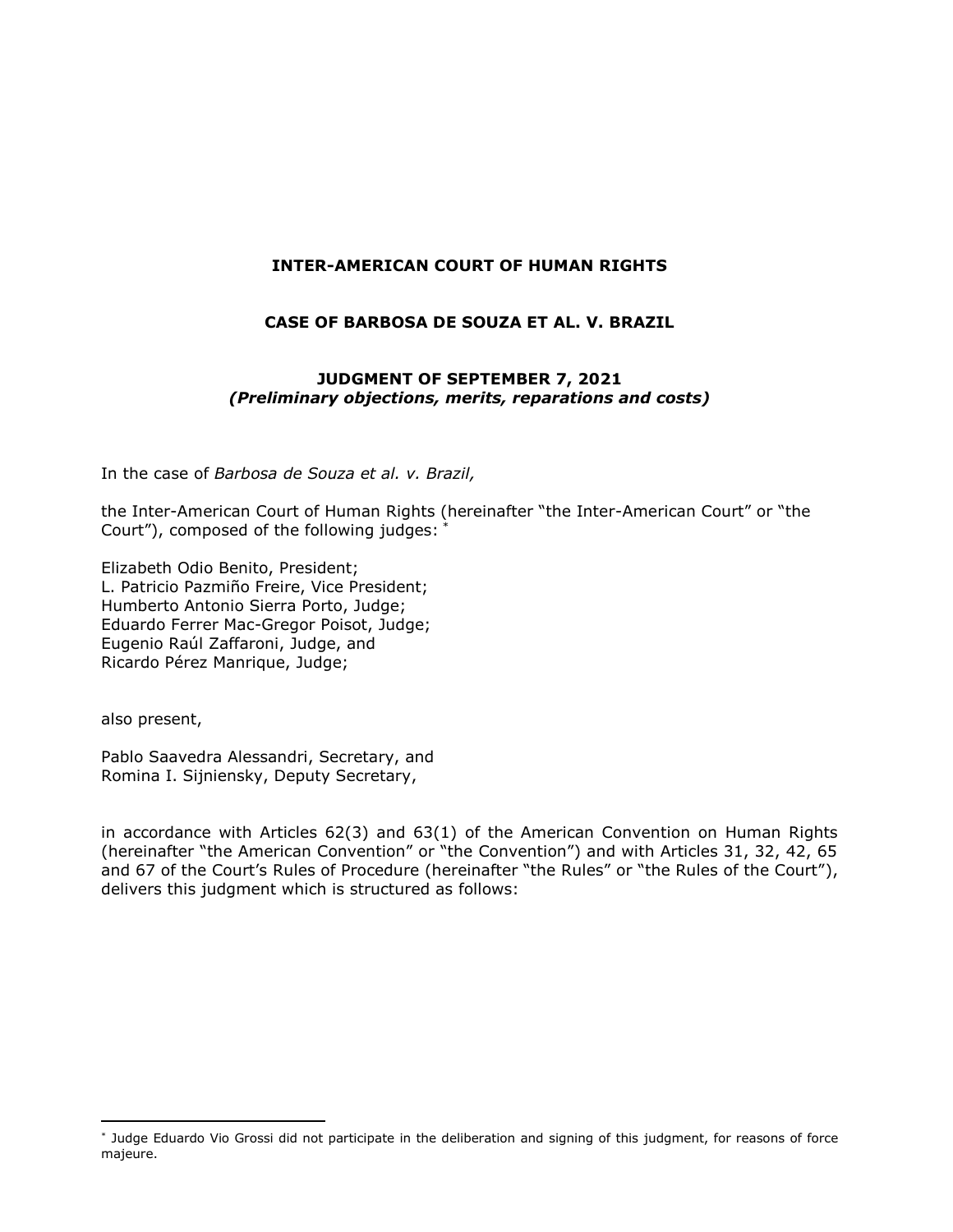### **INTER-AMERICAN COURT OF HUMAN RIGHTS**

### **CASE OF BARBOSA DE SOUZA ET AL. V. BRAZIL**

### **JUDGMENT OF SEPTEMBER 7, 2021** *(Preliminary objections, merits, reparations and costs)*

In the case of *Barbosa de Souza et al. v. Brazil,*

the Inter-American Court of Human Rights (hereinafter "the Inter-American Court" or "the Court"), composed of the following judges: \*

Elizabeth Odio Benito, President; L. Patricio Pazmiño Freire, Vice President; Humberto Antonio Sierra Porto, Judge; Eduardo Ferrer Mac-Gregor Poisot, Judge; Eugenio Raúl Zaffaroni, Judge, and Ricardo Pérez Manrique, Judge;

also present,

 $\overline{a}$ 

Pablo Saavedra Alessandri, Secretary, and Romina I. Sijniensky, Deputy Secretary,

in accordance with Articles 62(3) and 63(1) of the American Convention on Human Rights (hereinafter "the American Convention" or "the Convention") and with Articles 31, 32, 42, 65 and 67 of the Court's Rules of Procedure (hereinafter "the Rules" or "the Rules of the Court"), delivers this judgment which is structured as follows:

<sup>\*</sup> Judge Eduardo Vio Grossi did not participate in the deliberation and signing of this judgment, for reasons of force majeure.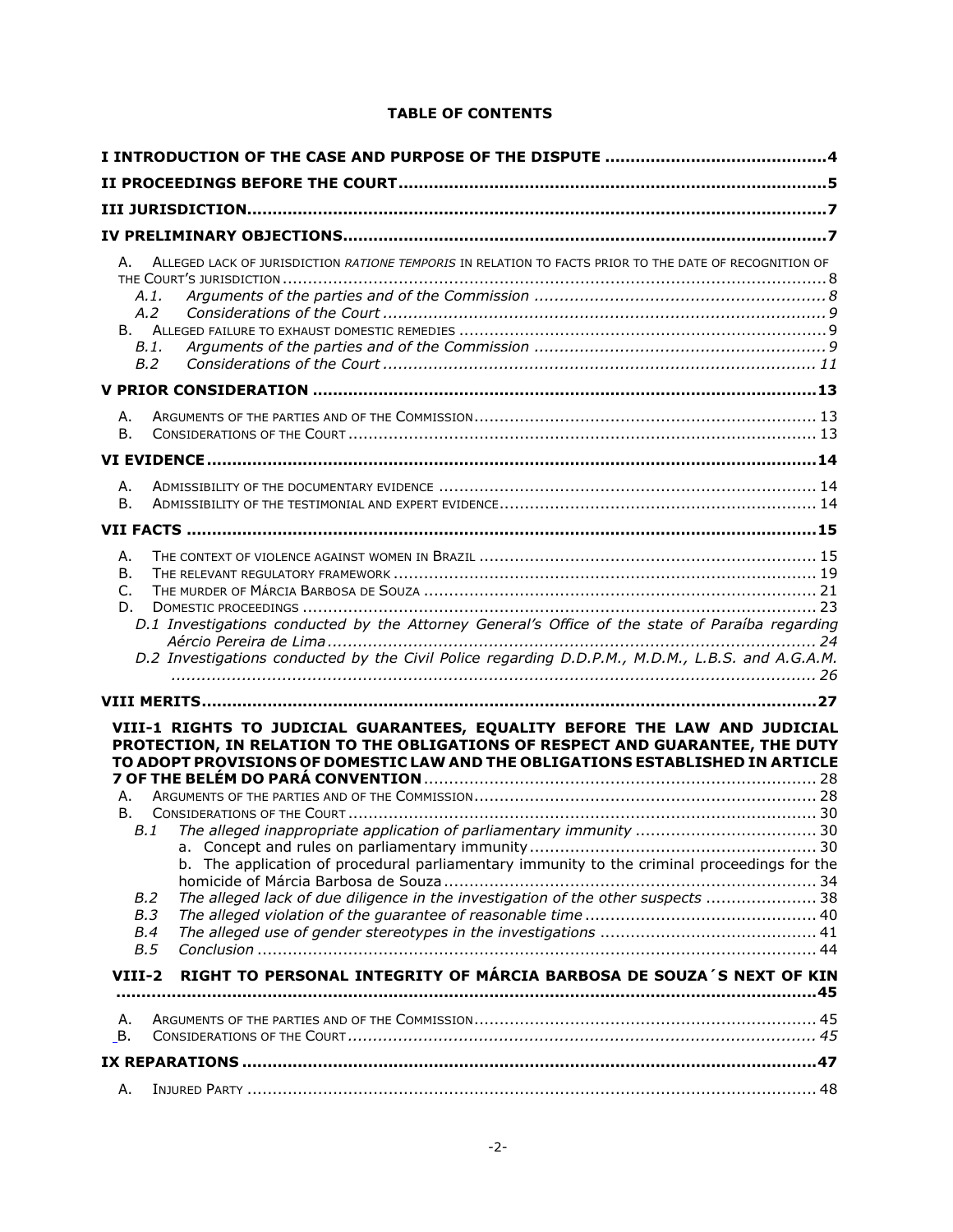### **TABLE OF CONTENTS**

| ALLEGED LACK OF JURISDICTION RATIONE TEMPORIS IN RELATION TO FACTS PRIOR TO THE DATE OF RECOGNITION OF<br>А.<br>A.1.<br>A.2<br>B.1.<br>B.2                                                                                                                                                                                                                                                                                                                                      |  |  |  |
|---------------------------------------------------------------------------------------------------------------------------------------------------------------------------------------------------------------------------------------------------------------------------------------------------------------------------------------------------------------------------------------------------------------------------------------------------------------------------------|--|--|--|
|                                                                                                                                                                                                                                                                                                                                                                                                                                                                                 |  |  |  |
| Α.<br><b>B.</b>                                                                                                                                                                                                                                                                                                                                                                                                                                                                 |  |  |  |
|                                                                                                                                                                                                                                                                                                                                                                                                                                                                                 |  |  |  |
| Α.<br><b>B.</b>                                                                                                                                                                                                                                                                                                                                                                                                                                                                 |  |  |  |
|                                                                                                                                                                                                                                                                                                                                                                                                                                                                                 |  |  |  |
| Α.<br>В.<br>$C_{\cdot}$<br>D.<br>D.1 Investigations conducted by the Attorney General's Office of the state of Paraíba regarding<br>D.2 Investigations conducted by the Civil Police regarding D.D.P.M., M.D.M., L.B.S. and A.G.A.M.                                                                                                                                                                                                                                            |  |  |  |
|                                                                                                                                                                                                                                                                                                                                                                                                                                                                                 |  |  |  |
| VIII-1 RIGHTS TO JUDICIAL GUARANTEES, EQUALITY BEFORE THE LAW AND JUDICIAL<br>PROTECTION, IN RELATION TO THE OBLIGATIONS OF RESPECT AND GUARANTEE, THE DUTY<br>TO ADOPT PROVISIONS OF DOMESTIC LAW AND THE OBLIGATIONS ESTABLISHED IN ARTICLE<br>А.<br>В.<br>B.1<br>b. The application of procedural parliamentary immunity to the criminal proceedings for the<br>The alleged lack of due diligence in the investigation of the other suspects  38<br>B.2<br>B.3<br>B.4<br>B.5 |  |  |  |
| RIGHT TO PERSONAL INTEGRITY OF MÁRCIA BARBOSA DE SOUZA'S NEXT OF KIN<br>VIII-2                                                                                                                                                                                                                                                                                                                                                                                                  |  |  |  |
| Α.<br>В.                                                                                                                                                                                                                                                                                                                                                                                                                                                                        |  |  |  |
|                                                                                                                                                                                                                                                                                                                                                                                                                                                                                 |  |  |  |
| Α.                                                                                                                                                                                                                                                                                                                                                                                                                                                                              |  |  |  |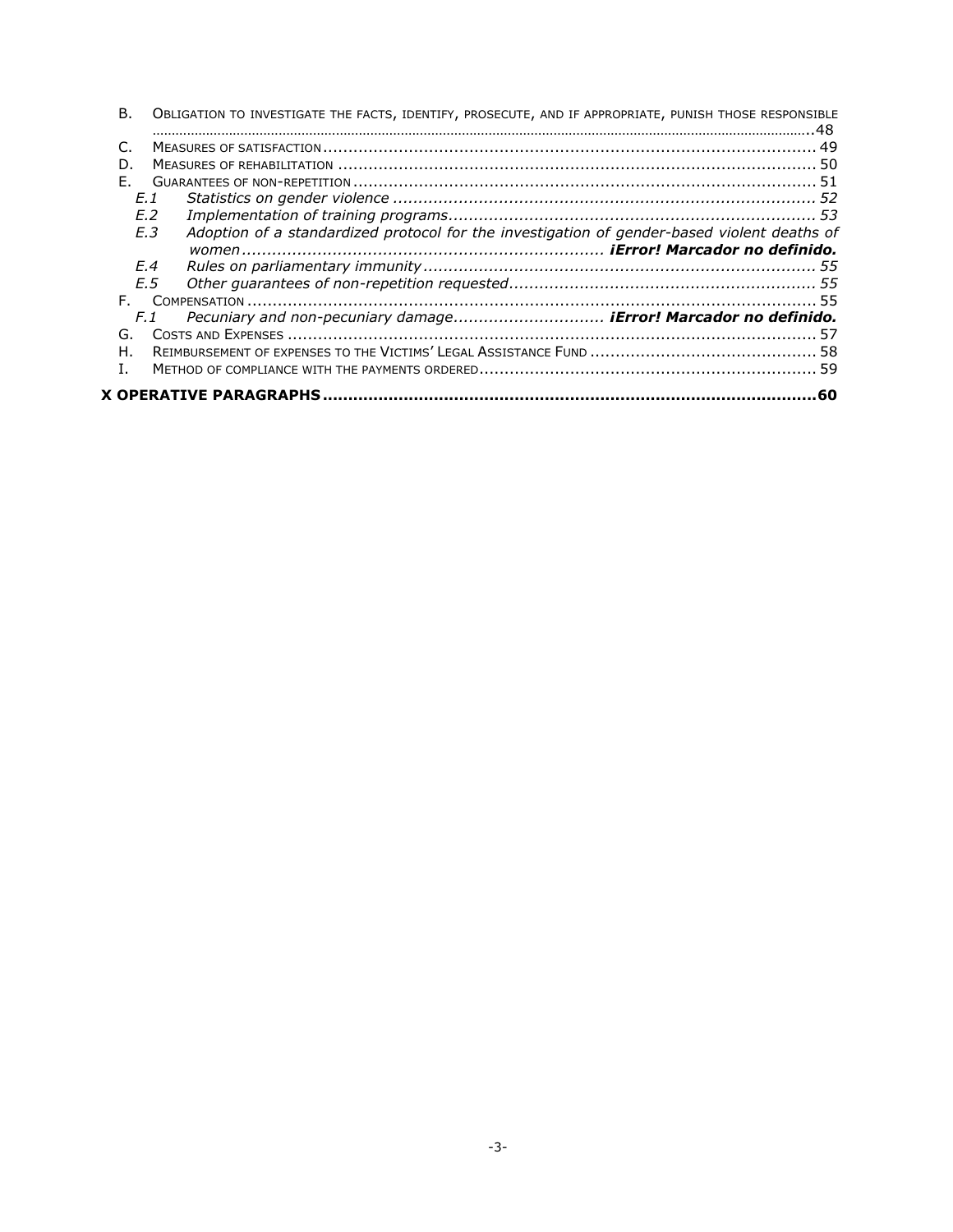| В.  | OBLIGATION TO INVESTIGATE THE FACTS, IDENTIFY, PROSECUTE, AND IF APPROPRIATE, PUNISH THOSE RESPONSIBLE |     |
|-----|--------------------------------------------------------------------------------------------------------|-----|
|     |                                                                                                        |     |
| D   |                                                                                                        |     |
| E.  |                                                                                                        |     |
| F.1 |                                                                                                        |     |
|     | F.2                                                                                                    |     |
|     | F.3<br>Adoption of a standardized protocol for the investigation of gender-based violent deaths of     |     |
|     |                                                                                                        |     |
|     | F.4                                                                                                    |     |
|     | F.5                                                                                                    |     |
| E.  |                                                                                                        |     |
|     | Pecuniary and non-pecuniary damage iError! Marcador no definido.<br>F. 1                               |     |
| G.  |                                                                                                        |     |
| Н.  |                                                                                                        |     |
| L.  |                                                                                                        |     |
|     |                                                                                                        | .60 |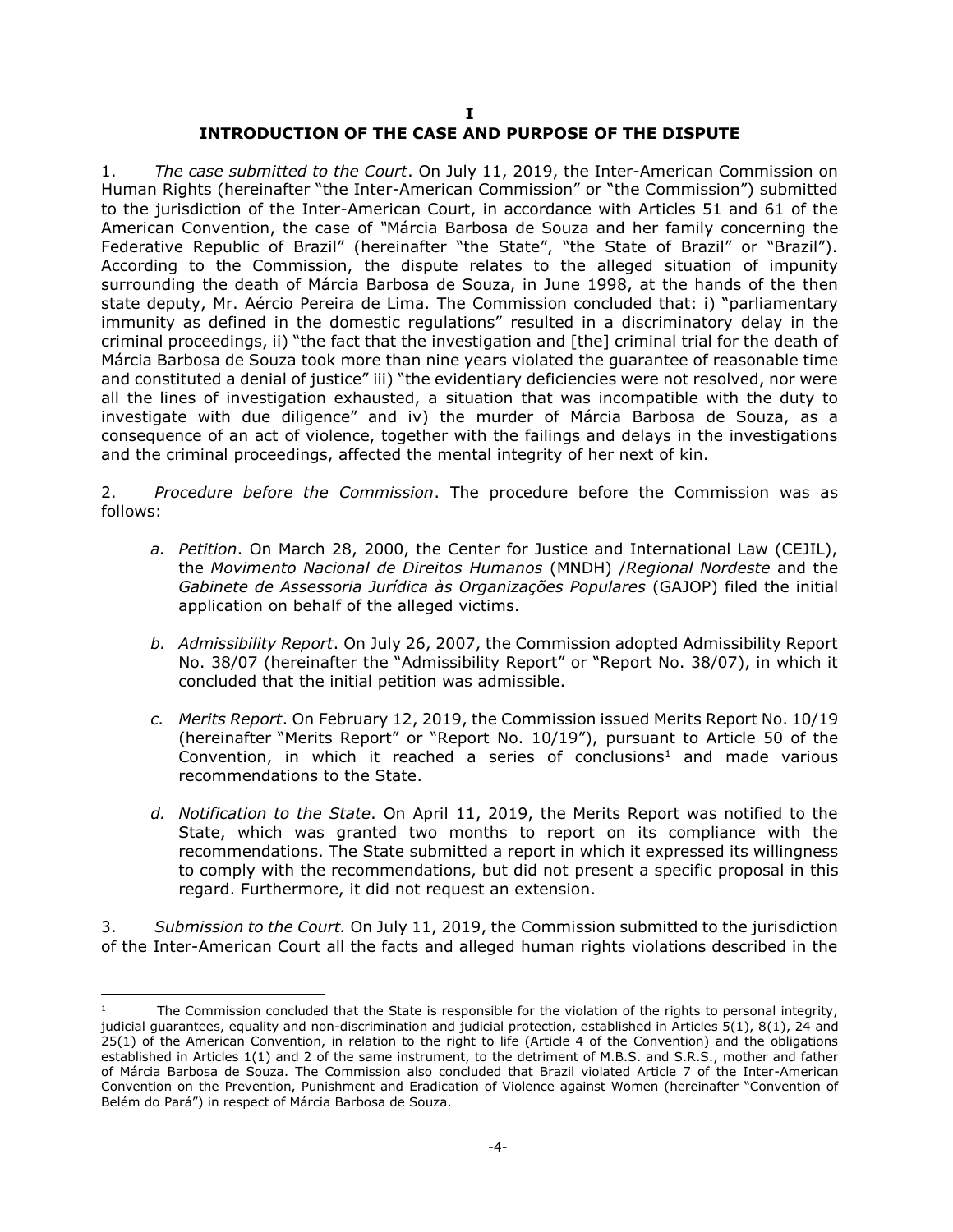#### **I INTRODUCTION OF THE CASE AND PURPOSE OF THE DISPUTE**

<span id="page-3-0"></span>1. *The case submitted to the Court*. On July 11, 2019, the Inter-American Commission on Human Rights (hereinafter "the Inter-American Commission" or "the Commission") submitted to the jurisdiction of the Inter-American Court, in accordance with Articles 51 and 61 of the American Convention, the case of *"*Márcia Barbosa de Souza and her family concerning the Federative Republic of Brazil" (hereinafter "the State", "the State of Brazil" or "Brazil"). According to the Commission, the dispute relates to the alleged situation of impunity surrounding the death of Márcia Barbosa de Souza, in June 1998, at the hands of the then state deputy, Mr. Aércio Pereira de Lima. The Commission concluded that: i) "parliamentary immunity as defined in the domestic regulations" resulted in a discriminatory delay in the criminal proceedings, ii) "the fact that the investigation and [the] criminal trial for the death of Márcia Barbosa de Souza took more than nine years violated the guarantee of reasonable time and constituted a denial of justice" iii) "the evidentiary deficiencies were not resolved, nor were all the lines of investigation exhausted, a situation that was incompatible with the duty to investigate with due diligence" and iv) the murder of Márcia Barbosa de Souza, as a consequence of an act of violence, together with the failings and delays in the investigations and the criminal proceedings, affected the mental integrity of her next of kin.

2. *Procedure before the Commission*. The procedure before the Commission was as follows:

- *a. Petition*. On March 28, 2000, the Center for Justice and International Law (CEJIL), the *Movimento Nacional de Direitos Humanos* (MNDH) /*Regional Nordeste* and the *Gabinete de Assessoria Jurídica às Organizações Populares* (GAJOP) filed the initial application on behalf of the alleged victims.
- *b. Admissibility Report*. On July 26, 2007, the Commission adopted Admissibility Report No. 38/07 (hereinafter the "Admissibility Report" or "Report No. 38/07), in which it concluded that the initial petition was admissible.
- *c. Merits Report*. On February 12, 2019, the Commission issued Merits Report No. 10/19 (hereinafter "Merits Report" or "Report No. 10/19"), pursuant to Article 50 of the Convention, in which it reached a series of conclusions<sup>1</sup> and made various recommendations to the State.
- *d. Notification to the State*. On April 11, 2019, the Merits Report was notified to the State, which was granted two months to report on its compliance with the recommendations. The State submitted a report in which it expressed its willingness to comply with the recommendations, but did not present a specific proposal in this regard. Furthermore, it did not request an extension.

3. *Submission to the Court.* On July 11, 2019, the Commission submitted to the jurisdiction of the Inter-American Court all the facts and alleged human rights violations described in the

j

The Commission concluded that the State is responsible for the violation of the rights to personal integrity, judicial guarantees, equality and non-discrimination and judicial protection, established in Articles 5(1), 8(1), 24 and 25(1) of the American Convention, in relation to the right to life (Article 4 of the Convention) and the obligations established in Articles 1(1) and 2 of the same instrument, to the detriment of M.B.S. and S.R.S., mother and father of Márcia Barbosa de Souza. The Commission also concluded that Brazil violated Article 7 of the Inter-American Convention on the Prevention, Punishment and Eradication of Violence against Women (hereinafter "Convention of Belém do Pará") in respect of Márcia Barbosa de Souza.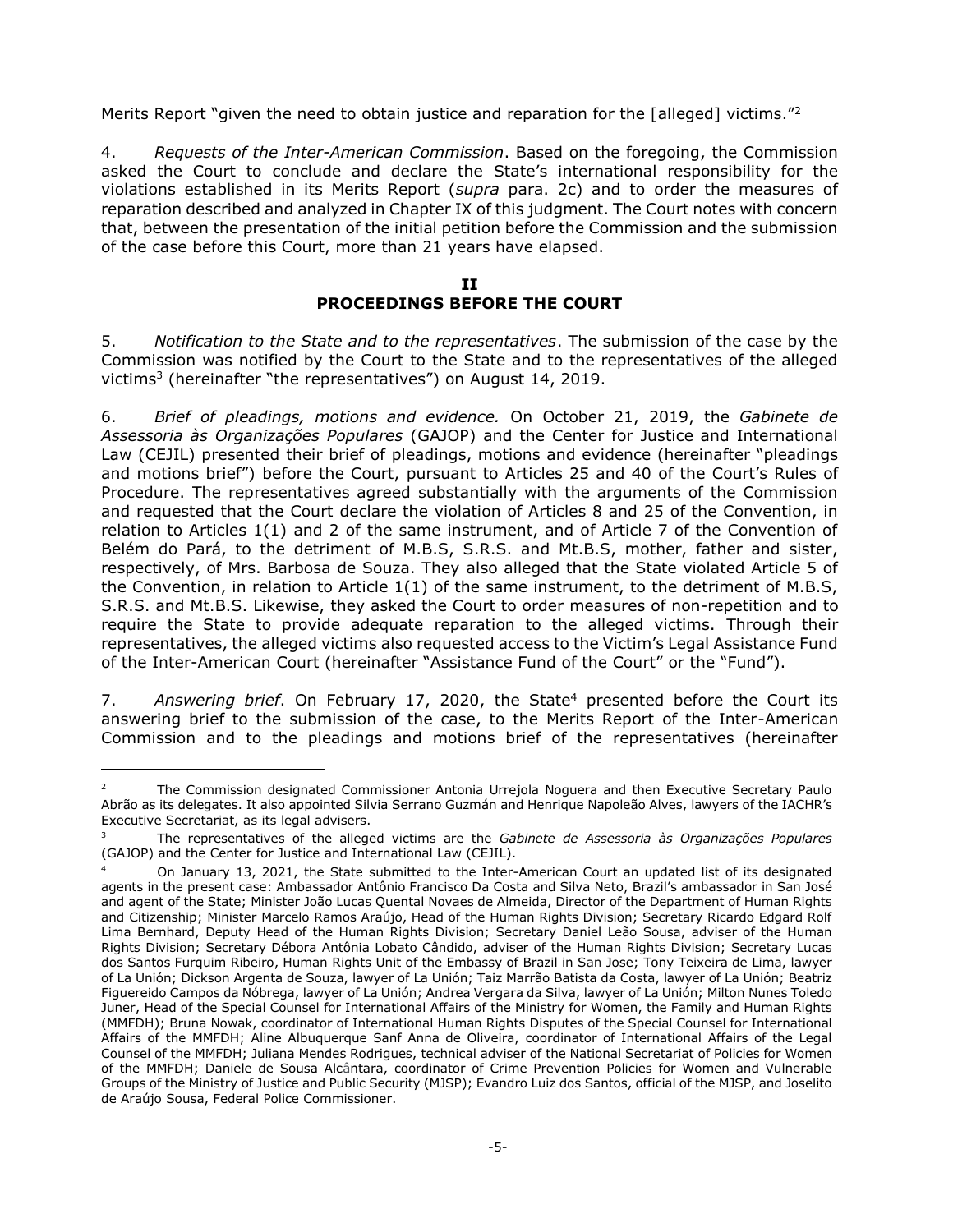Merits Report "given the need to obtain justice and reparation for the [alleged] victims."<sup>2</sup>

4. *Requests of the Inter-American Commission*. Based on the foregoing, the Commission asked the Court to conclude and declare the State's international responsibility for the violations established in its Merits Report (*supra* para. 2c) and to order the measures of reparation described and analyzed in Chapter IX of this judgment. The Court notes with concern that, between the presentation of the initial petition before the Commission and the submission of the case before this Court, more than 21 years have elapsed.

### **II PROCEEDINGS BEFORE THE COURT**

<span id="page-4-0"></span>5. *Notification to the State and to the representatives*. The submission of the case by the Commission was notified by the Court to the State and to the representatives of the alleged victims<sup>3</sup> (hereinafter "the representatives") on August 14, 2019.

6. *Brief of pleadings, motions and evidence.* On October 21, 2019, the *Gabinete de Assessoria às Organizações Populares* (GAJOP) and the Center for Justice and International Law (CEJIL) presented their brief of pleadings, motions and evidence (hereinafter "pleadings and motions brief") before the Court, pursuant to Articles 25 and 40 of the Court's Rules of Procedure. The representatives agreed substantially with the arguments of the Commission and requested that the Court declare the violation of Articles 8 and 25 of the Convention, in relation to Articles 1(1) and 2 of the same instrument, and of Article 7 of the Convention of Belém do Pará, to the detriment of M.B.S, S.R.S. and Mt.B.S, mother, father and sister, respectively, of Mrs. Barbosa de Souza. They also alleged that the State violated Article 5 of the Convention, in relation to Article 1(1) of the same instrument, to the detriment of M.B.S, S.R.S. and Mt.B.S. Likewise, they asked the Court to order measures of non-repetition and to require the State to provide adequate reparation to the alleged victims. Through their representatives, the alleged victims also requested access to the Victim's Legal Assistance Fund of the Inter-American Court (hereinafter "Assistance Fund of the Court" or the "Fund").

7. Answering brief. On February 17, 2020, the State<sup>4</sup> presented before the Court its answering brief to the submission of the case, to the Merits Report of the Inter-American Commission and to the pleadings and motions brief of the representatives (hereinafter

-

<sup>2</sup> The Commission designated Commissioner Antonia Urrejola Noguera and then Executive Secretary Paulo Abrão as its delegates. It also appointed Silvia Serrano Guzmán and Henrique Napoleão Alves, lawyers of the IACHR's Executive Secretariat, as its legal advisers.

<sup>3</sup> The representatives of the alleged victims are the *Gabinete de Assessoria às Organizações Populares* (GAJOP) and the Center for Justice and International Law (CEJIL).

On January 13, 2021, the State submitted to the Inter-American Court an updated list of its designated agents in the present case: Ambassador Antônio Francisco Da Costa and Silva Neto, Brazil's ambassador in San José and agent of the State; Minister João Lucas Quental Novaes de Almeida, Director of the Department of Human Rights and Citizenship; Minister Marcelo Ramos Araújo, Head of the Human Rights Division; Secretary Ricardo Edgard Rolf Lima Bernhard, Deputy Head of the Human Rights Division; Secretary Daniel Leão Sousa, adviser of the Human Rights Division; Secretary Débora Antônia Lobato Cândido, adviser of the Human Rights Division; Secretary Lucas dos Santos Furquim Ribeiro, Human Rights Unit of the Embassy of Brazil in San Jose; Tony Teixeira de Lima, lawyer of La Unión; Dickson Argenta de Souza, lawyer of La Unión; Taiz Marrão Batista da Costa, lawyer of La Unión; Beatriz Figuereido Campos da Nóbrega, lawyer of La Unión; Andrea Vergara da Silva, lawyer of La Unión; Milton Nunes Toledo Juner, Head of the Special Counsel for International Affairs of the Ministry for Women, the Family and Human Rights (MMFDH); Bruna Nowak, coordinator of International Human Rights Disputes of the Special Counsel for International Affairs of the MMFDH; Aline Albuquerque Sanf Anna de Oliveira, coordinator of International Affairs of the Legal Counsel of the MMFDH; Juliana Mendes Rodrigues, technical adviser of the National Secretariat of Policies for Women of the MMFDH; Daniele de Sousa Alcântara, coordinator of Crime Prevention Policies for Women and Vulnerable Groups of the Ministry of Justice and Public Security (MJSP); Evandro Luiz dos Santos, official of the MJSP, and Joselito de Araújo Sousa, Federal Police Commissioner.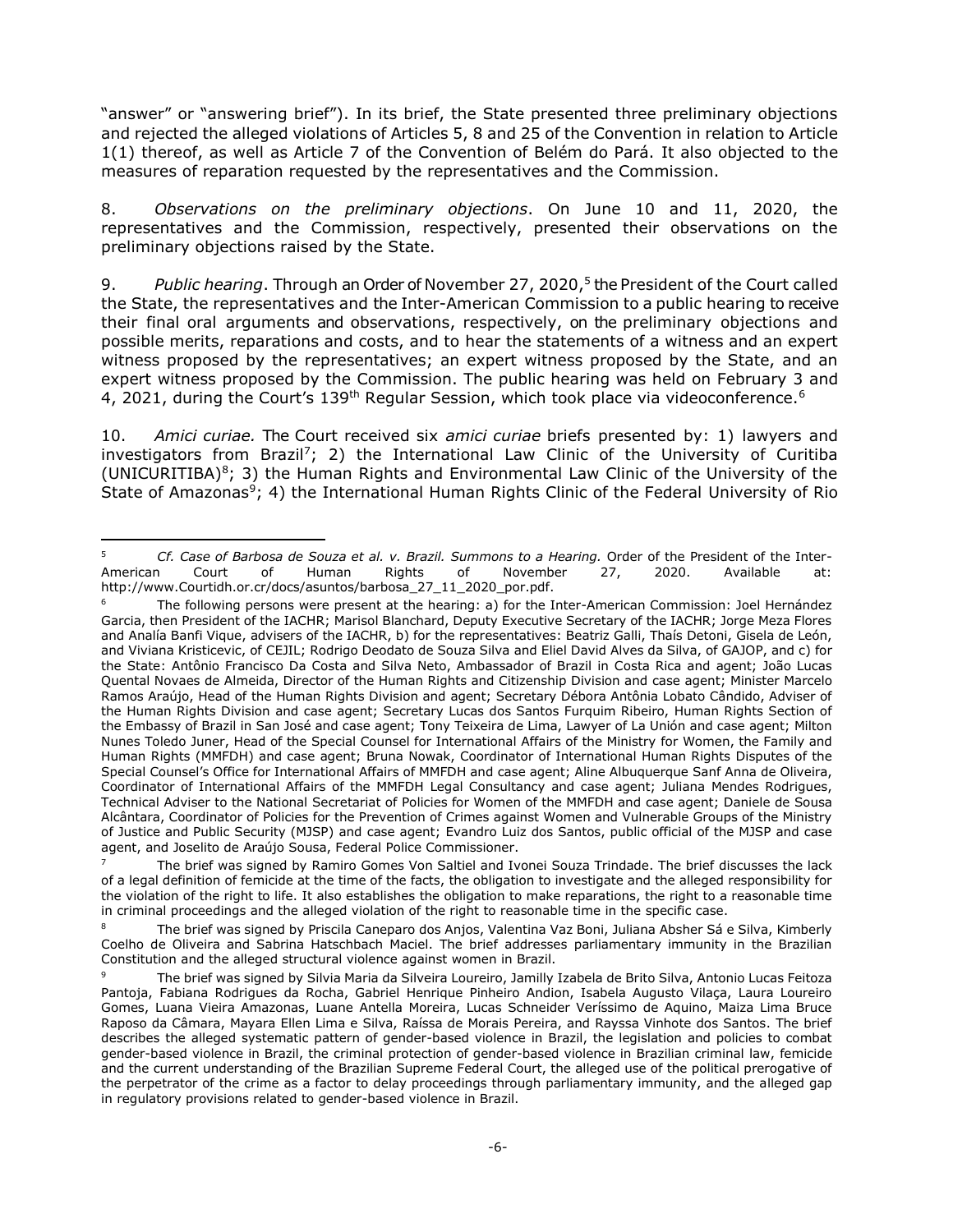"answer" or "answering brief"). In its brief, the State presented three preliminary objections and rejected the alleged violations of Articles 5, 8 and 25 of the Convention in relation to Article 1(1) thereof, as well as Article 7 of the Convention of Belém do Pará. It also objected to the measures of reparation requested by the representatives and the Commission.

8. *Observations on the preliminary objections*. On June 10 and 11, 2020, the representatives and the Commission, respectively, presented their observations on the preliminary objections raised by the State.

9. *Public hearing*. Through an Order of November 27, 2020, 5 the President of the Court called the State, the representatives and the Inter-American Commission to a public hearing to receive their final oral arguments and observations, respectively, on the preliminary objections and possible merits, reparations and costs, and to hear the statements of a witness and an expert witness proposed by the representatives; an expert witness proposed by the State, and an expert witness proposed by the Commission. The public hearing was held on February 3 and 4, 2021, during the Court's 139<sup>th</sup> Regular Session, which took place via videoconference.<sup>6</sup>

10. *Amici curiae.* The Court received six *amici curiae* briefs presented by: 1) lawyers and investigators from Brazil<sup>7</sup>; 2) the International Law Clinic of the University of Curitiba (UNICURITIBA) $8$ ; 3) the Human Rights and Environmental Law Clinic of the University of the State of Amazonas<sup>9</sup>; 4) the International Human Rights Clinic of the Federal University of Rio

 $\overline{5}$ <sup>5</sup> *Cf. Case of Barbosa de Souza et al. v. Brazil. Summons to a Hearing.* Order of the President of the Inter-American Court of Human Rights of November 27, 2020. Available at: http://www.Courtidh.or.cr/docs/asuntos/barbosa\_27\_11\_2020\_por.pdf.

<sup>&</sup>lt;sup>6</sup> The following persons were present at the hearing: a) for the Inter-American Commission: Joel Hernández Garcia, then President of the IACHR; Marisol Blanchard, Deputy Executive Secretary of the IACHR; Jorge Meza Flores and Analía Banfi Vique, advisers of the IACHR, b) for the representatives: Beatriz Galli, Thaís Detoni, Gisela de León, and Viviana Kristicevic, of CEJIL; Rodrigo Deodato de Souza Silva and Eliel David Alves da Silva, of GAJOP, and c) for the State: Antônio Francisco Da Costa and Silva Neto, Ambassador of Brazil in Costa Rica and agent; João Lucas Quental Novaes de Almeida, Director of the Human Rights and Citizenship Division and case agent; Minister Marcelo Ramos Araújo, Head of the Human Rights Division and agent; Secretary Débora Antônia Lobato Cândido, Adviser of the Human Rights Division and case agent; Secretary Lucas dos Santos Furquim Ribeiro, Human Rights Section of the Embassy of Brazil in San José and case agent; Tony Teixeira de Lima, Lawyer of La Unión and case agent; Milton Nunes Toledo Juner, Head of the Special Counsel for International Affairs of the Ministry for Women, the Family and Human Rights (MMFDH) and case agent; Bruna Nowak, Coordinator of International Human Rights Disputes of the Special Counsel's Office for International Affairs of MMFDH and case agent; Aline Albuquerque Sanf Anna de Oliveira, Coordinator of International Affairs of the MMFDH Legal Consultancy and case agent; Juliana Mendes Rodrigues, Technical Adviser to the National Secretariat of Policies for Women of the MMFDH and case agent; Daniele de Sousa Alcântara, Coordinator of Policies for the Prevention of Crimes against Women and Vulnerable Groups of the Ministry of Justice and Public Security (MJSP) and case agent; Evandro Luiz dos Santos, public official of the MJSP and case agent, and Joselito de Araújo Sousa, Federal Police Commissioner.

<sup>7</sup> The brief was signed by Ramiro Gomes Von Saltiel and Ivonei Souza Trindade. The brief discusses the lack of a legal definition of femicide at the time of the facts, the obligation to investigate and the alleged responsibility for the violation of the right to life. It also establishes the obligation to make reparations, the right to a reasonable time in criminal proceedings and the alleged violation of the right to reasonable time in the specific case.

<sup>&</sup>lt;sup>8</sup> The brief was signed by Priscila Caneparo dos Anjos, Valentina Vaz Boni, Juliana Absher Sá e Silva, Kimberly Coelho de Oliveira and Sabrina Hatschbach Maciel. The brief addresses parliamentary immunity in the Brazilian Constitution and the alleged structural violence against women in Brazil.

<sup>9</sup> The brief was signed by Silvia Maria da Silveira Loureiro, Jamilly Izabela de Brito Silva, Antonio Lucas Feitoza Pantoja, Fabiana Rodrigues da Rocha, Gabriel Henrique Pinheiro Andion, Isabela Augusto Vilaça, Laura Loureiro Gomes, Luana Vieira Amazonas, Luane Antella Moreira, Lucas Schneider Veríssimo de Aquino, Maiza Lima Bruce Raposo da Câmara, Mayara Ellen Lima e Silva, Raíssa de Morais Pereira, and Rayssa Vinhote dos Santos. The brief describes the alleged systematic pattern of gender-based violence in Brazil, the legislation and policies to combat gender-based violence in Brazil, the criminal protection of gender-based violence in Brazilian criminal law, femicide and the current understanding of the Brazilian Supreme Federal Court, the alleged use of the political prerogative of the perpetrator of the crime as a factor to delay proceedings through parliamentary immunity, and the alleged gap in regulatory provisions related to gender-based violence in Brazil.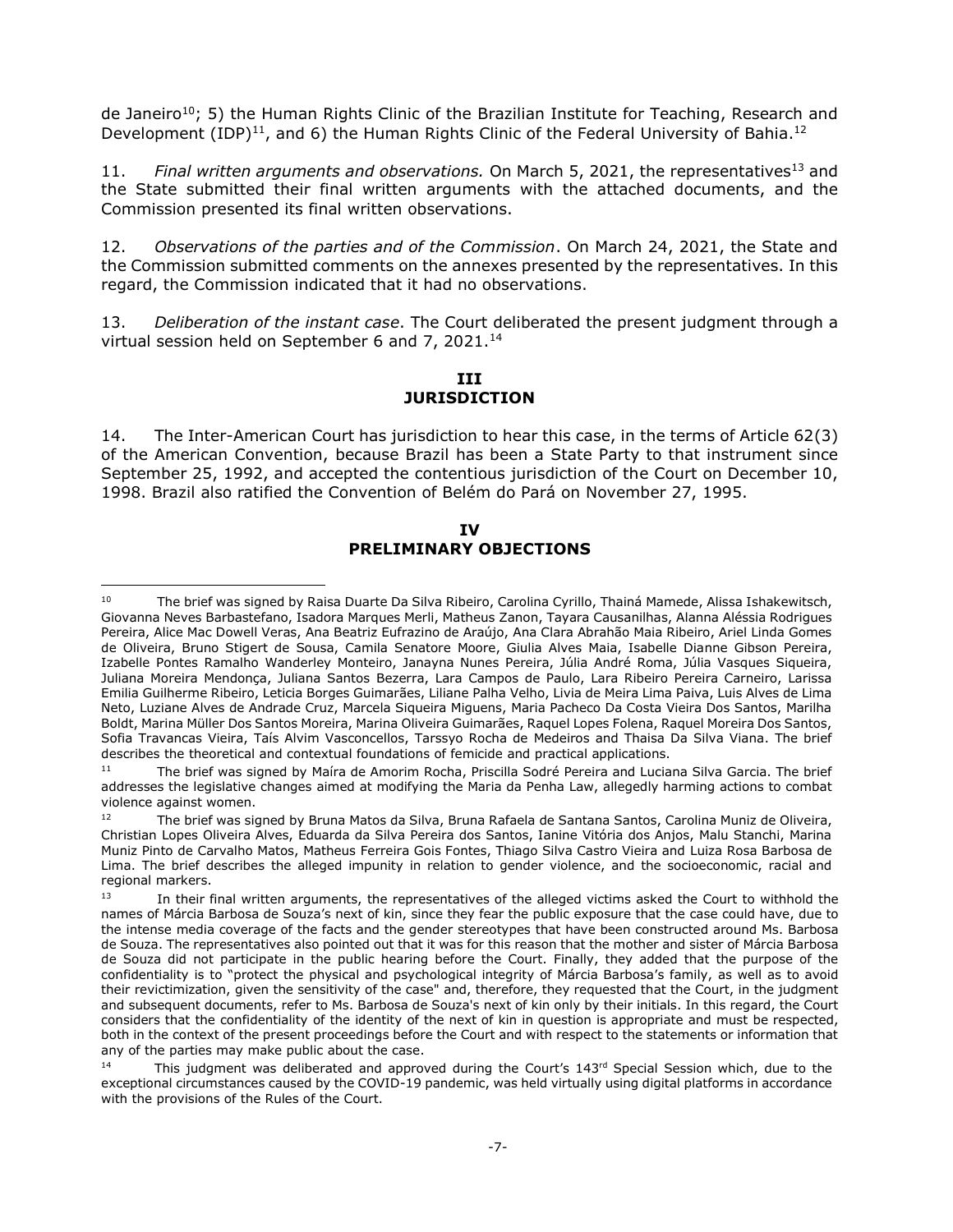de Janeiro<sup>10</sup>; 5) the Human Rights Clinic of the Brazilian Institute for Teaching, Research and Development (IDP)<sup>11</sup>, and 6) the Human Rights Clinic of the Federal University of Bahia.<sup>12</sup>

11. Final written arguments and observations. On March 5, 2021, the representatives<sup>13</sup> and the State submitted their final written arguments with the attached documents, and the Commission presented its final written observations.

12. *Observations of the parties and of the Commission*. On March 24, 2021, the State and the Commission submitted comments on the annexes presented by the representatives. In this regard, the Commission indicated that it had no observations.

<span id="page-6-0"></span>13. *Deliberation of the instant case*. The Court deliberated the present judgment through a virtual session held on September 6 and 7, 2021.<sup>14</sup>

### **III JURISDICTION**

14. The Inter-American Court has jurisdiction to hear this case, in the terms of Article 62(3) of the American Convention, because Brazil has been a State Party to that instrument since September 25, 1992, and accepted the contentious jurisdiction of the Court on December 10, 1998. Brazil also ratified the Convention of Belém do Pará on November 27, 1995.

#### **IV PRELIMINARY OBJECTIONS**

<span id="page-6-1"></span> $\overline{a}$ <sup>10</sup> The brief was signed by Raisa Duarte Da Silva Ribeiro, Carolina Cyrillo, Thainá Mamede, Alissa Ishakewitsch, Giovanna Neves Barbastefano, Isadora Marques Merli, Matheus Zanon, Tayara Causanilhas, Alanna Aléssia Rodrigues Pereira, Alice Mac Dowell Veras, Ana Beatriz Eufrazino de Araújo, Ana Clara Abrahão Maia Ribeiro, Ariel Linda Gomes de Oliveira, Bruno Stigert de Sousa, Camila Senatore Moore, Giulia Alves Maia, Isabelle Dianne Gibson Pereira, Izabelle Pontes Ramalho Wanderley Monteiro, Janayna Nunes Pereira, Júlia André Roma, Júlia Vasques Siqueira, Juliana Moreira Mendonça, Juliana Santos Bezerra, Lara Campos de Paulo, Lara Ribeiro Pereira Carneiro, Larissa Emilia Guilherme Ribeiro, Leticia Borges Guimarães, Liliane Palha Velho, Livia de Meira Lima Paiva, Luis Alves de Lima Neto, Luziane Alves de Andrade Cruz, Marcela Siqueira Miguens, Maria Pacheco Da Costa Vieira Dos Santos, Marilha Boldt, Marina Müller Dos Santos Moreira, Marina Oliveira Guimarães, Raquel Lopes Folena, Raquel Moreira Dos Santos, Sofia Travancas Vieira, Taís Alvim Vasconcellos, Tarssyo Rocha de Medeiros and Thaisa Da Silva Viana. The brief describes the theoretical and contextual foundations of femicide and practical applications.

<sup>&</sup>lt;sup>11</sup> The brief was signed by Maíra de Amorim Rocha, Priscilla Sodré Pereira and Luciana Silva Garcia. The brief addresses the legislative changes aimed at modifying the Maria da Penha Law, allegedly harming actions to combat violence against women.

<sup>&</sup>lt;sup>12</sup> The brief was signed by Bruna Matos da Silva, Bruna Rafaela de Santana Santos, Carolina Muniz de Oliveira, Christian Lopes Oliveira Alves, Eduarda da Silva Pereira dos Santos, Ianine Vitória dos Anjos, Malu Stanchi, Marina Muniz Pinto de Carvalho Matos, Matheus Ferreira Gois Fontes, Thiago Silva Castro Vieira and Luiza Rosa Barbosa de Lima. The brief describes the alleged impunity in relation to gender violence, and the socioeconomic, racial and regional markers.

 $13$  In their final written arguments, the representatives of the alleged victims asked the Court to withhold the names of Márcia Barbosa de Souza's next of kin, since they fear the public exposure that the case could have, due to the intense media coverage of the facts and the gender stereotypes that have been constructed around Ms. Barbosa de Souza. The representatives also pointed out that it was for this reason that the mother and sister of Márcia Barbosa de Souza did not participate in the public hearing before the Court. Finally, they added that the purpose of the confidentiality is to "protect the physical and psychological integrity of Márcia Barbosa's family, as well as to avoid their revictimization, given the sensitivity of the case" and, therefore, they requested that the Court, in the judgment and subsequent documents, refer to Ms. Barbosa de Souza's next of kin only by their initials. In this regard, the Court considers that the confidentiality of the identity of the next of kin in question is appropriate and must be respected, both in the context of the present proceedings before the Court and with respect to the statements or information that any of the parties may make public about the case.

<sup>&</sup>lt;sup>14</sup> This judgment was deliberated and approved during the Court's 143<sup>rd</sup> Special Session which, due to the exceptional circumstances caused by the COVID-19 pandemic, was held virtually using digital platforms in accordance with the provisions of the Rules of the Court.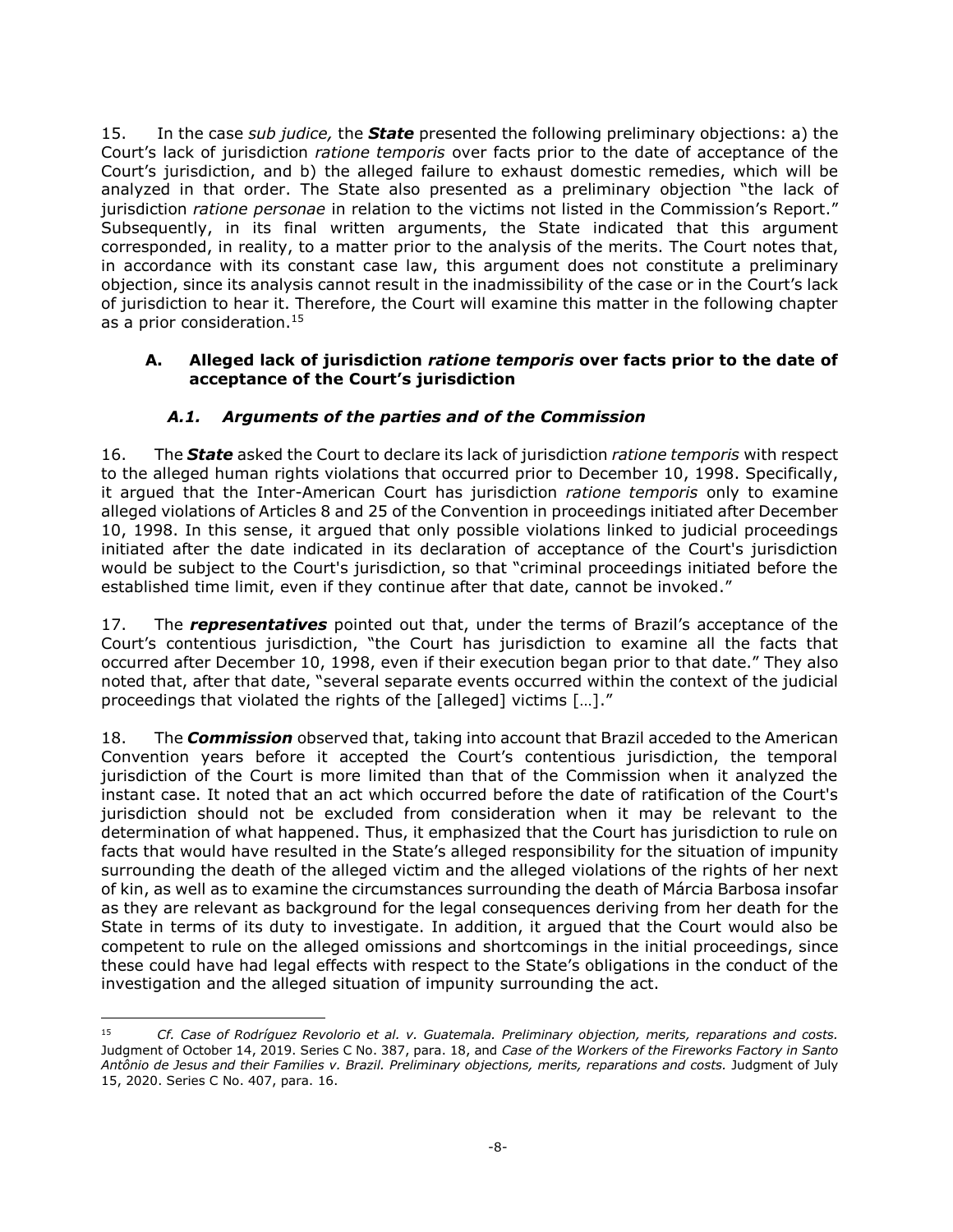15. In the case *sub judice,* the *State* presented the following preliminary objections: a) the Court's lack of jurisdiction *ratione temporis* over facts prior to the date of acceptance of the Court's jurisdiction, and b) the alleged failure to exhaust domestic remedies, which will be analyzed in that order. The State also presented as a preliminary objection "the lack of jurisdiction *ratione personae* in relation to the victims not listed in the Commission's Report." Subsequently, in its final written arguments, the State indicated that this argument corresponded, in reality, to a matter prior to the analysis of the merits. The Court notes that, in accordance with its constant case law, this argument does not constitute a preliminary objection, since its analysis cannot result in the inadmissibility of the case or in the Court's lack of jurisdiction to hear it. Therefore, the Court will examine this matter in the following chapter as a prior consideration.<sup>15</sup>

### <span id="page-7-0"></span>**A. Alleged lack of jurisdiction** *ratione temporis* **over facts prior to the date of acceptance of the Court's jurisdiction**

## *A.1. Arguments of the parties and of the Commission*

<span id="page-7-1"></span>16. The *State* asked the Court to declare its lack of jurisdiction *ratione temporis* with respect to the alleged human rights violations that occurred prior to December 10, 1998. Specifically, it argued that the Inter-American Court has jurisdiction *ratione temporis* only to examine alleged violations of Articles 8 and 25 of the Convention in proceedings initiated after December 10, 1998. In this sense, it argued that only possible violations linked to judicial proceedings initiated after the date indicated in its declaration of acceptance of the Court's jurisdiction would be subject to the Court's jurisdiction, so that "criminal proceedings initiated before the established time limit, even if they continue after that date, cannot be invoked."

17. The *representatives* pointed out that, under the terms of Brazil's acceptance of the Court's contentious jurisdiction, "the Court has jurisdiction to examine all the facts that occurred after December 10, 1998, even if their execution began prior to that date." They also noted that, after that date, "several separate events occurred within the context of the judicial proceedings that violated the rights of the [alleged] victims […]."

18. The *Commission* observed that, taking into account that Brazil acceded to the American Convention years before it accepted the Court's contentious jurisdiction, the temporal jurisdiction of the Court is more limited than that of the Commission when it analyzed the instant case. It noted that an act which occurred before the date of ratification of the Court's jurisdiction should not be excluded from consideration when it may be relevant to the determination of what happened. Thus, it emphasized that the Court has jurisdiction to rule on facts that would have resulted in the State's alleged responsibility for the situation of impunity surrounding the death of the alleged victim and the alleged violations of the rights of her next of kin, as well as to examine the circumstances surrounding the death of Márcia Barbosa insofar as they are relevant as background for the legal consequences deriving from her death for the State in terms of its duty to investigate. In addition, it argued that the Court would also be competent to rule on the alleged omissions and shortcomings in the initial proceedings, since these could have had legal effects with respect to the State's obligations in the conduct of the investigation and the alleged situation of impunity surrounding the act.

<sup>15</sup> <sup>15</sup> *Cf. Case of Rodríguez Revolorio et al. v. Guatemala. Preliminary objection, merits, reparations and costs.* Judgment of October 14, 2019. Series C No. 387, para. 18, and *Case of the Workers of the Fireworks Factory in Santo Antônio de Jesus and their Families v. Brazil. Preliminary objections, merits, reparations and costs.* Judgment of July 15, 2020. Series C No. 407, para. 16.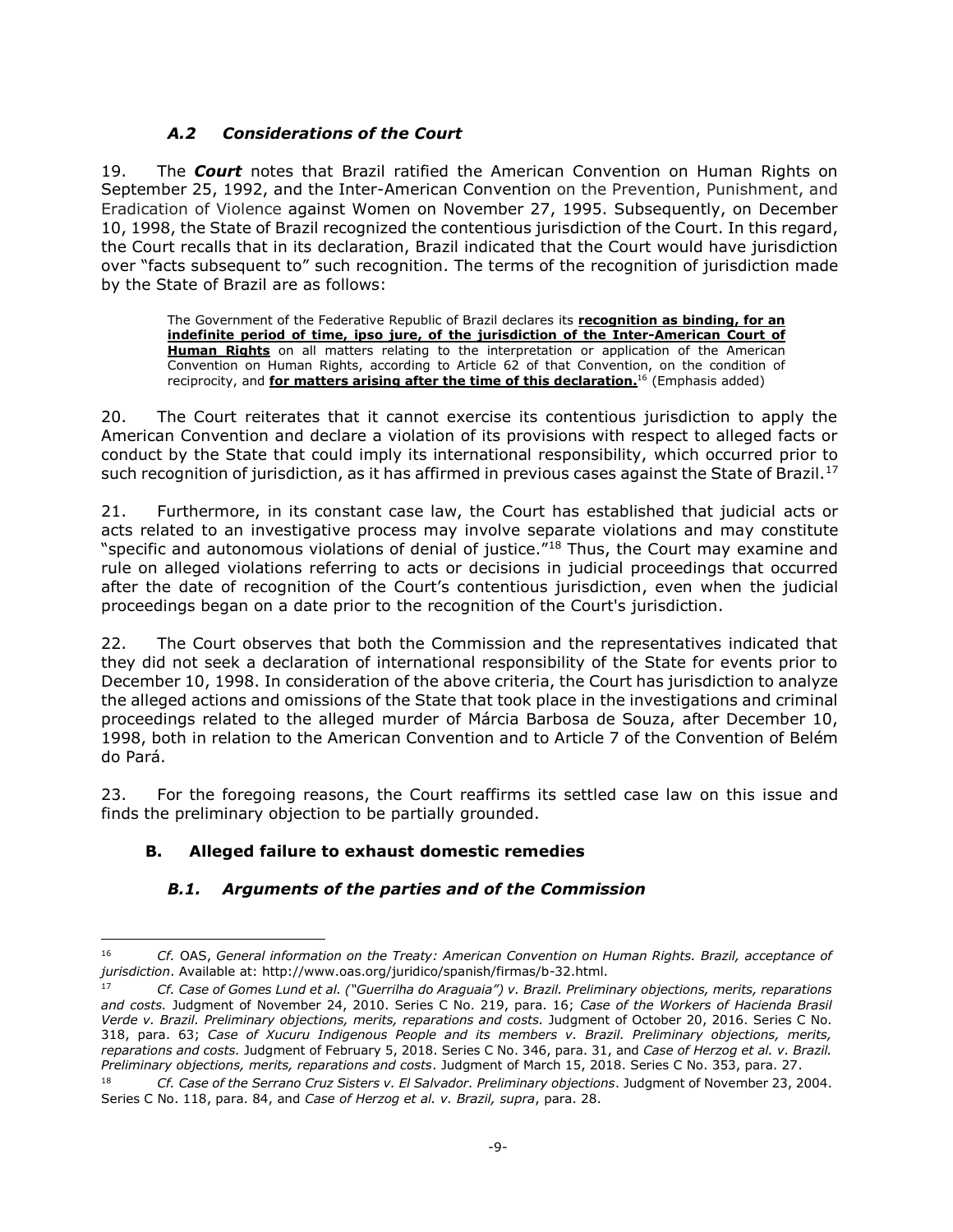# *A.2 Considerations of the Court*

<span id="page-8-0"></span>19. The *Court* notes that Brazil ratified the American Convention on Human Rights on September 25, 1992, and the Inter-American Convention on the Prevention, Punishment, and Eradication of Violence against Women on November 27, 1995. Subsequently, on December 10, 1998, the State of Brazil recognized the contentious jurisdiction of the Court. In this regard, the Court recalls that in its declaration, Brazil indicated that the Court would have jurisdiction over "facts subsequent to" such recognition. The terms of the recognition of jurisdiction made by the State of Brazil are as follows:

The Government of the Federative Republic of Brazil declares its **recognition as binding, for an indefinite period of time, ipso jure, of the jurisdiction of the Inter-American Court of Human Rights** on all matters relating to the interpretation or application of the American Convention on Human Rights, according to Article 62 of that Convention, on the condition of reciprocity, and **for matters arising after the time of this declaration.** <sup>16</sup> (Emphasis added)

20. The Court reiterates that it cannot exercise its contentious jurisdiction to apply the American Convention and declare a violation of its provisions with respect to alleged facts or conduct by the State that could imply its international responsibility, which occurred prior to such recognition of jurisdiction, as it has affirmed in previous cases against the State of Brazil.<sup>17</sup>

21. Furthermore, in its constant case law, the Court has established that judicial acts or acts related to an investigative process may involve separate violations and may constitute "specific and autonomous violations of denial of justice."<sup>18</sup> Thus, the Court may examine and rule on alleged violations referring to acts or decisions in judicial proceedings that occurred after the date of recognition of the Court's contentious jurisdiction, even when the judicial proceedings began on a date prior to the recognition of the Court's jurisdiction.

22. The Court observes that both the Commission and the representatives indicated that they did not seek a declaration of international responsibility of the State for events prior to December 10, 1998. In consideration of the above criteria, the Court has jurisdiction to analyze the alleged actions and omissions of the State that took place in the investigations and criminal proceedings related to the alleged murder of Márcia Barbosa de Souza, after December 10, 1998, both in relation to the American Convention and to Article 7 of the Convention of Belém do Pará.

23. For the foregoing reasons, the Court reaffirms its settled case law on this issue and finds the preliminary objection to be partially grounded.

# <span id="page-8-1"></span>**B. Alleged failure to exhaust domestic remedies**

<span id="page-8-2"></span> $\overline{a}$ 

## *B.1. Arguments of the parties and of the Commission*

<sup>16</sup> *Cf.* OAS, *General information on the Treaty: American Convention on Human Rights. Brazil, acceptance of jurisdiction*. Available at: http://www.oas.org/juridico/spanish/firmas/b-32.html.

<sup>17</sup> *Cf. Case of Gomes Lund et al. ("Guerrilha do Araguaia") v. Brazil. Preliminary objections, merits, reparations and costs.* Judgment of November 24, 2010. Series C No. 219, para. 16; *Case of the Workers of Hacienda Brasil Verde v. Brazil. Preliminary objections, merits, reparations and costs.* Judgment of October 20, 2016. Series C No. 318, para. 63; *Case of Xucuru Indigenous People and its members v. Brazil. Preliminary objections, merits, reparations and costs.* Judgment of February 5, 2018. Series C No. 346, para. 31, and *Case of Herzog et al. v. Brazil. Preliminary objections, merits, reparations and costs*. Judgment of March 15, 2018. Series C No. 353, para. 27.

<sup>18</sup> *Cf. Case of the Serrano Cruz Sisters v. El Salvador. Preliminary objections*. Judgment of November 23, 2004. Series C No. 118, para. 84, and *Case of Herzog et al. v. Brazil, supra*, para. 28.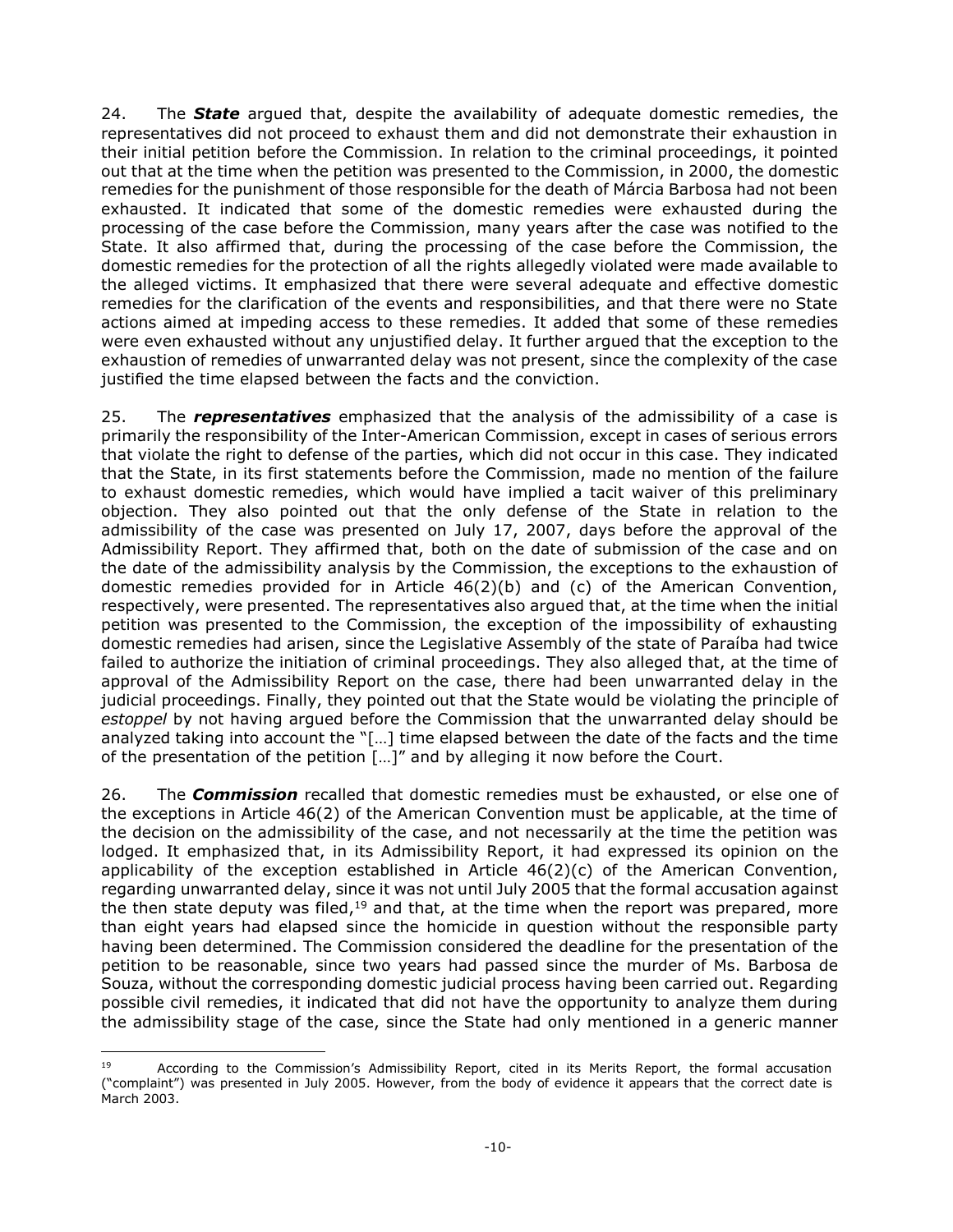24. The *State* argued that, despite the availability of adequate domestic remedies, the representatives did not proceed to exhaust them and did not demonstrate their exhaustion in their initial petition before the Commission. In relation to the criminal proceedings, it pointed out that at the time when the petition was presented to the Commission, in 2000, the domestic remedies for the punishment of those responsible for the death of Márcia Barbosa had not been exhausted. It indicated that some of the domestic remedies were exhausted during the processing of the case before the Commission, many years after the case was notified to the State. It also affirmed that, during the processing of the case before the Commission, the domestic remedies for the protection of all the rights allegedly violated were made available to the alleged victims. It emphasized that there were several adequate and effective domestic remedies for the clarification of the events and responsibilities, and that there were no State actions aimed at impeding access to these remedies. It added that some of these remedies were even exhausted without any unjustified delay. It further argued that the exception to the exhaustion of remedies of unwarranted delay was not present, since the complexity of the case justified the time elapsed between the facts and the conviction.

25. The *representatives* emphasized that the analysis of the admissibility of a case is primarily the responsibility of the Inter-American Commission, except in cases of serious errors that violate the right to defense of the parties, which did not occur in this case. They indicated that the State, in its first statements before the Commission, made no mention of the failure to exhaust domestic remedies, which would have implied a tacit waiver of this preliminary objection. They also pointed out that the only defense of the State in relation to the admissibility of the case was presented on July 17, 2007, days before the approval of the Admissibility Report. They affirmed that, both on the date of submission of the case and on the date of the admissibility analysis by the Commission, the exceptions to the exhaustion of domestic remedies provided for in Article 46(2)(b) and (c) of the American Convention, respectively, were presented. The representatives also argued that, at the time when the initial petition was presented to the Commission, the exception of the impossibility of exhausting domestic remedies had arisen, since the Legislative Assembly of the state of Paraíba had twice failed to authorize the initiation of criminal proceedings. They also alleged that, at the time of approval of the Admissibility Report on the case, there had been unwarranted delay in the judicial proceedings. Finally, they pointed out that the State would be violating the principle of *estoppel* by not having argued before the Commission that the unwarranted delay should be analyzed taking into account the "[…] time elapsed between the date of the facts and the time of the presentation of the petition […]" and by alleging it now before the Court.

26. The *Commission* recalled that domestic remedies must be exhausted, or else one of the exceptions in Article 46(2) of the American Convention must be applicable, at the time of the decision on the admissibility of the case, and not necessarily at the time the petition was lodged. It emphasized that, in its Admissibility Report, it had expressed its opinion on the applicability of the exception established in Article  $46(2)(c)$  of the American Convention, regarding unwarranted delay, since it was not until July 2005 that the formal accusation against the then state deputy was filed,<sup>19</sup> and that, at the time when the report was prepared, more than eight years had elapsed since the homicide in question without the responsible party having been determined. The Commission considered the deadline for the presentation of the petition to be reasonable, since two years had passed since the murder of Ms. Barbosa de Souza, without the corresponding domestic judicial process having been carried out. Regarding possible civil remedies, it indicated that did not have the opportunity to analyze them during the admissibility stage of the case, since the State had only mentioned in a generic manner

<sup>-</sup>19 According to the Commission's Admissibility Report, cited in its Merits Report, the formal accusation ("complaint") was presented in July 2005. However, from the body of evidence it appears that the correct date is March 2003.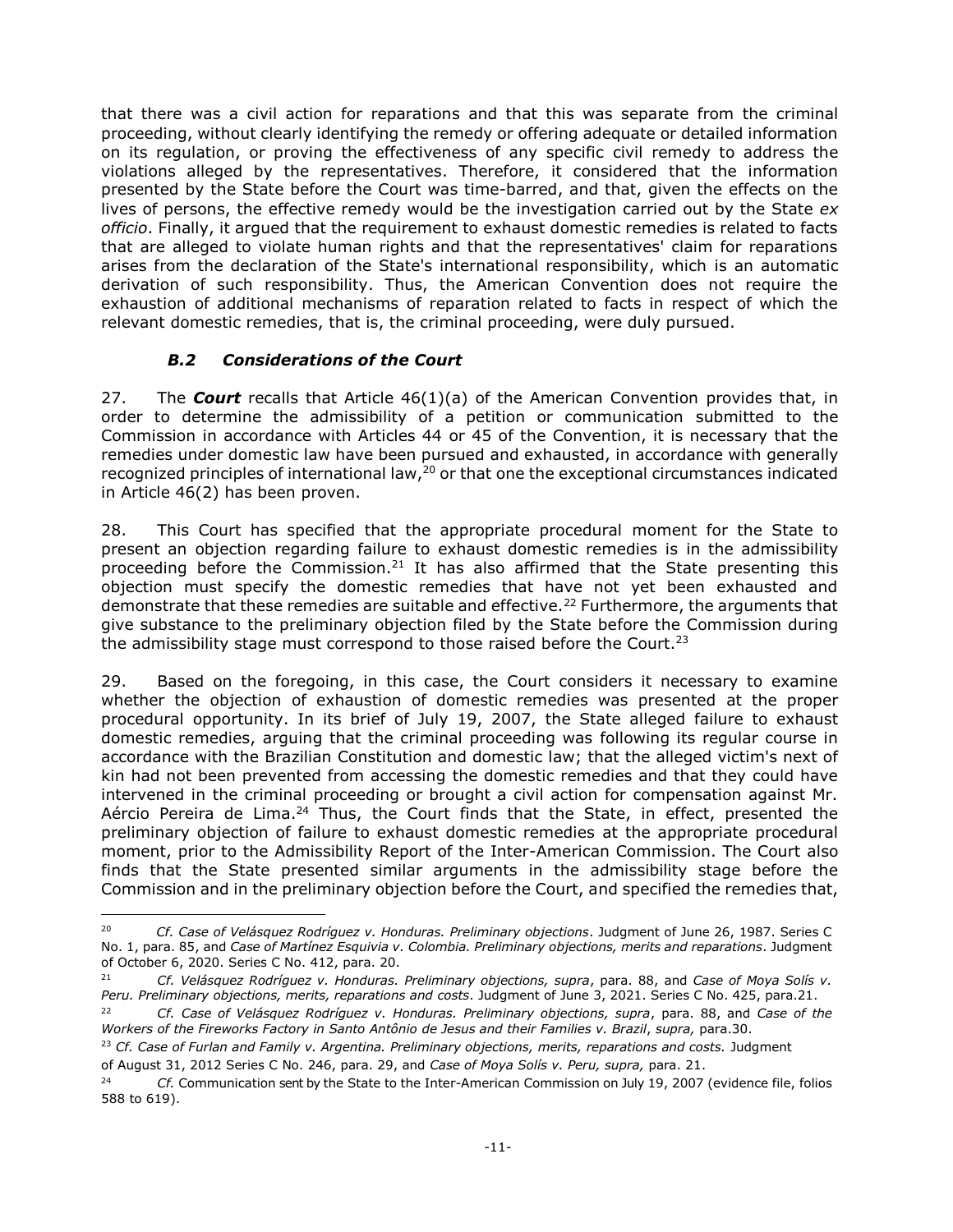that there was a civil action for reparations and that this was separate from the criminal proceeding, without clearly identifying the remedy or offering adequate or detailed information on its regulation, or proving the effectiveness of any specific civil remedy to address the violations alleged by the representatives. Therefore, it considered that the information presented by the State before the Court was time-barred, and that, given the effects on the lives of persons, the effective remedy would be the investigation carried out by the State *ex officio*. Finally, it argued that the requirement to exhaust domestic remedies is related to facts that are alleged to violate human rights and that the representatives' claim for reparations arises from the declaration of the State's international responsibility, which is an automatic derivation of such responsibility. Thus, the American Convention does not require the exhaustion of additional mechanisms of reparation related to facts in respect of which the relevant domestic remedies, that is, the criminal proceeding, were duly pursued.

## *B.2 Considerations of the Court*

 $\overline{a}$ 

<span id="page-10-0"></span>27. The *Court* recalls that Article 46(1)(a) of the American Convention provides that, in order to determine the admissibility of a petition or communication submitted to the Commission in accordance with Articles 44 or 45 of the Convention, it is necessary that the remedies under domestic law have been pursued and exhausted, in accordance with generally recognized principles of international law, $^{20}$  or that one the exceptional circumstances indicated in Article 46(2) has been proven.

28. This Court has specified that the appropriate procedural moment for the State to present an objection regarding failure to exhaust domestic remedies is in the admissibility proceeding before the Commission.<sup>21</sup> It has also affirmed that the State presenting this objection must specify the domestic remedies that have not yet been exhausted and demonstrate that these remedies are suitable and effective.<sup>22</sup> Furthermore, the arguments that give substance to the preliminary objection filed by the State before the Commission during the admissibility stage must correspond to those raised before the Court.<sup>23</sup>

29. Based on the foregoing, in this case, the Court considers it necessary to examine whether the objection of exhaustion of domestic remedies was presented at the proper procedural opportunity. In its brief of July 19, 2007, the State alleged failure to exhaust domestic remedies, arguing that the criminal proceeding was following its regular course in accordance with the Brazilian Constitution and domestic law; that the alleged victim's next of kin had not been prevented from accessing the domestic remedies and that they could have intervened in the criminal proceeding or brought a civil action for compensation against Mr. Aércio Pereira de Lima.<sup>24</sup> Thus, the Court finds that the State, in effect, presented the preliminary objection of failure to exhaust domestic remedies at the appropriate procedural moment, prior to the Admissibility Report of the Inter-American Commission. The Court also finds that the State presented similar arguments in the admissibility stage before the Commission and in the preliminary objection before the Court, and specified the remedies that,

<sup>20</sup> *Cf. Case of Velásquez Rodríguez v. Honduras. Preliminary objections*. Judgment of June 26, 1987. Series C No. 1, para. 85, and *Case of Martínez Esquivia v. Colombia. Preliminary objections, merits and reparations*. Judgment of October 6, 2020. Series C No. 412, para. 20.

<sup>21</sup> *Cf. Velásquez Rodríguez v. Honduras. Preliminary objections, supra*, para. 88, and *Case of Moya Solís v. Peru. Preliminary objections, merits, reparations and costs*. Judgment of June 3, 2021. Series C No. 425, para.21.

<sup>22</sup> *Cf. Case of Velásquez Rodríguez v. Honduras. Preliminary objections, supra*, para. 88, and *Case of the Workers of the Fireworks Factory in Santo Antônio de Jesus and their Families v. Brazil*, *supra,* para.30.

<sup>&</sup>lt;sup>23</sup> Cf. Case of Furlan and Family v. Argentina. Preliminary objections, merits, reparations and costs. Judgment of August 31, 2012 Series C No. 246, para. 29, and *Case of Moya Solís v. Peru, supra,* para. 21.

<sup>24</sup> *Cf.* Communication sent by the State to the Inter-American Commission on July 19, 2007 (evidence file, folios 588 to 619).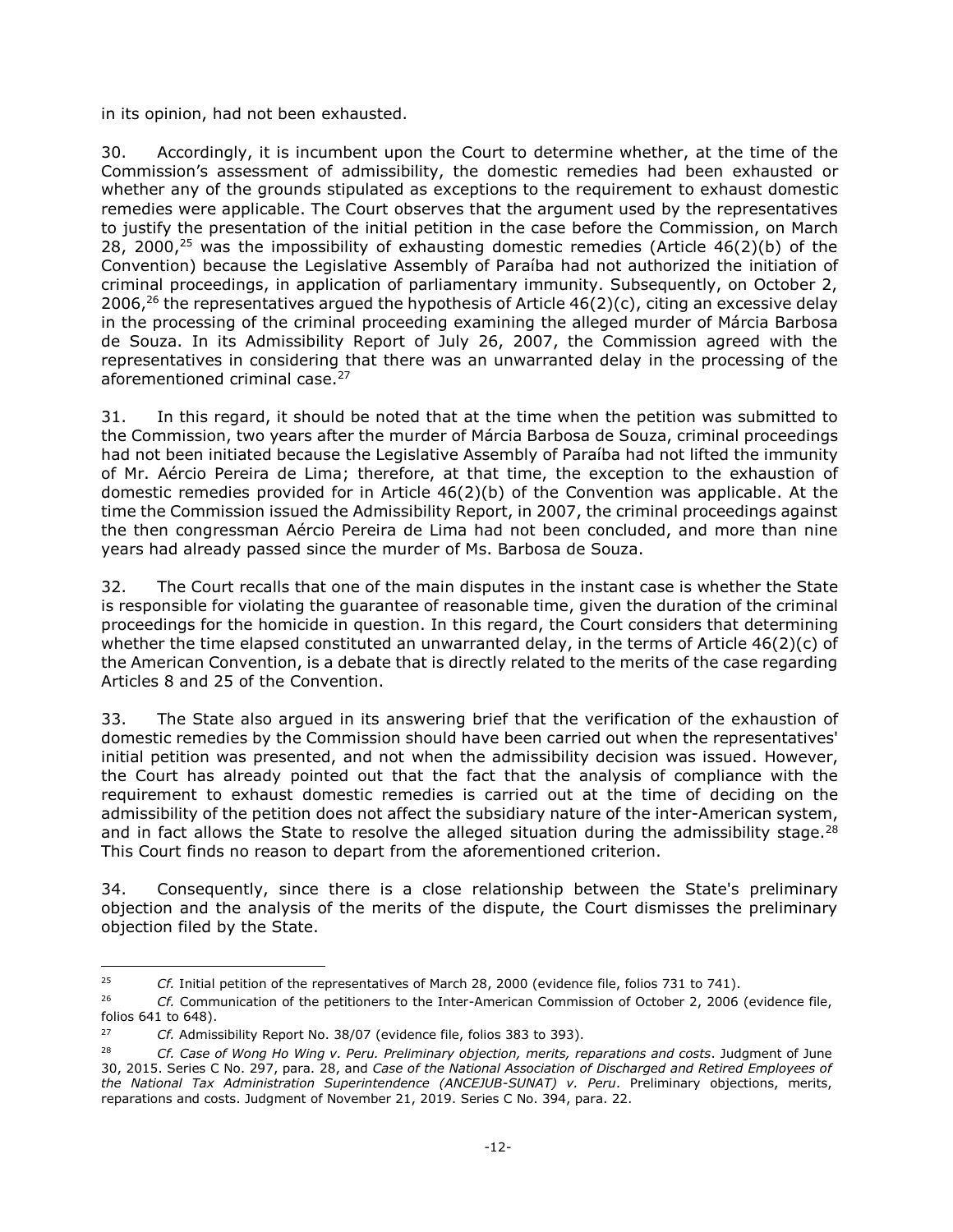in its opinion, had not been exhausted.

30. Accordingly, it is incumbent upon the Court to determine whether, at the time of the Commission's assessment of admissibility, the domestic remedies had been exhausted or whether any of the grounds stipulated as exceptions to the requirement to exhaust domestic remedies were applicable. The Court observes that the argument used by the representatives to justify the presentation of the initial petition in the case before the Commission, on March 28, 2000,<sup>25</sup> was the impossibility of exhausting domestic remedies (Article  $46(2)(b)$  of the Convention) because the Legislative Assembly of Paraíba had not authorized the initiation of criminal proceedings, in application of parliamentary immunity. Subsequently, on October 2, 2006,<sup>26</sup> the representatives argued the hypothesis of Article  $46(2)(c)$ , citing an excessive delay in the processing of the criminal proceeding examining the alleged murder of Márcia Barbosa de Souza. In its Admissibility Report of July 26, 2007, the Commission agreed with the representatives in considering that there was an unwarranted delay in the processing of the aforementioned criminal case. 27

31. In this regard, it should be noted that at the time when the petition was submitted to the Commission, two years after the murder of Márcia Barbosa de Souza, criminal proceedings had not been initiated because the Legislative Assembly of Paraíba had not lifted the immunity of Mr. Aércio Pereira de Lima; therefore, at that time, the exception to the exhaustion of domestic remedies provided for in Article 46(2)(b) of the Convention was applicable. At the time the Commission issued the Admissibility Report, in 2007, the criminal proceedings against the then congressman Aércio Pereira de Lima had not been concluded, and more than nine years had already passed since the murder of Ms. Barbosa de Souza.

32. The Court recalls that one of the main disputes in the instant case is whether the State is responsible for violating the guarantee of reasonable time, given the duration of the criminal proceedings for the homicide in question. In this regard, the Court considers that determining whether the time elapsed constituted an unwarranted delay, in the terms of Article 46(2)(c) of the American Convention, is a debate that is directly related to the merits of the case regarding Articles 8 and 25 of the Convention.

33. The State also argued in its answering brief that the verification of the exhaustion of domestic remedies by the Commission should have been carried out when the representatives' initial petition was presented, and not when the admissibility decision was issued. However, the Court has already pointed out that the fact that the analysis of compliance with the requirement to exhaust domestic remedies is carried out at the time of deciding on the admissibility of the petition does not affect the subsidiary nature of the inter-American system, and in fact allows the State to resolve the alleged situation during the admissibility stage.<sup>28</sup> This Court finds no reason to depart from the aforementioned criterion.

34. Consequently, since there is a close relationship between the State's preliminary objection and the analysis of the merits of the dispute, the Court dismisses the preliminary objection filed by the State.

-

<sup>25</sup> *Cf.* Initial petition of the representatives of March 28, 2000 (evidence file, folios 731 to 741).

<sup>26</sup> *Cf.* Communication of the petitioners to the Inter-American Commission of October 2, 2006 (evidence file, folios 641 to 648).

<sup>27</sup> *Cf.* Admissibility Report No. 38/07 (evidence file, folios 383 to 393).

<sup>28</sup> *Cf. Case of Wong Ho Wing v. Peru. Preliminary objection, merits, reparations and costs*. Judgment of June 30, 2015. Series C No. 297, para. 28, and *Case of the National Association of Discharged and Retired Employees of the National Tax Administration Superintendence (ANCEJUB-SUNAT) v. Peru*. Preliminary objections, merits, reparations and costs. Judgment of November 21, 2019. Series C No. 394, para. 22.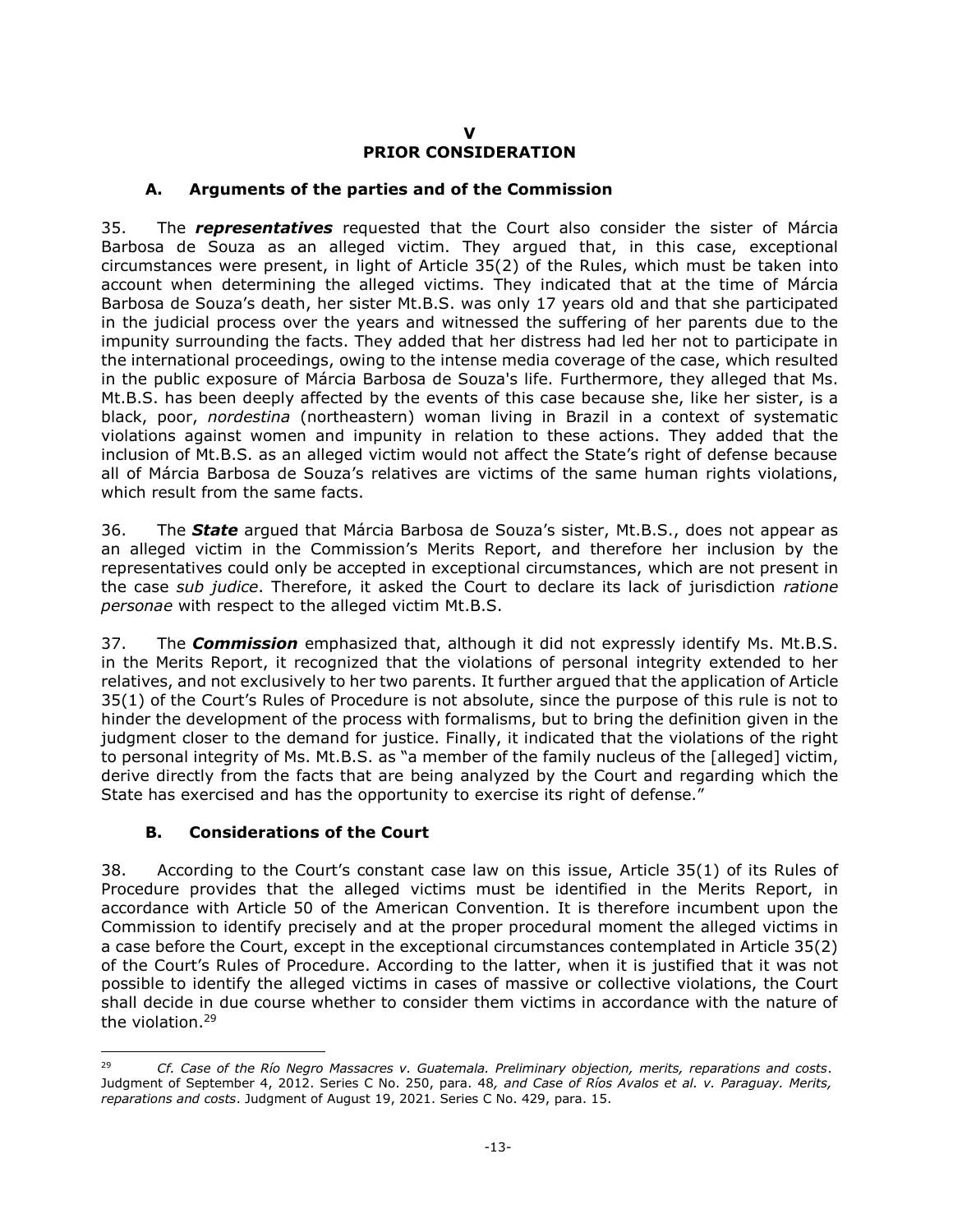#### **V**

### **PRIOR CONSIDERATION**

#### <span id="page-12-0"></span>**A. Arguments of the parties and of the Commission**

<span id="page-12-1"></span>35. The *representatives* requested that the Court also consider the sister of Márcia Barbosa de Souza as an alleged victim. They argued that, in this case, exceptional circumstances were present, in light of Article 35(2) of the Rules, which must be taken into account when determining the alleged victims. They indicated that at the time of Márcia Barbosa de Souza's death, her sister Mt.B.S. was only 17 years old and that she participated in the judicial process over the years and witnessed the suffering of her parents due to the impunity surrounding the facts. They added that her distress had led her not to participate in the international proceedings, owing to the intense media coverage of the case, which resulted in the public exposure of Márcia Barbosa de Souza's life. Furthermore, they alleged that Ms. Mt.B.S. has been deeply affected by the events of this case because she, like her sister, is a black, poor, *nordestina* (northeastern) woman living in Brazil in a context of systematic violations against women and impunity in relation to these actions. They added that the inclusion of Mt.B.S. as an alleged victim would not affect the State's right of defense because all of Márcia Barbosa de Souza's relatives are victims of the same human rights violations, which result from the same facts.

36. The *State* argued that Márcia Barbosa de Souza's sister, Mt.B.S., does not appear as an alleged victim in the Commission's Merits Report, and therefore her inclusion by the representatives could only be accepted in exceptional circumstances, which are not present in the case *sub judice*. Therefore, it asked the Court to declare its lack of jurisdiction *ratione personae* with respect to the alleged victim Mt.B.S.

37. The *Commission* emphasized that, although it did not expressly identify Ms. Mt.B.S. in the Merits Report, it recognized that the violations of personal integrity extended to her relatives, and not exclusively to her two parents. It further argued that the application of Article 35(1) of the Court's Rules of Procedure is not absolute, since the purpose of this rule is not to hinder the development of the process with formalisms, but to bring the definition given in the judgment closer to the demand for justice. Finally, it indicated that the violations of the right to personal integrity of Ms. Mt.B.S. as "a member of the family nucleus of the [alleged] victim, derive directly from the facts that are being analyzed by the Court and regarding which the State has exercised and has the opportunity to exercise its right of defense."

### **B. Considerations of the Court**

-

<span id="page-12-2"></span>38. According to the Court's constant case law on this issue, Article 35(1) of its Rules of Procedure provides that the alleged victims must be identified in the Merits Report, in accordance with Article 50 of the American Convention. It is therefore incumbent upon the Commission to identify precisely and at the proper procedural moment the alleged victims in a case before the Court, except in the exceptional circumstances contemplated in Article 35(2) of the Court's Rules of Procedure. According to the latter, when it is justified that it was not possible to identify the alleged victims in cases of massive or collective violations, the Court shall decide in due course whether to consider them victims in accordance with the nature of the violation.<sup>29</sup>

<sup>29</sup> *Cf. Case of the Río Negro Massacres v. Guatemala. Preliminary objection, merits, reparations and costs*. Judgment of September 4, 2012. Series C No. 250, para. 48*, and Case of Ríos Avalos et al. v. Paraguay. Merits, reparations and costs*. Judgment of August 19, 2021. Series C No. 429, para. 15.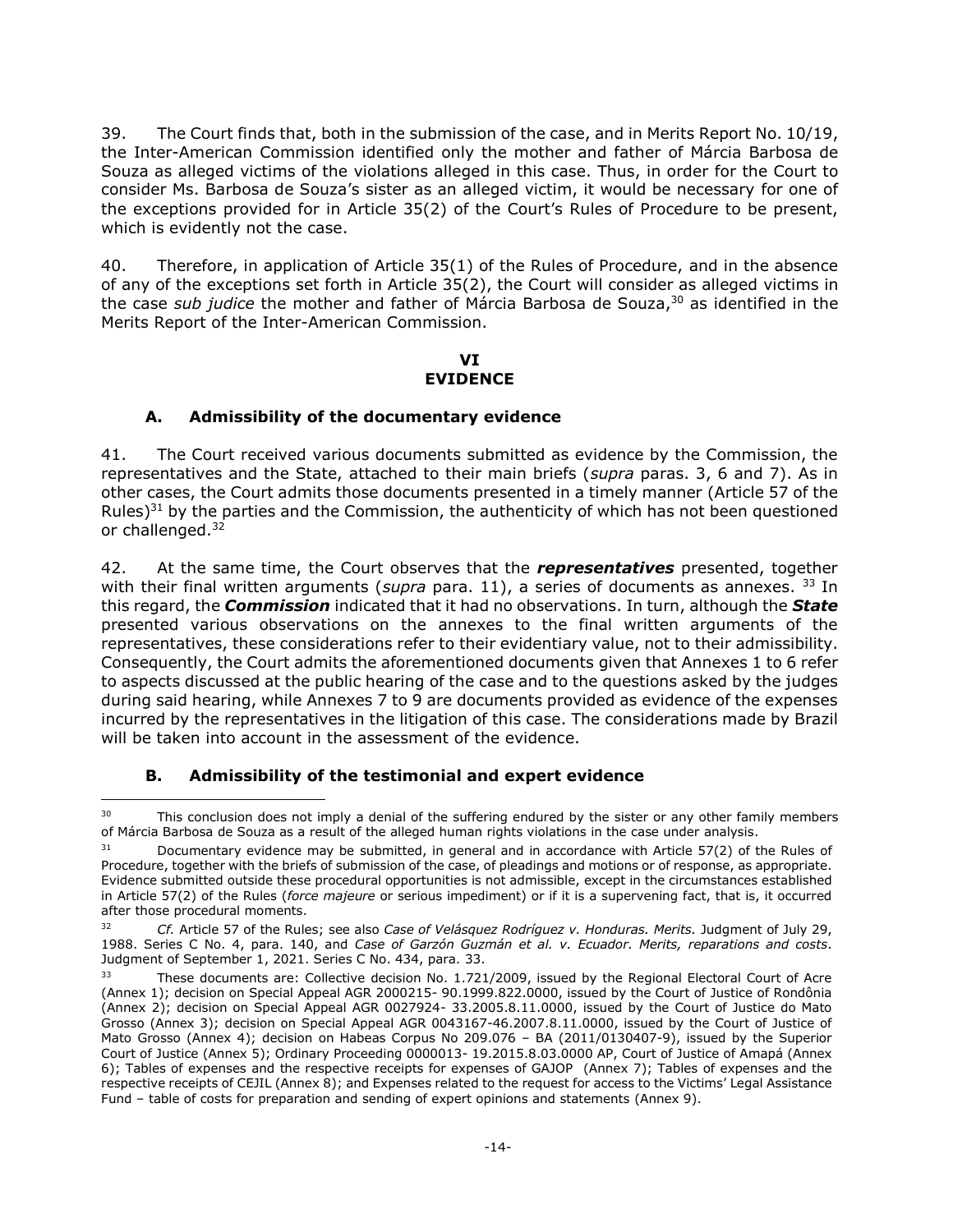39. The Court finds that, both in the submission of the case, and in Merits Report No. 10/19, the Inter-American Commission identified only the mother and father of Márcia Barbosa de Souza as alleged victims of the violations alleged in this case. Thus, in order for the Court to consider Ms. Barbosa de Souza's sister as an alleged victim, it would be necessary for one of the exceptions provided for in Article 35(2) of the Court's Rules of Procedure to be present, which is evidently not the case.

40. Therefore, in application of Article 35(1) of the Rules of Procedure, and in the absence of any of the exceptions set forth in Article 35(2), the Court will consider as alleged victims in the case *sub judice* the mother and father of Márcia Barbosa de Souza, <sup>30</sup> as identified in the Merits Report of the Inter-American Commission.

#### **VI EVIDENCE**

### <span id="page-13-0"></span>**A. Admissibility of the documentary evidence**

<span id="page-13-1"></span>41. The Court received various documents submitted as evidence by the Commission, the representatives and the State, attached to their main briefs (*supra* paras. 3, 6 and 7). As in other cases, the Court admits those documents presented in a timely manner (Article 57 of the Rules) $31$  by the parties and the Commission, the authenticity of which has not been questioned or challenged.<sup>32</sup>

42. At the same time, the Court observes that the *representatives* presented, together with their final written arguments (*supra* para. 11), a series of documents as annexes. <sup>33</sup> In this regard, the *Commission* indicated that it had no observations. In turn, although the *State* presented various observations on the annexes to the final written arguments of the representatives, these considerations refer to their evidentiary value, not to their admissibility. Consequently, the Court admits the aforementioned documents given that Annexes 1 to 6 refer to aspects discussed at the public hearing of the case and to the questions asked by the judges during said hearing, while Annexes 7 to 9 are documents provided as evidence of the expenses incurred by the representatives in the litigation of this case. The considerations made by Brazil will be taken into account in the assessment of the evidence.

### **B. Admissibility of the testimonial and expert evidence**

<span id="page-13-2"></span><sup>30</sup> This conclusion does not imply a denial of the suffering endured by the sister or any other family members of Márcia Barbosa de Souza as a result of the alleged human rights violations in the case under analysis.

 $31$  Documentary evidence may be submitted, in general and in accordance with Article 57(2) of the Rules of Procedure, together with the briefs of submission of the case, of pleadings and motions or of response, as appropriate. Evidence submitted outside these procedural opportunities is not admissible, except in the circumstances established in Article 57(2) of the Rules (*force majeure* or serious impediment) or if it is a supervening fact, that is, it occurred after those procedural moments.

<sup>32</sup> *Cf.* Article 57 of the Rules; see also *Case of Velásquez Rodríguez v. Honduras. Merits.* Judgment of July 29, 1988. Series C No. 4, para. 140, and *Case of Garzón Guzmán et al. v. Ecuador. Merits, reparations and costs*. Judgment of September 1, 2021. Series C No. 434, para. 33.

These documents are: Collective decision No. 1.721/2009, issued by the Regional Electoral Court of Acre (Annex 1); decision on Special Appeal AGR 2000215- 90.1999.822.0000, issued by the Court of Justice of Rondônia (Annex 2); decision on Special Appeal AGR 0027924- 33.2005.8.11.0000, issued by the Court of Justice do Mato Grosso (Annex 3); decision on Special Appeal AGR 0043167-46.2007.8.11.0000, issued by the Court of Justice of Mato Grosso (Annex 4); decision on Habeas Corpus No 209.076 – BA (2011/0130407-9), issued by the Superior Court of Justice (Annex 5); Ordinary Proceeding 0000013- 19.2015.8.03.0000 AP, Court of Justice of Amapá (Annex 6); Tables of expenses and the respective receipts for expenses of GAJOP (Annex 7); Tables of expenses and the respective receipts of CEJIL (Annex 8); and Expenses related to the request for access to the Victims' Legal Assistance Fund – table of costs for preparation and sending of expert opinions and statements (Annex 9).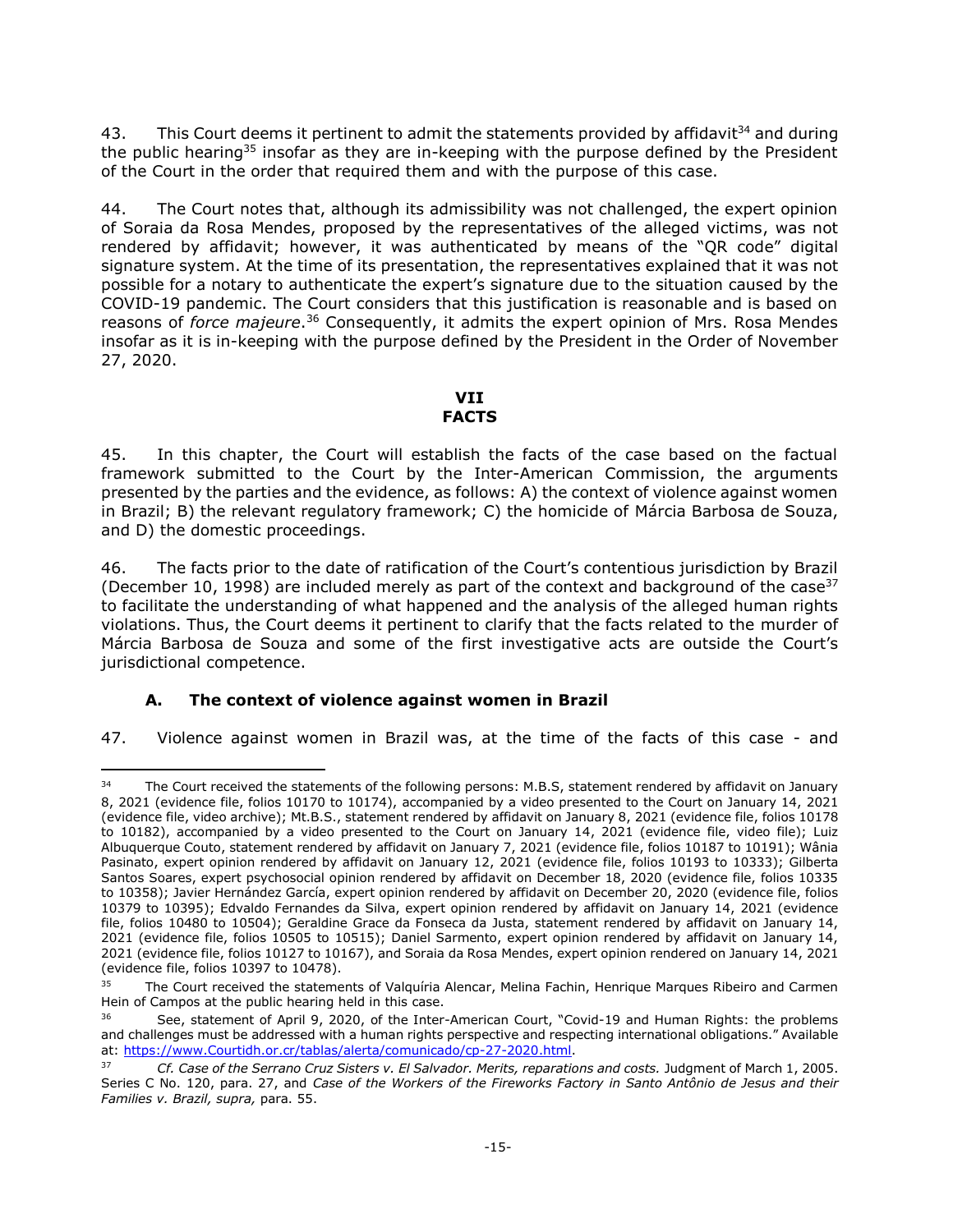43. This Court deems it pertinent to admit the statements provided by affidavit<sup>34</sup> and during the public hearing<sup>35</sup> insofar as they are in-keeping with the purpose defined by the President of the Court in the order that required them and with the purpose of this case.

44. The Court notes that, although its admissibility was not challenged, the expert opinion of Soraia da Rosa Mendes, proposed by the representatives of the alleged victims, was not rendered by affidavit; however, it was authenticated by means of the "QR code" digital signature system. At the time of its presentation, the representatives explained that it was not possible for a notary to authenticate the expert's signature due to the situation caused by the COVID-19 pandemic. The Court considers that this justification is reasonable and is based on reasons of *force majeure*. <sup>36</sup> Consequently, it admits the expert opinion of Mrs. Rosa Mendes insofar as it is in-keeping with the purpose defined by the President in the Order of November 27, 2020.

### **VII FACTS**

<span id="page-14-0"></span>45. In this chapter, the Court will establish the facts of the case based on the factual framework submitted to the Court by the Inter-American Commission, the arguments presented by the parties and the evidence, as follows: A) the context of violence against women in Brazil; B) the relevant regulatory framework; C) the homicide of Márcia Barbosa de Souza, and D) the domestic proceedings.

46. The facts prior to the date of ratification of the Court's contentious jurisdiction by Brazil (December 10, 1998) are included merely as part of the context and background of the case  $37$ to facilitate the understanding of what happened and the analysis of the alleged human rights violations. Thus, the Court deems it pertinent to clarify that the facts related to the murder of Márcia Barbosa de Souza and some of the first investigative acts are outside the Court's jurisdictional competence.

## **A. The context of violence against women in Brazil**

-

<span id="page-14-1"></span>47. Violence against women in Brazil was, at the time of the facts of this case - and

<sup>&</sup>lt;sup>34</sup> The Court received the statements of the following persons: M.B.S, statement rendered by affidavit on January 8, 2021 (evidence file, folios 10170 to 10174), accompanied by a video presented to the Court on January 14, 2021 (evidence file, video archive); Mt.B.S., statement rendered by affidavit on January 8, 2021 (evidence file, folios 10178 to 10182), accompanied by a video presented to the Court on January 14, 2021 (evidence file, video file); Luiz Albuquerque Couto, statement rendered by affidavit on January 7, 2021 (evidence file, folios 10187 to 10191); Wânia Pasinato, expert opinion rendered by affidavit on January 12, 2021 (evidence file, folios 10193 to 10333); Gilberta Santos Soares, expert psychosocial opinion rendered by affidavit on December 18, 2020 (evidence file, folios 10335 to 10358); Javier Hernández García, expert opinion rendered by affidavit on December 20, 2020 (evidence file, folios 10379 to 10395); Edvaldo Fernandes da Silva, expert opinion rendered by affidavit on January 14, 2021 (evidence file, folios 10480 to 10504); Geraldine Grace da Fonseca da Justa, statement rendered by affidavit on January 14, 2021 (evidence file, folios 10505 to 10515); Daniel Sarmento, expert opinion rendered by affidavit on January 14, 2021 (evidence file, folios 10127 to 10167), and Soraia da Rosa Mendes, expert opinion rendered on January 14, 2021 (evidence file, folios 10397 to 10478).

<sup>&</sup>lt;sup>35</sup> The Court received the statements of Valquíria Alencar, Melina Fachin, Henrique Marques Ribeiro and Carmen Hein of Campos at the public hearing held in this case.

See, statement of April 9, 2020, of the Inter-American Court, "Covid-19 and Human Rights: the problems and challenges must be addressed with a human rights perspective and respecting international obligations." Available at: [https://www.Courtidh.or.cr/tablas/alerta/comunicado/cp-27-2020.html.](https://www.corteidh.or.cr/tablas/alerta/comunicado/cp-27-2020.html)

<sup>37</sup> *Cf. Case of the Serrano Cruz Sisters v. El Salvador. Merits, reparations and costs.* Judgment of March 1, 2005. Series C No. 120, para. 27, and *Case of the Workers of the Fireworks Factory in Santo Antônio de Jesus and their Families v. Brazil, supra,* para. 55.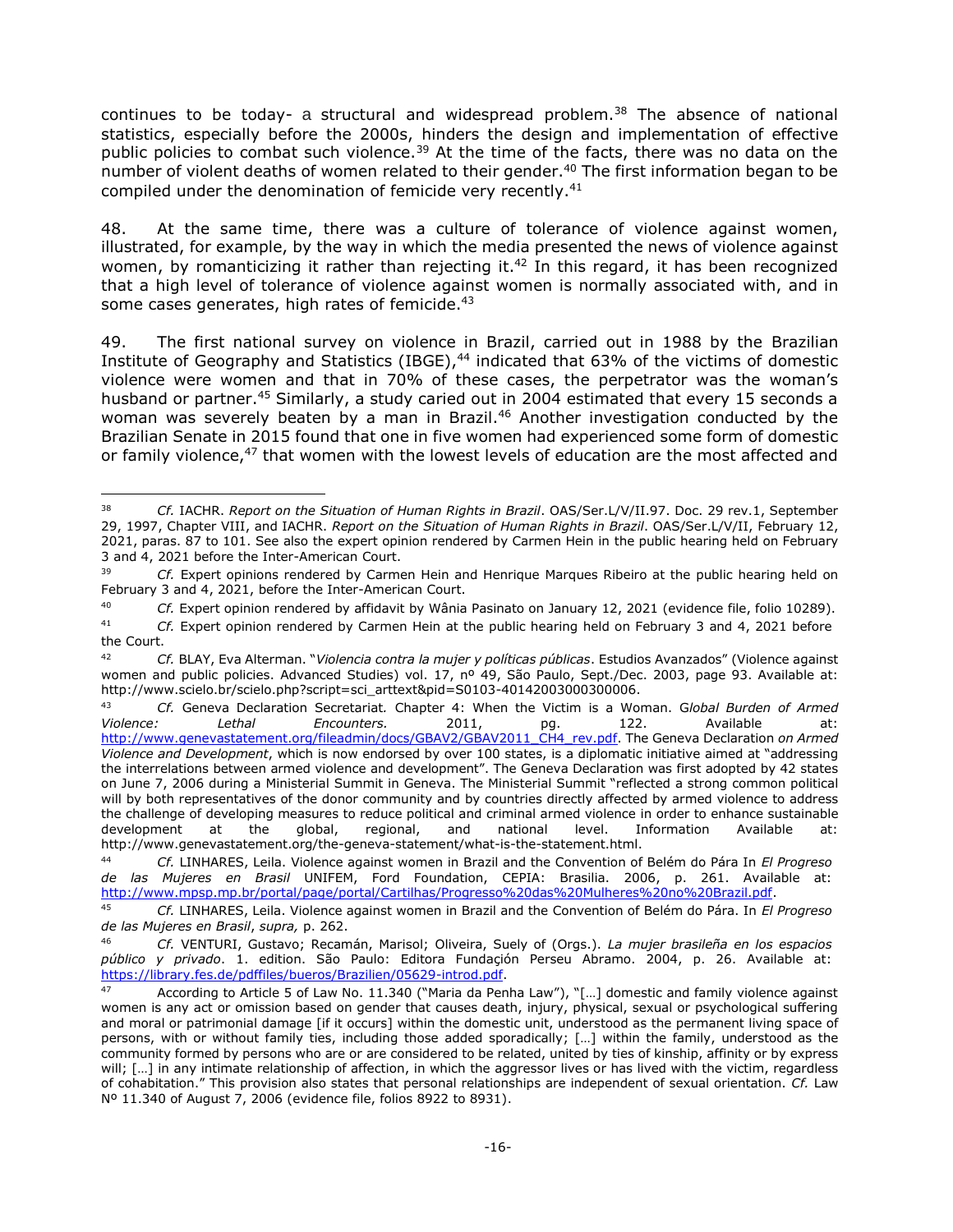continues to be today- a structural and widespread problem.<sup>38</sup> The absence of national statistics, especially before the 2000s, hinders the design and implementation of effective public policies to combat such violence.<sup>39</sup> At the time of the facts, there was no data on the number of violent deaths of women related to their gender.<sup>40</sup> The first information began to be compiled under the denomination of femicide very recently.<sup>41</sup>

48. At the same time, there was a culture of tolerance of violence against women, illustrated, for example, by the way in which the media presented the news of violence against women, by romanticizing it rather than rejecting it.<sup>42</sup> In this regard, it has been recognized that a high level of tolerance of violence against women is normally associated with, and in some cases generates, high rates of femicide.<sup>43</sup>

49. The first national survey on violence in Brazil, carried out in 1988 by the Brazilian Institute of Geography and Statistics (IBGE),<sup>44</sup> indicated that 63% of the victims of domestic violence were women and that in 70% of these cases, the perpetrator was the woman's husband or partner.<sup>45</sup> Similarly, a study caried out in 2004 estimated that every 15 seconds a woman was severely beaten by a man in Brazil.<sup>46</sup> Another investigation conducted by the Brazilian Senate in 2015 found that one in five women had experienced some form of domestic or family violence,<sup>47</sup> that women with the lowest levels of education are the most affected and

j

<sup>38</sup> *Cf.* IACHR. *Report on the Situation of Human Rights in Brazil*. OAS/Ser.L/V/II.97. Doc. 29 rev.1, September 29, 1997, Chapter VIII, and IACHR. *Report on the Situation of Human Rights in Brazil*. OAS/Ser.L/V/II, February 12, 2021, paras. 87 to 101. See also the expert opinion rendered by Carmen Hein in the public hearing held on February 3 and 4, 2021 before the Inter-American Court.

<sup>39</sup> *Cf.* Expert opinions rendered by Carmen Hein and Henrique Marques Ribeiro at the public hearing held on February 3 and 4, 2021, before the Inter-American Court.

<sup>40</sup> *Cf.* Expert opinion rendered by affidavit by Wânia Pasinato on January 12, 2021 (evidence file, folio 10289).

<sup>41</sup> *Cf.* Expert opinion rendered by Carmen Hein at the public hearing held on February 3 and 4, 2021 before the Court.

<sup>42</sup> *Cf.* BLAY, Eva Alterman. "*Violencia contra la mujer y políticas públicas*. Estudios Avanzados" (Violence against women and public policies. Advanced Studies) vol. 17, nº 49, São Paulo, Sept./Dec. 2003, page 93. Available at: http://www.scielo.br/scielo.php?script=sci\_arttext&pid=S0103-40142003000300006.

<sup>43</sup> *Cf.* Geneva Declaration Secretariat*.* Chapter 4: When the Victim is a Woman. G*lobal Burden of Armed Violence: Lethal Encounters.* 2011, pg. 122. Available at: [http://www.genevastatement.org/fileadmin/docs/GBAV2/GBAV2011\\_CH4\\_rev.pdf.](http://www.genevadeclaration.org/fileadmin/docs/GBAV2/GBAV2011_CH4_rev.pdf) The Geneva Declaration *on Armed Violence and Development*, which is now endorsed by over 100 states, is a diplomatic initiative aimed at "addressing the interrelations between armed violence and development". The Geneva Declaration was first adopted by 42 states on June 7, 2006 during a Ministerial Summit in Geneva. The Ministerial Summit "reflected a strong common political will by both representatives of the donor community and by countries directly affected by armed violence to address the challenge of developing measures to reduce political and criminal armed violence in order to enhance sustainable development at the global, regional, and national level. Information Available http://www.genevastatement.org/the-geneva-statement/what-is-the-statement.html.

<sup>44</sup> *Cf.* LINHARES, Leila. Violence against women in Brazil and the Convention of Belém do Pára In *El Progreso de las Mujeres en Brasil* UNIFEM, Ford Foundation, CEPIA: Brasilia. 2006, p. 261. Available at: [http://www.mpsp.mp.br/portal/page/portal/Cartilhas/Progresso%20das%20Mulheres%20no%20Brazil.pdf.](http://www.mpsp.mp.br/portal/page/portal/Cartilhas/Progresso%20das%20Mulheres%20no%20Brasil.pdf)

<sup>45</sup> *Cf.* LINHARES, Leila. Violence against women in Brazil and the Convention of Belém do Pára. In *El Progreso de las Mujeres en Brasil*, *supra,* p. 262.

<sup>46</sup> *Cf.* VENTURI, Gustavo; Recamán, Marisol; Oliveira, Suely of (Orgs.). *La mujer brasileña en los espacios público y privado*. 1. edition. São Paulo: Editora Fundaçión Perseu Abramo. 2004, p. 26. Available at: [https://library.fes.de/pdffiles/bueros/Brazilien/05629-introd.pdf.](https://library.fes.de/pdffiles/bueros/brasilien/05629-introd.pdf)

<sup>&</sup>lt;sup>47</sup> According to Article 5 of Law No. 11.340 ("Maria da Penha Law"), "[...] domestic and family violence against women is any act or omission based on gender that causes death, injury, physical, sexual or psychological suffering and moral or patrimonial damage [if it occurs] within the domestic unit, understood as the permanent living space of persons, with or without family ties, including those added sporadically; […] within the family, understood as the community formed by persons who are or are considered to be related, united by ties of kinship, affinity or by express will; [...] in any intimate relationship of affection, in which the aggressor lives or has lived with the victim, regardless of cohabitation." This provision also states that personal relationships are independent of sexual orientation. *Cf.* Law Nº 11.340 of August 7, 2006 (evidence file, folios 8922 to 8931).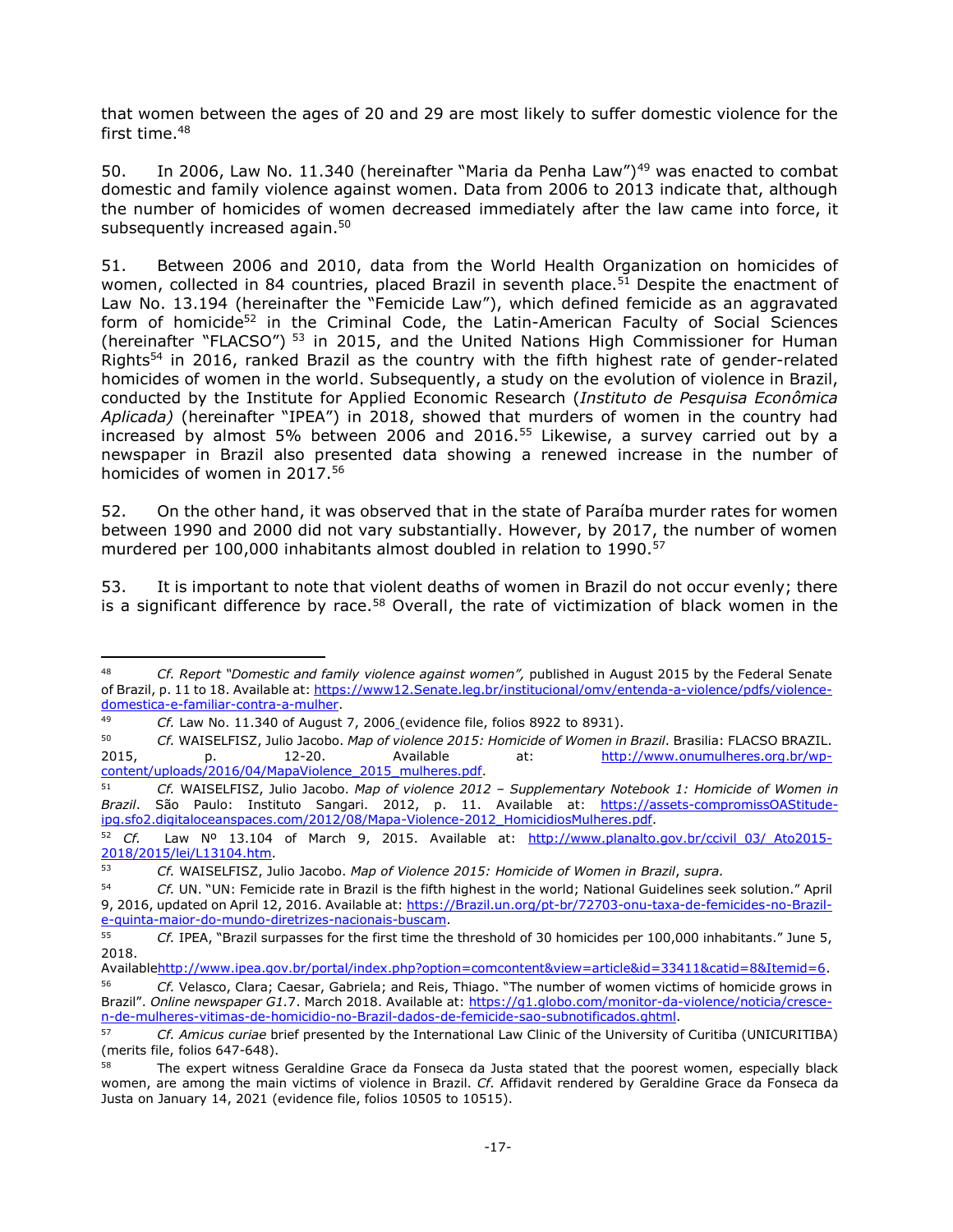that women between the ages of 20 and 29 are most likely to suffer domestic violence for the first time.<sup>48</sup>

50. In 2006, Law No. 11.340 (hereinafter "Maria da Penha Law")<sup>49</sup> was enacted to combat domestic and family violence against women. Data from 2006 to 2013 indicate that, although the number of homicides of women decreased immediately after the law came into force, it subsequently increased again.<sup>50</sup>

51. Between 2006 and 2010, data from the World Health Organization on homicides of women, collected in 84 countries, placed Brazil in seventh place.<sup>51</sup> Despite the enactment of Law No. 13.194 (hereinafter the "Femicide Law"), which defined femicide as an aggravated form of homicide<sup>52</sup> in the Criminal Code, the Latin-American Faculty of Social Sciences (hereinafter "FLACSO")<sup>53</sup> in 2015, and the United Nations High Commissioner for Human Rights<sup>54</sup> in 2016, ranked Brazil as the country with the fifth highest rate of gender-related homicides of women in the world. Subsequently, a study on the evolution of violence in Brazil, conducted by the Institute for Applied Economic Research (*Instituto de Pesquisa Econômica Aplicada)* (hereinafter "IPEA") in 2018, showed that murders of women in the country had increased by almost 5% between 2006 and 2016.<sup>55</sup> Likewise, a survey carried out by a newspaper in Brazil also presented data showing a renewed increase in the number of homicides of women in 2017.<sup>56</sup>

52. On the other hand, it was observed that in the state of Paraíba murder rates for women between 1990 and 2000 did not vary substantially. However, by 2017, the number of women murdered per 100,000 inhabitants almost doubled in relation to 1990.<sup>57</sup>

53. It is important to note that violent deaths of women in Brazil do not occur evenly; there is a significant difference by race.<sup>58</sup> Overall, the rate of victimization of black women in the

-

<sup>48</sup> *Cf. Report "Domestic and family violence against women",* published in August 2015 by the Federal Senate of Brazil, p. 11 to 18. Available at[: https://www12.Senate.leg.br/institucional/omv/entenda-a-violence/pdfs/violence](https://www12.senado.leg.br/institucional/omv/entenda-a-violencia/pdfs/violencia-domestica-e-familiar-contra-a-mulher)[domestica-e-familiar-contra-a-mulher.](https://www12.senado.leg.br/institucional/omv/entenda-a-violencia/pdfs/violencia-domestica-e-familiar-contra-a-mulher)

<sup>49</sup> *Cf.* Law No. 11.340 of August 7, 2006 (evidence file, folios 8922 to 8931).

<sup>50</sup> *Cf.* WAISELFISZ, Julio Jacobo. *Map of violence 2015: Homicide of Women in Brazil*. Brasilia: FLACSO BRAZIL. 2015, p. 12-20. Available at: [http://www.onumulheres.org.br/wp](http://www.onumulheres.org.br/wp-content/uploads/2016/04/MapaViolencia_2015_mulheres.pdf)[content/uploads/2016/04/MapaViolence\\_2015\\_mulheres.pdf.](http://www.onumulheres.org.br/wp-content/uploads/2016/04/MapaViolencia_2015_mulheres.pdf)

<sup>51</sup> *Cf.* WAISELFISZ, Julio Jacobo. *Map of violence 2012 – Supplementary Notebook 1: Homicide of Women in Brazil*. São Paulo: Instituto Sangari. 2012, p. 11. Available at: [https://assets-compromissOAStitude](https://assets-compromissoeatitude-ipg.sfo2.digitaloceanspaces.com/2012/08/Mapa-Violencia-2012_HomicidiosMulheres.pdf)[ipg.sfo2.digitaloceanspaces.com/2012/08/Mapa-Violence-2012\\_HomicidiosMulheres.pdf.](https://assets-compromissoeatitude-ipg.sfo2.digitaloceanspaces.com/2012/08/Mapa-Violencia-2012_HomicidiosMulheres.pdf)

<sup>52</sup> Cf. Law Nº 13.104 of March 9, 2015. Available at: http://www.planalto.gov.br/ccivil 03/ Ato2015-[2018/2015/lei/L13104.htm.](http://www.planalto.gov.br/ccivil_03/_Ato2015-2018/2015/lei/L13104.htm)

<sup>53</sup> *Cf.* WAISELFISZ, Julio Jacobo. *Map of Violence 2015: Homicide of Women in Brazil*, *supra.*

<sup>54</sup> *Cf.* UN. "UN: Femicide rate in Brazil is the fifth highest in the world; National Guidelines seek solution." April 9, 2016, updated on April 12, 2016. Available at[: https://Brazil.un.org/pt-br/72703-onu-taxa-de-femicides-no-Brazil](https://brasil.un.org/pt-br/72703-onu-taxa-de-feminicidios-no-brasil-e-quinta-maior-do-mundo-diretrizes-nacionais-buscam)[e-quinta-maior-do-mundo-diretrizes-nacionais-buscam.](https://brasil.un.org/pt-br/72703-onu-taxa-de-feminicidios-no-brasil-e-quinta-maior-do-mundo-diretrizes-nacionais-buscam)

<sup>55</sup> *Cf.* IPEA, "Brazil surpasses for the first time the threshold of 30 homicides per 100,000 inhabitants." June 5, 2018.

Availabl[ehttp://www.ipea.gov.br/portal/index.php?option=comcontent&view=article&id=33411&catid=8&Itemid=6.](http://www.ipea.gov.br/portal/index.php?option=comcontent&view=article&id=33411&catid=8&Itemid=6)

<sup>56</sup> *Cf.* Velasco, Clara; Caesar, Gabriela; and Reis, Thiago. "The number of women victims of homicide grows in Brazil". *Online newspaper G1.*7. March 2018. Available at: [https://g1.globo.com/monitor-da-violence/noticia/cresce](https://g1.globo.com/monitor-da-violencia/noticia/cresce-n-de-mulheres-vitimas-de-homicidio-no-brasil-dados-de-feminicidio-sao-subnotificados.ghtml)[n-de-mulheres-vitimas-de-homicidio-no-Brazil-dados-de-femicide-sao-subnotificados.ghtml.](https://g1.globo.com/monitor-da-violencia/noticia/cresce-n-de-mulheres-vitimas-de-homicidio-no-brasil-dados-de-feminicidio-sao-subnotificados.ghtml)

<sup>57</sup> *Cf. Amicus curiae* brief presented by the International Law Clinic of the University of Curitiba (UNICURITIBA) (merits file, folios 647-648).

The expert witness Geraldine Grace da Fonseca da Justa stated that the poorest women, especially black women, are among the main victims of violence in Brazil. *Cf.* Affidavit rendered by Geraldine Grace da Fonseca da Justa on January 14, 2021 (evidence file, folios 10505 to 10515).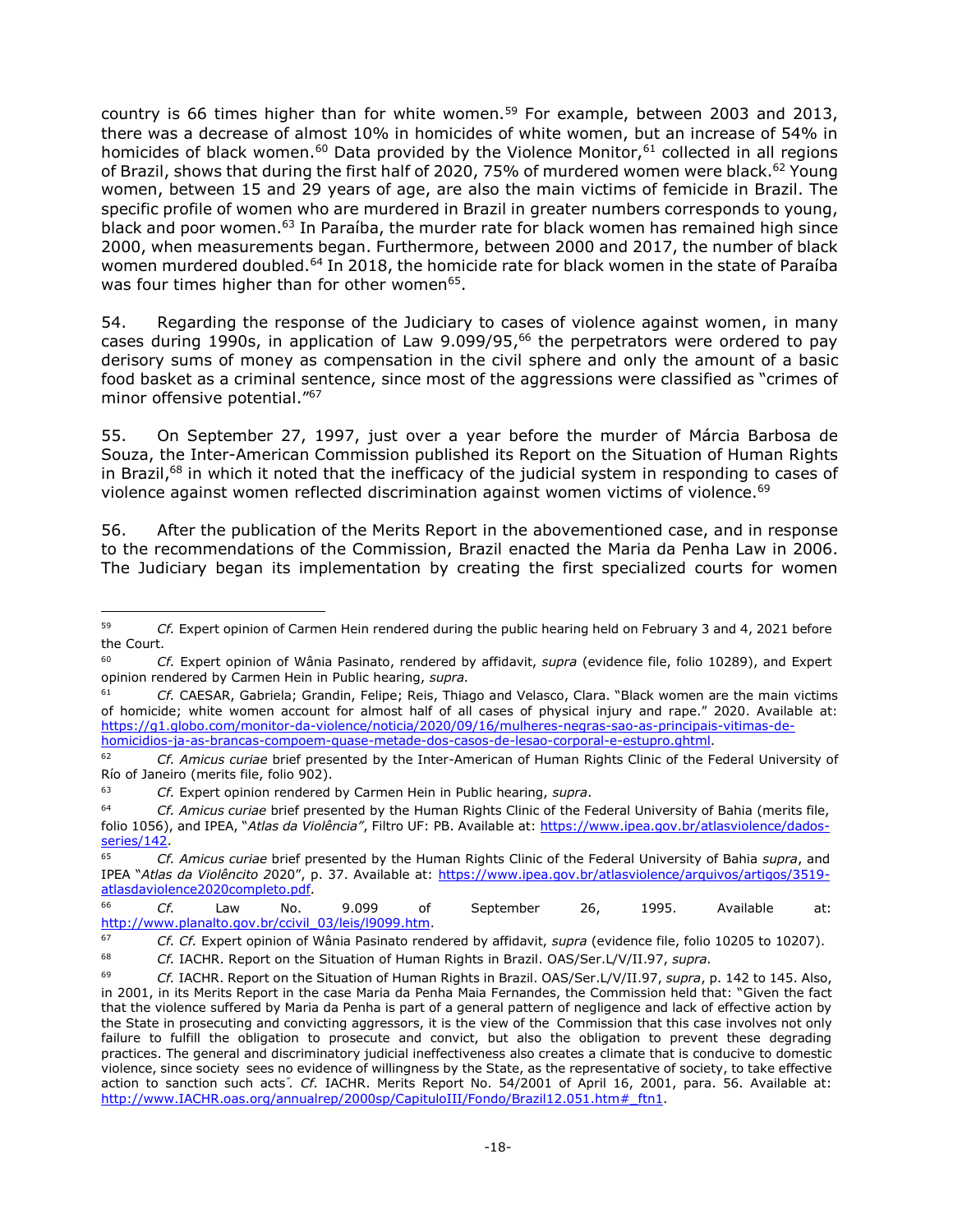country is 66 times higher than for white women.<sup>59</sup> For example, between 2003 and 2013, there was a decrease of almost 10% in homicides of white women, but an increase of 54% in homicides of black women.<sup>60</sup> Data provided by the Violence Monitor,<sup>61</sup> collected in all regions of Brazil, shows that during the first half of 2020, 75% of murdered women were black.<sup>62</sup> Young women, between 15 and 29 years of age, are also the main victims of femicide in Brazil. The specific profile of women who are murdered in Brazil in greater numbers corresponds to young, black and poor women.<sup>63</sup> In Paraíba, the murder rate for black women has remained high since 2000, when measurements began. Furthermore, between 2000 and 2017, the number of black women murdered doubled.<sup>64</sup> In 2018, the homicide rate for black women in the state of Paraíba was four times higher than for other women<sup>65</sup>.

54. Regarding the response of the Judiciary to cases of violence against women, in many cases during 1990s, in application of Law 9.099/95,<sup>66</sup> the perpetrators were ordered to pay derisory sums of money as compensation in the civil sphere and only the amount of a basic food basket as a criminal sentence, since most of the aggressions were classified as "crimes of minor offensive potential."<sup>67</sup>

55. On September 27, 1997, just over a year before the murder of Márcia Barbosa de Souza, the Inter-American Commission published its Report on the Situation of Human Rights in Brazil,<sup>68</sup> in which it noted that the inefficacy of the judicial system in responding to cases of violence against women reflected discrimination against women victims of violence.<sup>69</sup>

56. After the publication of the Merits Report in the abovementioned case, and in response to the recommendations of the Commission, Brazil enacted the Maria da Penha Law in 2006. The Judiciary began its implementation by creating the first specialized courts for women

j <sup>59</sup> *Cf.* Expert opinion of Carmen Hein rendered during the public hearing held on February 3 and 4, 2021 before the Court.

<sup>60</sup> *Cf.* Expert opinion of Wânia Pasinato, rendered by affidavit, *supra* (evidence file, folio 10289), and Expert opinion rendered by Carmen Hein in Public hearing, *supra.*

<sup>61</sup> *Cf.* CAESAR, Gabriela; Grandin, Felipe; Reis, Thiago and Velasco, Clara. "Black women are the main victims of homicide; white women account for almost half of all cases of physical injury and rape." 2020. Available at: [https://g1.globo.com/monitor-da-violence/noticia/2020/09/16/mulheres-negras-sao-as-principais-vitimas-de](https://g1.globo.com/monitor-da-violencia/noticia/2020/09/16/mulheres-negras-sao-as-principais-vitimas-de-homicidios-ja-as-brancas-compoem-quase-metade-dos-casos-de-lesao-corporal-e-estupro.ghtml)[homicidios-ja-as-brancas-compoem-quase-metade-dos-casos-de-lesao-corporal-e-estupro.ghtml.](https://g1.globo.com/monitor-da-violencia/noticia/2020/09/16/mulheres-negras-sao-as-principais-vitimas-de-homicidios-ja-as-brancas-compoem-quase-metade-dos-casos-de-lesao-corporal-e-estupro.ghtml)

<sup>62</sup> *Cf. Amicus curiae* brief presented by the Inter-American of Human Rights Clinic of the Federal University of Río of Janeiro (merits file, folio 902).

<sup>63</sup> *Cf.* Expert opinion rendered by Carmen Hein in Public hearing, *supra*.

<sup>64</sup> *Cf. Amicus curiae* brief presented by the Human Rights Clinic of the Federal University of Bahia (merits file, folio 1056), and IPEA, "*Atlas da Violência"*, Filtro UF: PB. Available at: [https://www.ipea.gov.br/atlasviolence/dados](https://www.ipea.gov.br/atlasviolencia/dados-series/142)[series/142.](https://www.ipea.gov.br/atlasviolencia/dados-series/142)

<sup>65</sup> *Cf. Amicus curiae* brief presented by the Human Rights Clinic of the Federal University of Bahia *supra*, and IPEA "*Atlas da Violêncito 2*020", p. 37. Available at: [https://www.ipea.gov.br/atlasviolence/arquivos/artigos/3519](https://www.ipea.gov.br/atlasviolencia/arquivos/artigos/3519-atlasdaviolencia2020completo.pdf) [atlasdaviolence2020completo.pdf](https://www.ipea.gov.br/atlasviolencia/arquivos/artigos/3519-atlasdaviolencia2020completo.pdf)*.*

<sup>66</sup> *Cf.* Law No. 9.099 of September 26, 1995. Available at: [http://www.planalto.gov.br/ccivil\\_03/leis/l9099.htm.](http://www.planalto.gov.br/ccivil_03/leis/l9099.htm)

<sup>67</sup> *Cf. Cf.* Expert opinion of Wânia Pasinato rendered by affidavit, *supra* (evidence file, folio 10205 to 10207).

<sup>68</sup> *Cf.* IACHR. Report on the Situation of Human Rights in Brazil. OAS/Ser.L/V/II.97, *supra.*

<sup>69</sup> *Cf.* IACHR. Report on the Situation of Human Rights in Brazil. OAS/Ser.L/V/II.97, *supra*, p. 142 to 145. Also, in 2001, in its Merits Report in the case Maria da Penha Maia Fernandes, the Commission held that: "Given the fact that the violence suffered by Maria da Penha is part of a general pattern of negligence and lack of effective action by the State in prosecuting and convicting aggressors, it is the view of the Commission that this case involves not only failure to fulfill the obligation to prosecute and convict, but also the obligation to prevent these degrading practices. The general and discriminatory judicial ineffectiveness also creates a climate that is conducive to domestic violence, since society sees no evidence of willingness by the State, as the representative of society, to take effective action to sanction such acts*" . Cf.* IACHR. Merits Report No. 54/2001 of April 16, 2001, para. 56. Available at: http://www.IACHR.oas.org/annualrep/2000sp/CapituloIII/Fondo/Brazil12.051.htm # ftn1.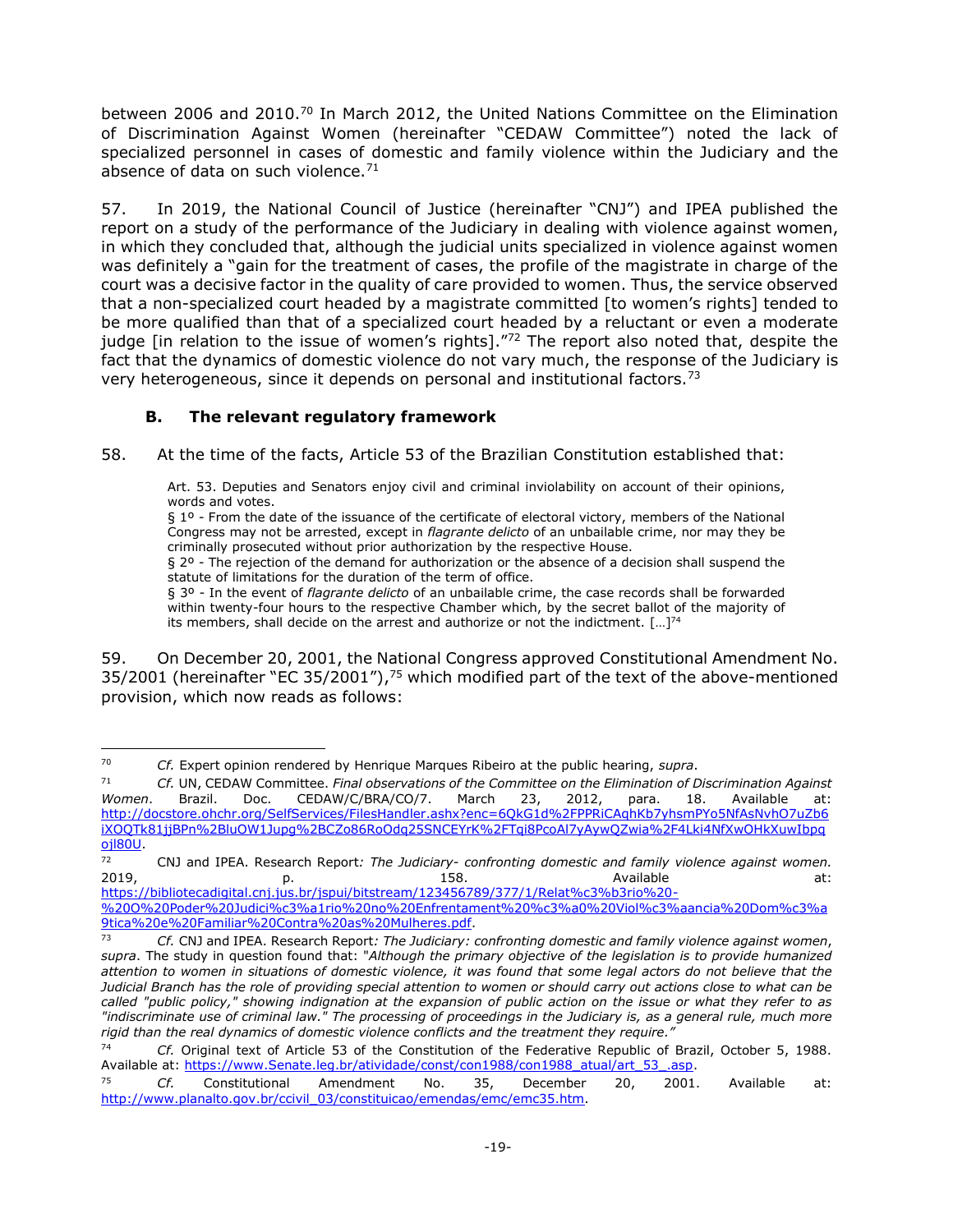between 2006 and 2010.<sup>70</sup> In March 2012, the United Nations Committee on the Elimination of Discrimination Against Women (hereinafter "CEDAW Committee") noted the lack of specialized personnel in cases of domestic and family violence within the Judiciary and the absence of data on such violence. $71$ 

57. In 2019, the National Council of Justice (hereinafter "CNJ") and IPEA published the report on a study of the performance of the Judiciary in dealing with violence against women, in which they concluded that, although the judicial units specialized in violence against women was definitely a "gain for the treatment of cases, the profile of the magistrate in charge of the court was a decisive factor in the quality of care provided to women. Thus, the service observed that a non-specialized court headed by a magistrate committed [to women's rights] tended to be more qualified than that of a specialized court headed by a reluctant or even a moderate judge [in relation to the issue of women's rights]. $172$  The report also noted that, despite the fact that the dynamics of domestic violence do not vary much, the response of the Judiciary is very heterogeneous, since it depends on personal and institutional factors.<sup>73</sup>

## **B. The relevant regulatory framework**

<span id="page-18-0"></span>58. At the time of the facts, Article 53 of the Brazilian Constitution established that:

Art. 53. Deputies and Senators enjoy civil and criminal inviolability on account of their opinions, words and votes.

§ 1º - From the date of the issuance of the certificate of electoral victory, members of the National Congress may not be arrested, except in *flagrante delicto* of an unbailable crime, nor may they be criminally prosecuted without prior authorization by the respective House.

§ 2º - The rejection of the demand for authorization or the absence of a decision shall suspend the statute of limitations for the duration of the term of office.

§ 3º - In the event of *flagrante delicto* of an unbailable crime, the case records shall be forwarded within twenty-four hours to the respective Chamber which, by the secret ballot of the majority of its members, shall decide on the arrest and authorize or not the indictment.  $[...]^{74}$ 

59. On December 20, 2001, the National Congress approved Constitutional Amendment No. 35/2001 (hereinafter "EC 35/2001"),<sup>75</sup> which modified part of the text of the above-mentioned provision, which now reads as follows:

[https://bibliotecadigital.cnj.jus.br/jspui/bitstream/123456789/377/1/Relat%c3%b3rio%20-](https://bibliotecadigital.cnj.jus.br/jspui/bitstream/123456789/377/1/Relat%c3%b3rio%20-%20O%20Poder%20Judici%c3%a1rio%20no%20Enfrentamento%20%c3%a0%20Viol%c3%aancia%20Dom%c3%a9tica%20e%20Familiar%20Contra%20as%20Mulheres.pdf) [%20O%20Poder%20Judici%c3%a1rio%20no%20Enfrentament%20%c3%a0%20Viol%c3%aancia%20Dom%c3%a](https://bibliotecadigital.cnj.jus.br/jspui/bitstream/123456789/377/1/Relat%c3%b3rio%20-%20O%20Poder%20Judici%c3%a1rio%20no%20Enfrentamento%20%c3%a0%20Viol%c3%aancia%20Dom%c3%a9tica%20e%20Familiar%20Contra%20as%20Mulheres.pdf) [9tica%20e%20Familiar%20Contra%20as%20Mulheres.pdf.](https://bibliotecadigital.cnj.jus.br/jspui/bitstream/123456789/377/1/Relat%c3%b3rio%20-%20O%20Poder%20Judici%c3%a1rio%20no%20Enfrentamento%20%c3%a0%20Viol%c3%aancia%20Dom%c3%a9tica%20e%20Familiar%20Contra%20as%20Mulheres.pdf)

 $70$ <sup>70</sup> *Cf.* Expert opinion rendered by Henrique Marques Ribeiro at the public hearing, *supra*.

<sup>71</sup> *Cf.* UN, CEDAW Committee. *Final observations of the Committee on the Elimination of Discrimination Against Women*. Brazil. Doc. CEDAW/C/BRA/CO/7. March 23, 2012, para. 18. Available at: [http://docstore.ohchr.org/SelfServices/FilesHandler.ashx?enc=6QkG1d%2FPPRiCAqhKb7yhsmPYo5NfAsNvhO7uZb6](http://docstore.ohchr.org/SelfServices/FilesHandler.ashx?enc=6QkG1d%2FPPRiCAqhKb7yhsmPYo5NfAsNvhO7uZb6iXOQTk81jjBPn%2BluOW1Jupg%2BCZo86RoOdq25SNCEYrK%2FTqi8PcoAl7yAywQZwia%2F4Lki4NfXwOHkXuwIbpqojl80U) [iXOQTk81jjBPn%2BluOW1Jupg%2BCZo86RoOdq25SNCEYrK%2FTqi8PcoAl7yAywQZwia%2F4Lki4NfXwOHkXuwIbpq](http://docstore.ohchr.org/SelfServices/FilesHandler.ashx?enc=6QkG1d%2FPPRiCAqhKb7yhsmPYo5NfAsNvhO7uZb6iXOQTk81jjBPn%2BluOW1Jupg%2BCZo86RoOdq25SNCEYrK%2FTqi8PcoAl7yAywQZwia%2F4Lki4NfXwOHkXuwIbpqojl80U) [ojl80U.](http://docstore.ohchr.org/SelfServices/FilesHandler.ashx?enc=6QkG1d%2FPPRiCAqhKb7yhsmPYo5NfAsNvhO7uZb6iXOQTk81jjBPn%2BluOW1Jupg%2BCZo86RoOdq25SNCEYrK%2FTqi8PcoAl7yAywQZwia%2F4Lki4NfXwOHkXuwIbpqojl80U)

<sup>72</sup> CNJ and IPEA. Research Report*: The Judiciary- confronting domestic and family violence against women.*  2019, p. p. 158. Available at: the at:

<sup>73</sup> *Cf.* CNJ and IPEA. Research Report*: The Judiciary: confronting domestic and family violence against women*, *supra*. The study in question found that: "*Although the primary objective of the legislation is to provide humanized attention to women in situations of domestic violence, it was found that some legal actors do not believe that the Judicial Branch has the role of providing special attention to women or should carry out actions close to what can be called "public policy," showing indignation at the expansion of public action on the issue or what they refer to as "indiscriminate use of criminal law." The processing of proceedings in the Judiciary is, as a general rule, much more rigid than the real dynamics of domestic violence conflicts and the treatment they require."*

<sup>74</sup> *Cf.* Original text of Article 53 of the Constitution of the Federative Republic of Brazil, October 5, 1988. Available at: [https://www.Senate.leg.br/atividade/const/con1988/con1988\\_atual/art\\_53\\_.asp.](https://www.senado.leg.br/atividade/const/con1988/con1988_atual/art_53_.asp)

<sup>75</sup> *Cf.* Constitutional Amendment No. 35, December 20, 2001. Available at: [http://www.planalto.gov.br/ccivil\\_03/constituicao/emendas/emc/emc35.htm.](http://www.planalto.gov.br/ccivil_03/constituicao/emendas/emc/emc35.htm)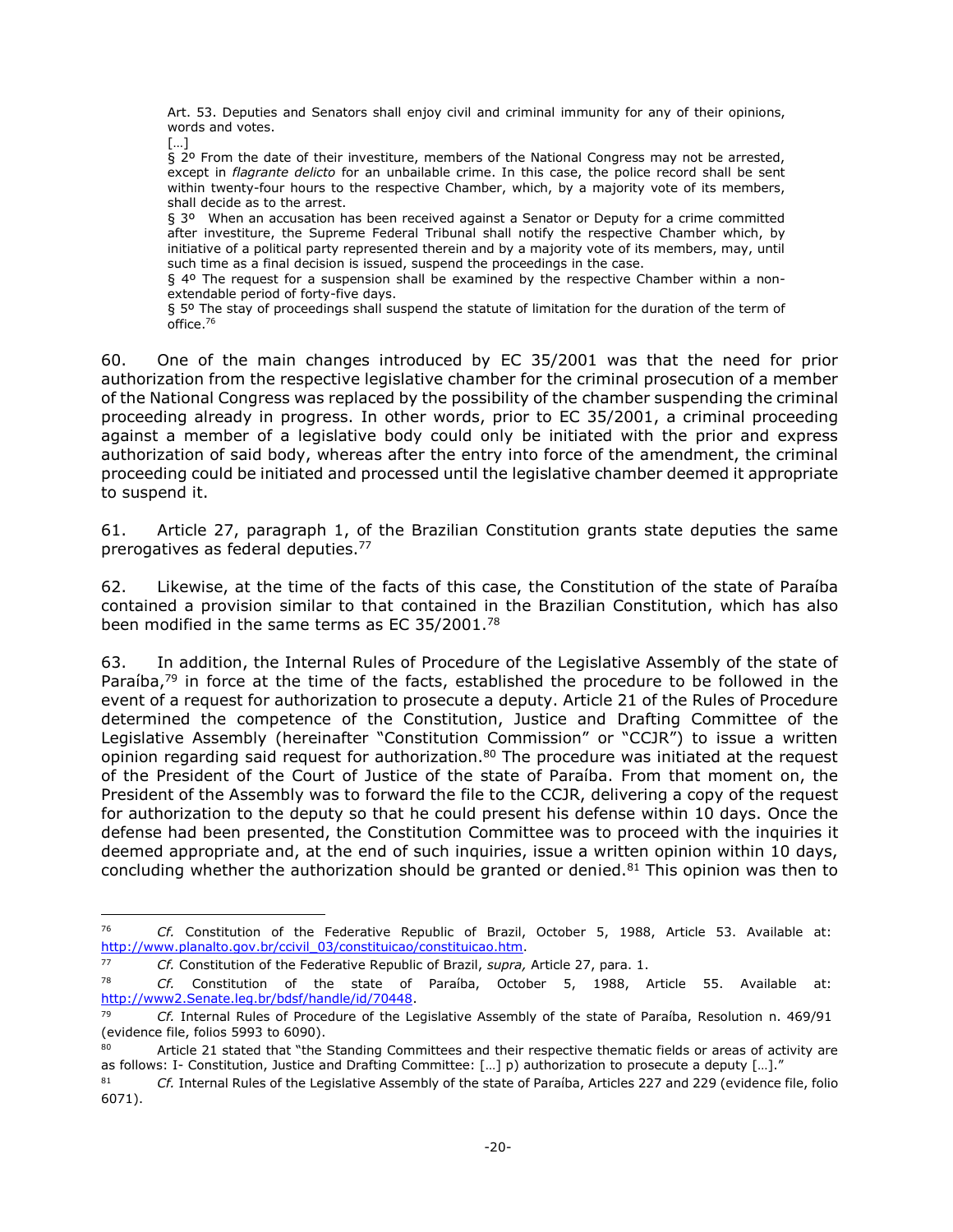Art. 53. Deputies and Senators shall enjoy civil and criminal immunity for any of their opinions, words and votes.

[…]

 $\overline{a}$ 

§ 2º From the date of their investiture, members of the National Congress may not be arrested, except in *flagrante delicto* for an unbailable crime. In this case, the police record shall be sent within twenty-four hours to the respective Chamber, which, by a majority vote of its members, shall decide as to the arrest.

§ 3º When an accusation has been received against a Senator or Deputy for a crime committed after investiture, the Supreme Federal Tribunal shall notify the respective Chamber which, by initiative of a political party represented therein and by a majority vote of its members, may, until such time as a final decision is issued, suspend the proceedings in the case.

§ 4º The request for a suspension shall be examined by the respective Chamber within a nonextendable period of forty-five days.

§ 5º The stay of proceedings shall suspend the statute of limitation for the duration of the term of office. 76

60. One of the main changes introduced by EC 35/2001 was that the need for prior authorization from the respective legislative chamber for the criminal prosecution of a member of the National Congress was replaced by the possibility of the chamber suspending the criminal proceeding already in progress. In other words, prior to EC 35/2001, a criminal proceeding against a member of a legislative body could only be initiated with the prior and express authorization of said body, whereas after the entry into force of the amendment, the criminal proceeding could be initiated and processed until the legislative chamber deemed it appropriate to suspend it.

61. Article 27, paragraph 1, of the Brazilian Constitution grants state deputies the same prerogatives as federal deputies.<sup>77</sup>

62. Likewise, at the time of the facts of this case, the Constitution of the state of Paraíba contained a provision similar to that contained in the Brazilian Constitution, which has also been modified in the same terms as EC 35/2001.<sup>78</sup>

63. In addition, the Internal Rules of Procedure of the Legislative Assembly of the state of Paraíba,<sup>79</sup> in force at the time of the facts, established the procedure to be followed in the event of a request for authorization to prosecute a deputy. Article 21 of the Rules of Procedure determined the competence of the Constitution, Justice and Drafting Committee of the Legislative Assembly (hereinafter "Constitution Commission" or "CCJR") to issue a written opinion regarding said request for authorization.<sup>80</sup> The procedure was initiated at the request of the President of the Court of Justice of the state of Paraíba. From that moment on, the President of the Assembly was to forward the file to the CCJR, delivering a copy of the request for authorization to the deputy so that he could present his defense within 10 days. Once the defense had been presented, the Constitution Committee was to proceed with the inquiries it deemed appropriate and, at the end of such inquiries, issue a written opinion within 10 days, concluding whether the authorization should be granted or denied. $81$  This opinion was then to

<sup>76</sup> *Cf.* Constitution of the Federative Republic of Brazil, October 5, 1988, Article 53. Available at: [http://www.planalto.gov.br/ccivil\\_03/constituicao/constituicao.htm.](http://www.planalto.gov.br/ccivil_03/constituicao/constituicao.htm)

<sup>77</sup> *Cf.* Constitution of the Federative Republic of Brazil, *supra,* Article 27, para. 1.

<sup>78</sup> *Cf.* Constitution of the state of Paraíba, October 5, 1988, Article 55. Available at: [http://www2.Senate.leg.br/bdsf/handle/id/70448.](http://www2.senado.leg.br/bdsf/handle/id/70448)

<sup>79</sup> *Cf.* Internal Rules of Procedure of the Legislative Assembly of the state of Paraíba, Resolution n. 469/91 (evidence file, folios 5993 to 6090).

Article 21 stated that "the Standing Committees and their respective thematic fields or areas of activity are as follows: I- Constitution, Justice and Drafting Committee: […] p) authorization to prosecute a deputy […]."

<sup>81</sup> *Cf.* Internal Rules of the Legislative Assembly of the state of Paraíba, Articles 227 and 229 (evidence file, folio 6071).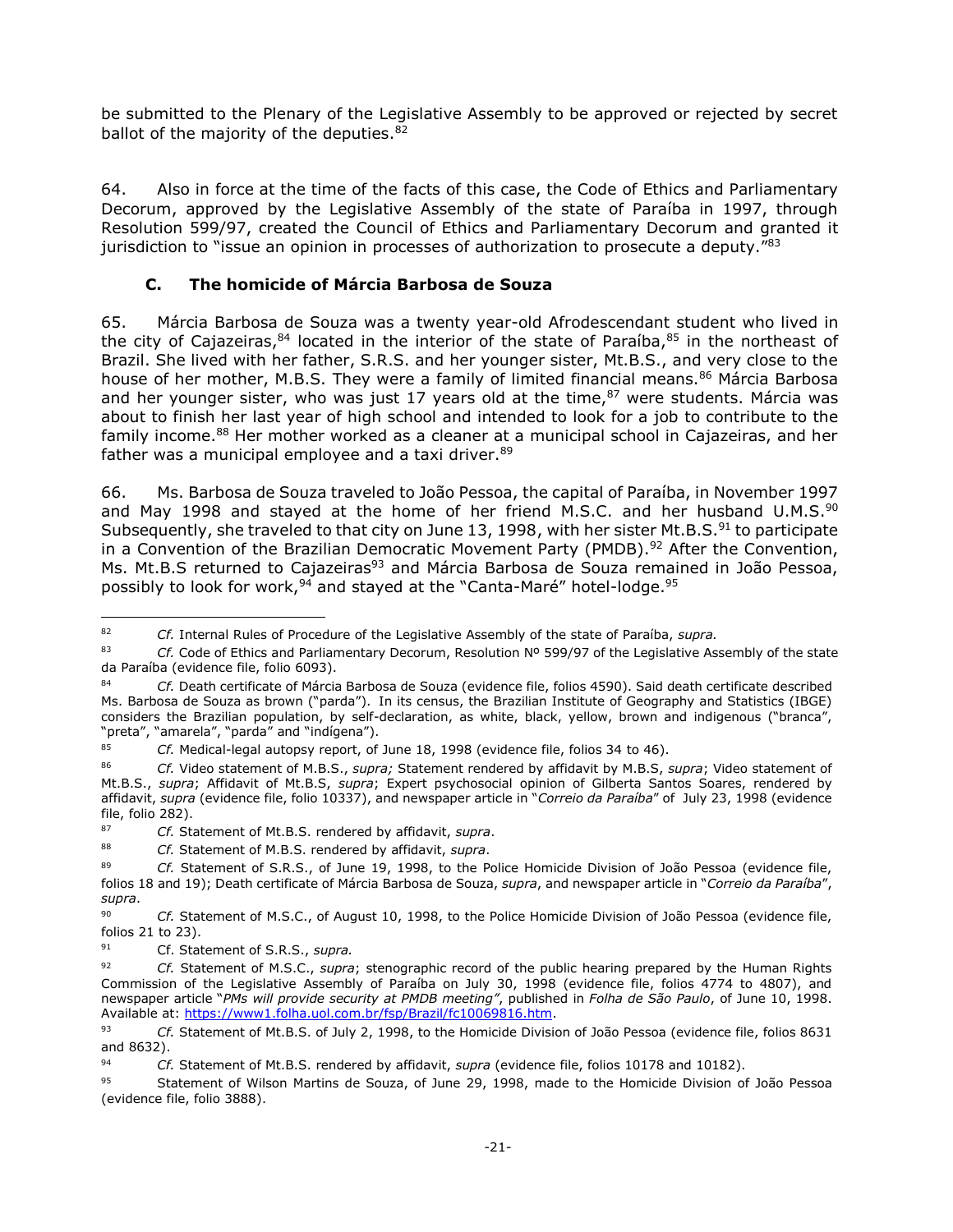be submitted to the Plenary of the Legislative Assembly to be approved or rejected by secret ballot of the majority of the deputies.<sup>82</sup>

64. Also in force at the time of the facts of this case, the Code of Ethics and Parliamentary Decorum, approved by the Legislative Assembly of the state of Paraíba in 1997, through Resolution 599/97, created the Council of Ethics and Parliamentary Decorum and granted it jurisdiction to "issue an opinion in processes of authorization to prosecute a deputy." $^{83}$ 

### **C. The homicide of Márcia Barbosa de Souza**

<span id="page-20-0"></span>65. Márcia Barbosa de Souza was a twenty year-old Afrodescendant student who lived in the city of Cajazeiras, $84$  located in the interior of the state of Paraíba, $85$  in the northeast of Brazil. She lived with her father, S.R.S. and her younger sister, Mt.B.S., and very close to the house of her mother, M.B.S. They were a family of limited financial means.<sup>86</sup> Márcia Barbosa and her younger sister, who was just 17 years old at the time, $87$  were students. Márcia was about to finish her last year of high school and intended to look for a job to contribute to the family income.<sup>88</sup> Her mother worked as a cleaner at a municipal school in Cajazeiras, and her father was a municipal employee and a taxi driver.<sup>89</sup>

66. Ms. Barbosa de Souza traveled to João Pessoa, the capital of Paraíba, in November 1997 and May 1998 and stayed at the home of her friend M.S.C. and her husband U.M.S. $^{90}$ Subsequently, she traveled to that city on June 13, 1998, with her sister Mt.B.S.<sup>91</sup> to participate in a Convention of the Brazilian Democratic Movement Party (PMDB).<sup>92</sup> After the Convention, Ms. Mt.B.S returned to Cajazeiras<sup>93</sup> and Márcia Barbosa de Souza remained in João Pessoa, possibly to look for work,  $94$  and stayed at the "Canta-Maré" hotel-lodge.  $95$ 

j <sup>82</sup> *Cf.* Internal Rules of Procedure of the Legislative Assembly of the state of Paraíba, *supra.*

<sup>83</sup> *Cf.* Code of Ethics and Parliamentary Decorum, Resolution Nº 599/97 of the Legislative Assembly of the state da Paraíba (evidence file, folio 6093).

<sup>84</sup> *Cf.* Death certificate of Márcia Barbosa de Souza (evidence file, folios 4590). Said death certificate described Ms. Barbosa de Souza as brown ("parda"). In its census, the Brazilian Institute of Geography and Statistics (IBGE) considers the Brazilian population, by self-declaration, as white, black, yellow, brown and indigenous ("branca", "preta", "amarela", "parda" and "indígena").

<sup>85</sup> *Cf.* Medical-legal autopsy report, of June 18, 1998 (evidence file, folios 34 to 46).

<sup>86</sup> *Cf.* Video statement of M.B.S., *supra;* Statement rendered by affidavit by M.B.S, *supra*; Video statement of Mt.B.S., *supra*; Affidavit of Mt.B.S, *supra*; Expert psychosocial opinion of Gilberta Santos Soares, rendered by affidavit, *supra* (evidence file, folio 10337), and newspaper article in "*Correio da Paraíba*" of July 23, 1998 (evidence file, folio 282).

<sup>87</sup> *Cf.* Statement of Mt.B.S. rendered by affidavit, *supra*.

<sup>88</sup> *Cf.* Statement of M.B.S. rendered by affidavit, *supra*.

<sup>89</sup> *Cf.* Statement of S.R.S., of June 19, 1998, to the Police Homicide Division of João Pessoa (evidence file, folios 18 and 19); Death certificate of Márcia Barbosa de Souza, *supra*, and newspaper article in "*Correio da Paraíba*", *supra*.

<sup>90</sup> *Cf.* Statement of M.S.C., of August 10, 1998, to the Police Homicide Division of João Pessoa (evidence file, folios 21 to 23).

<sup>91</sup> Cf. Statement of S.R.S., *supra.*

<sup>92</sup> *Cf.* Statement of M.S.C., *supra*; stenographic record of the public hearing prepared by the Human Rights Commission of the Legislative Assembly of Paraíba on July 30, 1998 (evidence file, folios 4774 to 4807), and newspaper article "*PMs will provide security at PMDB meeting"*, published in *Folha de São Paulo*, of June 10, 1998. Available at: [https://www1.folha.uol.com.br/fsp/Brazil/fc10069816.htm.](https://www1.folha.uol.com.br/fsp/brasil/fc10069816.htm)

<sup>93</sup> *Cf.* Statement of Mt.B.S. of July 2, 1998, to the Homicide Division of João Pessoa (evidence file, folios 8631 and 8632).

<sup>94</sup> *Cf.* Statement of Mt.B.S. rendered by affidavit, *supra* (evidence file, folios 10178 and 10182).

<sup>95</sup> Statement of Wilson Martins de Souza, of June 29, 1998, made to the Homicide Division of João Pessoa (evidence file, folio 3888).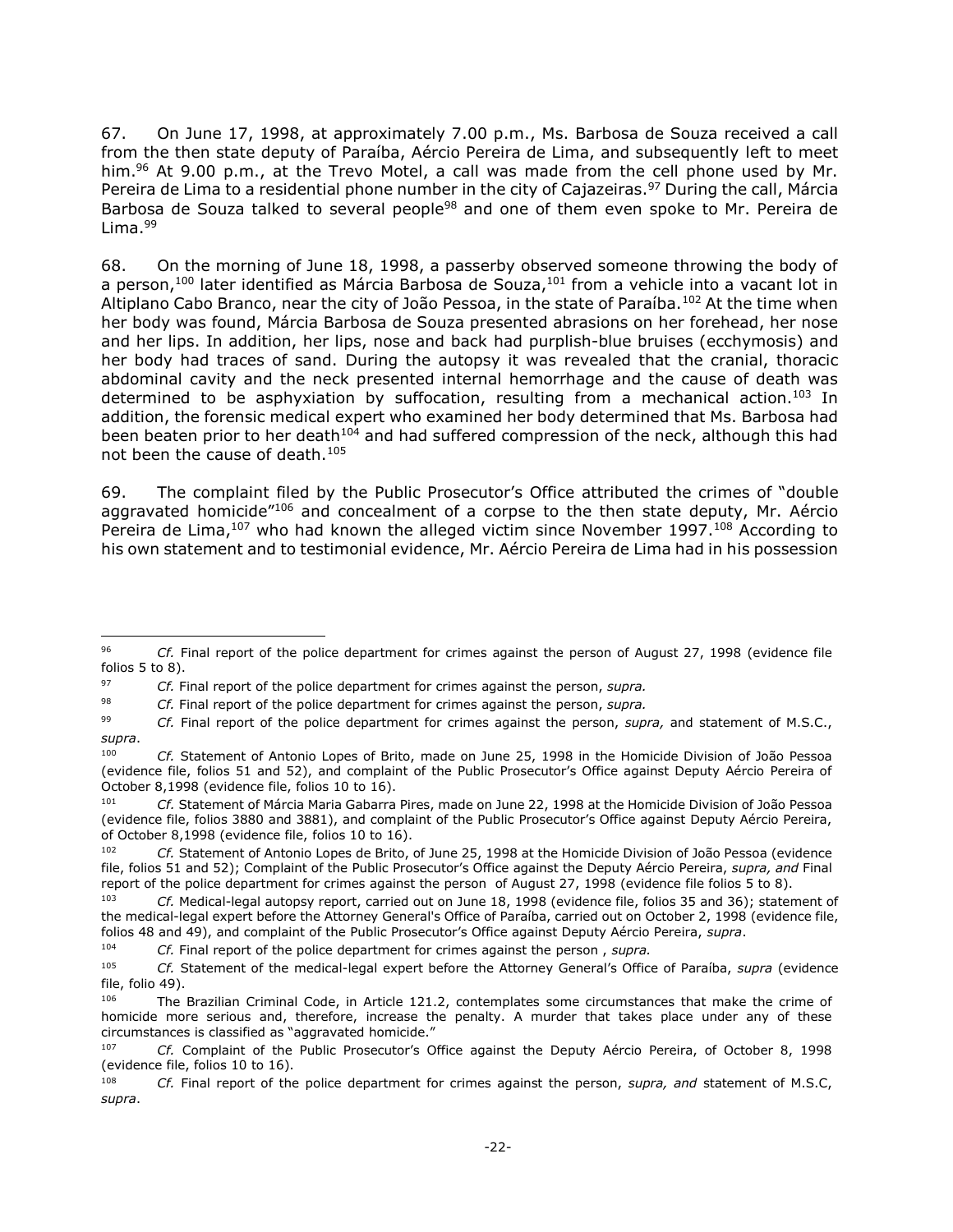67. On June 17, 1998, at approximately 7.00 p.m., Ms. Barbosa de Souza received a call from the then state deputy of Paraíba, Aércio Pereira de Lima, and subsequently left to meet him.<sup>96</sup> At 9.00 p.m., at the Trevo Motel, a call was made from the cell phone used by Mr. Pereira de Lima to a residential phone number in the city of Cajazeiras.<sup>97</sup> During the call, Márcia Barbosa de Souza talked to several people<sup>98</sup> and one of them even spoke to Mr. Pereira de  $Lima.99$ 

68. On the morning of June 18, 1998, a passerby observed someone throwing the body of a person,<sup>100</sup> later identified as Márcia Barbosa de Souza,<sup>101</sup> from a vehicle into a vacant lot in Altiplano Cabo Branco, near the city of João Pessoa, in the state of Paraíba.<sup>102</sup> At the time when her body was found, Márcia Barbosa de Souza presented abrasions on her forehead, her nose and her lips. In addition, her lips, nose and back had purplish-blue bruises (ecchymosis) and her body had traces of sand. During the autopsy it was revealed that the cranial, thoracic abdominal cavity and the neck presented internal hemorrhage and the cause of death was determined to be asphyxiation by suffocation, resulting from a mechanical action.<sup>103</sup> In addition, the forensic medical expert who examined her body determined that Ms. Barbosa had been beaten prior to her death<sup>104</sup> and had suffered compression of the neck, although this had not been the cause of death.<sup>105</sup>

69. The complaint filed by the Public Prosecutor's Office attributed the crimes of "double aggravated homicide<sup>"106</sup> and concealment of a corpse to the then state deputy, Mr. Aércio Pereira de Lima,<sup>107</sup> who had known the alleged victim since November 1997.<sup>108</sup> According to his own statement and to testimonial evidence, Mr. Aércio Pereira de Lima had in his possession

 $\overline{a}$ 

<sup>96</sup> *Cf.* Final report of the police department for crimes against the person of August 27, 1998 (evidence file folios 5 to 8).

<sup>97</sup> *Cf.* Final report of the police department for crimes against the person, *supra.*

<sup>98</sup> *Cf.* Final report of the police department for crimes against the person, *supra.*

<sup>99</sup> *Cf.* Final report of the police department for crimes against the person, *supra,* and statement of M.S.C., *supra*.

<sup>100</sup> *Cf.* Statement of Antonio Lopes of Brito, made on June 25, 1998 in the Homicide Division of João Pessoa (evidence file, folios 51 and 52), and complaint of the Public Prosecutor's Office against Deputy Aércio Pereira of October 8,1998 (evidence file, folios 10 to 16).

<sup>101</sup> *Cf.* Statement of Márcia Maria Gabarra Pires, made on June 22, 1998 at the Homicide Division of João Pessoa (evidence file, folios 3880 and 3881), and complaint of the Public Prosecutor's Office against Deputy Aércio Pereira, of October 8,1998 (evidence file, folios 10 to 16).

Cf. Statement of Antonio Lopes de Brito, of June 25, 1998 at the Homicide Division of João Pessoa (evidence file, folios 51 and 52); Complaint of the Public Prosecutor's Office against the Deputy Aércio Pereira, *supra, and* Final report of the police department for crimes against the person of August 27, 1998 (evidence file folios 5 to 8).

<sup>103</sup> *Cf.* Medical-legal autopsy report, carried out on June 18, 1998 (evidence file, folios 35 and 36); statement of the medical-legal expert before the Attorney General's Office of Paraíba, carried out on October 2, 1998 (evidence file, folios 48 and 49), and complaint of the Public Prosecutor's Office against Deputy Aércio Pereira, *supra*.

<sup>104</sup> *Cf.* Final report of the police department for crimes against the person , *supra.*

<sup>105</sup> *Cf.* Statement of the medical-legal expert before the Attorney General's Office of Paraíba, *supra* (evidence file, folio 49).

<sup>&</sup>lt;sup>106</sup> The Brazilian Criminal Code, in Article 121.2, contemplates some circumstances that make the crime of homicide more serious and, therefore, increase the penalty. A murder that takes place under any of these circumstances is classified as "aggravated homicide."

<sup>107</sup> *Cf.* Complaint of the Public Prosecutor's Office against the Deputy Aércio Pereira, of October 8, 1998 (evidence file, folios 10 to 16).

<sup>108</sup> *Cf.* Final report of the police department for crimes against the person, *supra, and* statement of M.S.C, *supra*.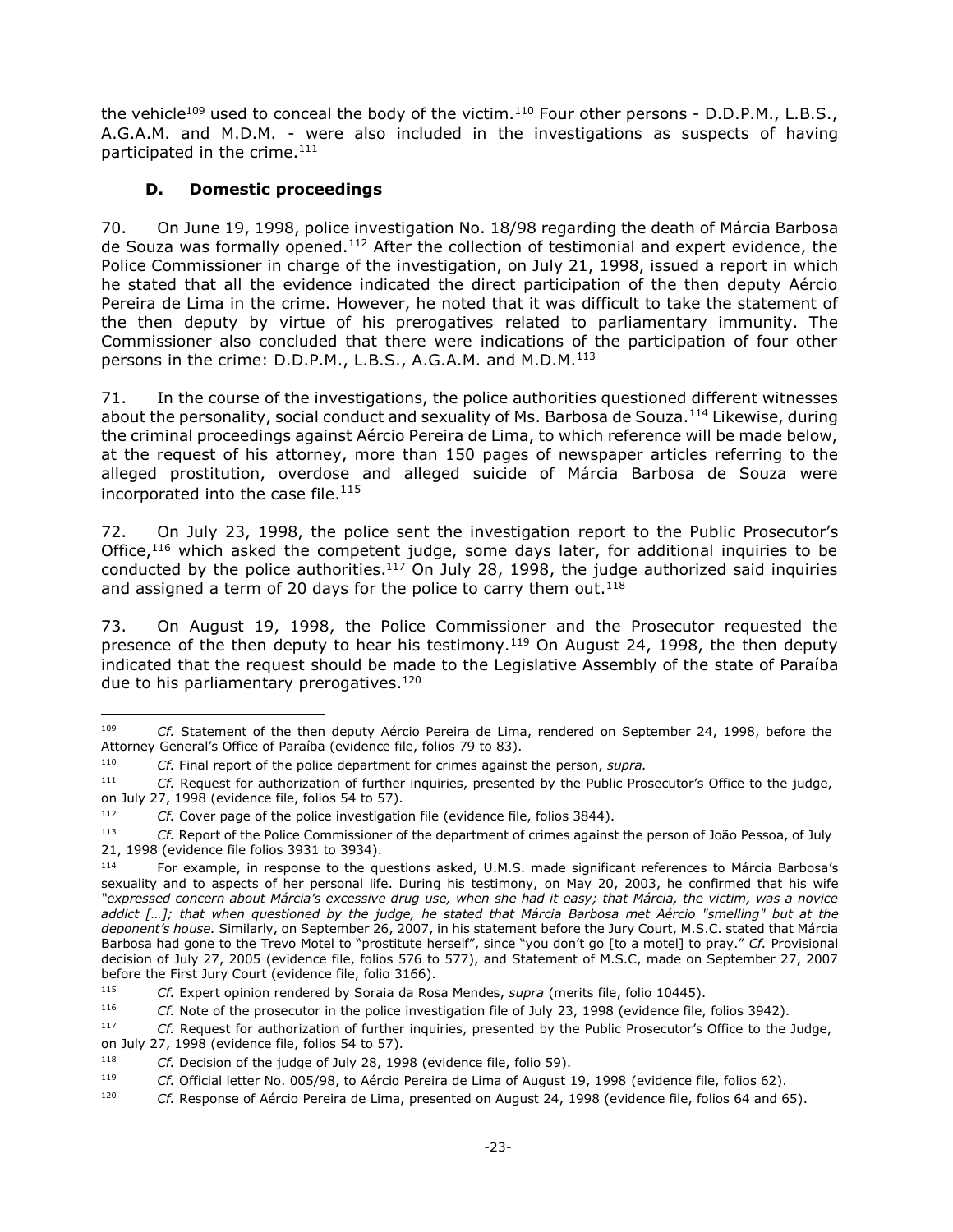the vehicle<sup>109</sup> used to conceal the body of the victim.<sup>110</sup> Four other persons - D.D.P.M., L.B.S., A.G.A.M. and M.D.M. - were also included in the investigations as suspects of having participated in the crime.<sup>111</sup>

# **D. Domestic proceedings**

<span id="page-22-0"></span>70. On June 19, 1998, police investigation No. 18/98 regarding the death of Márcia Barbosa de Souza was formally opened.<sup>112</sup> After the collection of testimonial and expert evidence, the Police Commissioner in charge of the investigation, on July 21, 1998, issued a report in which he stated that all the evidence indicated the direct participation of the then deputy Aércio Pereira de Lima in the crime. However, he noted that it was difficult to take the statement of the then deputy by virtue of his prerogatives related to parliamentary immunity. The Commissioner also concluded that there were indications of the participation of four other persons in the crime: D.D.P.M., L.B.S., A.G.A.M. and M.D.M.<sup>113</sup>

71. In the course of the investigations, the police authorities questioned different witnesses about the personality, social conduct and sexuality of Ms. Barbosa de Souza.<sup>114</sup> Likewise, during the criminal proceedings against Aércio Pereira de Lima, to which reference will be made below, at the request of his attorney, more than 150 pages of newspaper articles referring to the alleged prostitution, overdose and alleged suicide of Márcia Barbosa de Souza were incorporated into the case file.<sup>115</sup>

72. On July 23, 1998, the police sent the investigation report to the Public Prosecutor's Office,<sup>116</sup> which asked the competent judge, some days later, for additional inquiries to be conducted by the police authorities.<sup>117</sup> On July 28, 1998, the judge authorized said inquiries and assigned a term of 20 days for the police to carry them out. $118$ 

73. On August 19, 1998, the Police Commissioner and the Prosecutor requested the presence of the then deputy to hear his testimony.<sup>119</sup> On August 24, 1998, the then deputy indicated that the request should be made to the Legislative Assembly of the state of Paraíba due to his parliamentary prerogatives.<sup>120</sup>

<sup>109</sup> <sup>109</sup> *Cf.* Statement of the then deputy Aércio Pereira de Lima, rendered on September 24, 1998, before the Attorney General's Office of Paraíba (evidence file, folios 79 to 83).

<sup>110</sup> *Cf.* Final report of the police department for crimes against the person, *supra.*

<sup>111</sup> *Cf.* Request for authorization of further inquiries, presented by the Public Prosecutor's Office to the judge, on July 27, 1998 (evidence file, folios 54 to 57).

<sup>112</sup> *Cf.* Cover page of the police investigation file (evidence file, folios 3844).

<sup>113</sup> *Cf.* Report of the Police Commissioner of the department of crimes against the person of João Pessoa, of July 21, 1998 (evidence file folios 3931 to 3934).

<sup>114</sup> For example, in response to the questions asked, U.M.S. made significant references to Márcia Barbosa's sexuality and to aspects of her personal life. During his testimony, on May 20, 2003, he confirmed that his wife *"expressed concern about Márcia's excessive drug use, when she had it easy; that Márcia, the victim, was a novice addict […]; that when questioned by the judge, he stated that Márcia Barbosa met Aércio "smelling" but at the deponent's house.* Similarly, on September 26, 2007, in his statement before the Jury Court, M.S.C. stated that Márcia Barbosa had gone to the Trevo Motel to "prostitute herself", since "you don't go [to a motel] to pray." *Cf.* Provisional decision of July 27, 2005 (evidence file, folios 576 to 577), and Statement of M.S.C, made on September 27, 2007 before the First Jury Court (evidence file, folio 3166).

<sup>115</sup> *Cf.* Expert opinion rendered by Soraia da Rosa Mendes, *supra* (merits file, folio 10445).

<sup>116</sup> *Cf.* Note of the prosecutor in the police investigation file of July 23, 1998 (evidence file, folios 3942).

<sup>117</sup> *Cf.* Request for authorization of further inquiries, presented by the Public Prosecutor's Office to the Judge, on July 27, 1998 (evidence file, folios 54 to 57).

<sup>118</sup> *Cf.* Decision of the judge of July 28, 1998 (evidence file, folio 59).

<sup>119</sup> *Cf.* Official letter No. 005/98, to Aércio Pereira de Lima of August 19, 1998 (evidence file, folios 62).

<sup>120</sup> *Cf.* Response of Aércio Pereira de Lima, presented on August 24, 1998 (evidence file, folios 64 and 65).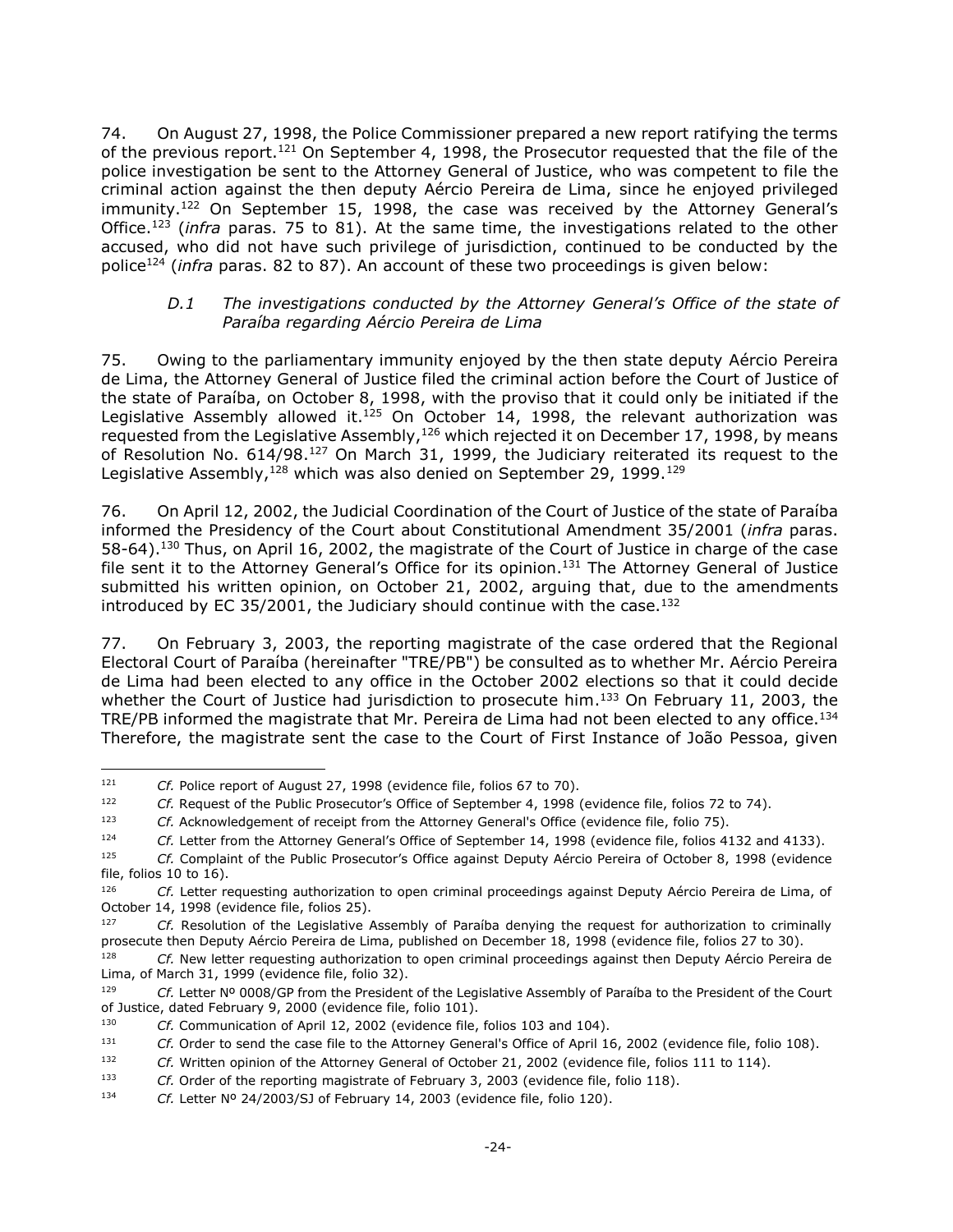74. On August 27, 1998, the Police Commissioner prepared a new report ratifying the terms of the previous report.<sup>121</sup> On September 4, 1998, the Prosecutor requested that the file of the police investigation be sent to the Attorney General of Justice, who was competent to file the criminal action against the then deputy Aércio Pereira de Lima, since he enjoyed privileged immunity.<sup>122</sup> On September 15, 1998, the case was received by the Attorney General's Office. <sup>123</sup> (*infra* paras. 75 to 81). At the same time, the investigations related to the other accused, who did not have such privilege of jurisdiction, continued to be conducted by the police<sup>124</sup> (*infra* paras. 82 to 87). An account of these two proceedings is given below:

#### *D.1 The investigations conducted by the Attorney General's Office of the state of Paraíba regarding Aércio Pereira de Lima*

<span id="page-23-0"></span>75. Owing to the parliamentary immunity enjoyed by the then state deputy Aércio Pereira de Lima, the Attorney General of Justice filed the criminal action before the Court of Justice of the state of Paraíba, on October 8, 1998, with the proviso that it could only be initiated if the Legislative Assembly allowed it. $125$  On October 14, 1998, the relevant authorization was requested from the Legislative Assembly,  $126$  which rejected it on December 17, 1998, by means of Resolution No. 614/98.<sup>127</sup> On March 31, 1999, the Judiciary reiterated its request to the Legislative Assembly, $128$  which was also denied on September 29, 1999. $129$ 

76. On April 12, 2002, the Judicial Coordination of the Court of Justice of the state of Paraíba informed the Presidency of the Court about Constitutional Amendment 35/2001 (*infra* paras. 58-64).<sup>130</sup> Thus, on April 16, 2002, the magistrate of the Court of Justice in charge of the case file sent it to the Attorney General's Office for its opinion.<sup>131</sup> The Attorney General of Justice submitted his written opinion, on October 21, 2002, arguing that, due to the amendments introduced by EC 35/2001, the Judiciary should continue with the case.<sup>132</sup>

77. On February 3, 2003, the reporting magistrate of the case ordered that the Regional Electoral Court of Paraíba (hereinafter "TRE/PB") be consulted as to whether Mr. Aércio Pereira de Lima had been elected to any office in the October 2002 elections so that it could decide whether the Court of Justice had jurisdiction to prosecute him.<sup>133</sup> On February 11, 2003, the TRE/PB informed the magistrate that Mr. Pereira de Lima had not been elected to any office.<sup>134</sup> Therefore, the magistrate sent the case to the Court of First Instance of João Pessoa, given

 $\overline{a}$ 

<sup>&</sup>lt;sup>121</sup> *Cf.* Police report of August 27, 1998 (evidence file, folios 67 to 70).

<sup>122</sup> *Cf.* Request of the Public Prosecutor's Office of September 4, 1998 (evidence file, folios 72 to 74).

<sup>123</sup> *Cf.* Acknowledgement of receipt from the Attorney General's Office (evidence file, folio 75).

<sup>124</sup> *Cf.* Letter from the Attorney General's Office of September 14, 1998 (evidence file, folios 4132 and 4133).

<sup>125</sup> *Cf.* Complaint of the Public Prosecutor's Office against Deputy Aércio Pereira of October 8, 1998 (evidence file, folios 10 to 16).

<sup>126</sup> *Cf.* Letter requesting authorization to open criminal proceedings against Deputy Aércio Pereira de Lima, of October 14, 1998 (evidence file, folios 25).

<sup>&</sup>lt;sup>127</sup> *Cf.* Resolution of the Legislative Assembly of Paraíba denying the request for authorization to criminally prosecute then Deputy Aércio Pereira de Lima, published on December 18, 1998 (evidence file, folios 27 to 30).

<sup>128</sup> *Cf.* New letter requesting authorization to open criminal proceedings against then Deputy Aércio Pereira de Lima, of March 31, 1999 (evidence file, folio 32).

<sup>129</sup> *Cf.* Letter Nº 0008/GP from the President of the Legislative Assembly of Paraíba to the President of the Court of Justice, dated February 9, 2000 (evidence file, folio 101).

<sup>130</sup> *Cf.* Communication of April 12, 2002 (evidence file, folios 103 and 104).

<sup>131</sup> *Cf.* Order to send the case file to the Attorney General's Office of April 16, 2002 (evidence file, folio 108).

<sup>132</sup> *Cf.* Written opinion of the Attorney General of October 21, 2002 (evidence file, folios 111 to 114).

<sup>133</sup> *Cf.* Order of the reporting magistrate of February 3, 2003 (evidence file, folio 118).

<sup>134</sup> *Cf.* Letter Nº 24/2003/SJ of February 14, 2003 (evidence file, folio 120).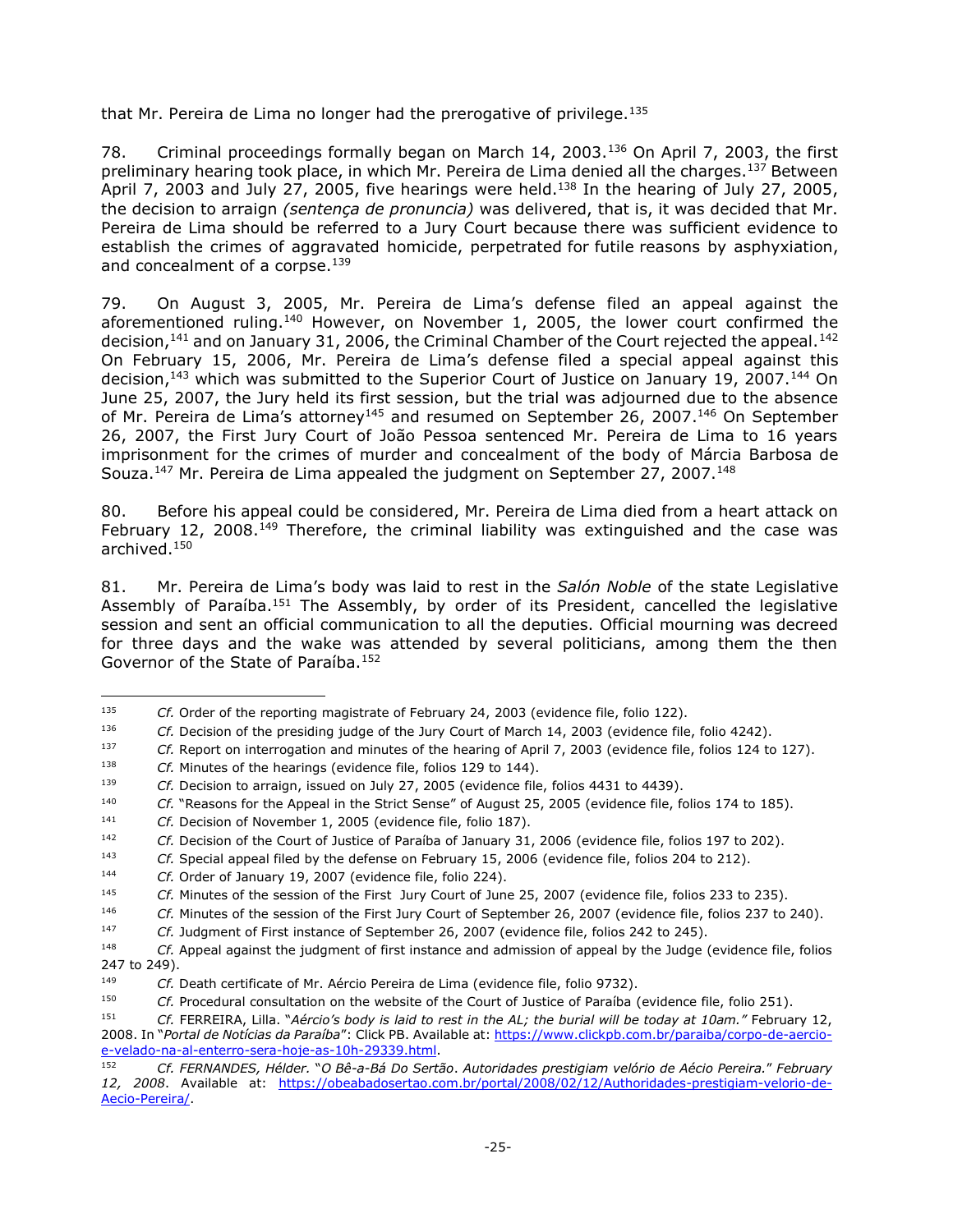that Mr. Pereira de Lima no longer had the prerogative of privilege.<sup>135</sup>

78. Criminal proceedings formally began on March 14, 2003.<sup>136</sup> On April 7, 2003, the first preliminary hearing took place, in which Mr. Pereira de Lima denied all the charges.<sup>137</sup> Between April 7, 2003 and July 27, 2005, five hearings were held. $^{138}$  In the hearing of July 27, 2005, the decision to arraign *(sentença de pronuncia)* was delivered, that is, it was decided that Mr. Pereira de Lima should be referred to a Jury Court because there was sufficient evidence to establish the crimes of aggravated homicide, perpetrated for futile reasons by asphyxiation, and concealment of a corpse.<sup>139</sup>

79. On August 3, 2005, Mr. Pereira de Lima's defense filed an appeal against the aforementioned ruling.<sup>140</sup> However, on November 1, 2005, the lower court confirmed the decision,  $141$  and on January 31, 2006, the Criminal Chamber of the Court rejected the appeal.  $142$ On February 15, 2006, Mr. Pereira de Lima's defense filed a special appeal against this decision, <sup>143</sup> which was submitted to the Superior Court of Justice on January 19, 2007. <sup>144</sup> On June 25, 2007, the Jury held its first session, but the trial was adjourned due to the absence of Mr. Pereira de Lima's attorney<sup>145</sup> and resumed on September 26, 2007.<sup>146</sup> On September 26, 2007, the First Jury Court of João Pessoa sentenced Mr. Pereira de Lima to 16 years imprisonment for the crimes of murder and concealment of the body of Márcia Barbosa de Souza.<sup>147</sup> Mr. Pereira de Lima appealed the judgment on September 27, 2007.<sup>148</sup>

80. Before his appeal could be considered, Mr. Pereira de Lima died from a heart attack on February 12, 2008.<sup>149</sup> Therefore, the criminal liability was extinguished and the case was archived.<sup>150</sup>

81. Mr. Pereira de Lima's body was laid to rest in the *Salón Noble* of the state Legislative Assembly of Paraíba.<sup>151</sup> The Assembly, by order of its President, cancelled the legislative session and sent an official communication to all the deputies. Official mourning was decreed for three days and the wake was attended by several politicians, among them the then Governor of the State of Paraíba.<sup>152</sup>

<sup>135</sup> <sup>135</sup> *Cf.* Order of the reporting magistrate of February 24, 2003 (evidence file, folio 122).

<sup>136</sup> *Cf.* Decision of the presiding judge of the Jury Court of March 14, 2003 (evidence file, folio 4242).

<sup>137</sup> *Cf.* Report on interrogation and minutes of the hearing of April 7, 2003 (evidence file, folios 124 to 127).

<sup>138</sup> *Cf.* Minutes of the hearings (evidence file, folios 129 to 144).

<sup>139</sup> *Cf.* Decision to arraign, issued on July 27, 2005 (evidence file, folios 4431 to 4439).

<sup>140</sup> *Cf.* "Reasons for the Appeal in the Strict Sense" of August 25, 2005 (evidence file, folios 174 to 185).

<sup>141</sup> *Cf.* Decision of November 1, 2005 (evidence file, folio 187).

<sup>142</sup> *Cf.* Decision of the Court of Justice of Paraíba of January 31, 2006 (evidence file, folios 197 to 202).

<sup>143</sup> *Cf.* Special appeal filed by the defense on February 15, 2006 (evidence file, folios 204 to 212).

<sup>144</sup> *Cf.* Order of January 19, 2007 (evidence file, folio 224).

<sup>145</sup> *Cf.* Minutes of the session of the First Jury Court of June 25, 2007 (evidence file, folios 233 to 235).

<sup>146</sup> *Cf.* Minutes of the session of the First Jury Court of September 26, 2007 (evidence file, folios 237 to 240).

<sup>147</sup> *Cf.* Judgment of First instance of September 26, 2007 (evidence file, folios 242 to 245).

<sup>148</sup> *Cf.* Appeal against the judgment of first instance and admission of appeal by the Judge (evidence file, folios 247 to 249).

<sup>149</sup> *Cf.* Death certificate of Mr. Aércio Pereira de Lima (evidence file, folio 9732).

<sup>150</sup> *Cf.* Procedural consultation on the website of the Court of Justice of Paraíba (evidence file, folio 251).

<sup>151</sup> *Cf.* FERREIRA, Lilla. "*Aércio's body is laid to rest in the AL; the burial will be today at 10am."* February 12, 2008. In "*Portal de Notícias da Paraíba*": Click PB. Available at: [https://www.clickpb.com.br/paraiba/corpo-de-aercio](https://www.clickpb.com.br/paraiba/corpo-de-aercio-e-velado-na-al-enterro-sera-hoje-as-10h-29339.html)[e-velado-na-al-enterro-sera-hoje-as-10h-29339.html.](https://www.clickpb.com.br/paraiba/corpo-de-aercio-e-velado-na-al-enterro-sera-hoje-as-10h-29339.html)

<sup>152</sup> *Cf. FERNANDES, Hélder.* "*O Bê-a-Bá Do Sertão*. *Autoridades prestigiam velório de Aécio Pereira.*" *February 12, 2008*. Available at: [https://obeabadosertao.com.br/portal/2008/02/12/Authoridades-prestigiam-velorio-de-](https://obeabadosertao.com.br/portal/2008/02/12/Autoridades-prestigiam-velorio-de-Aecio-Pereira/)[Aecio-Pereira/.](https://obeabadosertao.com.br/portal/2008/02/12/Autoridades-prestigiam-velorio-de-Aecio-Pereira/)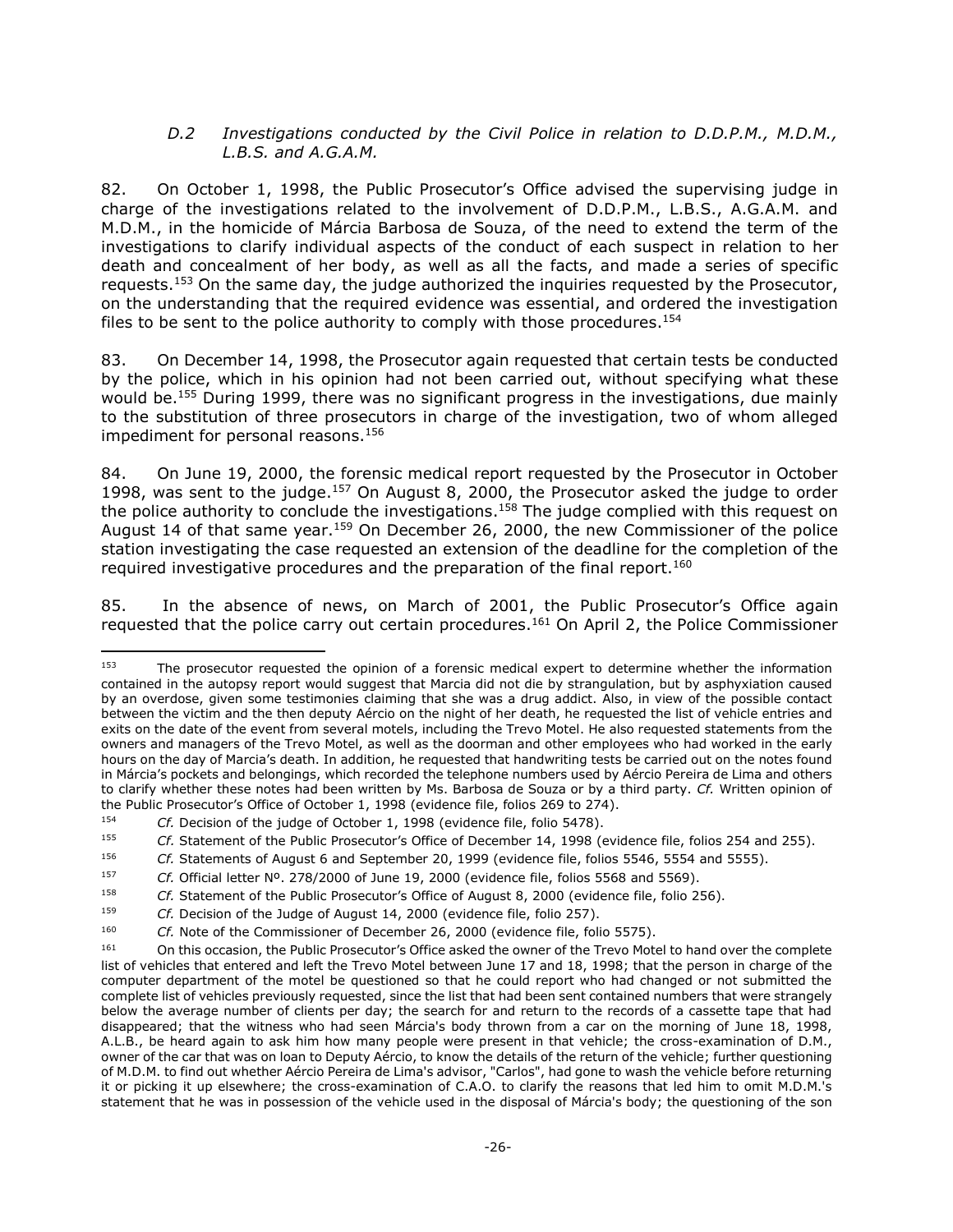### *D.2 Investigations conducted by the Civil Police in relation to D.D.P.M., M.D.M., L.B.S. and A.G.A.M.*

<span id="page-25-0"></span>82. On October 1, 1998, the Public Prosecutor's Office advised the supervising judge in charge of the investigations related to the involvement of D.D.P.M., L.B.S., A.G.A.M. and M.D.M., in the homicide of Márcia Barbosa de Souza, of the need to extend the term of the investigations to clarify individual aspects of the conduct of each suspect in relation to her death and concealment of her body, as well as all the facts, and made a series of specific requests.<sup>153</sup> On the same day, the judge authorized the inquiries requested by the Prosecutor, on the understanding that the required evidence was essential, and ordered the investigation files to be sent to the police authority to comply with those procedures.<sup>154</sup>

83. On December 14, 1998, the Prosecutor again requested that certain tests be conducted by the police, which in his opinion had not been carried out, without specifying what these would be.<sup>155</sup> During 1999, there was no significant progress in the investigations, due mainly to the substitution of three prosecutors in charge of the investigation, two of whom alleged impediment for personal reasons. 156

84. On June 19, 2000, the forensic medical report requested by the Prosecutor in October 1998, was sent to the judge.<sup>157</sup> On August 8, 2000, the Prosecutor asked the judge to order the police authority to conclude the investigations.<sup>158</sup> The judge complied with this request on August 14 of that same year.<sup>159</sup> On December 26, 2000, the new Commissioner of the police station investigating the case requested an extension of the deadline for the completion of the required investigative procedures and the preparation of the final report.<sup>160</sup>

85. In the absence of news, on March of 2001, the Public Prosecutor's Office again requested that the police carry out certain procedures. <sup>161</sup> On April 2, the Police Commissioner

<sup>153</sup> The prosecutor requested the opinion of a forensic medical expert to determine whether the information contained in the autopsy report would suggest that Marcia did not die by strangulation, but by asphyxiation caused by an overdose, given some testimonies claiming that she was a drug addict. Also, in view of the possible contact between the victim and the then deputy Aércio on the night of her death, he requested the list of vehicle entries and exits on the date of the event from several motels, including the Trevo Motel. He also requested statements from the owners and managers of the Trevo Motel, as well as the doorman and other employees who had worked in the early hours on the day of Marcia's death. In addition, he requested that handwriting tests be carried out on the notes found in Márcia's pockets and belongings, which recorded the telephone numbers used by Aércio Pereira de Lima and others to clarify whether these notes had been written by Ms. Barbosa de Souza or by a third party. *Cf.* Written opinion of the Public Prosecutor's Office of October 1, 1998 (evidence file, folios 269 to 274).

<sup>154</sup> *Cf.* Decision of the judge of October 1, 1998 (evidence file, folio 5478).

<sup>155</sup> *Cf.* Statement of the Public Prosecutor's Office of December 14, 1998 (evidence file, folios 254 and 255).

<sup>156</sup> *Cf.* Statements of August 6 and September 20, 1999 (evidence file, folios 5546, 5554 and 5555).

<sup>157</sup> *Cf.* Official letter Nº. 278/2000 of June 19, 2000 (evidence file, folios 5568 and 5569).

<sup>158</sup> *Cf.* Statement of the Public Prosecutor's Office of August 8, 2000 (evidence file, folio 256).

<sup>&</sup>lt;sup>159</sup> *Cf.* Decision of the Judge of August 14, 2000 (evidence file, folio 257).

<sup>160</sup> *Cf.* Note of the Commissioner of December 26, 2000 (evidence file, folio 5575).

<sup>161</sup> On this occasion, the Public Prosecutor's Office asked the owner of the Trevo Motel to hand over the complete list of vehicles that entered and left the Trevo Motel between June 17 and 18, 1998; that the person in charge of the computer department of the motel be questioned so that he could report who had changed or not submitted the complete list of vehicles previously requested, since the list that had been sent contained numbers that were strangely below the average number of clients per day; the search for and return to the records of a cassette tape that had disappeared; that the witness who had seen Márcia's body thrown from a car on the morning of June 18, 1998, A.L.B., be heard again to ask him how many people were present in that vehicle; the cross-examination of D.M., owner of the car that was on loan to Deputy Aércio, to know the details of the return of the vehicle; further questioning of M.D.M. to find out whether Aércio Pereira de Lima's advisor, "Carlos", had gone to wash the vehicle before returning it or picking it up elsewhere; the cross-examination of C.A.O. to clarify the reasons that led him to omit M.D.M.'s statement that he was in possession of the vehicle used in the disposal of Márcia's body; the questioning of the son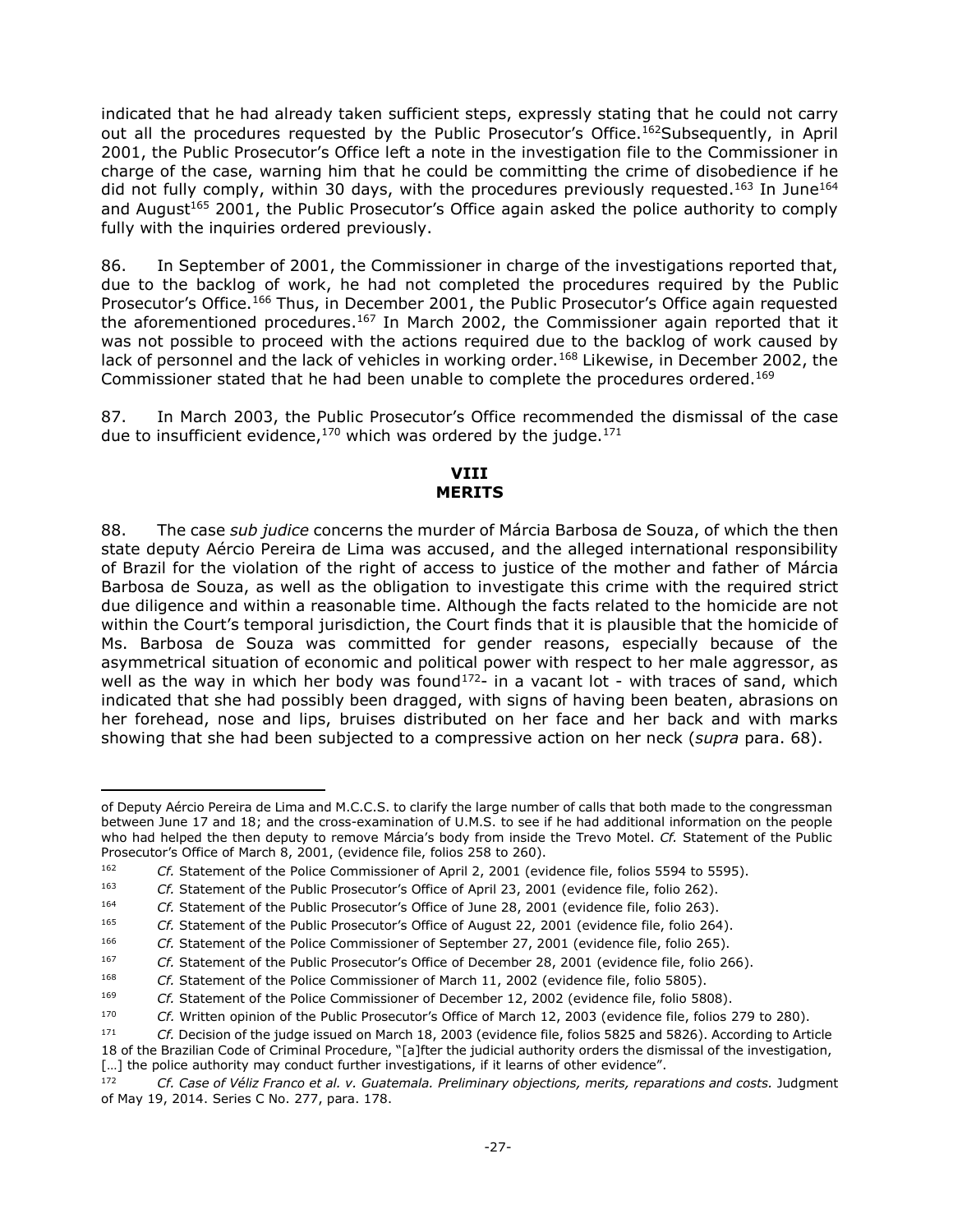indicated that he had already taken sufficient steps, expressly stating that he could not carry out all the procedures requested by the Public Prosecutor's Office.<sup>162</sup>Subsequently, in April 2001, the Public Prosecutor's Office left a note in the investigation file to the Commissioner in charge of the case, warning him that he could be committing the crime of disobedience if he did not fully comply, within 30 days, with the procedures previously requested.<sup>163</sup> In June<sup>164</sup> and August<sup>165</sup> 2001, the Public Prosecutor's Office again asked the police authority to comply fully with the inquiries ordered previously.

86. In September of 2001, the Commissioner in charge of the investigations reported that, due to the backlog of work, he had not completed the procedures required by the Public Prosecutor's Office.<sup>166</sup> Thus, in December 2001, the Public Prosecutor's Office again requested the aforementioned procedures.<sup>167</sup> In March 2002, the Commissioner again reported that it was not possible to proceed with the actions required due to the backlog of work caused by lack of personnel and the lack of vehicles in working order.<sup>168</sup> Likewise, in December 2002, the Commissioner stated that he had been unable to complete the procedures ordered.<sup>169</sup>

<span id="page-26-0"></span>87. In March 2003, the Public Prosecutor's Office recommended the dismissal of the case due to insufficient evidence,  $170$  which was ordered by the judge.  $171$ 

### **VIII MERITS**

88. The case *sub judice* concerns the murder of Márcia Barbosa de Souza, of which the then state deputy Aércio Pereira de Lima was accused, and the alleged international responsibility of Brazil for the violation of the right of access to justice of the mother and father of Márcia Barbosa de Souza, as well as the obligation to investigate this crime with the required strict due diligence and within a reasonable time. Although the facts related to the homicide are not within the Court's temporal jurisdiction, the Court finds that it is plausible that the homicide of Ms. Barbosa de Souza was committed for gender reasons, especially because of the asymmetrical situation of economic and political power with respect to her male aggressor, as well as the way in which her body was found<sup>172</sup>- in a vacant lot - with traces of sand, which indicated that she had possibly been dragged, with signs of having been beaten, abrasions on her forehead, nose and lips, bruises distributed on her face and her back and with marks showing that she had been subjected to a compressive action on her neck (*supra* para. 68).

j

of Deputy Aércio Pereira de Lima and M.C.C.S. to clarify the large number of calls that both made to the congressman between June 17 and 18; and the cross-examination of U.M.S. to see if he had additional information on the people who had helped the then deputy to remove Márcia's body from inside the Trevo Motel. *Cf.* Statement of the Public Prosecutor's Office of March 8, 2001, (evidence file, folios 258 to 260).

<sup>162</sup> *Cf.* Statement of the Police Commissioner of April 2, 2001 (evidence file, folios 5594 to 5595).

<sup>163</sup> *Cf.* Statement of the Public Prosecutor's Office of April 23, 2001 (evidence file, folio 262).

<sup>164</sup> *Cf.* Statement of the Public Prosecutor's Office of June 28, 2001 (evidence file, folio 263).

<sup>165</sup> *Cf.* Statement of the Public Prosecutor's Office of August 22, 2001 (evidence file, folio 264).

<sup>166</sup> *Cf.* Statement of the Police Commissioner of September 27, 2001 (evidence file, folio 265).

<sup>167</sup> *Cf.* Statement of the Public Prosecutor's Office of December 28, 2001 (evidence file, folio 266).

<sup>168</sup> *Cf.* Statement of the Police Commissioner of March 11, 2002 (evidence file, folio 5805).

<sup>169</sup> *Cf.* Statement of the Police Commissioner of December 12, 2002 (evidence file, folio 5808).

<sup>170</sup> *Cf.* Written opinion of the Public Prosecutor's Office of March 12, 2003 (evidence file, folios 279 to 280).

<sup>171</sup> *Cf.* Decision of the judge issued on March 18, 2003 (evidence file, folios 5825 and 5826). According to Article 18 of the Brazilian Code of Criminal Procedure, "[a]fter the judicial authority orders the dismissal of the investigation,

<sup>[...]</sup> the police authority may conduct further investigations, if it learns of other evidence".

<sup>172</sup> *Cf. Case of Véliz Franco et al. v. Guatemala. Preliminary objections, merits, reparations and costs.* Judgment of May 19, 2014. Series C No. 277, para. 178.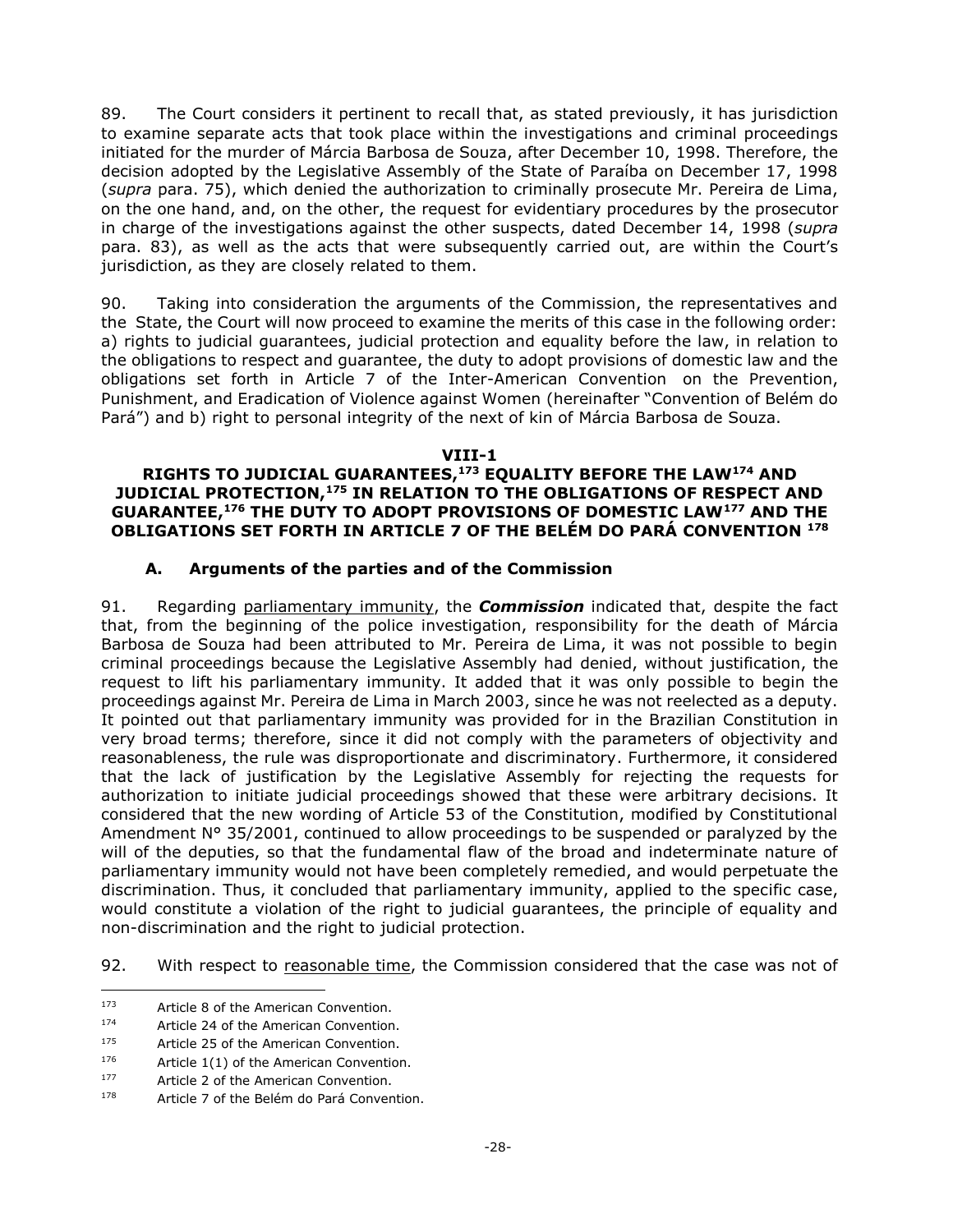89. The Court considers it pertinent to recall that, as stated previously, it has jurisdiction to examine separate acts that took place within the investigations and criminal proceedings initiated for the murder of Márcia Barbosa de Souza, after December 10, 1998. Therefore, the decision adopted by the Legislative Assembly of the State of Paraíba on December 17, 1998 (*supra* para. 75), which denied the authorization to criminally prosecute Mr. Pereira de Lima, on the one hand, and, on the other, the request for evidentiary procedures by the prosecutor in charge of the investigations against the other suspects, dated December 14, 1998 (*supra* para. 83), as well as the acts that were subsequently carried out, are within the Court's jurisdiction, as they are closely related to them.

90. Taking into consideration the arguments of the Commission, the representatives and the State, the Court will now proceed to examine the merits of this case in the following order: a) rights to judicial guarantees, judicial protection and equality before the law, in relation to the obligations to respect and guarantee, the duty to adopt provisions of domestic law and the obligations set forth in Article 7 of the Inter-American Convention on the Prevention, Punishment, and Eradication of Violence against Women (hereinafter "Convention of Belém do Pará") and b) right to personal integrity of the next of kin of Márcia Barbosa de Souza.

#### **VIII-1**

#### <span id="page-27-0"></span>**RIGHTS TO JUDICIAL GUARANTEES, <sup>173</sup> EQUALITY BEFORE THE LAW<sup>174</sup> AND JUDICIAL PROTECTION,<sup>175</sup> IN RELATION TO THE OBLIGATIONS OF RESPECT AND GUARANTEE, <sup>176</sup> THE DUTY TO ADOPT PROVISIONS OF DOMESTIC LAW<sup>177</sup> AND THE OBLIGATIONS SET FORTH IN ARTICLE 7 OF THE BELÉM DO PARÁ CONVENTION <sup>178</sup>**

### **A. Arguments of the parties and of the Commission**

<span id="page-27-1"></span>91. Regarding parliamentary immunity, the *Commission* indicated that, despite the fact that, from the beginning of the police investigation, responsibility for the death of Márcia Barbosa de Souza had been attributed to Mr. Pereira de Lima, it was not possible to begin criminal proceedings because the Legislative Assembly had denied, without justification, the request to lift his parliamentary immunity. It added that it was only possible to begin the proceedings against Mr. Pereira de Lima in March 2003, since he was not reelected as a deputy. It pointed out that parliamentary immunity was provided for in the Brazilian Constitution in very broad terms; therefore, since it did not comply with the parameters of objectivity and reasonableness, the rule was disproportionate and discriminatory. Furthermore, it considered that the lack of justification by the Legislative Assembly for rejecting the requests for authorization to initiate judicial proceedings showed that these were arbitrary decisions. It considered that the new wording of Article 53 of the Constitution, modified by Constitutional Amendment N° 35/2001, continued to allow proceedings to be suspended or paralyzed by the will of the deputies, so that the fundamental flaw of the broad and indeterminate nature of parliamentary immunity would not have been completely remedied, and would perpetuate the discrimination. Thus, it concluded that parliamentary immunity, applied to the specific case, would constitute a violation of the right to judicial guarantees, the principle of equality and non-discrimination and the right to judicial protection.

92. With respect to reasonable time, the Commission considered that the case was not of

j

<sup>173</sup> Article 8 of the American Convention.

<sup>174</sup> Article 24 of the American Convention.

<sup>175</sup> Article 25 of the American Convention.

 $176$  Article 1(1) of the American Convention.

<sup>177</sup> Article 2 of the American Convention.

<sup>178</sup> Article 7 of the Belém do Pará Convention.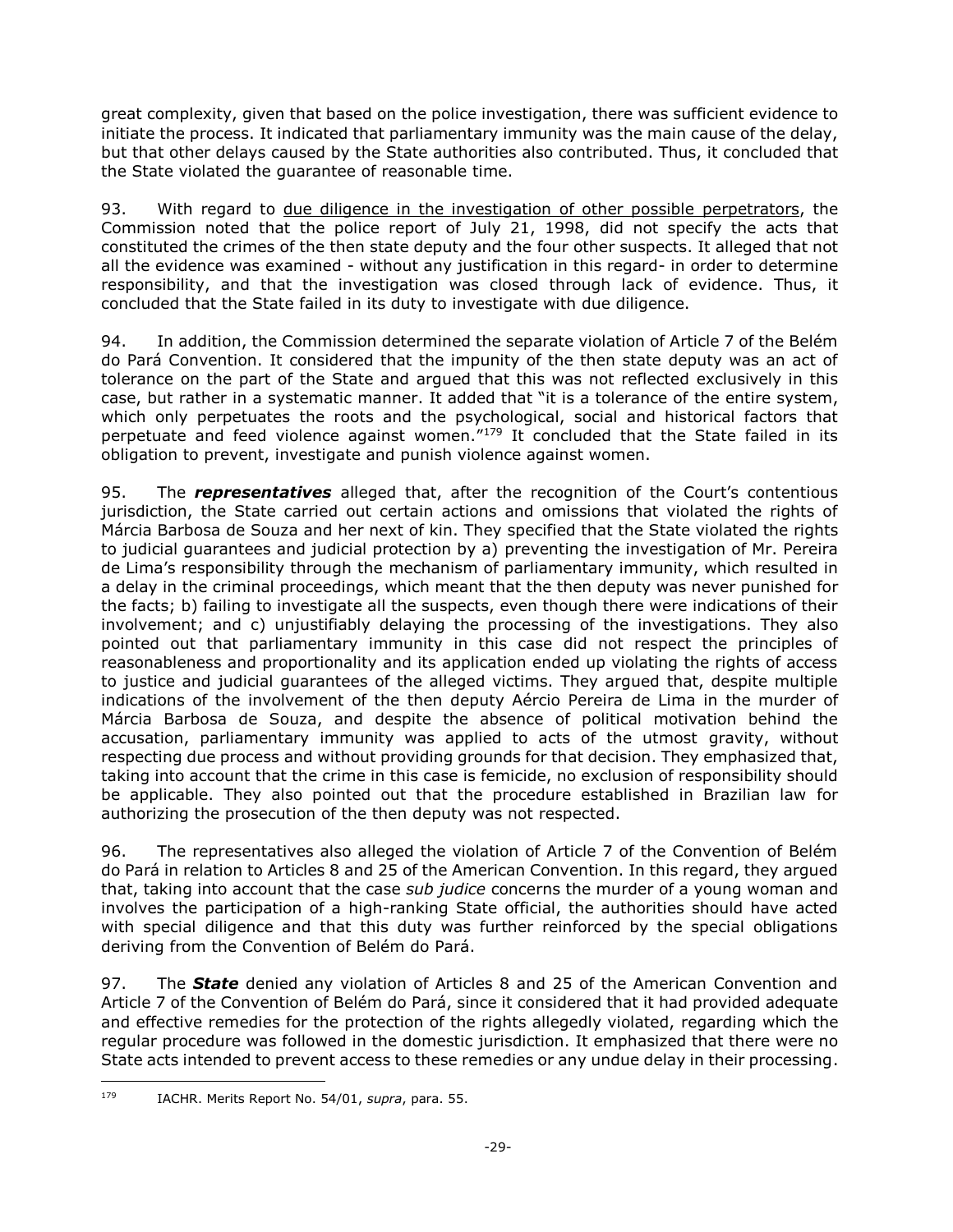great complexity, given that based on the police investigation, there was sufficient evidence to initiate the process. It indicated that parliamentary immunity was the main cause of the delay, but that other delays caused by the State authorities also contributed. Thus, it concluded that the State violated the guarantee of reasonable time.

93. With regard to due diligence in the investigation of other possible perpetrators, the Commission noted that the police report of July 21, 1998, did not specify the acts that constituted the crimes of the then state deputy and the four other suspects. It alleged that not all the evidence was examined - without any justification in this regard- in order to determine responsibility, and that the investigation was closed through lack of evidence. Thus, it concluded that the State failed in its duty to investigate with due diligence.

94. In addition, the Commission determined the separate violation of Article 7 of the Belém do Pará Convention. It considered that the impunity of the then state deputy was an act of tolerance on the part of the State and argued that this was not reflected exclusively in this case, but rather in a systematic manner. It added that "it is a tolerance of the entire system, which only perpetuates the roots and the psychological, social and historical factors that perpetuate and feed violence against women.<sup>"179</sup> It concluded that the State failed in its obligation to prevent, investigate and punish violence against women.

95. The *representatives* alleged that, after the recognition of the Court's contentious jurisdiction, the State carried out certain actions and omissions that violated the rights of Márcia Barbosa de Souza and her next of kin. They specified that the State violated the rights to judicial guarantees and judicial protection by a) preventing the investigation of Mr. Pereira de Lima's responsibility through the mechanism of parliamentary immunity, which resulted in a delay in the criminal proceedings, which meant that the then deputy was never punished for the facts; b) failing to investigate all the suspects, even though there were indications of their involvement; and c) unjustifiably delaying the processing of the investigations. They also pointed out that parliamentary immunity in this case did not respect the principles of reasonableness and proportionality and its application ended up violating the rights of access to justice and judicial guarantees of the alleged victims. They argued that, despite multiple indications of the involvement of the then deputy Aércio Pereira de Lima in the murder of Márcia Barbosa de Souza, and despite the absence of political motivation behind the accusation, parliamentary immunity was applied to acts of the utmost gravity, without respecting due process and without providing grounds for that decision. They emphasized that, taking into account that the crime in this case is femicide, no exclusion of responsibility should be applicable. They also pointed out that the procedure established in Brazilian law for authorizing the prosecution of the then deputy was not respected.

96. The representatives also alleged the violation of Article 7 of the Convention of Belém do Pará in relation to Articles 8 and 25 of the American Convention. In this regard, they argued that, taking into account that the case *sub judice* concerns the murder of a young woman and involves the participation of a high-ranking State official, the authorities should have acted with special diligence and that this duty was further reinforced by the special obligations deriving from the Convention of Belém do Pará.

97. The *State* denied any violation of Articles 8 and 25 of the American Convention and Article 7 of the Convention of Belém do Pará, since it considered that it had provided adequate and effective remedies for the protection of the rights allegedly violated, regarding which the regular procedure was followed in the domestic jurisdiction. It emphasized that there were no State acts intended to prevent access to these remedies or any undue delay in their processing.

 $\overline{a}$ <sup>179</sup> IACHR. Merits Report No. 54/01, *supra*, para. 55.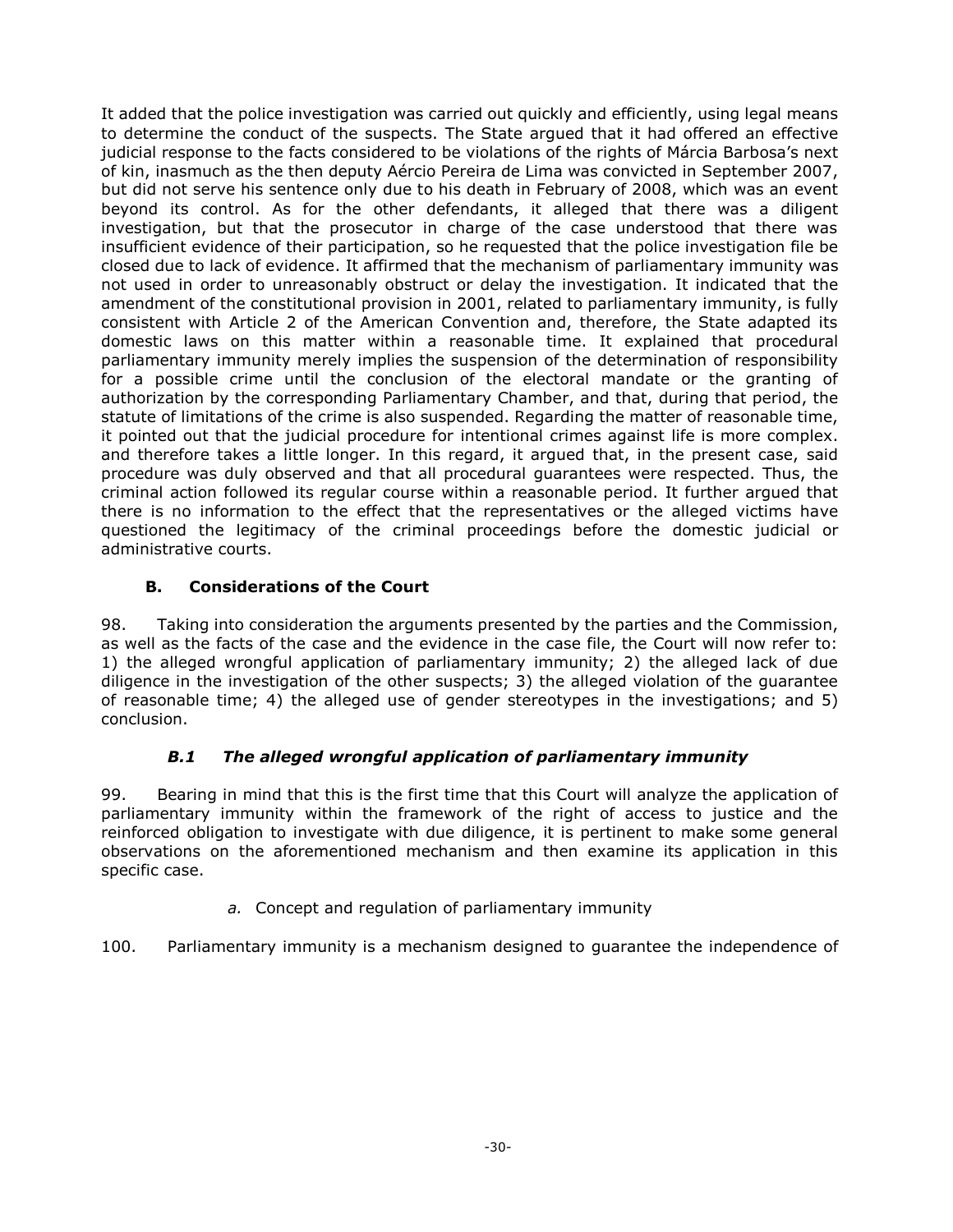It added that the police investigation was carried out quickly and efficiently, using legal means to determine the conduct of the suspects. The State argued that it had offered an effective judicial response to the facts considered to be violations of the rights of Márcia Barbosa's next of kin, inasmuch as the then deputy Aércio Pereira de Lima was convicted in September 2007, but did not serve his sentence only due to his death in February of 2008, which was an event beyond its control. As for the other defendants, it alleged that there was a diligent investigation, but that the prosecutor in charge of the case understood that there was insufficient evidence of their participation, so he requested that the police investigation file be closed due to lack of evidence. It affirmed that the mechanism of parliamentary immunity was not used in order to unreasonably obstruct or delay the investigation. It indicated that the amendment of the constitutional provision in 2001, related to parliamentary immunity, is fully consistent with Article 2 of the American Convention and, therefore, the State adapted its domestic laws on this matter within a reasonable time. It explained that procedural parliamentary immunity merely implies the suspension of the determination of responsibility for a possible crime until the conclusion of the electoral mandate or the granting of authorization by the corresponding Parliamentary Chamber, and that, during that period, the statute of limitations of the crime is also suspended. Regarding the matter of reasonable time, it pointed out that the judicial procedure for intentional crimes against life is more complex. and therefore takes a little longer. In this regard, it argued that, in the present case, said procedure was duly observed and that all procedural guarantees were respected. Thus, the criminal action followed its regular course within a reasonable period. It further argued that there is no information to the effect that the representatives or the alleged victims have questioned the legitimacy of the criminal proceedings before the domestic judicial or administrative courts.

# **B. Considerations of the Court**

<span id="page-29-0"></span>98. Taking into consideration the arguments presented by the parties and the Commission, as well as the facts of the case and the evidence in the case file, the Court will now refer to: 1) the alleged wrongful application of parliamentary immunity; 2) the alleged lack of due diligence in the investigation of the other suspects; 3) the alleged violation of the guarantee of reasonable time; 4) the alleged use of gender stereotypes in the investigations; and 5) conclusion.

## *B.1 The alleged wrongful application of parliamentary immunity*

<span id="page-29-1"></span>99. Bearing in mind that this is the first time that this Court will analyze the application of parliamentary immunity within the framework of the right of access to justice and the reinforced obligation to investigate with due diligence, it is pertinent to make some general observations on the aforementioned mechanism and then examine its application in this specific case.

*a.* Concept and regulation of parliamentary immunity

<span id="page-29-2"></span>100. Parliamentary immunity is a mechanism designed to guarantee the independence of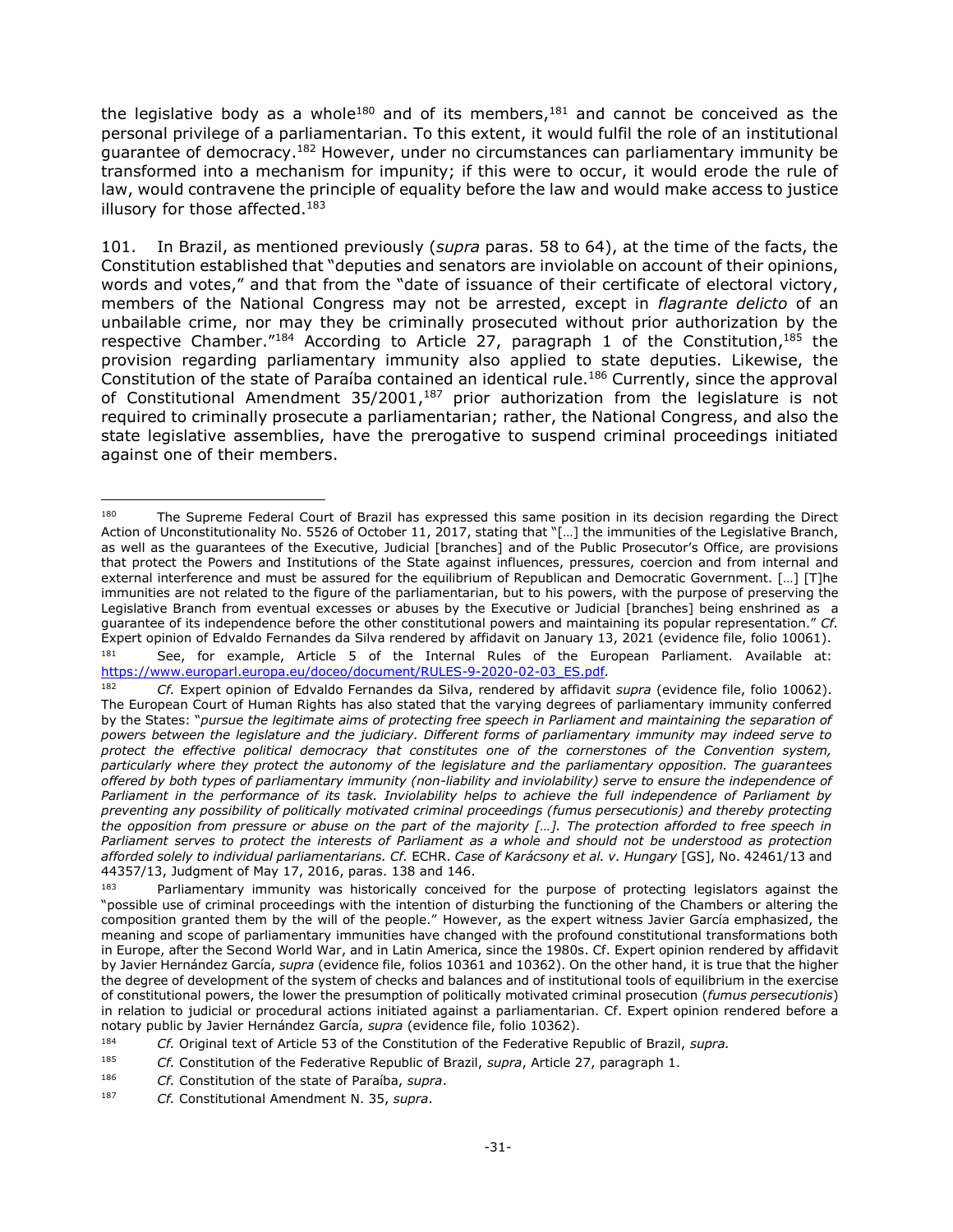the legislative body as a whole<sup>180</sup> and of its members,<sup>181</sup> and cannot be conceived as the personal privilege of a parliamentarian. To this extent, it would fulfil the role of an institutional guarantee of democracy.<sup>182</sup> However, under no circumstances can parliamentary immunity be transformed into a mechanism for impunity; if this were to occur, it would erode the rule of law, would contravene the principle of equality before the law and would make access to justice illusory for those affected.<sup>183</sup>

101. In Brazil, as mentioned previously (*supra* paras. 58 to 64), at the time of the facts, the Constitution established that "deputies and senators are inviolable on account of their opinions, words and votes," and that from the "date of issuance of their certificate of electoral victory, members of the National Congress may not be arrested, except in *flagrante delicto* of an unbailable crime, nor may they be criminally prosecuted without prior authorization by the respective Chamber."<sup>184</sup> According to Article 27, paragraph 1 of the Constitution,<sup>185</sup> the provision regarding parliamentary immunity also applied to state deputies. Likewise, the Constitution of the state of Paraíba contained an identical rule.<sup>186</sup> Currently, since the approval of Constitutional Amendment  $35/2001$ ,<sup>187</sup> prior authorization from the legislature is not required to criminally prosecute a parliamentarian; rather, the National Congress, and also the state legislative assemblies, have the prerogative to suspend criminal proceedings initiated against one of their members.

<sup>180</sup> The Supreme Federal Court of Brazil has expressed this same position in its decision regarding the Direct Action of Unconstitutionality No. 5526 of October 11, 2017, stating that "[…] the immunities of the Legislative Branch, as well as the guarantees of the Executive, Judicial [branches] and of the Public Prosecutor's Office, are provisions that protect the Powers and Institutions of the State against influences, pressures, coercion and from internal and external interference and must be assured for the equilibrium of Republican and Democratic Government. […] [T]he immunities are not related to the figure of the parliamentarian, but to his powers, with the purpose of preserving the Legislative Branch from eventual excesses or abuses by the Executive or Judicial [branches] being enshrined as a guarantee of its independence before the other constitutional powers and maintaining its popular representation." *Cf.* Expert opinion of Edvaldo Fernandes da Silva rendered by affidavit on January 13, 2021 (evidence file, folio 10061).

<sup>181</sup> See, for example, Article 5 of the Internal Rules of the European Parliament*.* Available at: [https://www.europarl.europa.eu/doceo/document/RULES-9-2020-02-03\\_ES.pdf](https://www.europarl.europa.eu/doceo/document/RULES-9-2020-02-03_ES.pdf)*.*

<sup>182</sup> *Cf.* Expert opinion of Edvaldo Fernandes da Silva, rendered by affidavit *supra* (evidence file, folio 10062). The European Court of Human Rights has also stated that the varying degrees of parliamentary immunity conferred by the States: "*pursue the legitimate aims of protecting free speech in Parliament and maintaining the separation of powers between the legislature and the judiciary. Different forms of parliamentary immunity may indeed serve to protect the effective political democracy that constitutes one of the cornerstones of the Convention system, particularly where they protect the autonomy of the legislature and the parliamentary opposition. The guarantees offered by both types of parliamentary immunity (non-liability and inviolability) serve to ensure the independence of*  Parliament in the performance of its task. Inviolability helps to achieve the full independence of Parliament by *preventing any possibility of politically motivated criminal proceedings (fumus persecutionis) and thereby protecting the opposition from pressure or abuse on the part of the majority […]. The protection afforded to free speech in Parliament serves to protect the interests of Parliament as a whole and should not be understood as protection afforded solely to individual parliamentarians. Cf.* ECHR. *Case of Karácsony et al. v. Hungary* [GS], No. 42461/13 and 44357/13, Judgment of May 17, 2016, paras. 138 and 146.

<sup>&</sup>lt;sup>183</sup> Parliamentary immunity was historically conceived for the purpose of protecting legislators against the "possible use of criminal proceedings with the intention of disturbing the functioning of the Chambers or altering the composition granted them by the will of the people." However, as the expert witness Javier García emphasized, the meaning and scope of parliamentary immunities have changed with the profound constitutional transformations both in Europe, after the Second World War, and in Latin America, since the 1980s. Cf. Expert opinion rendered by affidavit by Javier Hernández García, *supra* (evidence file, folios 10361 and 10362). On the other hand, it is true that the higher the degree of development of the system of checks and balances and of institutional tools of equilibrium in the exercise of constitutional powers, the lower the presumption of politically motivated criminal prosecution (*fumus persecutionis*) in relation to judicial or procedural actions initiated against a parliamentarian. Cf. Expert opinion rendered before a notary public by Javier Hernández García, *supra* (evidence file, folio 10362).

<sup>184</sup> *Cf.* Original text of Article 53 of the Constitution of the Federative Republic of Brazil, *supra.*

<sup>185</sup> *Cf.* Constitution of the Federative Republic of Brazil, *supra*, Article 27, paragraph 1.

<sup>186</sup> *Cf.* Constitution of the state of Paraíba, *supra*.

<sup>187</sup> *Cf.* Constitutional Amendment N. 35, *supra*.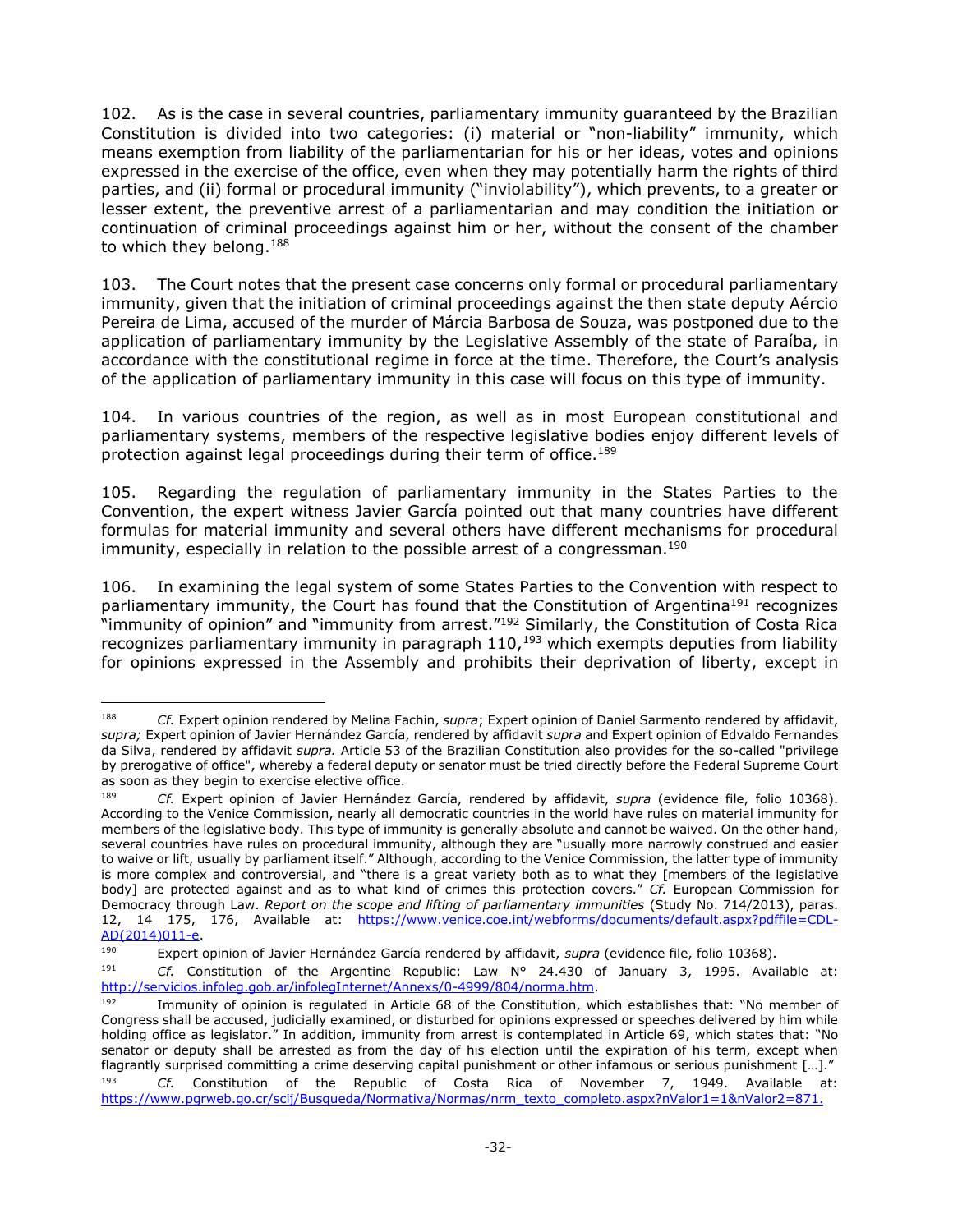102. As is the case in several countries, parliamentary immunity guaranteed by the Brazilian Constitution is divided into two categories: (i) material or "non-liability" immunity, which means exemption from liability of the parliamentarian for his or her ideas, votes and opinions expressed in the exercise of the office, even when they may potentially harm the rights of third parties, and (ii) formal or procedural immunity ("inviolability"), which prevents, to a greater or lesser extent, the preventive arrest of a parliamentarian and may condition the initiation or continuation of criminal proceedings against him or her, without the consent of the chamber to which they belong.<sup>188</sup>

103. The Court notes that the present case concerns only formal or procedural parliamentary immunity, given that the initiation of criminal proceedings against the then state deputy Aércio Pereira de Lima, accused of the murder of Márcia Barbosa de Souza, was postponed due to the application of parliamentary immunity by the Legislative Assembly of the state of Paraíba, in accordance with the constitutional regime in force at the time. Therefore, the Court's analysis of the application of parliamentary immunity in this case will focus on this type of immunity.

104. In various countries of the region, as well as in most European constitutional and parliamentary systems, members of the respective legislative bodies enjoy different levels of protection against legal proceedings during their term of office.<sup>189</sup>

105. Regarding the regulation of parliamentary immunity in the States Parties to the Convention, the expert witness Javier García pointed out that many countries have different formulas for material immunity and several others have different mechanisms for procedural immunity, especially in relation to the possible arrest of a congressman.<sup>190</sup>

106. In examining the legal system of some States Parties to the Convention with respect to parliamentary immunity, the Court has found that the Constitution of Argentina<sup>191</sup> recognizes "immunity of opinion" and "immunity from arrest." <sup>192</sup> Similarly, the Constitution of Costa Rica recognizes parliamentary immunity in paragraph  $110<sub>193</sub>$  which exempts deputies from liability for opinions expressed in the Assembly and prohibits their deprivation of liberty, except in

<sup>188</sup> <sup>188</sup> *Cf.* Expert opinion rendered by Melina Fachin, *supra*; Expert opinion of Daniel Sarmento rendered by affidavit, *supra;* Expert opinion of Javier Hernández García, rendered by affidavit *supra* and Expert opinion of Edvaldo Fernandes da Silva, rendered by affidavit *supra.* Article 53 of the Brazilian Constitution also provides for the so-called "privilege by prerogative of office", whereby a federal deputy or senator must be tried directly before the Federal Supreme Court as soon as they begin to exercise elective office.

<sup>189</sup> *Cf.* Expert opinion of Javier Hernández García, rendered by affidavit, *supra* (evidence file, folio 10368). According to the Venice Commission, nearly all democratic countries in the world have rules on material immunity for members of the legislative body. This type of immunity is generally absolute and cannot be waived. On the other hand, several countries have rules on procedural immunity, although they are "usually more narrowly construed and easier to waive or lift, usually by parliament itself." Although, according to the Venice Commission, the latter type of immunity is more complex and controversial, and "there is a great variety both as to what they [members of the legislative body] are protected against and as to what kind of crimes this protection covers." *Cf.* European Commission for Democracy through Law. *Report on the scope and lifting of parliamentary immunities* (Study No. 714/2013), paras. 12, 14 175, 176, Available at: [https://www.venice.coe.int/webforms/documents/default.aspx?pdffile=CDL-](https://www.venice.coe.int/webforms/documents/default.aspx?pdffile=CDL-AD(2014)011-e)[AD\(2014\)011-e.](https://www.venice.coe.int/webforms/documents/default.aspx?pdffile=CDL-AD(2014)011-e)<br>190 Expert

<sup>190</sup> Expert opinion of Javier Hernández García rendered by affidavit, *supra* (evidence file, folio 10368).

<sup>191</sup> *Cf.* Constitution of the Argentine Republic: Law N° 24.430 of January 3, 1995. Available at: [http://servicios.infoleg.gob.ar/infolegInternet/Annexs/0-4999/804/norma.htm.](http://servicios.infoleg.gob.ar/infolegInternet/anexos/0-4999/804/norma.htm)

<sup>192</sup> Immunity of opinion is regulated in Article 68 of the Constitution, which establishes that: "No member of Congress shall be accused, judicially examined, or disturbed for opinions expressed or speeches delivered by him while holding office as legislator." In addition, immunity from arrest is contemplated in Article 69, which states that: "No senator or deputy shall be arrested as from the day of his election until the expiration of his term, except when flagrantly surprised committing a crime deserving capital punishment or other infamous or serious punishment […]." <sup>193</sup> *Cf.* Constitution of the Republic of Costa Rica of November 7, 1949. Available at: [https://www.pgrweb.go.cr/scij/Busqueda/Normativa/Normas/nrm\\_texto\\_completo.aspx?nValor1=1&nValor2=871.](https://www.pgrweb.go.cr/scij/Busqueda/Normativa/Normas/nrm_texto_completo.aspx?nValor1=1&nValor2=871)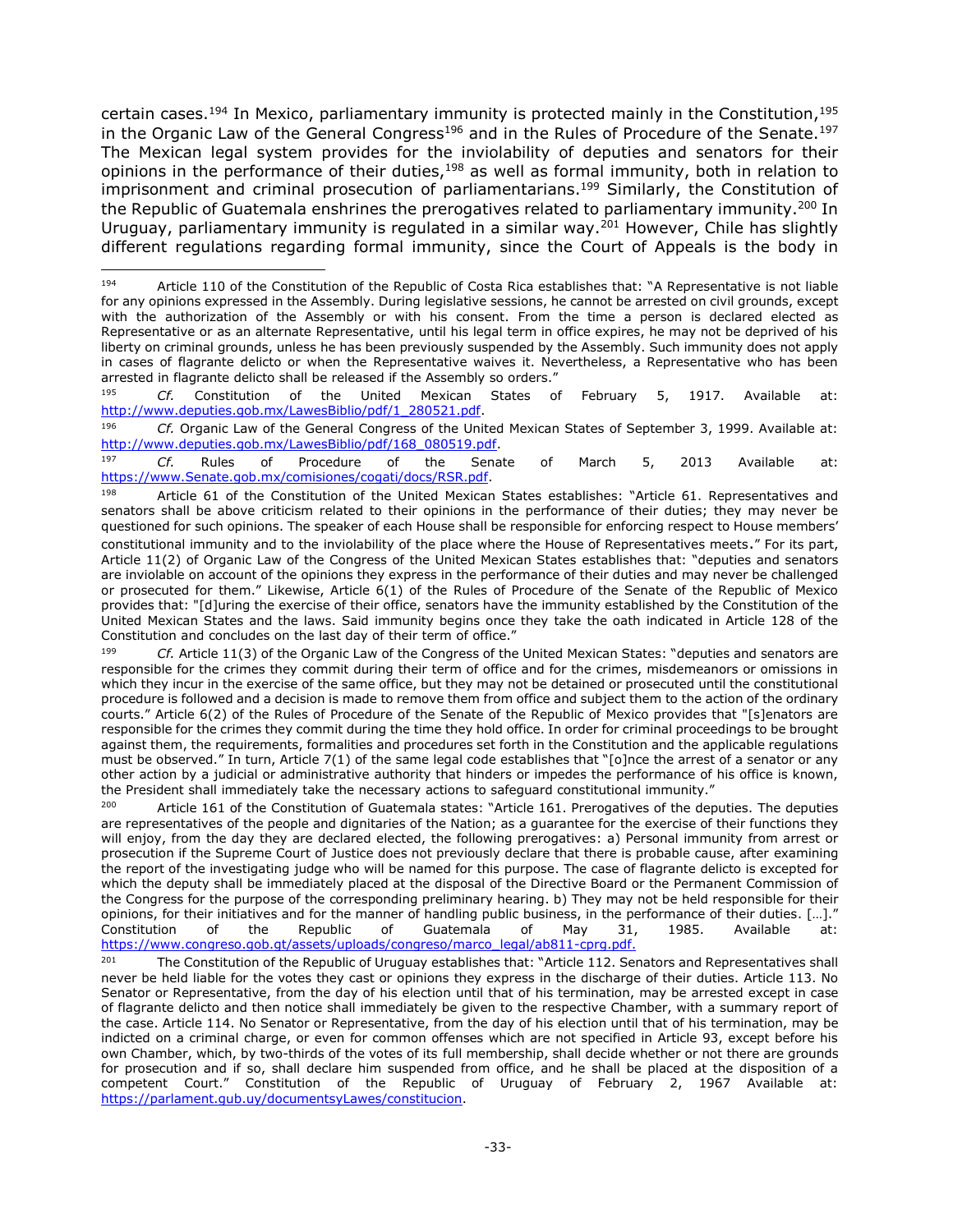certain cases.<sup>194</sup> In Mexico, parliamentary immunity is protected mainly in the Constitution,<sup>195</sup> in the Organic Law of the General Congress<sup>196</sup> and in the Rules of Procedure of the Senate.<sup>197</sup> The Mexican legal system provides for the inviolability of deputies and senators for their opinions in the performance of their duties,<sup>198</sup> as well as formal immunity, both in relation to imprisonment and criminal prosecution of parliamentarians.<sup>199</sup> Similarly, the Constitution of the Republic of Guatemala enshrines the prerogatives related to parliamentary immunity.<sup>200</sup> In Uruguay, parliamentary immunity is regulated in a similar way.<sup>201</sup> However, Chile has slightly different regulations regarding formal immunity, since the Court of Appeals is the body in

<sup>195</sup> *Cf.* Constitution of the United Mexican States of February 5, 1917. Available at: [http://www.deputies.gob.mx/LawesBiblio/pdf/1\\_280521.pdf.](http://www.diputados.gob.mx/LeyesBiblio/pdf/1_280521.pdf)

<sup>196</sup> *Cf.* Organic Law of the General Congress of the United Mexican States of September 3, 1999. Available at: [http://www.deputies.gob.mx/LawesBiblio/pdf/168\\_080519.pdf.](http://www.diputados.gob.mx/LeyesBiblio/pdf/168_080519.pdf)

<sup>197</sup> *Cf.* Rules of Procedure of the Senate of March 5, 2013 Available at: [https://www.Senate.gob.mx/comisiones/cogati/docs/RSR.pdf.](https://www.senado.gob.mx/comisiones/cogati/docs/RSR.pdf)

<sup>199</sup> *Cf.* Article 11(3) of the Organic Law of the Congress of the United Mexican States: "deputies and senators are responsible for the crimes they commit during their term of office and for the crimes, misdemeanors or omissions in which they incur in the exercise of the same office, but they may not be detained or prosecuted until the constitutional procedure is followed and a decision is made to remove them from office and subject them to the action of the ordinary courts." Article 6(2) of the Rules of Procedure of the Senate of the Republic of Mexico provides that "[s]enators are responsible for the crimes they commit during the time they hold office. In order for criminal proceedings to be brought against them, the requirements, formalities and procedures set forth in the Constitution and the applicable regulations must be observed." In turn, Article 7(1) of the same legal code establishes that "[o]nce the arrest of a senator or any other action by a judicial or administrative authority that hinders or impedes the performance of his office is known, the President shall immediately take the necessary actions to safeguard constitutional immunity."

Article 161 of the Constitution of Guatemala states: "Article 161. Prerogatives of the deputies. The deputies are representatives of the people and dignitaries of the Nation; as a guarantee for the exercise of their functions they will enjoy, from the day they are declared elected, the following prerogatives: a) Personal immunity from arrest or prosecution if the Supreme Court of Justice does not previously declare that there is probable cause, after examining the report of the investigating judge who will be named for this purpose. The case of flagrante delicto is excepted for which the deputy shall be immediately placed at the disposal of the Directive Board or the Permanent Commission of the Congress for the purpose of the corresponding preliminary hearing. b) They may not be held responsible for their opinions, for their initiatives and for the manner of handling public business, in the performance of their duties. […]." Constitution of the Republic of Guatemala of May 31, 1985. Available at: [https://www.congreso.gob.gt/assets/uploads/congreso/marco\\_legal/ab811-cprg.pdf.](https://www.congreso.gob.gt/assets/uploads/congreso/marco_legal/ab811-cprg.pdf)

<sup>201</sup> The Constitution of the Republic of Uruguay establishes that: "Article 112. Senators and Representatives shall never be held liable for the votes they cast or opinions they express in the discharge of their duties. Article 113. No Senator or Representative, from the day of his election until that of his termination, may be arrested except in case of flagrante delicto and then notice shall immediately be given to the respective Chamber, with a summary report of the case. Article 114. No Senator or Representative, from the day of his election until that of his termination, may be indicted on a criminal charge, or even for common offenses which are not specified in Article 93, except before his own Chamber, which, by two-thirds of the votes of its full membership, shall decide whether or not there are grounds for prosecution and if so, shall declare him suspended from office, and he shall be placed at the disposition of a competent Court." Constitution of the Republic of Uruguay of February 2, 1967 Available at: [https://parlament.gub.uy/documentsyLawes/constitucion.](https://parlamento.gub.uy/documentosyleyes/constitucion)

 $\overline{a}$ 194 Article 110 of the Constitution of the Republic of Costa Rica establishes that: "A Representative is not liable for any opinions expressed in the Assembly. During legislative sessions, he cannot be arrested on civil grounds, except with the authorization of the Assembly or with his consent. From the time a person is declared elected as Representative or as an alternate Representative, until his legal term in office expires, he may not be deprived of his liberty on criminal grounds, unless he has been previously suspended by the Assembly. Such immunity does not apply in cases of flagrante delicto or when the Representative waives it. Nevertheless, a Representative who has been arrested in flagrante delicto shall be released if the Assembly so orders."

<sup>&</sup>lt;sup>198</sup> Article 61 of the Constitution of the United Mexican States establishes: "Article 61. Representatives and senators shall be above criticism related to their opinions in the performance of their duties; they may never be questioned for such opinions. The speaker of each House shall be responsible for enforcing respect to House members' constitutional immunity and to the inviolability of the place where the House of Representatives meets." For its part, Article 11(2) of Organic Law of the Congress of the United Mexican States establishes that: "deputies and senators are inviolable on account of the opinions they express in the performance of their duties and may never be challenged or prosecuted for them." Likewise, Article 6(1) of the Rules of Procedure of the Senate of the Republic of Mexico provides that: "[d]uring the exercise of their office, senators have the immunity established by the Constitution of the United Mexican States and the laws. Said immunity begins once they take the oath indicated in Article 128 of the Constitution and concludes on the last day of their term of office."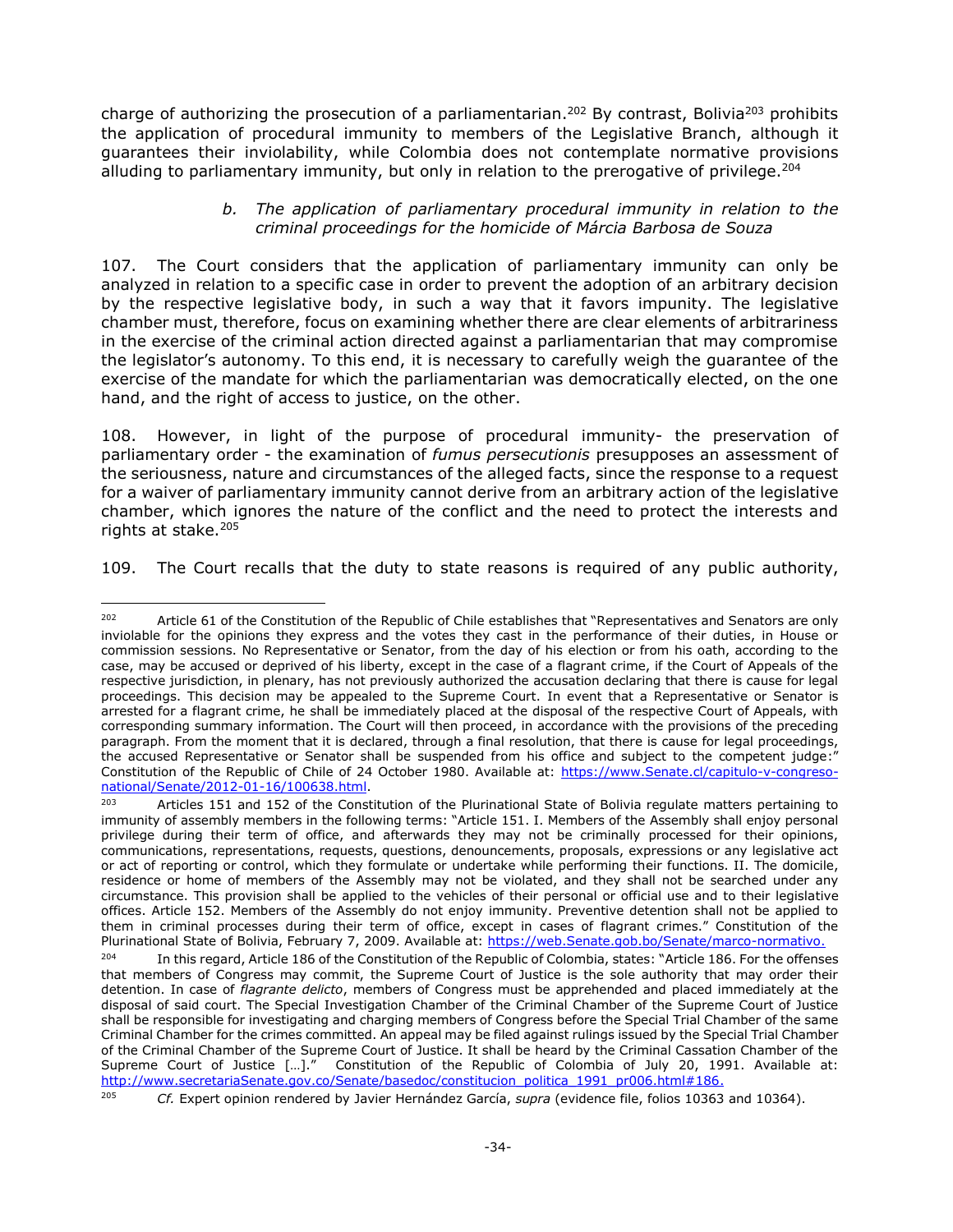charge of authorizing the prosecution of a parliamentarian.<sup>202</sup> By contrast, Bolivia<sup>203</sup> prohibits the application of procedural immunity to members of the Legislative Branch, although it guarantees their inviolability, while Colombia does not contemplate normative provisions alluding to parliamentary immunity, but only in relation to the prerogative of privilege.<sup>204</sup>

### *b. The application of parliamentary procedural immunity in relation to the criminal proceedings for the homicide of Márcia Barbosa de Souza*

<span id="page-33-0"></span>107. The Court considers that the application of parliamentary immunity can only be analyzed in relation to a specific case in order to prevent the adoption of an arbitrary decision by the respective legislative body, in such a way that it favors impunity. The legislative chamber must, therefore, focus on examining whether there are clear elements of arbitrariness in the exercise of the criminal action directed against a parliamentarian that may compromise the legislator's autonomy. To this end, it is necessary to carefully weigh the guarantee of the exercise of the mandate for which the parliamentarian was democratically elected, on the one hand, and the right of access to justice, on the other.

108. However, in light of the purpose of procedural immunity- the preservation of parliamentary order - the examination of *fumus persecutionis* presupposes an assessment of the seriousness, nature and circumstances of the alleged facts, since the response to a request for a waiver of parliamentary immunity cannot derive from an arbitrary action of the legislative chamber, which ignores the nature of the conflict and the need to protect the interests and rights at stake.<sup>205</sup>

109. The Court recalls that the duty to state reasons is required of any public authority,

 $\overline{a}$  $202$  Article 61 of the Constitution of the Republic of Chile establishes that "Representatives and Senators are only inviolable for the opinions they express and the votes they cast in the performance of their duties, in House or commission sessions. No Representative or Senator, from the day of his election or from his oath, according to the case, may be accused or deprived of his liberty, except in the case of a flagrant crime, if the Court of Appeals of the respective jurisdiction, in plenary, has not previously authorized the accusation declaring that there is cause for legal proceedings. This decision may be appealed to the Supreme Court. In event that a Representative or Senator is arrested for a flagrant crime, he shall be immediately placed at the disposal of the respective Court of Appeals, with corresponding summary information. The Court will then proceed, in accordance with the provisions of the preceding paragraph. From the moment that it is declared, through a final resolution, that there is cause for legal proceedings, the accused Representative or Senator shall be suspended from his office and subject to the competent judge:" Constitution of the Republic of Chile of 24 October 1980. Available at: [https://www.Senate.cl/capitulo-v-congreso](https://www.senado.cl/capitulo-v-congreso-nacional/senado/2012-01-16/100638.html)[national/Senate/2012-01-16/100638.html.](https://www.senado.cl/capitulo-v-congreso-nacional/senado/2012-01-16/100638.html)

<sup>&</sup>lt;sup>203</sup> Articles 151 and 152 of the Constitution of the Plurinational State of Bolivia regulate matters pertaining to immunity of assembly members in the following terms: "Article 151. I. Members of the Assembly shall enjoy personal privilege during their term of office, and afterwards they may not be criminally processed for their opinions, communications, representations, requests, questions, denouncements, proposals, expressions or any legislative act or act of reporting or control, which they formulate or undertake while performing their functions. II. The domicile, residence or home of members of the Assembly may not be violated, and they shall not be searched under any circumstance. This provision shall be applied to the vehicles of their personal or official use and to their legislative offices. Article 152. Members of the Assembly do not enjoy immunity. Preventive detention shall not be applied to them in criminal processes during their term of office, except in cases of flagrant crimes." Constitution of the Plurinational State of Bolivia, February 7, 2009. Available at: [https://web.Senate.gob.bo/Senate/marco-normativo.](https://web.senado.gob.bo/senado/marco-normativo)

<sup>&</sup>lt;sup>204</sup> In this regard, Article 186 of the Constitution of the Republic of Colombia, states: "Article 186. For the offenses that members of Congress may commit, the Supreme Court of Justice is the sole authority that may order their detention. In case of *flagrante delicto*, members of Congress must be apprehended and placed immediately at the disposal of said court. The Special Investigation Chamber of the Criminal Chamber of the Supreme Court of Justice shall be responsible for investigating and charging members of Congress before the Special Trial Chamber of the same Criminal Chamber for the crimes committed. An appeal may be filed against rulings issued by the Special Trial Chamber of the Criminal Chamber of the Supreme Court of Justice. It shall be heard by the Criminal Cassation Chamber of the Supreme Court of Justice […]." Constitution of the Republic of Colombia of July 20, 1991. Available at: [http://www.secretariaSenate.gov.co/Senate/basedoc/constitucion\\_politica\\_1991\\_pr006.html#186.](http://www.secretariasenado.gov.co/senado/basedoc/constitucion_politica_1991_pr006.html#186)

<sup>205</sup> *Cf.* Expert opinion rendered by Javier Hernández García, *supra* (evidence file, folios 10363 and 10364).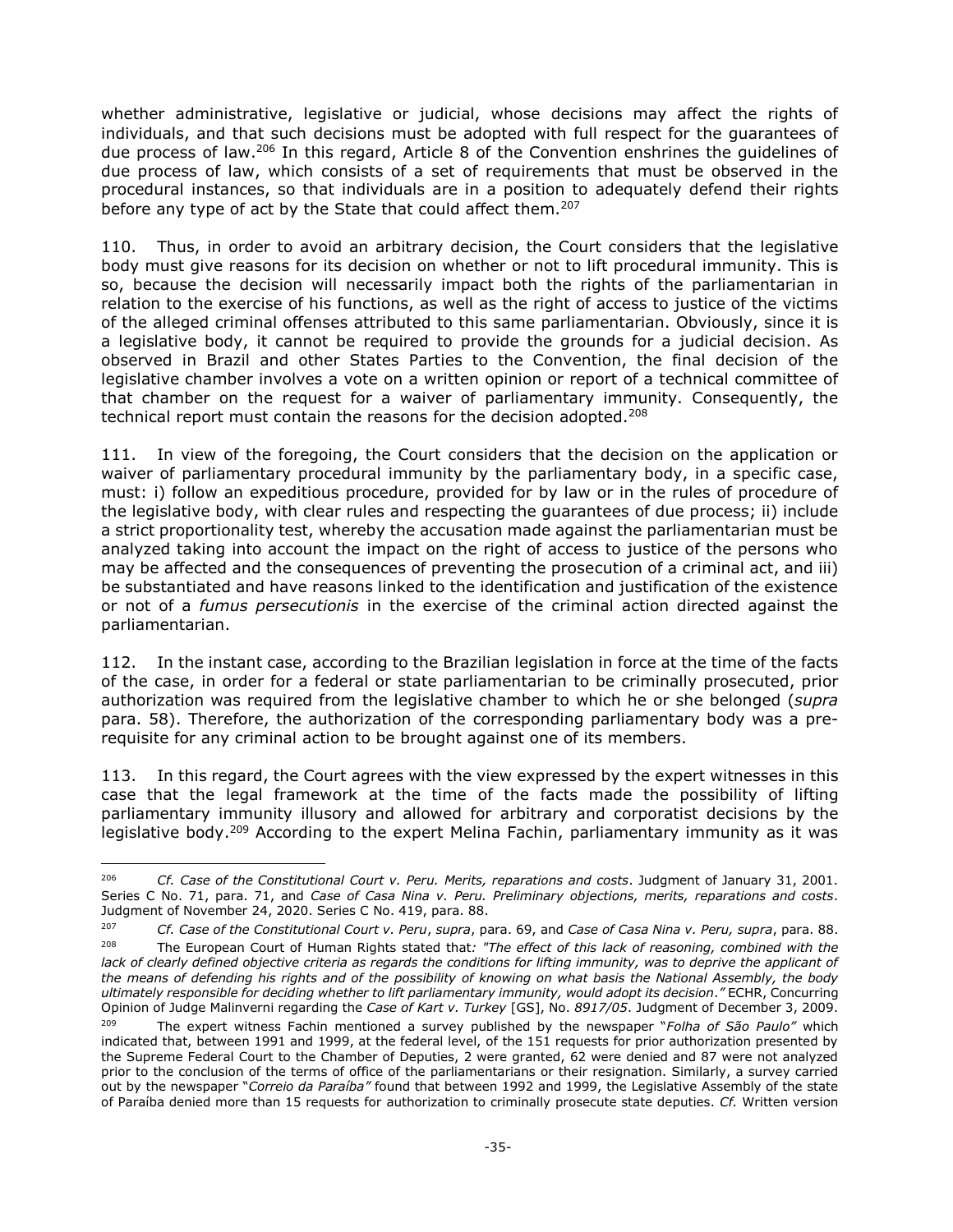whether administrative, legislative or judicial, whose decisions may affect the rights of individuals, and that such decisions must be adopted with full respect for the guarantees of due process of law.<sup>206</sup> In this regard, Article 8 of the Convention enshrines the guidelines of due process of law, which consists of a set of requirements that must be observed in the procedural instances, so that individuals are in a position to adequately defend their rights before any type of act by the State that could affect them.<sup>207</sup>

110. Thus, in order to avoid an arbitrary decision, the Court considers that the legislative body must give reasons for its decision on whether or not to lift procedural immunity. This is so, because the decision will necessarily impact both the rights of the parliamentarian in relation to the exercise of his functions, as well as the right of access to justice of the victims of the alleged criminal offenses attributed to this same parliamentarian. Obviously, since it is a legislative body, it cannot be required to provide the grounds for a judicial decision. As observed in Brazil and other States Parties to the Convention, the final decision of the legislative chamber involves a vote on a written opinion or report of a technical committee of that chamber on the request for a waiver of parliamentary immunity. Consequently, the technical report must contain the reasons for the decision adopted.<sup>208</sup>

111. In view of the foregoing, the Court considers that the decision on the application or waiver of parliamentary procedural immunity by the parliamentary body, in a specific case, must: i) follow an expeditious procedure, provided for by law or in the rules of procedure of the legislative body, with clear rules and respecting the guarantees of due process; ii) include a strict proportionality test, whereby the accusation made against the parliamentarian must be analyzed taking into account the impact on the right of access to justice of the persons who may be affected and the consequences of preventing the prosecution of a criminal act, and iii) be substantiated and have reasons linked to the identification and justification of the existence or not of a *fumus persecutionis* in the exercise of the criminal action directed against the parliamentarian.

112. In the instant case, according to the Brazilian legislation in force at the time of the facts of the case, in order for a federal or state parliamentarian to be criminally prosecuted, prior authorization was required from the legislative chamber to which he or she belonged (*supra* para. 58). Therefore, the authorization of the corresponding parliamentary body was a prerequisite for any criminal action to be brought against one of its members.

113. In this regard, the Court agrees with the view expressed by the expert witnesses in this case that the legal framework at the time of the facts made the possibility of lifting parliamentary immunity illusory and allowed for arbitrary and corporatist decisions by the legislative body.<sup>209</sup> According to the expert Melina Fachin, parliamentary immunity as it was

-

<sup>206</sup> *Cf. Case of the Constitutional Court v. Peru. Merits, reparations and costs*. Judgment of January 31, 2001. Series C No. 71, para. 71, and *Case of Casa Nina v. Peru. Preliminary objections, merits, reparations and costs*. Judgment of November 24, 2020. Series C No. 419, para. 88.

<sup>207</sup> *Cf. Case of the Constitutional Court v. Peru*, *supra*, para. 69, and *Case of Casa Nina v. Peru, supra*, para. 88. The European Court of Human Rights stated that: "The effect of this lack of reasoning, combined with the lack of clearly defined objective criteria as regards the conditions for lifting immunity, was to deprive the applicant of *the means of defending his rights and of the possibility of knowing on what basis the National Assembly, the body ultimately responsible for deciding whether to lift parliamentary immunity, would adopt its decision*.*"* ECHR, Concurring Opinion of Judge Malinverni regarding the *Case of Kart v. Turkey* [GS], No. *8917/05*. Judgment of December 3, 2009.

<sup>209</sup> The expert witness Fachin mentioned a survey published by the newspaper "*Folha of São Paulo"* which indicated that, between 1991 and 1999, at the federal level, of the 151 requests for prior authorization presented by the Supreme Federal Court to the Chamber of Deputies, 2 were granted, 62 were denied and 87 were not analyzed prior to the conclusion of the terms of office of the parliamentarians or their resignation. Similarly, a survey carried out by the newspaper "*Correio da Paraíba"* found that between 1992 and 1999, the Legislative Assembly of the state of Paraíba denied more than 15 requests for authorization to criminally prosecute state deputies. *Cf.* Written version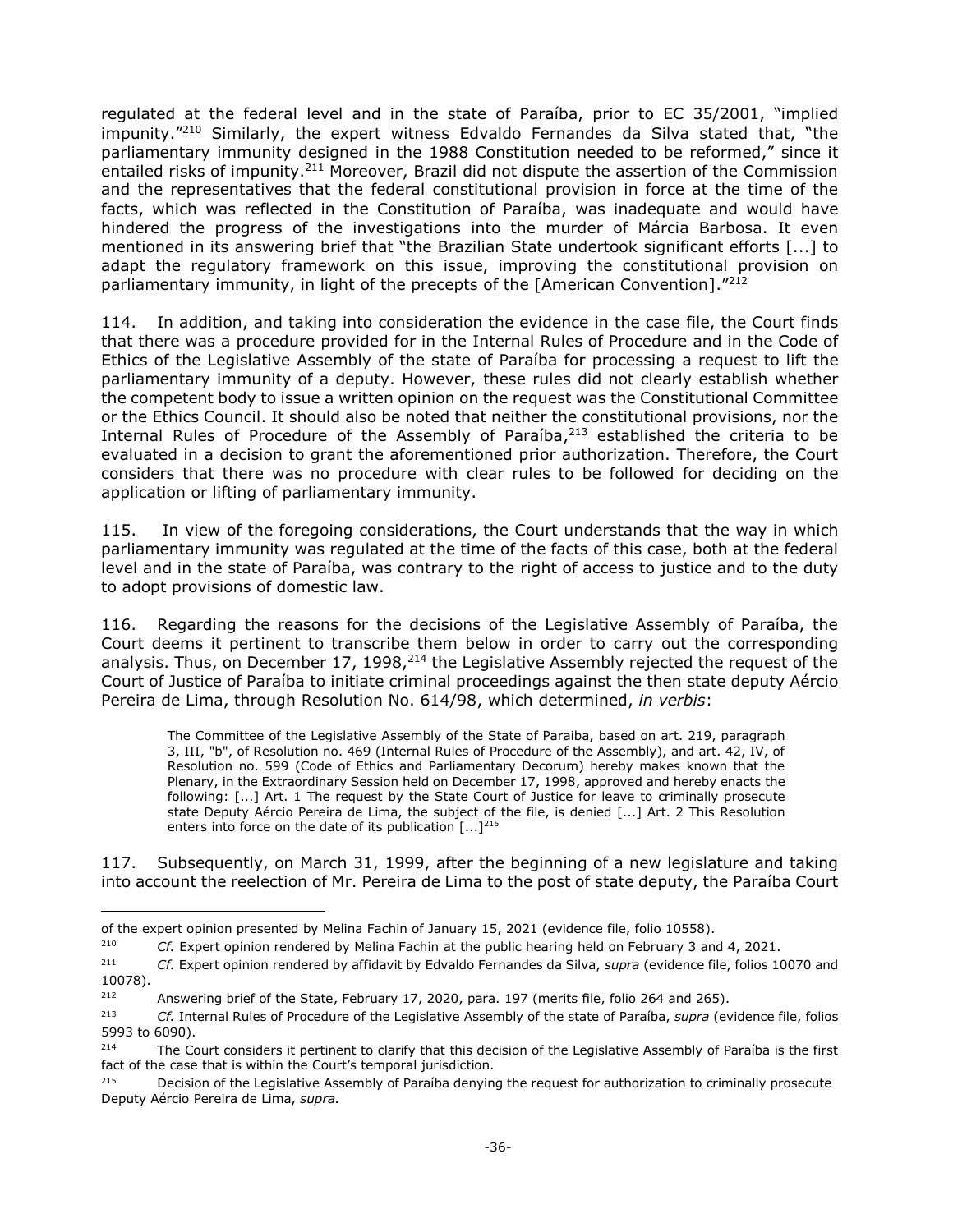regulated at the federal level and in the state of Paraíba, prior to EC 35/2001, "implied impunity." <sup>210</sup> Similarly, the expert witness Edvaldo Fernandes da Silva stated that, "the parliamentary immunity designed in the 1988 Constitution needed to be reformed," since it entailed risks of impunity.<sup>211</sup> Moreover, Brazil did not dispute the assertion of the Commission and the representatives that the federal constitutional provision in force at the time of the facts, which was reflected in the Constitution of Paraíba, was inadequate and would have hindered the progress of the investigations into the murder of Márcia Barbosa. It even mentioned in its answering brief that "the Brazilian State undertook significant efforts [...] to adapt the regulatory framework on this issue, improving the constitutional provision on parliamentary immunity, in light of the precepts of the [American Convention]."<sup>212</sup>

114. In addition, and taking into consideration the evidence in the case file, the Court finds that there was a procedure provided for in the Internal Rules of Procedure and in the Code of Ethics of the Legislative Assembly of the state of Paraíba for processing a request to lift the parliamentary immunity of a deputy. However, these rules did not clearly establish whether the competent body to issue a written opinion on the request was the Constitutional Committee or the Ethics Council. It should also be noted that neither the constitutional provisions, nor the Internal Rules of Procedure of the Assembly of Paraíba,<sup>213</sup> established the criteria to be evaluated in a decision to grant the aforementioned prior authorization. Therefore, the Court considers that there was no procedure with clear rules to be followed for deciding on the application or lifting of parliamentary immunity.

115. In view of the foregoing considerations, the Court understands that the way in which parliamentary immunity was regulated at the time of the facts of this case, both at the federal level and in the state of Paraíba, was contrary to the right of access to justice and to the duty to adopt provisions of domestic law.

116. Regarding the reasons for the decisions of the Legislative Assembly of Paraíba, the Court deems it pertinent to transcribe them below in order to carry out the corresponding analysis. Thus, on December 17, 1998,<sup>214</sup> the Legislative Assembly rejected the request of the Court of Justice of Paraíba to initiate criminal proceedings against the then state deputy Aércio Pereira de Lima, through Resolution No. 614/98, which determined, *in verbis*:

The Committee of the Legislative Assembly of the State of Paraiba, based on art. 219, paragraph 3, III, "b", of Resolution no. 469 (Internal Rules of Procedure of the Assembly), and art. 42, IV, of Resolution no. 599 (Code of Ethics and Parliamentary Decorum) hereby makes known that the Plenary, in the Extraordinary Session held on December 17, 1998, approved and hereby enacts the following: [...] Art. 1 The request by the State Court of Justice for leave to criminally prosecute state Deputy Aércio Pereira de Lima, the subject of the file, is denied [...] Art. 2 This Resolution enters into force on the date of its publication  $[...]^{215}$ 

117. Subsequently, on March 31, 1999, after the beginning of a new legislature and taking into account the reelection of Mr. Pereira de Lima to the post of state deputy, the Paraíba Court

j

of the expert opinion presented by Melina Fachin of January 15, 2021 (evidence file, folio 10558).

<sup>210</sup> *Cf.* Expert opinion rendered by Melina Fachin at the public hearing held on February 3 and 4, 2021.

<sup>211</sup> *Cf.* Expert opinion rendered by affidavit by Edvaldo Fernandes da Silva, *supra* (evidence file, folios 10070 and 10078).

<sup>&</sup>lt;sup>212</sup> Answering brief of the State, February 17, 2020, para. 197 (merits file, folio 264 and 265).

<sup>213</sup> *Cf.* Internal Rules of Procedure of the Legislative Assembly of the state of Paraíba, *supra* (evidence file, folios 5993 to 6090).

<sup>&</sup>lt;sup>214</sup> The Court considers it pertinent to clarify that this decision of the Legislative Assembly of Paraíba is the first fact of the case that is within the Court's temporal jurisdiction.

<sup>&</sup>lt;sup>215</sup> Decision of the Legislative Assembly of Paraíba denying the request for authorization to criminally prosecute Deputy Aércio Pereira de Lima, *supra.*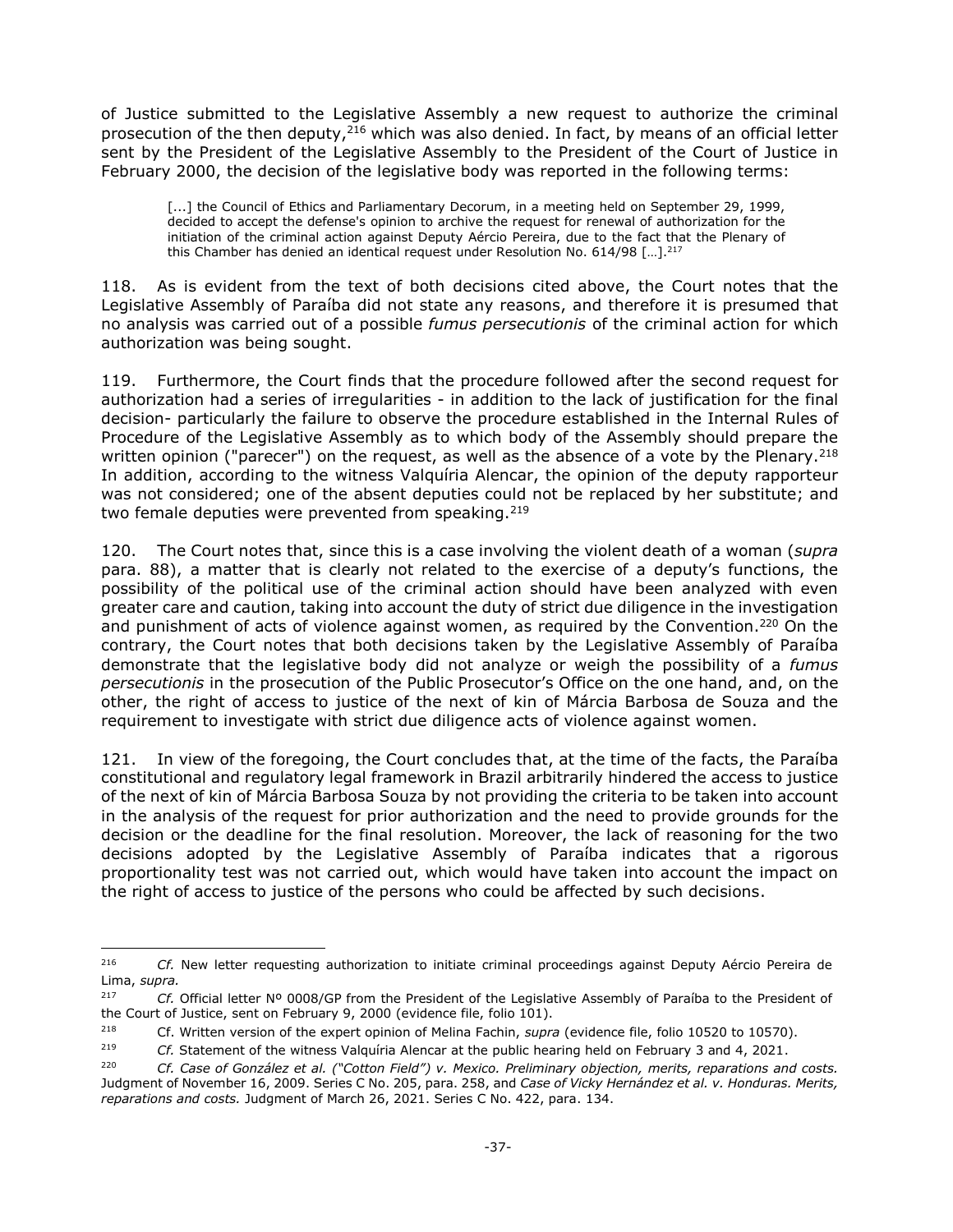of Justice submitted to the Legislative Assembly a new request to authorize the criminal prosecution of the then deputy,<sup>216</sup> which was also denied. In fact, by means of an official letter sent by the President of the Legislative Assembly to the President of the Court of Justice in February 2000, the decision of the legislative body was reported in the following terms:

[...] the Council of Ethics and Parliamentary Decorum, in a meeting held on September 29, 1999, decided to accept the defense's opinion to archive the request for renewal of authorization for the initiation of the criminal action against Deputy Aércio Pereira, due to the fact that the Plenary of this Chamber has denied an identical request under Resolution No. 614/98  $[...]^{217}$ 

118. As is evident from the text of both decisions cited above, the Court notes that the Legislative Assembly of Paraíba did not state any reasons, and therefore it is presumed that no analysis was carried out of a possible *fumus persecutionis* of the criminal action for which authorization was being sought.

119. Furthermore, the Court finds that the procedure followed after the second request for authorization had a series of irregularities - in addition to the lack of justification for the final decision- particularly the failure to observe the procedure established in the Internal Rules of Procedure of the Legislative Assembly as to which body of the Assembly should prepare the written opinion ("parecer") on the request, as well as the absence of a vote by the Plenary.<sup>218</sup> In addition, according to the witness Valquíria Alencar, the opinion of the deputy rapporteur was not considered; one of the absent deputies could not be replaced by her substitute; and two female deputies were prevented from speaking.<sup>219</sup>

120. The Court notes that, since this is a case involving the violent death of a woman (*supra* para. 88), a matter that is clearly not related to the exercise of a deputy's functions, the possibility of the political use of the criminal action should have been analyzed with even greater care and caution, taking into account the duty of strict due diligence in the investigation and punishment of acts of violence against women, as required by the Convention.<sup>220</sup> On the contrary, the Court notes that both decisions taken by the Legislative Assembly of Paraíba demonstrate that the legislative body did not analyze or weigh the possibility of a *fumus persecutionis* in the prosecution of the Public Prosecutor's Office on the one hand, and, on the other, the right of access to justice of the next of kin of Márcia Barbosa de Souza and the requirement to investigate with strict due diligence acts of violence against women.

121. In view of the foregoing, the Court concludes that, at the time of the facts, the Paraíba constitutional and regulatory legal framework in Brazil arbitrarily hindered the access to justice of the next of kin of Márcia Barbosa Souza by not providing the criteria to be taken into account in the analysis of the request for prior authorization and the need to provide grounds for the decision or the deadline for the final resolution. Moreover, the lack of reasoning for the two decisions adopted by the Legislative Assembly of Paraíba indicates that a rigorous proportionality test was not carried out, which would have taken into account the impact on the right of access to justice of the persons who could be affected by such decisions.

<sup>216</sup> <sup>216</sup> *Cf.* New letter requesting authorization to initiate criminal proceedings against Deputy Aércio Pereira de Lima, *supra.*

<sup>217</sup> *Cf.* Official letter Nº 0008/GP from the President of the Legislative Assembly of Paraíba to the President of the Court of Justice, sent on February 9, 2000 (evidence file, folio 101).

<sup>218</sup> Cf. Written version of the expert opinion of Melina Fachin, *supra* (evidence file, folio 10520 to 10570).

<sup>219</sup> *Cf.* Statement of the witness Valquíria Alencar at the public hearing held on February 3 and 4, 2021.

<sup>220</sup> *Cf. Case of González et al. ("Cotton Field") v. Mexico. Preliminary objection, merits, reparations and costs.* Judgment of November 16, 2009. Series C No. 205, para. 258, and *Case of Vicky Hernández et al. v. Honduras. Merits, reparations and costs.* Judgment of March 26, 2021. Series C No. 422, para. 134.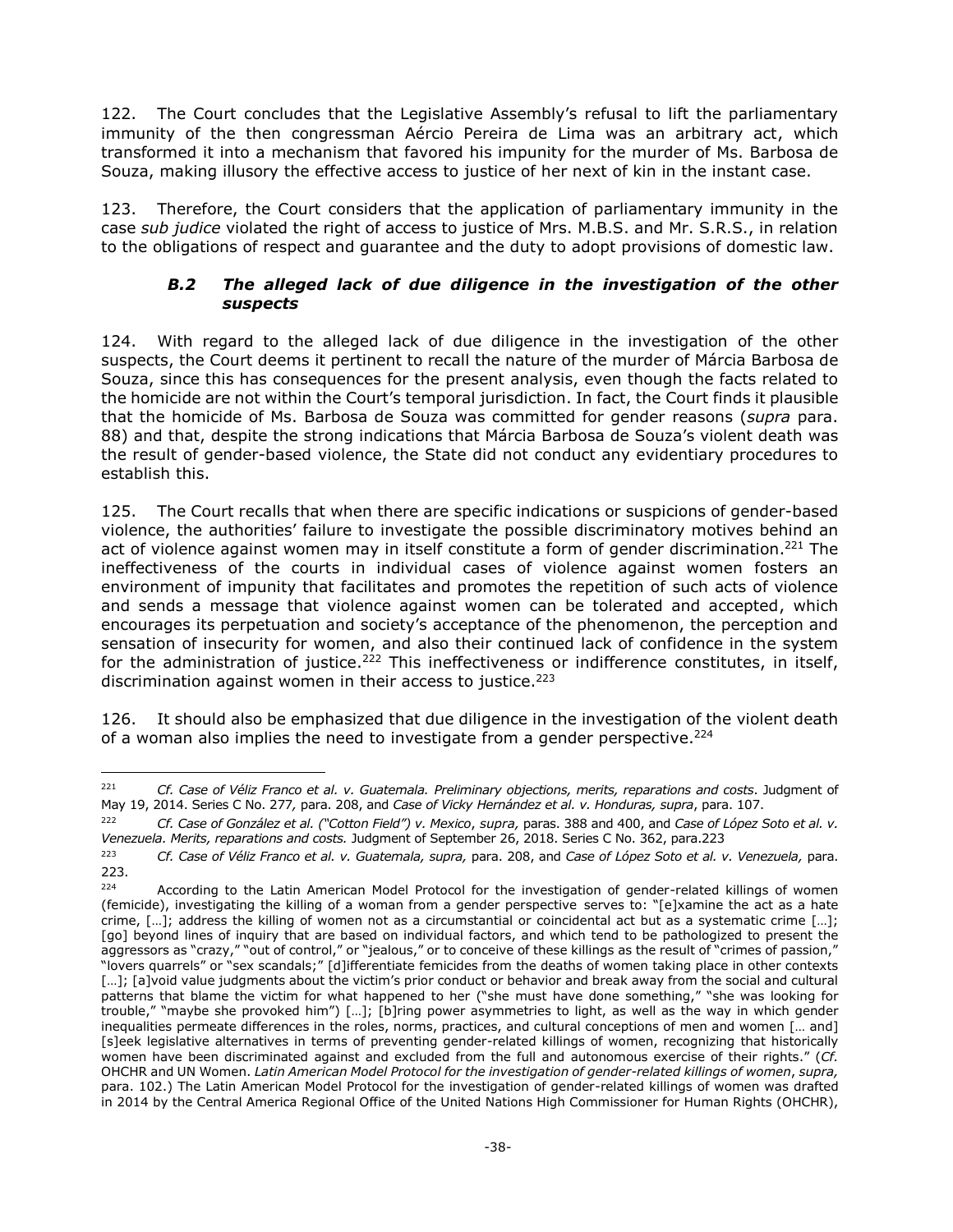122. The Court concludes that the Legislative Assembly's refusal to lift the parliamentary immunity of the then congressman Aércio Pereira de Lima was an arbitrary act, which transformed it into a mechanism that favored his impunity for the murder of Ms. Barbosa de Souza, making illusory the effective access to justice of her next of kin in the instant case.

123. Therefore, the Court considers that the application of parliamentary immunity in the case *sub judice* violated the right of access to justice of Mrs. M.B.S. and Mr. S.R.S., in relation to the obligations of respect and guarantee and the duty to adopt provisions of domestic law.

### *B.2 The alleged lack of due diligence in the investigation of the other suspects*

<span id="page-37-0"></span>124. With regard to the alleged lack of due diligence in the investigation of the other suspects, the Court deems it pertinent to recall the nature of the murder of Márcia Barbosa de Souza, since this has consequences for the present analysis, even though the facts related to the homicide are not within the Court's temporal jurisdiction. In fact, the Court finds it plausible that the homicide of Ms. Barbosa de Souza was committed for gender reasons (*supra* para. 88) and that, despite the strong indications that Márcia Barbosa de Souza's violent death was the result of gender-based violence, the State did not conduct any evidentiary procedures to establish this.

125. The Court recalls that when there are specific indications or suspicions of gender-based violence, the authorities' failure to investigate the possible discriminatory motives behind an act of violence against women may in itself constitute a form of gender discrimination.<sup>221</sup> The ineffectiveness of the courts in individual cases of violence against women fosters an environment of impunity that facilitates and promotes the repetition of such acts of violence and sends a message that violence against women can be tolerated and accepted, which encourages its perpetuation and society's acceptance of the phenomenon, the perception and sensation of insecurity for women, and also their continued lack of confidence in the system for the administration of justice.<sup>222</sup> This ineffectiveness or indifference constitutes, in itself, discrimination against women in their access to justice.<sup>223</sup>

126. It should also be emphasized that due diligence in the investigation of the violent death of a woman also implies the need to investigate from a gender perspective.<sup>224</sup>

 $221$ <sup>221</sup> *Cf. Case of Véliz Franco et al. v. Guatemala. Preliminary objections, merits, reparations and costs*. Judgment of May 19, 2014. Series C No. 277*,* para. 208, and *Case of Vicky Hernández et al. v. Honduras, supra*, para. 107.

<sup>222</sup> *Cf. Case of González et al. ("Cotton Field") v. Mexico*, *supra,* paras. 388 and 400, and *Case of López Soto et al. v. Venezuela. Merits, reparations and costs.* Judgment of September 26, 2018. Series C No. 362, para.223

<sup>223</sup> *Cf. Case of Véliz Franco et al. v. Guatemala, supra,* para. 208, and *Case of López Soto et al. v. Venezuela,* para. 223.

<sup>&</sup>lt;sup>224</sup> According to the Latin American Model Protocol for the investigation of gender-related killings of women (femicide), investigating the killing of a woman from a gender perspective serves to: "[e]xamine the act as a hate crime, […]; address the killing of women not as a circumstantial or coincidental act but as a systematic crime […]; [go] beyond lines of inquiry that are based on individual factors, and which tend to be pathologized to present the aggressors as "crazy," "out of control," or "jealous," or to conceive of these killings as the result of "crimes of passion," "lovers quarrels" or "sex scandals;" [d]ifferentiate femicides from the deaths of women taking place in other contexts [...]; [a]void value judgments about the victim's prior conduct or behavior and break away from the social and cultural patterns that blame the victim for what happened to her ("she must have done something," "she was looking for trouble," "maybe she provoked him") […]; [b]ring power asymmetries to light, as well as the way in which gender inequalities permeate differences in the roles, norms, practices, and cultural conceptions of men and women [… and] [s]eek legislative alternatives in terms of preventing gender-related killings of women, recognizing that historically women have been discriminated against and excluded from the full and autonomous exercise of their rights." (*Cf.* OHCHR and UN Women. *Latin American Model Protocol for the investigation of gender-related killings of women*, *supra,* para. 102.) The Latin American Model Protocol for the investigation of gender-related killings of women was drafted in 2014 by the Central America Regional Office of the United Nations High Commissioner for Human Rights (OHCHR),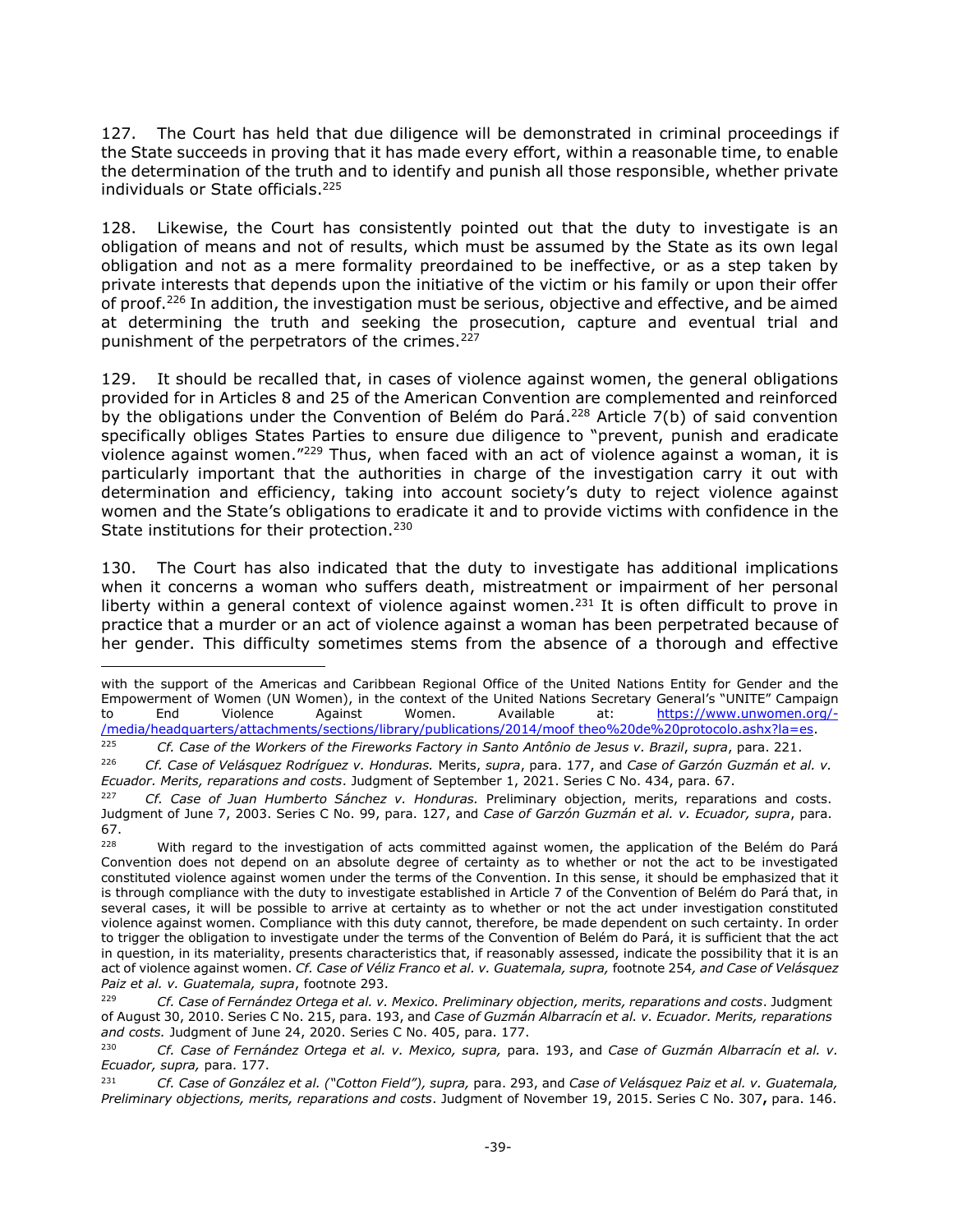127. The Court has held that due diligence will be demonstrated in criminal proceedings if the State succeeds in proving that it has made every effort, within a reasonable time, to enable the determination of the truth and to identify and punish all those responsible, whether private individuals or State officials. 225

128. Likewise, the Court has consistently pointed out that the duty to investigate is an obligation of means and not of results, which must be assumed by the State as its own legal obligation and not as a mere formality preordained to be ineffective, or as a step taken by private interests that depends upon the initiative of the victim or his family or upon their offer of proof.<sup>226</sup> In addition, the investigation must be serious, objective and effective, and be aimed at determining the truth and seeking the prosecution, capture and eventual trial and punishment of the perpetrators of the crimes.<sup>227</sup>

129. It should be recalled that, in cases of violence against women, the general obligations provided for in Articles 8 and 25 of the American Convention are complemented and reinforced by the obligations under the Convention of Belém do Pará.<sup>228</sup> Article 7(b) of said convention specifically obliges States Parties to ensure due diligence to "prevent, punish and eradicate violence against women."<sup>229</sup> Thus, when faced with an act of violence against a woman, it is particularly important that the authorities in charge of the investigation carry it out with determination and efficiency, taking into account society's duty to reject violence against women and the State's obligations to eradicate it and to provide victims with confidence in the State institutions for their protection.<sup>230</sup>

130. The Court has also indicated that the duty to investigate has additional implications when it concerns a woman who suffers death, mistreatment or impairment of her personal liberty within a general context of violence against women.<sup>231</sup> It is often difficult to prove in practice that a murder or an act of violence against a woman has been perpetrated because of her gender. This difficulty sometimes stems from the absence of a thorough and effective

<sup>225</sup> *Cf. Case of the Workers of the Fireworks Factory in Santo Antônio de Jesus v. Brazil*, *supra*, para. 221.

-

with the support of the Americas and Caribbean Regional Office of the United Nations Entity for Gender and the Empowerment of Women (UN Women), in the context of the United Nations Secretary General's "UNITE" Campaign to End Violence Against Women. Available at: [https://www.unwomen.org/-](https://www.unwomen.org/-/media/headquarters/attachments/sections/library/publications/2014/modelo%20de%20protocolo.ashx?la=es) [/media/headquarters/attachments/sections/library/publications/2014/moof theo%20de%20protocolo.ashx?la=es.](https://www.unwomen.org/-/media/headquarters/attachments/sections/library/publications/2014/modelo%20de%20protocolo.ashx?la=es)

<sup>226</sup> *Cf. Case of Velásquez Rodríguez v. Honduras.* Merits, *supra*, para. 177, and *Case of Garzón Guzmán et al. v. Ecuador. Merits, reparations and costs*. Judgment of September 1, 2021. Series C No. 434, para. 67.

Cf. Case of Juan Humberto Sánchez v. Honduras. Preliminary objection, merits, reparations and costs. Judgment of June 7, 2003. Series C No. 99, para. 127, and *Case of Garzón Guzmán et al. v. Ecuador, supra*, para. 67.

<sup>&</sup>lt;sup>228</sup> With regard to the investigation of acts committed against women, the application of the Belém do Pará Convention does not depend on an absolute degree of certainty as to whether or not the act to be investigated constituted violence against women under the terms of the Convention. In this sense, it should be emphasized that it is through compliance with the duty to investigate established in Article 7 of the Convention of Belém do Pará that, in several cases, it will be possible to arrive at certainty as to whether or not the act under investigation constituted violence against women. Compliance with this duty cannot, therefore, be made dependent on such certainty. In order to trigger the obligation to investigate under the terms of the Convention of Belém do Pará, it is sufficient that the act in question, in its materiality, presents characteristics that, if reasonably assessed, indicate the possibility that it is an act of violence against women. *Cf. Case of Véliz Franco et al. v. Guatemala, supra,* footnote 254*, and Case of Velásquez Paiz et al. v. Guatemala, supra*, footnote 293.

<sup>229</sup> *Cf. Case of Fernández Ortega et al. v. Mexico. Preliminary objection, merits, reparations and costs*. Judgment of August 30, 2010. Series C No. 215, para. 193, and *Case of Guzmán Albarracín et al. v. Ecuador. Merits, reparations and costs.* Judgment of June 24, 2020. Series C No. 405, para. 177.

<sup>230</sup> *Cf. Case of Fernández Ortega et al. v. Mexico, supra,* para. 193, and *Case of Guzmán Albarracín et al. v. Ecuador, supra,* para. 177.

<sup>231</sup> *Cf. Case of González et al. ("Cotton Field"), supra,* para. 293, and *Case of Velásquez Paiz et al. v. Guatemala, Preliminary objections, merits, reparations and costs*. Judgment of November 19, 2015. Series C No. 307**,** para. 146.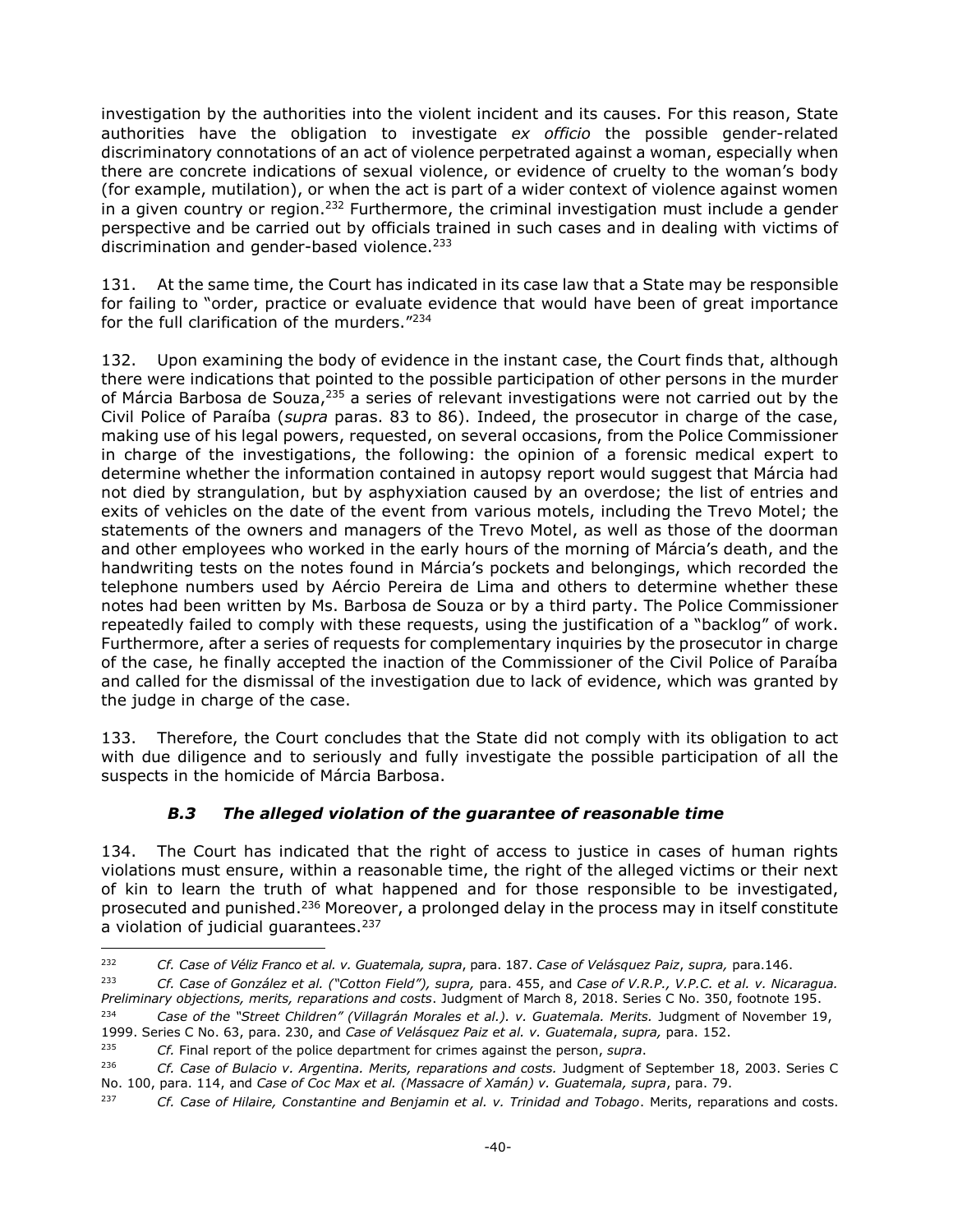investigation by the authorities into the violent incident and its causes. For this reason, State authorities have the obligation to investigate *ex officio* the possible gender-related discriminatory connotations of an act of violence perpetrated against a woman, especially when there are concrete indications of sexual violence, or evidence of cruelty to the woman's body (for example, mutilation), or when the act is part of a wider context of violence against women in a given country or region.<sup>232</sup> Furthermore, the criminal investigation must include a gender perspective and be carried out by officials trained in such cases and in dealing with victims of discrimination and gender-based violence.<sup>233</sup>

131. At the same time, the Court has indicated in its case law that a State may be responsible for failing to "order, practice or evaluate evidence that would have been of great importance for the full clarification of the murders."<sup>234</sup>

132. Upon examining the body of evidence in the instant case, the Court finds that, although there were indications that pointed to the possible participation of other persons in the murder of Márcia Barbosa de Souza,<sup>235</sup> a series of relevant investigations were not carried out by the Civil Police of Paraíba (*supra* paras. 83 to 86). Indeed, the prosecutor in charge of the case, making use of his legal powers, requested, on several occasions, from the Police Commissioner in charge of the investigations, the following: the opinion of a forensic medical expert to determine whether the information contained in autopsy report would suggest that Márcia had not died by strangulation, but by asphyxiation caused by an overdose; the list of entries and exits of vehicles on the date of the event from various motels, including the Trevo Motel; the statements of the owners and managers of the Trevo Motel, as well as those of the doorman and other employees who worked in the early hours of the morning of Márcia's death, and the handwriting tests on the notes found in Márcia's pockets and belongings, which recorded the telephone numbers used by Aércio Pereira de Lima and others to determine whether these notes had been written by Ms. Barbosa de Souza or by a third party. The Police Commissioner repeatedly failed to comply with these requests, using the justification of a "backlog" of work. Furthermore, after a series of requests for complementary inquiries by the prosecutor in charge of the case, he finally accepted the inaction of the Commissioner of the Civil Police of Paraíba and called for the dismissal of the investigation due to lack of evidence, which was granted by the judge in charge of the case.

133. Therefore, the Court concludes that the State did not comply with its obligation to act with due diligence and to seriously and fully investigate the possible participation of all the suspects in the homicide of Márcia Barbosa.

# *B.3 The alleged violation of the guarantee of reasonable time*

<span id="page-39-0"></span>134. The Court has indicated that the right of access to justice in cases of human rights violations must ensure, within a reasonable time, the right of the alleged victims or their next of kin to learn the truth of what happened and for those responsible to be investigated, prosecuted and punished.<sup>236</sup> Moreover, a prolonged delay in the process may in itself constitute a violation of judicial quarantees.<sup>237</sup>

<sup>232</sup> <sup>232</sup> *Cf. Case of Véliz Franco et al. v. Guatemala, supra*, para. 187. *Case of Velásquez Paiz*, *supra,* para.146.

<sup>233</sup> *Cf. Case of González et al. ("Cotton Field"), supra,* para. 455, and *Case of V.R.P., V.P.C. et al. v. Nicaragua. Preliminary objections, merits, reparations and costs*. Judgment of March 8, 2018. Series C No. 350, footnote 195.

<sup>234</sup> *Case of the "Street Children" (Villagrán Morales et al.). v. Guatemala. Merits.* Judgment of November 19, 1999. Series C No. 63, para. 230, and *Case of Velásquez Paiz et al. v. Guatemala*, *supra,* para. 152.

<sup>235</sup> *Cf.* Final report of the police department for crimes against the person, *supra*.

<sup>&</sup>lt;sup>236</sup> *Cf. Case of Bulacio v. Argentina. Merits, reparations and costs. Judgment of September 18, 2003. Series C* No. 100, para. 114, and *Case of Coc Max et al. (Massacre of Xamán) v. Guatemala, supra*, para. 79.

<sup>237</sup> *Cf. Case of Hilaire, Constantine and Benjamin et al. v. Trinidad and Tobago*. Merits, reparations and costs.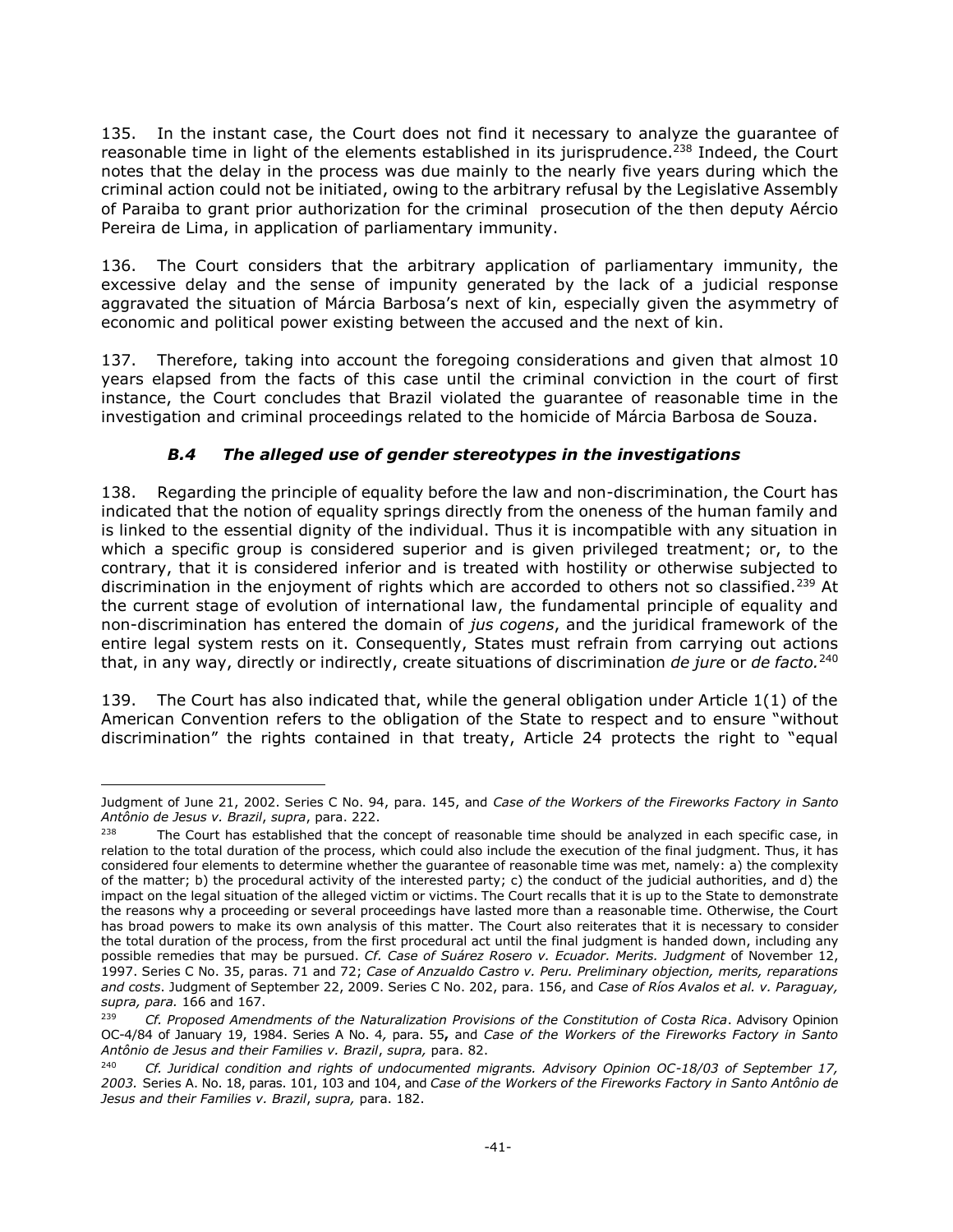135. In the instant case, the Court does not find it necessary to analyze the guarantee of reasonable time in light of the elements established in its jurisprudence.<sup>238</sup> Indeed, the Court notes that the delay in the process was due mainly to the nearly five years during which the criminal action could not be initiated, owing to the arbitrary refusal by the Legislative Assembly of Paraiba to grant prior authorization for the criminal prosecution of the then deputy Aércio Pereira de Lima, in application of parliamentary immunity.

136. The Court considers that the arbitrary application of parliamentary immunity, the excessive delay and the sense of impunity generated by the lack of a judicial response aggravated the situation of Márcia Barbosa's next of kin, especially given the asymmetry of economic and political power existing between the accused and the next of kin.

137. Therefore, taking into account the foregoing considerations and given that almost 10 years elapsed from the facts of this case until the criminal conviction in the court of first instance, the Court concludes that Brazil violated the guarantee of reasonable time in the investigation and criminal proceedings related to the homicide of Márcia Barbosa de Souza.

# *B.4 The alleged use of gender stereotypes in the investigations*

<span id="page-40-0"></span>138. Regarding the principle of equality before the law and non-discrimination, the Court has indicated that the notion of equality springs directly from the oneness of the human family and is linked to the essential dignity of the individual. Thus it is incompatible with any situation in which a specific group is considered superior and is given privileged treatment; or, to the contrary, that it is considered inferior and is treated with hostility or otherwise subjected to discrimination in the enjoyment of rights which are accorded to others not so classified.<sup>239</sup> At the current stage of evolution of international law, the fundamental principle of equality and non-discrimination has entered the domain of *jus cogens*, and the juridical framework of the entire legal system rests on it. Consequently, States must refrain from carrying out actions that, in any way, directly or indirectly, create situations of discrimination *de jure* or *de facto.* 240

139. The Court has also indicated that, while the general obligation under Article  $1(1)$  of the American Convention refers to the obligation of the State to respect and to ensure "without discrimination" the rights contained in that treaty, Article 24 protects the right to "equal

<sup>-</sup>Judgment of June 21, 2002. Series C No. 94, para. 145, and *Case of the Workers of the Fireworks Factory in Santo Antônio de Jesus v. Brazil*, *supra*, para. 222.

 $238$  The Court has established that the concept of reasonable time should be analyzed in each specific case, in relation to the total duration of the process, which could also include the execution of the final judgment. Thus, it has considered four elements to determine whether the guarantee of reasonable time was met, namely: a) the complexity of the matter; b) the procedural activity of the interested party; c) the conduct of the judicial authorities, and d) the impact on the legal situation of the alleged victim or victims. The Court recalls that it is up to the State to demonstrate the reasons why a proceeding or several proceedings have lasted more than a reasonable time. Otherwise, the Court has broad powers to make its own analysis of this matter. The Court also reiterates that it is necessary to consider the total duration of the process, from the first procedural act until the final judgment is handed down, including any possible remedies that may be pursued. *Cf. Case of Suárez Rosero v. Ecuador. Merits. Judgment* of November 12, 1997. Series C No. 35, paras. 71 and 72; *Case of Anzualdo Castro v. Peru. Preliminary objection, merits, reparations and costs*. Judgment of September 22, 2009. Series C No. 202, para. 156, and *Case of Ríos Avalos et al. v. Paraguay, supra, para.* 166 and 167.

<sup>239</sup> *Cf. Proposed Amendments of the Naturalization Provisions of the Constitution of Costa Rica*. Advisory Opinion OC-4/84 of January 19, 1984. Series A No. 4*,* para. 55**,** and *Case of the Workers of the Fireworks Factory in Santo Antônio de Jesus and their Families v. Brazil*, *supra,* para. 82.

<sup>&</sup>lt;sup>240</sup> *Cf. Juridical condition and rights of undocumented migrants. Advisory Opinion OC-18/03 of September 17, 2003.* Series A. No. 18, paras. 101, 103 and 104, and *Case of the Workers of the Fireworks Factory in Santo Antônio de Jesus and their Families v. Brazil*, *supra,* para. 182.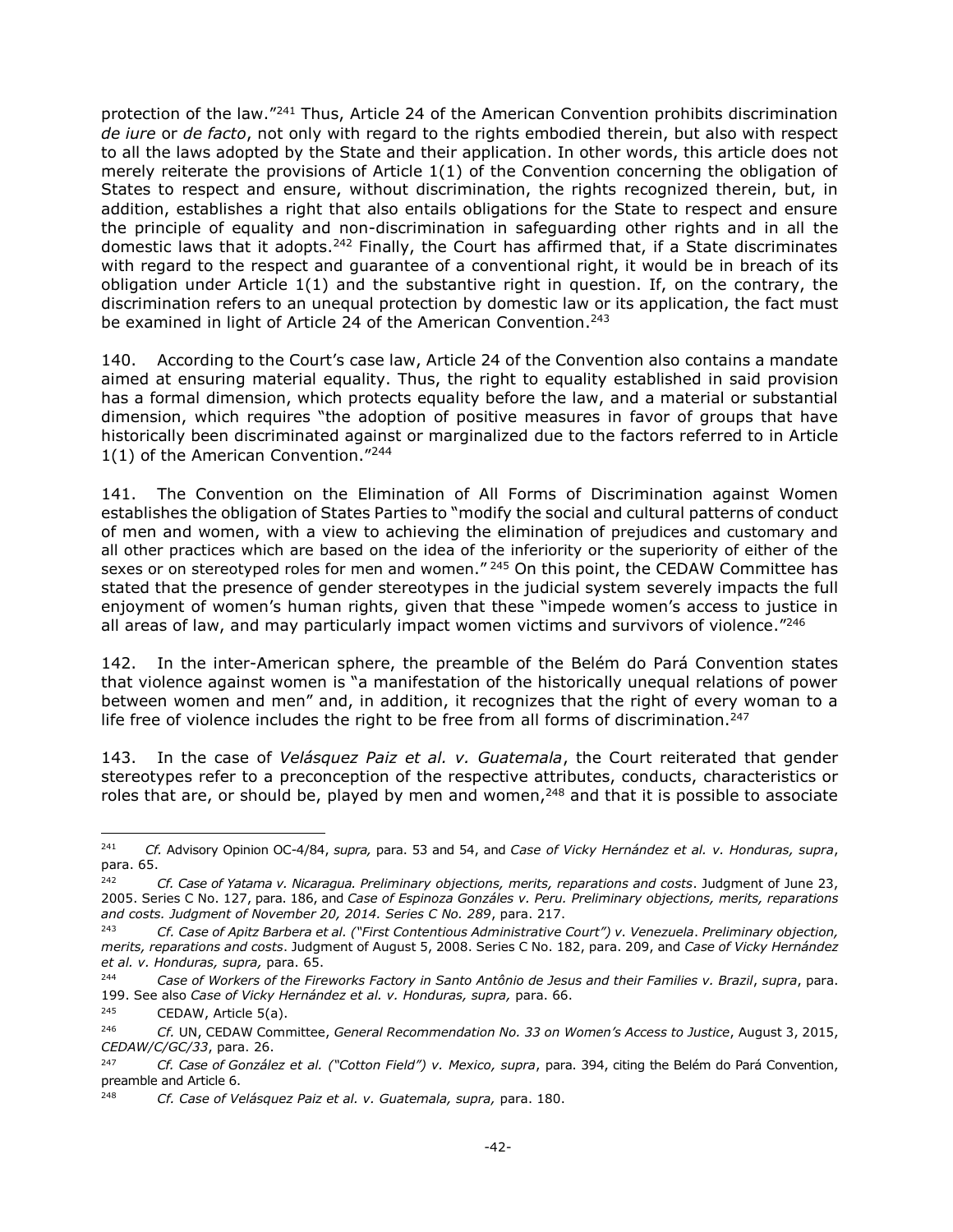protection of the law."<sup>241</sup> Thus, Article 24 of the American Convention prohibits discrimination *de iure* or *de facto*, not only with regard to the rights embodied therein, but also with respect to all the laws adopted by the State and their application. In other words, this article does not merely reiterate the provisions of Article 1(1) of the Convention concerning the obligation of States to respect and ensure, without discrimination, the rights recognized therein, but, in addition, establishes a right that also entails obligations for the State to respect and ensure the principle of equality and non-discrimination in safeguarding other rights and in all the domestic laws that it adopts.<sup>242</sup> Finally, the Court has affirmed that, if a State discriminates with regard to the respect and guarantee of a conventional right, it would be in breach of its obligation under Article 1(1) and the substantive right in question. If, on the contrary, the discrimination refers to an unequal protection by domestic law or its application, the fact must be examined in light of Article 24 of the American Convention.<sup>243</sup>

140. According to the Court's case law, Article 24 of the Convention also contains a mandate aimed at ensuring material equality. Thus, the right to equality established in said provision has a formal dimension, which protects equality before the law, and a material or substantial dimension, which requires "the adoption of positive measures in favor of groups that have historically been discriminated against or marginalized due to the factors referred to in Article 1(1) of the American Convention. $"^{244}$ 

141. The Convention on the Elimination of All Forms of Discrimination against Women establishes the obligation of States Parties to "modify the social and cultural patterns of conduct of men and women, with a view to achieving the elimination of prejudices and customary and all other practices which are based on the idea of the inferiority or the superiority of either of the sexes or on stereotyped roles for men and women."<sup>245</sup> On this point, the CEDAW Committee has stated that the presence of gender stereotypes in the judicial system severely impacts the full enjoyment of women's human rights, given that these "impede women's access to justice in all areas of law, and may particularly impact women victims and survivors of violence. $"246"$ 

142. In the inter-American sphere, the preamble of the Belém do Pará Convention states that violence against women is "a manifestation of the historically unequal relations of power between women and men" and, in addition, it recognizes that the right of every woman to a life free of violence includes the right to be free from all forms of discrimination.<sup>247</sup>

143. In the case of *Velásquez Paiz et al. v. Guatemala*, the Court reiterated that gender stereotypes refer to a preconception of the respective attributes, conducts, characteristics or roles that are, or should be, played by men and women, $248$  and that it is possible to associate

 $\overline{a}$ 

<sup>241</sup> *Cf.* Advisory Opinion OC-4/84, *supra,* para. 53 and 54, and *Case of Vicky Hernández et al. v. Honduras, supra*, para. 65.

<sup>242</sup> *Cf. Case of Yatama v. Nicaragua. Preliminary objections, merits, reparations and costs*. Judgment of June 23, 2005. Series C No. 127, para. 186, and *Case of Espinoza Gonzáles v. Peru. Preliminary objections, merits, reparations and costs. Judgment of November 20, 2014. Series C No. 289*, para. 217.

<sup>243</sup> *Cf. Case of Apitz Barbera et al. ("First Contentious Administrative Court") v. Venezuela*. *Preliminary objection, merits, reparations and costs*. Judgment of August 5, 2008. Series C No. 182, para. 209, and *Case of Vicky Hernández et al. v. Honduras, supra,* para. 65.

<sup>244</sup> *Case of Workers of the Fireworks Factory in Santo Antônio de Jesus and their Families v. Brazil*, *supra*, para. 199. See also *Case of Vicky Hernández et al. v. Honduras, supra,* para. 66.

<sup>245</sup> CEDAW, Article 5(a).

<sup>246</sup> *Cf.* UN, CEDAW Committee, *General Recommendation No. 33 on Women's Access to Justice*, August 3, 2015, *CEDAW/C/GC/33*, para. 26.

<sup>247</sup> *Cf. Case of González et al. ("Cotton Field") v. Mexico, supra*, para. 394, citing the Belém do Pará Convention, preamble and Article 6.

<sup>248</sup> *Cf. Case of Velásquez Paiz et al. v. Guatemala, supra,* para. 180.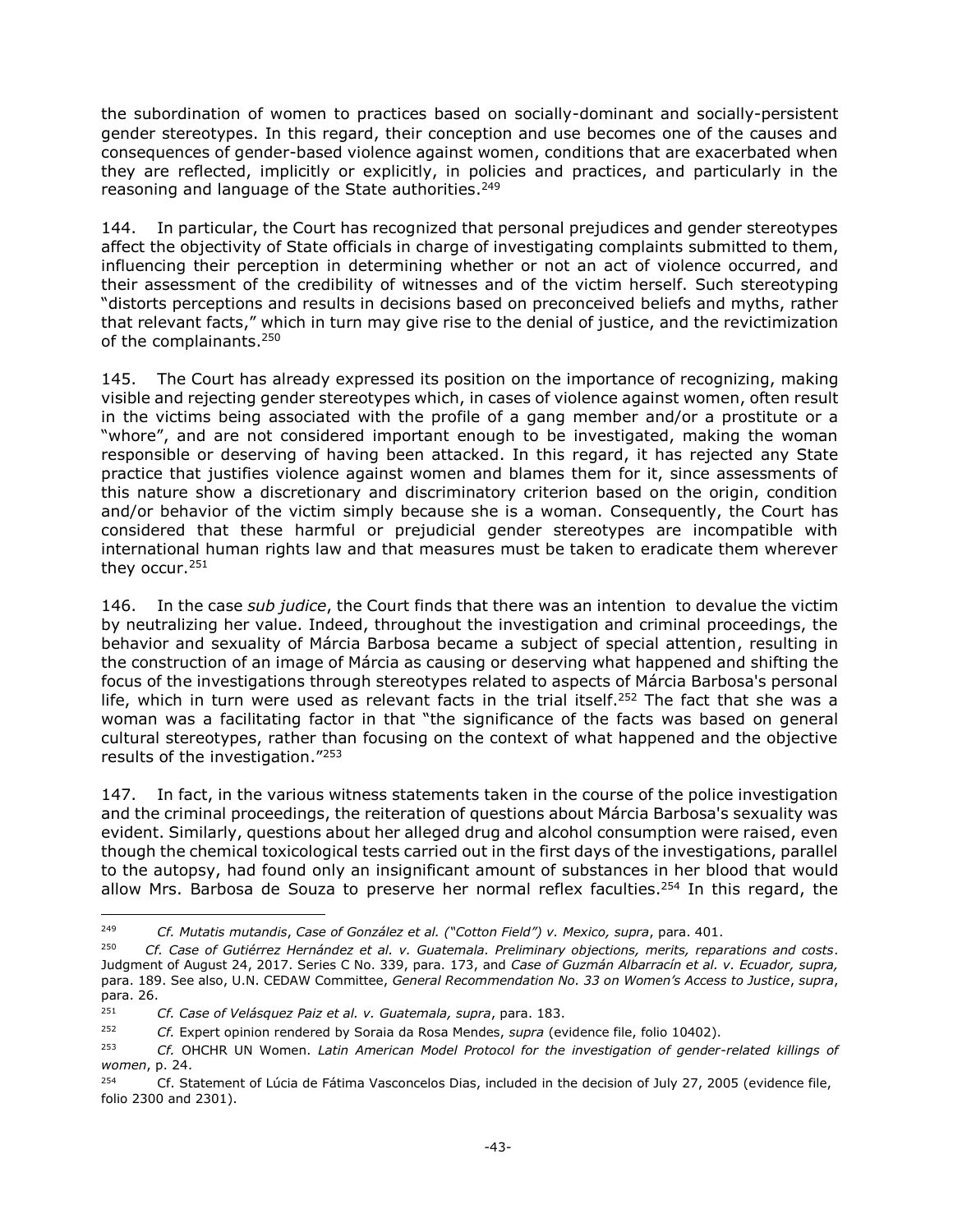the subordination of women to practices based on socially-dominant and socially-persistent gender stereotypes. In this regard, their conception and use becomes one of the causes and consequences of gender-based violence against women, conditions that are exacerbated when they are reflected, implicitly or explicitly, in policies and practices, and particularly in the reasoning and language of the State authorities.<sup>249</sup>

144. In particular, the Court has recognized that personal prejudices and gender stereotypes affect the objectivity of State officials in charge of investigating complaints submitted to them, influencing their perception in determining whether or not an act of violence occurred, and their assessment of the credibility of witnesses and of the victim herself. Such stereotyping "distorts perceptions and results in decisions based on preconceived beliefs and myths, rather that relevant facts," which in turn may give rise to the denial of justice, and the revictimization of the complainants.<sup>250</sup>

145. The Court has already expressed its position on the importance of recognizing, making visible and rejecting gender stereotypes which, in cases of violence against women, often result in the victims being associated with the profile of a gang member and/or a prostitute or a "whore", and are not considered important enough to be investigated, making the woman responsible or deserving of having been attacked. In this regard, it has rejected any State practice that justifies violence against women and blames them for it, since assessments of this nature show a discretionary and discriminatory criterion based on the origin, condition and/or behavior of the victim simply because she is a woman. Consequently, the Court has considered that these harmful or prejudicial gender stereotypes are incompatible with international human rights law and that measures must be taken to eradicate them wherever they occur. 251

146. In the case *sub judice*, the Court finds that there was an intention to devalue the victim by neutralizing her value. Indeed, throughout the investigation and criminal proceedings, the behavior and sexuality of Márcia Barbosa became a subject of special attention, resulting in the construction of an image of Márcia as causing or deserving what happened and shifting the focus of the investigations through stereotypes related to aspects of Márcia Barbosa's personal life, which in turn were used as relevant facts in the trial itself.<sup>252</sup> The fact that she was a woman was a facilitating factor in that "the significance of the facts was based on general cultural stereotypes, rather than focusing on the context of what happened and the objective results of the investigation."<sup>253</sup>

147. In fact, in the various witness statements taken in the course of the police investigation and the criminal proceedings, the reiteration of questions about Márcia Barbosa's sexuality was evident. Similarly, questions about her alleged drug and alcohol consumption were raised, even though the chemical toxicological tests carried out in the first days of the investigations, parallel to the autopsy, had found only an insignificant amount of substances in her blood that would allow Mrs. Barbosa de Souza to preserve her normal reflex faculties.<sup>254</sup> In this regard, the

 $\overline{a}$ 

<sup>249</sup> *Cf. Mutatis mutandis*, *Case of González et al. ("Cotton Field") v. Mexico, supra*, para. 401.

<sup>250</sup> *Cf. Case of Gutiérrez Hernández et al. v. Guatemala. Preliminary objections, merits, reparations and costs*. Judgment of August 24, 2017. Series C No. 339, para. 173, and *Case of Guzmán Albarracín et al. v. Ecuador, supra,*  para. 189. See also, U.N. CEDAW Committee, *General Recommendation No. 33 on Women's Access to Justice*, *supra*, para. 26.

<sup>251</sup> *Cf. Case of Velásquez Paiz et al. v. Guatemala, supra*, para. 183.

<sup>252</sup> *Cf.* Expert opinion rendered by Soraia da Rosa Mendes, *supra* (evidence file, folio 10402).

<sup>253</sup> *Cf.* OHCHR UN Women. *Latin American Model Protocol for the investigation of gender-related killings of women*, p. 24.

 $254$  Cf. Statement of Lúcia de Fátima Vasconcelos Dias, included in the decision of July 27, 2005 (evidence file, folio 2300 and 2301).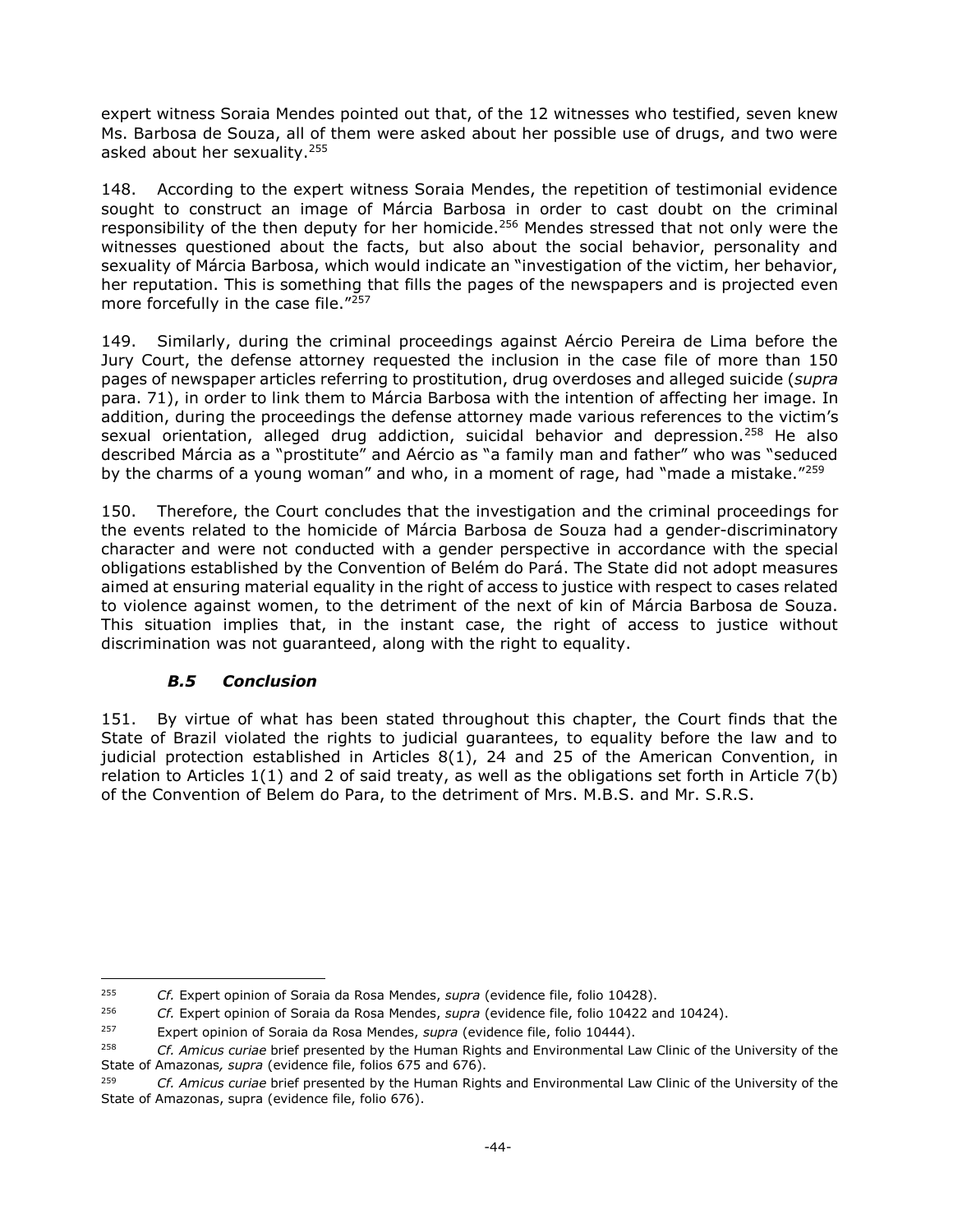expert witness Soraia Mendes pointed out that, of the 12 witnesses who testified, seven knew Ms. Barbosa de Souza, all of them were asked about her possible use of drugs, and two were asked about her sexuality.<sup>255</sup>

148. According to the expert witness Soraia Mendes, the repetition of testimonial evidence sought to construct an image of Márcia Barbosa in order to cast doubt on the criminal responsibility of the then deputy for her homicide.<sup>256</sup> Mendes stressed that not only were the witnesses questioned about the facts, but also about the social behavior, personality and sexuality of Márcia Barbosa, which would indicate an "investigation of the victim, her behavior, her reputation. This is something that fills the pages of the newspapers and is projected even more forcefully in the case file."<sup>257</sup>

149. Similarly, during the criminal proceedings against Aércio Pereira de Lima before the Jury Court, the defense attorney requested the inclusion in the case file of more than 150 pages of newspaper articles referring to prostitution, drug overdoses and alleged suicide (*supra* para. 71), in order to link them to Márcia Barbosa with the intention of affecting her image. In addition, during the proceedings the defense attorney made various references to the victim's sexual orientation, alleged drug addiction, suicidal behavior and depression.<sup>258</sup> He also described Márcia as a "prostitute" and Aércio as "a family man and father" who was "seduced by the charms of a young woman" and who, in a moment of rage, had "made a mistake."<sup>259</sup>

150. Therefore, the Court concludes that the investigation and the criminal proceedings for the events related to the homicide of Márcia Barbosa de Souza had a gender-discriminatory character and were not conducted with a gender perspective in accordance with the special obligations established by the Convention of Belém do Pará. The State did not adopt measures aimed at ensuring material equality in the right of access to justice with respect to cases related to violence against women, to the detriment of the next of kin of Márcia Barbosa de Souza. This situation implies that, in the instant case, the right of access to justice without discrimination was not guaranteed, along with the right to equality.

# *B.5 Conclusion*

<span id="page-43-0"></span>151. By virtue of what has been stated throughout this chapter, the Court finds that the State of Brazil violated the rights to judicial guarantees, to equality before the law and to judicial protection established in Articles 8(1), 24 and 25 of the American Convention, in relation to Articles 1(1) and 2 of said treaty, as well as the obligations set forth in Article 7(b) of the Convention of Belem do Para, to the detriment of Mrs. M.B.S. and Mr. S.R.S.

<sup>255</sup> <sup>255</sup> *Cf.* Expert opinion of Soraia da Rosa Mendes, *supra* (evidence file, folio 10428).

<sup>256</sup> *Cf.* Expert opinion of Soraia da Rosa Mendes, *supra* (evidence file, folio 10422 and 10424).

<sup>257</sup> Expert opinion of Soraia da Rosa Mendes, *supra* (evidence file, folio 10444).

<sup>258</sup> *Cf. Amicus curiae* brief presented by the Human Rights and Environmental Law Clinic of the University of the State of Amazonas*, supra* (evidence file, folios 675 and 676).

<sup>259</sup> *Cf. Amicus curiae* brief presented by the Human Rights and Environmental Law Clinic of the University of the State of Amazonas, supra (evidence file, folio 676).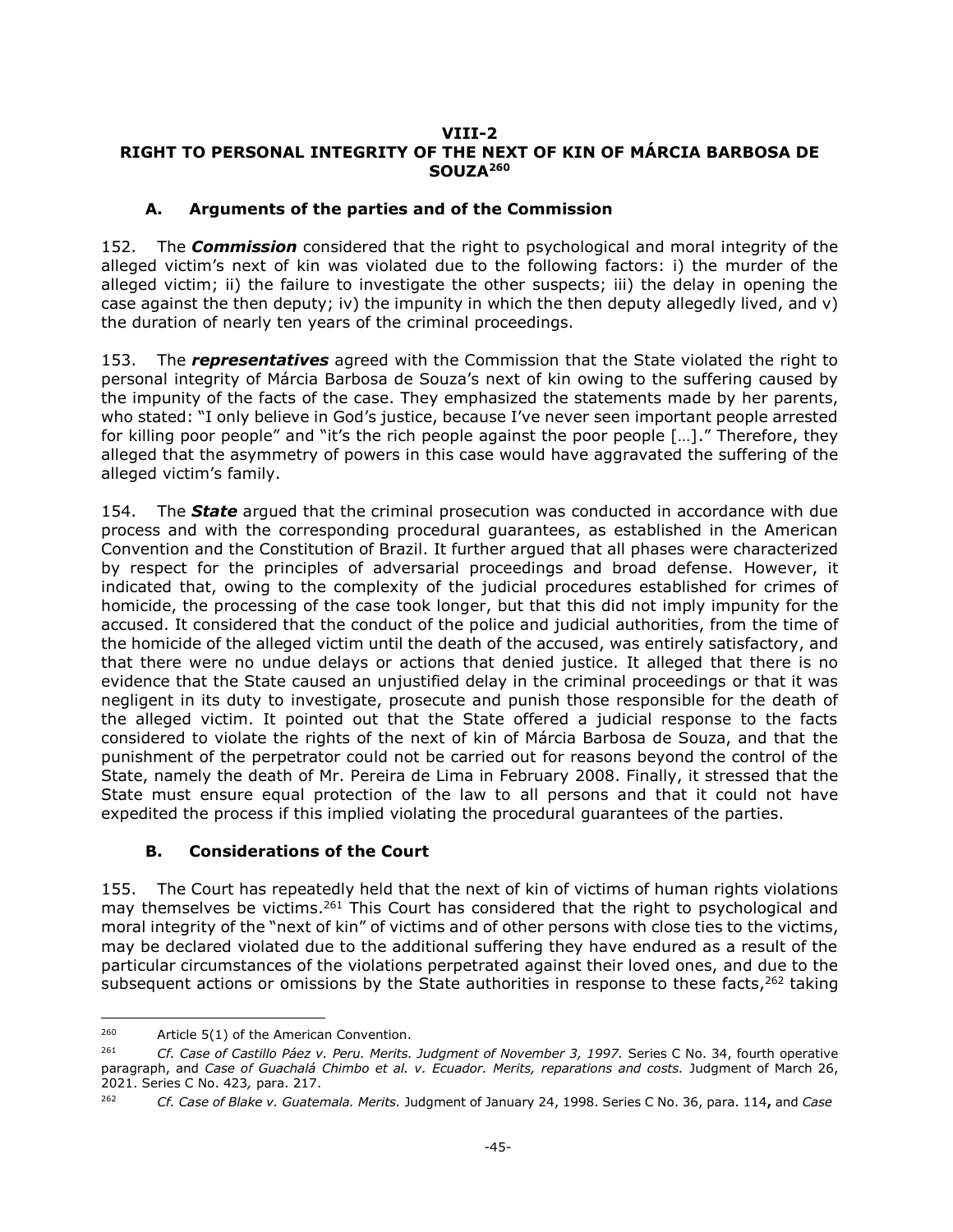#### <span id="page-44-0"></span>**VIII-2 RIGHT TO PERSONAL INTEGRITY OF THE NEXT OF KIN OF MÁRCIA BARBOSA DE SOUZA<sup>260</sup>**

### **A. Arguments of the parties and of the Commission**

<span id="page-44-1"></span>152. The *Commission* considered that the right to psychological and moral integrity of the alleged victim's next of kin was violated due to the following factors: i) the murder of the alleged victim; ii) the failure to investigate the other suspects; iii) the delay in opening the case against the then deputy; iv) the impunity in which the then deputy allegedly lived, and v) the duration of nearly ten years of the criminal proceedings.

153. The *representatives* agreed with the Commission that the State violated the right to personal integrity of Márcia Barbosa de Souza's next of kin owing to the suffering caused by the impunity of the facts of the case. They emphasized the statements made by her parents, who stated: "I only believe in God's justice, because I've never seen important people arrested for killing poor people" and "it's the rich people against the poor people […]." Therefore, they alleged that the asymmetry of powers in this case would have aggravated the suffering of the alleged victim's family.

154. The *State* argued that the criminal prosecution was conducted in accordance with due process and with the corresponding procedural guarantees, as established in the American Convention and the Constitution of Brazil. It further argued that all phases were characterized by respect for the principles of adversarial proceedings and broad defense. However, it indicated that, owing to the complexity of the judicial procedures established for crimes of homicide, the processing of the case took longer, but that this did not imply impunity for the accused. It considered that the conduct of the police and judicial authorities, from the time of the homicide of the alleged victim until the death of the accused, was entirely satisfactory, and that there were no undue delays or actions that denied justice. It alleged that there is no evidence that the State caused an unjustified delay in the criminal proceedings or that it was negligent in its duty to investigate, prosecute and punish those responsible for the death of the alleged victim. It pointed out that the State offered a judicial response to the facts considered to violate the rights of the next of kin of Márcia Barbosa de Souza, and that the punishment of the perpetrator could not be carried out for reasons beyond the control of the State, namely the death of Mr. Pereira de Lima in February 2008. Finally, it stressed that the State must ensure equal protection of the law to all persons and that it could not have expedited the process if this implied violating the procedural guarantees of the parties.

## **B. Considerations of the Court**

<span id="page-44-2"></span>155. The Court has repeatedly held that the next of kin of victims of human rights violations may themselves be victims.<sup>261</sup> This Court has considered that the right to psychological and moral integrity of the "next of kin" of victims and of other persons with close ties to the victims, may be declared violated due to the additional suffering they have endured as a result of the particular circumstances of the violations perpetrated against their loved ones, and due to the subsequent actions or omissions by the State authorities in response to these facts,  $262$  taking

<sup>260</sup> Article 5(1) of the American Convention.

<sup>&</sup>lt;sup>261</sup> Cf. Case of Castillo Páez v. Peru. Merits. Judgment of November 3, 1997. Series C No. 34, fourth operative paragraph, and *Case of Guachalá Chimbo et al. v. Ecuador. Merits, reparations and costs. Judgment of March 26*, 2021. Series C No. 423*,* para. 217.

<sup>262</sup> *Cf. Case of Blake v. Guatemala. Merits.* Judgment of January 24, 1998. Series C No. 36, para. 114**,** and *Case*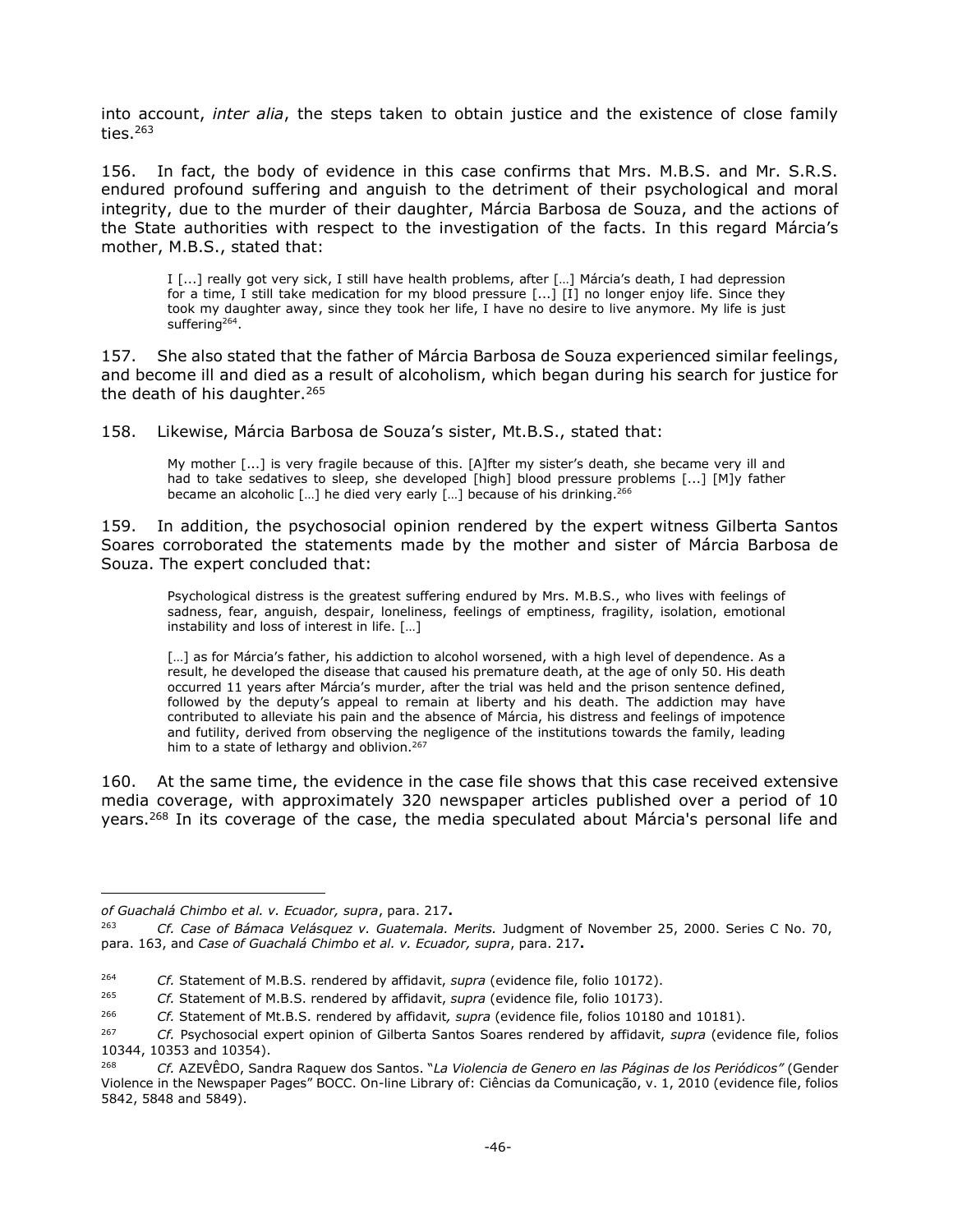into account, *inter alia*, the steps taken to obtain justice and the existence of close family ties. $263$ 

156. In fact, the body of evidence in this case confirms that Mrs. M.B.S. and Mr. S.R.S. endured profound suffering and anguish to the detriment of their psychological and moral integrity, due to the murder of their daughter, Márcia Barbosa de Souza, and the actions of the State authorities with respect to the investigation of the facts. In this regard Márcia's mother, M.B.S., stated that:

I [...] really got very sick, I still have health problems, after […] Márcia's death, I had depression for a time, I still take medication for my blood pressure [...] [I] no longer enjoy life. Since they took my daughter away, since they took her life, I have no desire to live anymore. My life is just suffering<sup>264</sup>.

157. She also stated that the father of Márcia Barbosa de Souza experienced similar feelings, and become ill and died as a result of alcoholism, which began during his search for justice for the death of his daughter.<sup>265</sup>

158. Likewise, Márcia Barbosa de Souza's sister, Mt.B.S., stated that:

My mother [...] is very fragile because of this. [A]fter my sister's death, she became very ill and had to take sedatives to sleep, she developed [high] blood pressure problems [...] [M]y father became an alcoholic [...] he died very early [...] because of his drinking.<sup>266</sup>

159. In addition, the psychosocial opinion rendered by the expert witness Gilberta Santos Soares corroborated the statements made by the mother and sister of Márcia Barbosa de Souza. The expert concluded that:

Psychological distress is the greatest suffering endured by Mrs. M.B.S., who lives with feelings of sadness, fear, anguish, despair, loneliness, feelings of emptiness, fragility, isolation, emotional instability and loss of interest in life. […]

[...] as for Márcia's father, his addiction to alcohol worsened, with a high level of dependence. As a result, he developed the disease that caused his premature death, at the age of only 50. His death occurred 11 years after Márcia's murder, after the trial was held and the prison sentence defined, followed by the deputy's appeal to remain at liberty and his death. The addiction may have contributed to alleviate his pain and the absence of Márcia, his distress and feelings of impotence and futility, derived from observing the negligence of the institutions towards the family, leading him to a state of lethargy and oblivion.<sup>267</sup>

160. At the same time, the evidence in the case file shows that this case received extensive media coverage, with approximately 320 newspaper articles published over a period of 10 years.<sup>268</sup> In its coverage of the case, the media speculated about Márcia's personal life and

j

*of Guachalá Chimbo et al. v. Ecuador, supra*, para. 217**.**

<sup>263</sup> *Cf. Case of Bámaca Velásquez v. Guatemala. Merits.* Judgment of November 25, 2000. Series C No. 70, para. 163, and *Case of Guachalá Chimbo et al. v. Ecuador, supra*, para. 217**.**

<sup>264</sup> *Cf.* Statement of M.B.S. rendered by affidavit, *supra* (evidence file, folio 10172).

<sup>265</sup> *Cf.* Statement of M.B.S. rendered by affidavit, *supra* (evidence file, folio 10173).

<sup>266</sup> *Cf.* Statement of Mt.B.S. rendered by affidavit*, supra* (evidence file, folios 10180 and 10181).

<sup>267</sup> *Cf.* Psychosocial expert opinion of Gilberta Santos Soares rendered by affidavit, *supra* (evidence file, folios 10344, 10353 and 10354).

<sup>268</sup> *Cf.* AZEVÊDO, Sandra Raquew dos Santos. "*La Violencia de Genero en las Páginas de los Periódicos"* (Gender Violence in the Newspaper Pages" BOCC. On-line Library of: Ciências da Comunicação, v. 1, 2010 (evidence file, folios 5842, 5848 and 5849).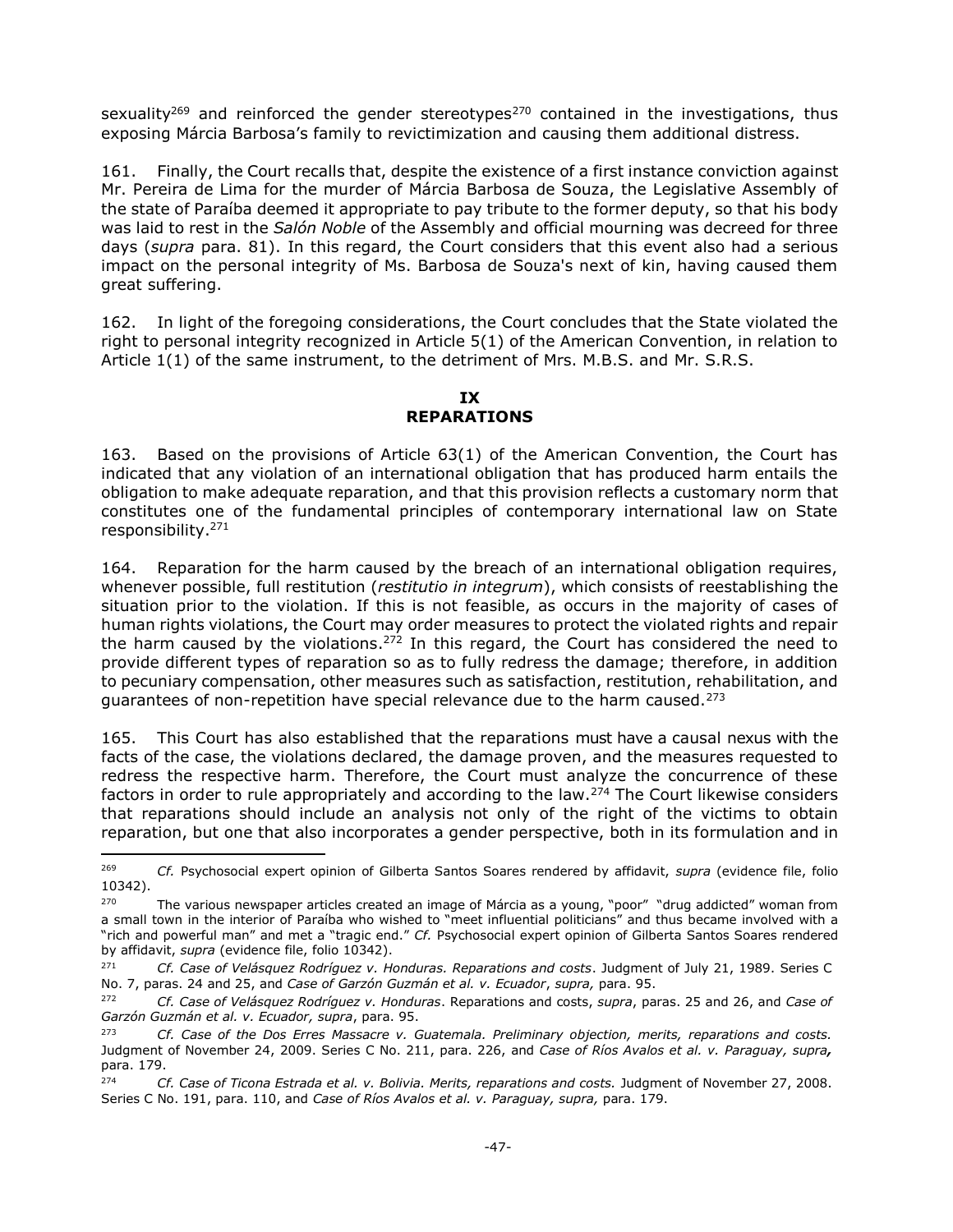sexuality<sup>269</sup> and reinforced the gender stereotypes<sup>270</sup> contained in the investigations, thus exposing Márcia Barbosa's family to revictimization and causing them additional distress.

161. Finally, the Court recalls that, despite the existence of a first instance conviction against Mr. Pereira de Lima for the murder of Márcia Barbosa de Souza, the Legislative Assembly of the state of Paraíba deemed it appropriate to pay tribute to the former deputy, so that his body was laid to rest in the *Salón Noble* of the Assembly and official mourning was decreed for three days (*supra* para. 81). In this regard, the Court considers that this event also had a serious impact on the personal integrity of Ms. Barbosa de Souza's next of kin, having caused them great suffering.

162. In light of the foregoing considerations, the Court concludes that the State violated the right to personal integrity recognized in Article 5(1) of the American Convention, in relation to Article 1(1) of the same instrument, to the detriment of Mrs. M.B.S. and Mr. S.R.S.

### **IX REPARATIONS**

<span id="page-46-0"></span>163. Based on the provisions of Article 63(1) of the American Convention, the Court has indicated that any violation of an international obligation that has produced harm entails the obligation to make adequate reparation, and that this provision reflects a customary norm that constitutes one of the fundamental principles of contemporary international law on State responsibility.<sup>271</sup>

164. Reparation for the harm caused by the breach of an international obligation requires, whenever possible, full restitution (*restitutio in integrum*), which consists of reestablishing the situation prior to the violation. If this is not feasible, as occurs in the majority of cases of human rights violations, the Court may order measures to protect the violated rights and repair the harm caused by the violations.<sup>272</sup> In this regard, the Court has considered the need to provide different types of reparation so as to fully redress the damage; therefore, in addition to pecuniary compensation, other measures such as satisfaction, restitution, rehabilitation, and guarantees of non-repetition have special relevance due to the harm caused.<sup>273</sup>

165. This Court has also established that the reparations must have a causal nexus with the facts of the case, the violations declared, the damage proven, and the measures requested to redress the respective harm. Therefore, the Court must analyze the concurrence of these factors in order to rule appropriately and according to the law.<sup>274</sup> The Court likewise considers that reparations should include an analysis not only of the right of the victims to obtain reparation, but one that also incorporates a gender perspective, both in its formulation and in

-

<sup>269</sup> *Cf.* Psychosocial expert opinion of Gilberta Santos Soares rendered by affidavit, *supra* (evidence file, folio 10342).

 $270$  The various newspaper articles created an image of Márcia as a young, "poor" "drug addicted" woman from a small town in the interior of Paraíba who wished to "meet influential politicians" and thus became involved with a "rich and powerful man" and met a "tragic end." *Cf.* Psychosocial expert opinion of Gilberta Santos Soares rendered by affidavit, *supra* (evidence file, folio 10342).

<sup>271</sup> *Cf. Case of Velásquez Rodríguez v. Honduras. Reparations and costs*. Judgment of July 21, 1989. Series C No. 7, paras. 24 and 25, and *Case of Garzón Guzmán et al. v. Ecuador*, *supra,* para. 95.

<sup>272</sup> *Cf. Case of Velásquez Rodríguez v. Honduras*. Reparations and costs, *supra*, paras. 25 and 26, and *Case of Garzón Guzmán et al. v. Ecuador, supra*, para. 95.

<sup>273</sup> *Cf. Case of the Dos Erres Massacre v. Guatemala. Preliminary objection, merits, reparations and costs.*  Judgment of November 24, 2009. Series C No. 211, para. 226, and *Case of Ríos Avalos et al. v. Paraguay, supra,*  para. 179.

<sup>274</sup> *Cf. Case of Ticona Estrada et al. v. Bolivia. Merits, reparations and costs.* Judgment of November 27, 2008. Series C No. 191, para. 110, and *Case of Ríos Avalos et al. v. Paraguay, supra,* para. 179.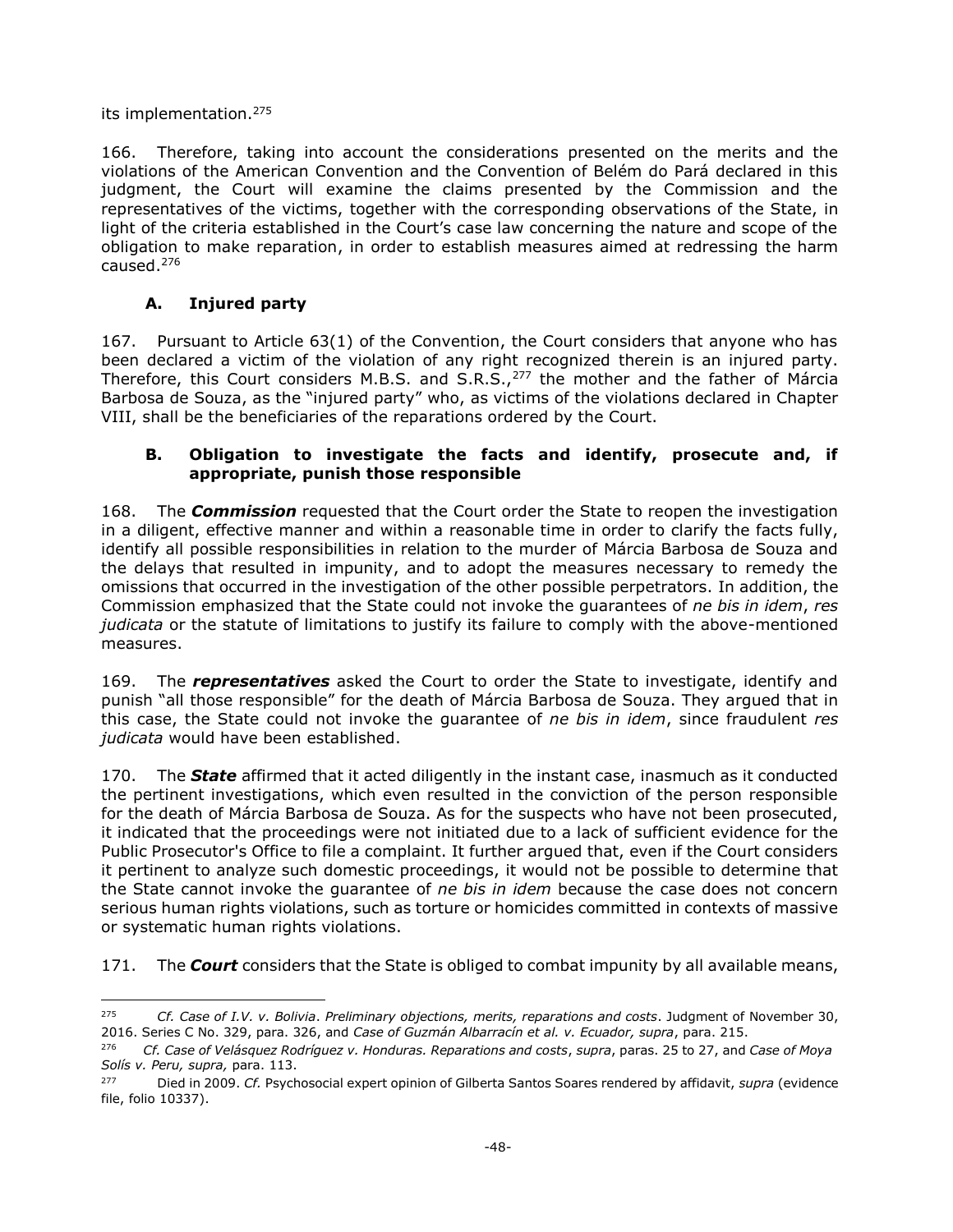its implementation.<sup>275</sup>

j

166. Therefore, taking into account the considerations presented on the merits and the violations of the American Convention and the Convention of Belém do Pará declared in this judgment, the Court will examine the claims presented by the Commission and the representatives of the victims, together with the corresponding observations of the State, in light of the criteria established in the Court's case law concerning the nature and scope of the obligation to make reparation, in order to establish measures aimed at redressing the harm caused.<sup>276</sup>

# **A. Injured party**

<span id="page-47-0"></span>167. Pursuant to Article 63(1) of the Convention, the Court considers that anyone who has been declared a victim of the violation of any right recognized therein is an injured party. Therefore, this Court considers M.B.S. and S.R.S.,<sup>277</sup> the mother and the father of Márcia Barbosa de Souza, as the "injured party" who, as victims of the violations declared in Chapter VIII, shall be the beneficiaries of the reparations ordered by the Court.

## <span id="page-47-1"></span>**B. Obligation to investigate the facts and identify, prosecute and, if appropriate, punish those responsible**

168. The *Commission* requested that the Court order the State to reopen the investigation in a diligent, effective manner and within a reasonable time in order to clarify the facts fully, identify all possible responsibilities in relation to the murder of Márcia Barbosa de Souza and the delays that resulted in impunity, and to adopt the measures necessary to remedy the omissions that occurred in the investigation of the other possible perpetrators. In addition, the Commission emphasized that the State could not invoke the guarantees of *ne bis in idem*, *res judicata* or the statute of limitations to justify its failure to comply with the above-mentioned measures.

169. The *representatives* asked the Court to order the State to investigate, identify and punish "all those responsible" for the death of Márcia Barbosa de Souza. They argued that in this case, the State could not invoke the guarantee of *ne bis in idem*, since fraudulent *res judicata* would have been established.

170. The *State* affirmed that it acted diligently in the instant case, inasmuch as it conducted the pertinent investigations, which even resulted in the conviction of the person responsible for the death of Márcia Barbosa de Souza. As for the suspects who have not been prosecuted, it indicated that the proceedings were not initiated due to a lack of sufficient evidence for the Public Prosecutor's Office to file a complaint. It further argued that, even if the Court considers it pertinent to analyze such domestic proceedings, it would not be possible to determine that the State cannot invoke the guarantee of *ne bis in idem* because the case does not concern serious human rights violations, such as torture or homicides committed in contexts of massive or systematic human rights violations.

171. The *Court* considers that the State is obliged to combat impunity by all available means,

<sup>275</sup> *Cf. Case of I.V. v. Bolivia*. *Preliminary objections, merits, reparations and costs*. Judgment of November 30, 2016. Series C No. 329, para. 326, and *Case of Guzmán Albarracín et al. v. Ecuador, supra*, para. 215.

<sup>276</sup> *Cf. Case of Velásquez Rodríguez v. Honduras. Reparations and costs*, *supra*, paras. 25 to 27, and *Case of Moya Solís v. Peru, supra,* para. 113.

<sup>277</sup> Died in 2009. *Cf.* Psychosocial expert opinion of Gilberta Santos Soares rendered by affidavit, *supra* (evidence file, folio 10337).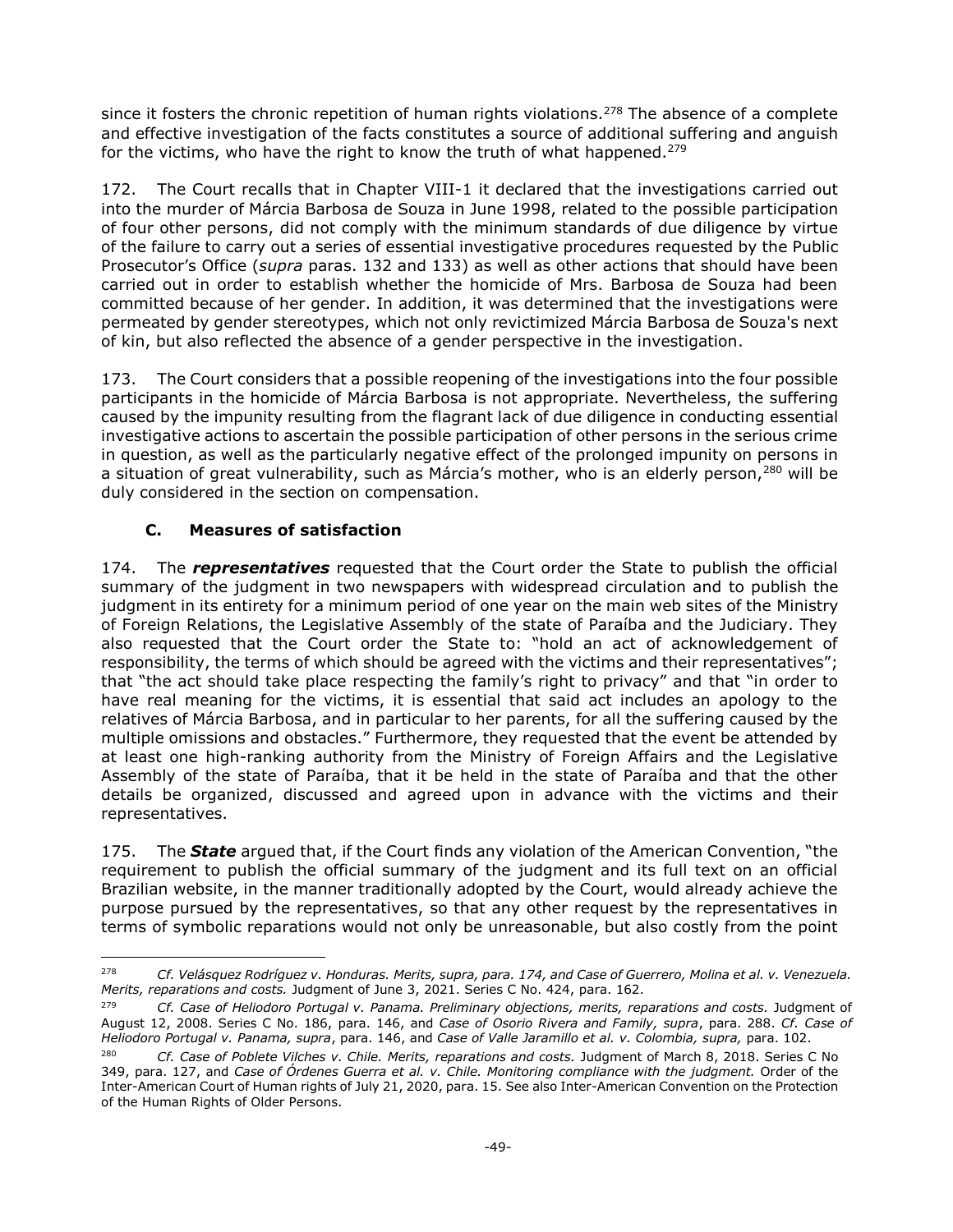since it fosters the chronic repetition of human rights violations.<sup>278</sup> The absence of a complete and effective investigation of the facts constitutes a source of additional suffering and anguish for the victims, who have the right to know the truth of what happened.<sup>279</sup>

172. The Court recalls that in Chapter VIII-1 it declared that the investigations carried out into the murder of Márcia Barbosa de Souza in June 1998, related to the possible participation of four other persons, did not comply with the minimum standards of due diligence by virtue of the failure to carry out a series of essential investigative procedures requested by the Public Prosecutor's Office (*supra* paras. 132 and 133) as well as other actions that should have been carried out in order to establish whether the homicide of Mrs. Barbosa de Souza had been committed because of her gender. In addition, it was determined that the investigations were permeated by gender stereotypes, which not only revictimized Márcia Barbosa de Souza's next of kin, but also reflected the absence of a gender perspective in the investigation.

173. The Court considers that a possible reopening of the investigations into the four possible participants in the homicide of Márcia Barbosa is not appropriate. Nevertheless, the suffering caused by the impunity resulting from the flagrant lack of due diligence in conducting essential investigative actions to ascertain the possible participation of other persons in the serious crime in question, as well as the particularly negative effect of the prolonged impunity on persons in a situation of great vulnerability, such as Márcia's mother, who is an elderly person,<sup>280</sup> will be duly considered in the section on compensation.

# **C. Measures of satisfaction**

<span id="page-48-0"></span>174. The *representatives* requested that the Court order the State to publish the official summary of the judgment in two newspapers with widespread circulation and to publish the judgment in its entirety for a minimum period of one year on the main web sites of the Ministry of Foreign Relations, the Legislative Assembly of the state of Paraíba and the Judiciary. They also requested that the Court order the State to: "hold an act of acknowledgement of responsibility, the terms of which should be agreed with the victims and their representatives"; that "the act should take place respecting the family's right to privacy" and that "in order to have real meaning for the victims, it is essential that said act includes an apology to the relatives of Márcia Barbosa, and in particular to her parents, for all the suffering caused by the multiple omissions and obstacles." Furthermore, they requested that the event be attended by at least one high-ranking authority from the Ministry of Foreign Affairs and the Legislative Assembly of the state of Paraíba, that it be held in the state of Paraíba and that the other details be organized, discussed and agreed upon in advance with the victims and their representatives.

175. The *State* argued that, if the Court finds any violation of the American Convention, "the requirement to publish the official summary of the judgment and its full text on an official Brazilian website, in the manner traditionally adopted by the Court, would already achieve the purpose pursued by the representatives, so that any other request by the representatives in terms of symbolic reparations would not only be unreasonable, but also costly from the point

<sup>-</sup><sup>278</sup> *Cf. Velásquez Rodríguez v. Honduras. Merits, supra, para. 174, and Case of Guerrero, Molina et al. v. Venezuela. Merits, reparations and costs.* Judgment of June 3, 2021. Series C No. 424, para. 162.

<sup>279</sup> *Cf. Case of Heliodoro Portugal v. Panama. Preliminary objections, merits, reparations and costs.* Judgment of August 12, 2008. Series C No. 186, para. 146, and *Case of Osorio Rivera and Family, supra*, para. 288. *Cf. Case of Heliodoro Portugal v. Panama, supra*, para. 146, and *Case of Valle Jaramillo et al. v. Colombia, supra,* para. 102.

<sup>&</sup>lt;sup>280</sup> *Cf. Case of Poblete Vilches v. Chile. Merits, reparations and costs. Judgment of March 8, 2018. Series C No* 349, para. 127, and *Case of Órdenes Guerra et al. v. Chile. Monitoring compliance with the judgment.* Order of the Inter-American Court of Human rights of July 21, 2020, para. 15. See also Inter-American Convention on the Protection of the Human Rights of Older Persons.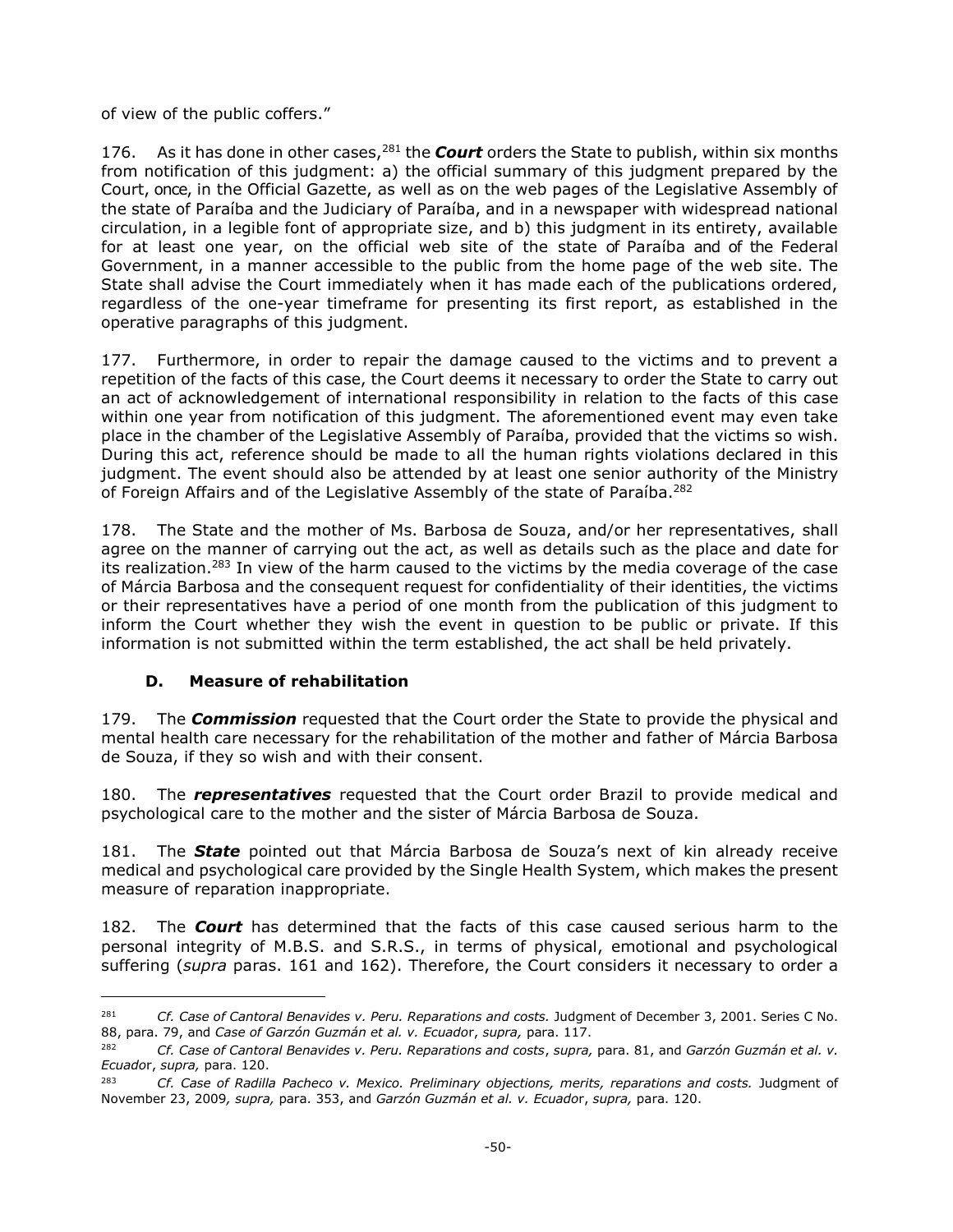of view of the public coffers."

176. As it has done in other cases,<sup>281</sup> the **Court** orders the State to publish, within six months from notification of this judgment: a) the official summary of this judgment prepared by the Court, once, in the Official Gazette, as well as on the web pages of the Legislative Assembly of the state of Paraíba and the Judiciary of Paraíba, and in a newspaper with widespread national circulation, in a legible font of appropriate size, and b) this judgment in its entirety, available for at least one year, on the official web site of the state of Paraíba and of the Federal Government, in a manner accessible to the public from the home page of the web site. The State shall advise the Court immediately when it has made each of the publications ordered, regardless of the one-year timeframe for presenting its first report, as established in the operative paragraphs of this judgment.

177. Furthermore, in order to repair the damage caused to the victims and to prevent a repetition of the facts of this case, the Court deems it necessary to order the State to carry out an act of acknowledgement of international responsibility in relation to the facts of this case within one year from notification of this judgment. The aforementioned event may even take place in the chamber of the Legislative Assembly of Paraíba, provided that the victims so wish. During this act, reference should be made to all the human rights violations declared in this judgment. The event should also be attended by at least one senior authority of the Ministry of Foreign Affairs and of the Legislative Assembly of the state of Paraíba.<sup>282</sup>

178. The State and the mother of Ms. Barbosa de Souza, and/or her representatives, shall agree on the manner of carrying out the act, as well as details such as the place and date for its realization.<sup>283</sup> In view of the harm caused to the victims by the media coverage of the case of Márcia Barbosa and the consequent request for confidentiality of their identities, the victims or their representatives have a period of one month from the publication of this judgment to inform the Court whether they wish the event in question to be public or private. If this information is not submitted within the term established, the act shall be held privately.

## **D. Measure of rehabilitation**

 $\overline{a}$ 

<span id="page-49-0"></span>179. The *Commission* requested that the Court order the State to provide the physical and mental health care necessary for the rehabilitation of the mother and father of Márcia Barbosa de Souza, if they so wish and with their consent.

180. The *representatives* requested that the Court order Brazil to provide medical and psychological care to the mother and the sister of Márcia Barbosa de Souza.

181. The *State* pointed out that Márcia Barbosa de Souza's next of kin already receive medical and psychological care provided by the Single Health System, which makes the present measure of reparation inappropriate.

182. The *Court* has determined that the facts of this case caused serious harm to the personal integrity of M.B.S. and S.R.S., in terms of physical, emotional and psychological suffering (*supra* paras. 161 and 162). Therefore, the Court considers it necessary to order a

<sup>281</sup> *Cf. Case of Cantoral Benavides v. Peru. Reparations and costs.* Judgment of December 3, 2001. Series C No. 88, para. 79, and *Case of Garzón Guzmán et al. v. Ecuado*r, *supra,* para. 117.

<sup>282</sup> *Cf. Case of Cantoral Benavides v. Peru. Reparations and costs*, *supra,* para. 81, and *Garzón Guzmán et al. v. Ecuado*r, *supra,* para. 120.

<sup>&</sup>lt;sup>283</sup> *Cf. Case of Radilla Pacheco v. Mexico. Preliminary objections, merits, reparations and costs.* Judgment of November 23, 2009*, supra,* para. 353, and *Garzón Guzmán et al. v. Ecuado*r, *supra,* para. 120.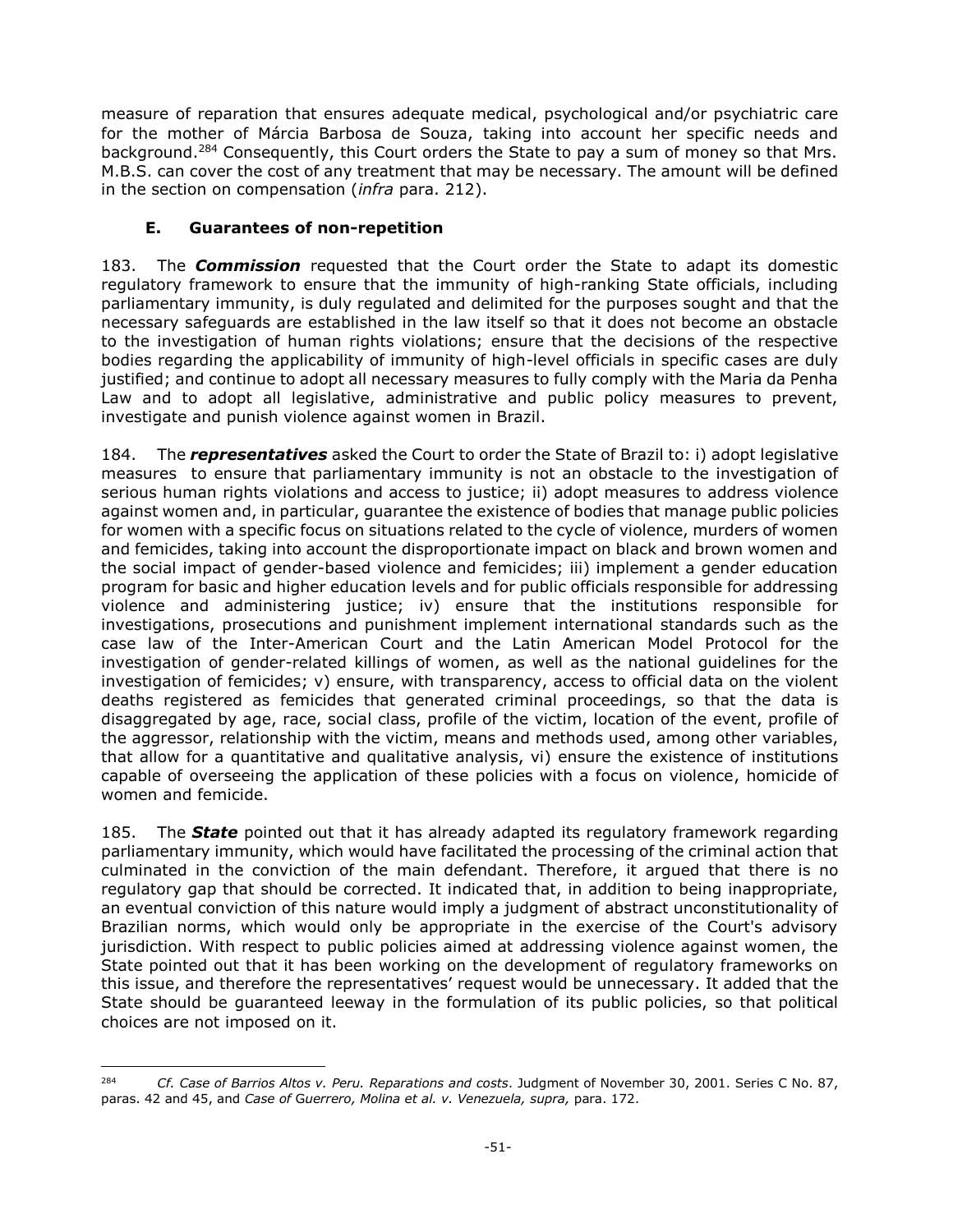measure of reparation that ensures adequate medical, psychological and/or psychiatric care for the mother of Márcia Barbosa de Souza, taking into account her specific needs and background.<sup>284</sup> Consequently, this Court orders the State to pay a sum of money so that Mrs. M.B.S. can cover the cost of any treatment that may be necessary. The amount will be defined in the section on compensation (*infra* para. 212).

# **E. Guarantees of non-repetition**

 $\overline{a}$ 

<span id="page-50-0"></span>183. The *Commission* requested that the Court order the State to adapt its domestic regulatory framework to ensure that the immunity of high-ranking State officials, including parliamentary immunity, is duly regulated and delimited for the purposes sought and that the necessary safeguards are established in the law itself so that it does not become an obstacle to the investigation of human rights violations; ensure that the decisions of the respective bodies regarding the applicability of immunity of high-level officials in specific cases are duly justified; and continue to adopt all necessary measures to fully comply with the Maria da Penha Law and to adopt all legislative, administrative and public policy measures to prevent, investigate and punish violence against women in Brazil.

184. The *representatives* asked the Court to order the State of Brazil to: i) adopt legislative measures to ensure that parliamentary immunity is not an obstacle to the investigation of serious human rights violations and access to justice; ii) adopt measures to address violence against women and, in particular, guarantee the existence of bodies that manage public policies for women with a specific focus on situations related to the cycle of violence, murders of women and femicides, taking into account the disproportionate impact on black and brown women and the social impact of gender-based violence and femicides; iii) implement a gender education program for basic and higher education levels and for public officials responsible for addressing violence and administering justice; iv) ensure that the institutions responsible for investigations, prosecutions and punishment implement international standards such as the case law of the Inter-American Court and the Latin American Model Protocol for the investigation of gender-related killings of women, as well as the national guidelines for the investigation of femicides; v) ensure, with transparency, access to official data on the violent deaths registered as femicides that generated criminal proceedings, so that the data is disaggregated by age, race, social class, profile of the victim, location of the event, profile of the aggressor, relationship with the victim, means and methods used, among other variables, that allow for a quantitative and qualitative analysis, vi) ensure the existence of institutions capable of overseeing the application of these policies with a focus on violence, homicide of women and femicide.

185. The *State* pointed out that it has already adapted its regulatory framework regarding parliamentary immunity, which would have facilitated the processing of the criminal action that culminated in the conviction of the main defendant. Therefore, it argued that there is no regulatory gap that should be corrected. It indicated that, in addition to being inappropriate, an eventual conviction of this nature would imply a judgment of abstract unconstitutionality of Brazilian norms, which would only be appropriate in the exercise of the Court's advisory jurisdiction. With respect to public policies aimed at addressing violence against women, the State pointed out that it has been working on the development of regulatory frameworks on this issue, and therefore the representatives' request would be unnecessary. It added that the State should be guaranteed leeway in the formulation of its public policies, so that political choices are not imposed on it.

<sup>284</sup> *Cf. Case of Barrios Altos v. Peru. Reparations and costs*. Judgment of November 30, 2001. Series C No. 87, paras. 42 and 45, and *Case of* G*uerrero, Molina et al. v. Venezuela, supra,* para. 172.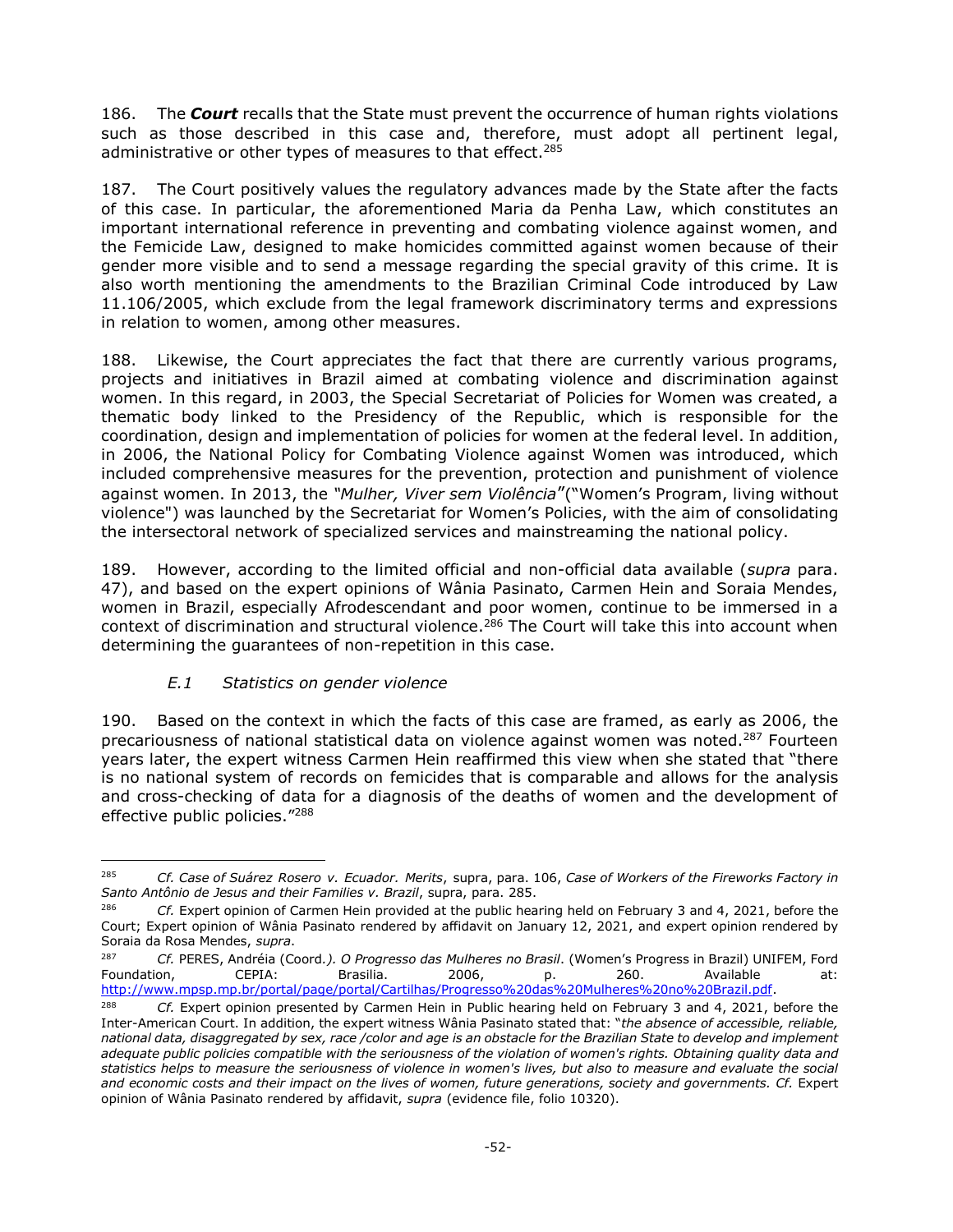186. The *Court* recalls that the State must prevent the occurrence of human rights violations such as those described in this case and, therefore, must adopt all pertinent legal, administrative or other types of measures to that effect.<sup>285</sup>

187. The Court positively values the regulatory advances made by the State after the facts of this case. In particular, the aforementioned Maria da Penha Law, which constitutes an important international reference in preventing and combating violence against women, and the Femicide Law, designed to make homicides committed against women because of their gender more visible and to send a message regarding the special gravity of this crime. It is also worth mentioning the amendments to the Brazilian Criminal Code introduced by Law 11.106/2005, which exclude from the legal framework discriminatory terms and expressions in relation to women, among other measures.

188. Likewise, the Court appreciates the fact that there are currently various programs, projects and initiatives in Brazil aimed at combating violence and discrimination against women. In this regard, in 2003, the Special Secretariat of Policies for Women was created, a thematic body linked to the Presidency of the Republic, which is responsible for the coordination, design and implementation of policies for women at the federal level. In addition, in 2006, the National Policy for Combating Violence against Women was introduced, which included comprehensive measures for the prevention, protection and punishment of violence against women. In 2013, the *"Mulher, Viver sem Violência*"("Women's Program, living without violence") was launched by the Secretariat for Women's Policies, with the aim of consolidating the intersectoral network of specialized services and mainstreaming the national policy.

189. However, according to the limited official and non-official data available (*supra* para. 47), and based on the expert opinions of Wânia Pasinato, Carmen Hein and Soraia Mendes, women in Brazil, especially Afrodescendant and poor women, continue to be immersed in a context of discrimination and structural violence. <sup>286</sup> The Court will take this into account when determining the guarantees of non-repetition in this case.

## *E.1 Statistics on gender violence*

<span id="page-51-0"></span>190. Based on the context in which the facts of this case are framed, as early as 2006, the precariousness of national statistical data on violence against women was noted.<sup>287</sup> Fourteen years later, the expert witness Carmen Hein reaffirmed this view when she stated that "there is no national system of records on femicides that is comparable and allows for the analysis and cross-checking of data for a diagnosis of the deaths of women and the development of effective public policies."<sup>288</sup>

 $\overline{a}$ <sup>285</sup> *Cf. Case of Suárez Rosero v. Ecuador. Merits*, supra, para. 106, *Case of Workers of the Fireworks Factory in Santo Antônio de Jesus and their Families v. Brazil*, supra, para. 285.

<sup>286</sup> *Cf.* Expert opinion of Carmen Hein provided at the public hearing held on February 3 and 4, 2021, before the Court; Expert opinion of Wânia Pasinato rendered by affidavit on January 12, 2021, and expert opinion rendered by Soraia da Rosa Mendes, *supra*.

<sup>287</sup> *Cf.* PERES, Andréia (Coord*.). O Progresso das Mulheres no Brasil*. (Women's Progress in Brazil) UNIFEM, Ford Foundation, CEPIA: Brasilia. 2006, p. 260. Available at: [http://www.mpsp.mp.br/portal/page/portal/Cartilhas/Progresso%20das%20Mulheres%20no%20Brazil.pdf.](http://www.mpsp.mp.br/portal/page/portal/Cartilhas/Progresso%20das%20Mulheres%20no%20Brasil.pdf)

<sup>288</sup> *Cf.* Expert opinion presented by Carmen Hein in Public hearing held on February 3 and 4, 2021, before the Inter-American Court. In addition, the expert witness Wânia Pasinato stated that: "*the absence of accessible, reliable, national data, disaggregated by sex, race /color and age is an obstacle for the Brazilian State to develop and implement adequate public policies compatible with the seriousness of the violation of women's rights. Obtaining quality data and statistics helps to measure the seriousness of violence in women's lives, but also to measure and evaluate the social and economic costs and their impact on the lives of women, future generations, society and governments. Cf.* Expert opinion of Wânia Pasinato rendered by affidavit, *supra* (evidence file, folio 10320).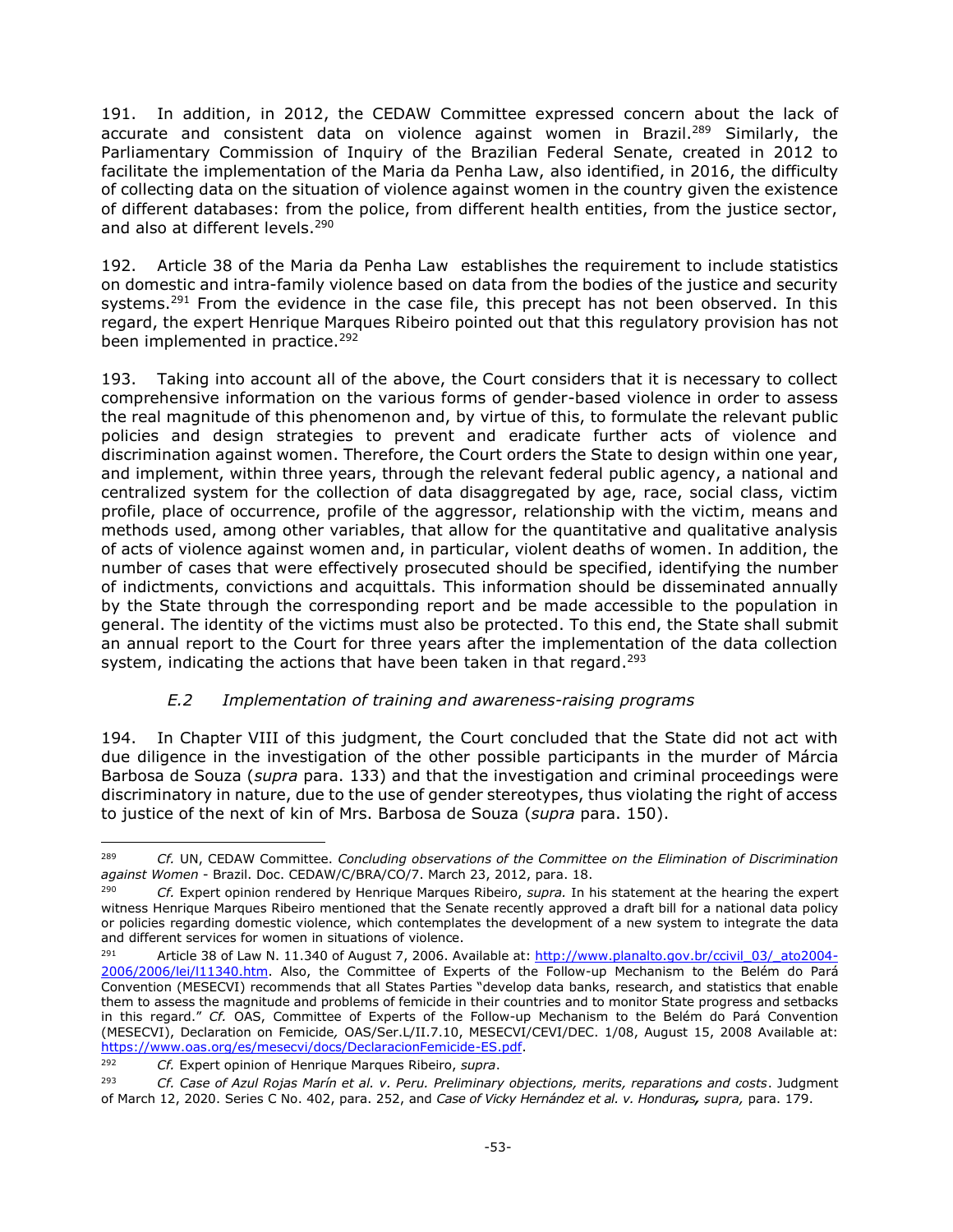191. In addition, in 2012, the CEDAW Committee expressed concern about the lack of accurate and consistent data on violence against women in Brazil.<sup>289</sup> Similarly, the Parliamentary Commission of Inquiry of the Brazilian Federal Senate, created in 2012 to facilitate the implementation of the Maria da Penha Law, also identified, in 2016, the difficulty of collecting data on the situation of violence against women in the country given the existence of different databases: from the police, from different health entities, from the justice sector, and also at different levels. 290

192. Article 38 of the Maria da Penha Law establishes the requirement to include statistics on domestic and intra-family violence based on data from the bodies of the justice and security systems.<sup>291</sup> From the evidence in the case file, this precept has not been observed. In this regard, the expert Henrique Marques Ribeiro pointed out that this regulatory provision has not been implemented in practice.<sup>292</sup>

193. Taking into account all of the above, the Court considers that it is necessary to collect comprehensive information on the various forms of gender-based violence in order to assess the real magnitude of this phenomenon and, by virtue of this, to formulate the relevant public policies and design strategies to prevent and eradicate further acts of violence and discrimination against women. Therefore, the Court orders the State to design within one year, and implement, within three years, through the relevant federal public agency, a national and centralized system for the collection of data disaggregated by age, race, social class, victim profile, place of occurrence, profile of the aggressor, relationship with the victim, means and methods used, among other variables, that allow for the quantitative and qualitative analysis of acts of violence against women and, in particular, violent deaths of women. In addition, the number of cases that were effectively prosecuted should be specified, identifying the number of indictments, convictions and acquittals. This information should be disseminated annually by the State through the corresponding report and be made accessible to the population in general. The identity of the victims must also be protected. To this end, the State shall submit an annual report to the Court for three years after the implementation of the data collection system, indicating the actions that have been taken in that regard.<sup>293</sup>

## *E.2 Implementation of training and awareness-raising programs*

<span id="page-52-0"></span>194. In Chapter VIII of this judgment, the Court concluded that the State did not act with due diligence in the investigation of the other possible participants in the murder of Márcia Barbosa de Souza (*supra* para. 133) and that the investigation and criminal proceedings were discriminatory in nature, due to the use of gender stereotypes, thus violating the right of access to justice of the next of kin of Mrs. Barbosa de Souza (*supra* para. 150).

 $\overline{a}$ 

<sup>289</sup> *Cf.* UN, CEDAW Committee. *Concluding observations of the Committee on the Elimination of Discrimination against Women* - Brazil. Doc. CEDAW/C/BRA/CO/7. March 23, 2012, para. 18.

<sup>290</sup> *Cf.* Expert opinion rendered by Henrique Marques Ribeiro, *supra.* In his statement at the hearing the expert witness Henrique Marques Ribeiro mentioned that the Senate recently approved a draft bill for a national data policy or policies regarding domestic violence, which contemplates the development of a new system to integrate the data and different services for women in situations of violence.

<sup>291</sup> Article 38 of Law N. 11.340 of August 7, 2006. Available at: [http://www.planalto.gov.br/ccivil\\_03/\\_ato2004-](http://www.planalto.gov.br/ccivil_03/_ato2004-2006/2006/lei/l11340.htm) [2006/2006/lei/l11340.htm.](http://www.planalto.gov.br/ccivil_03/_ato2004-2006/2006/lei/l11340.htm) Also, the Committee of Experts of the Follow-up Mechanism to the Belém do Pará Convention (MESECVI) recommends that all States Parties "develop data banks, research, and statistics that enable them to assess the magnitude and problems of femicide in their countries and to monitor State progress and setbacks in this regard." *Cf.* OAS, Committee of Experts of the Follow-up Mechanism to the Belém do Pará Convention (MESECVI), Declaration on Femicide*,* OAS/Ser.L/II.7.10, MESECVI/CEVI/DEC. 1/08, August 15, 2008 Available at: [https://www.oas.org/es/mesecvi/docs/DeclaracionFemicide-ES.pdf.](https://www.oas.org/es/mesecvi/docs/DeclaracionFemicidio-ES.pdf)

<sup>292</sup> *Cf.* Expert opinion of Henrique Marques Ribeiro, *supra*.

<sup>293</sup> *Cf. Case of Azul Rojas Marín et al. v. Peru. Preliminary objections, merits, reparations and costs*. Judgment of March 12, 2020. Series C No. 402, para. 252, and *Case of Vicky Hernández et al. v. Honduras, supra,* para. 179.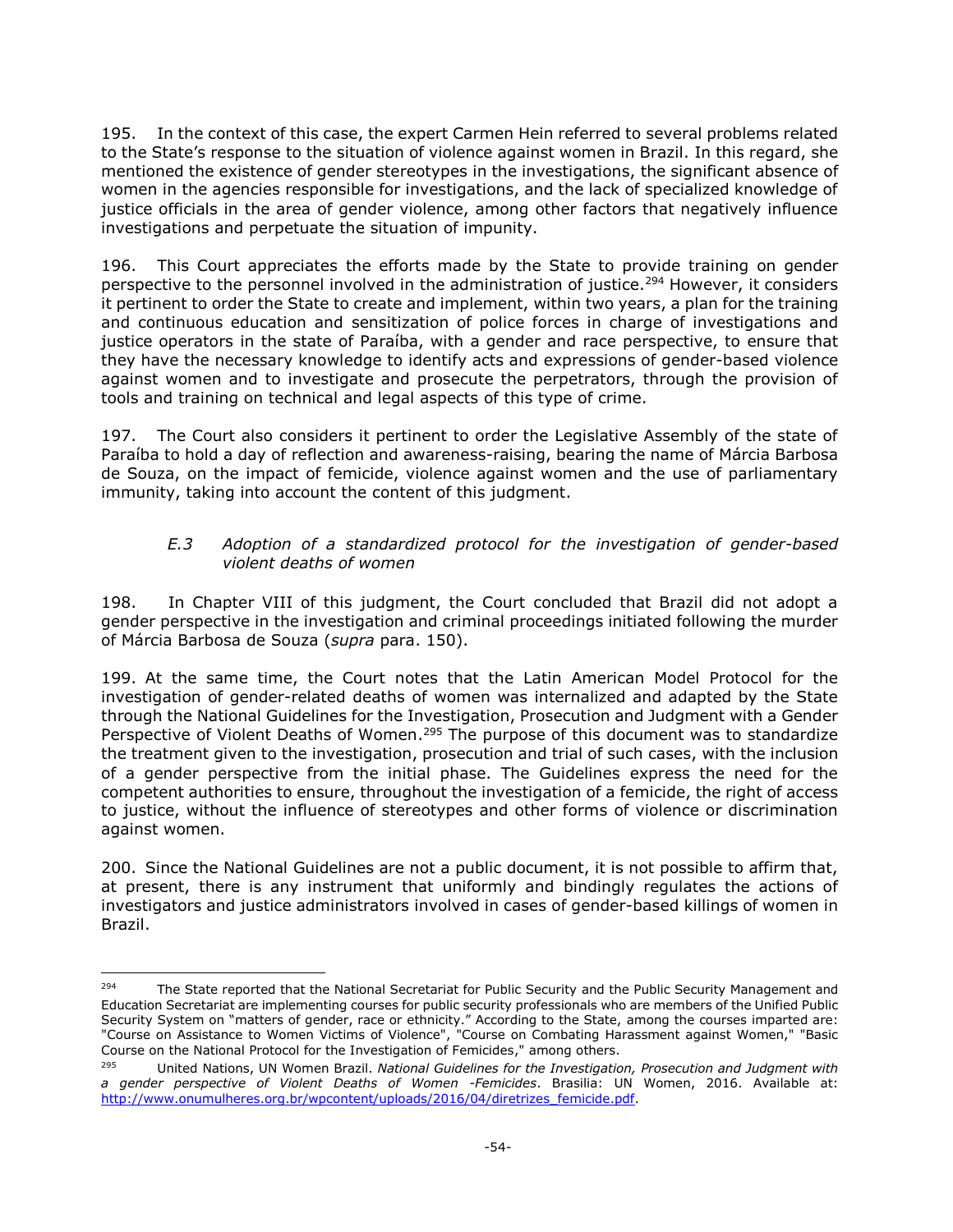195. In the context of this case, the expert Carmen Hein referred to several problems related to the State's response to the situation of violence against women in Brazil. In this regard, she mentioned the existence of gender stereotypes in the investigations, the significant absence of women in the agencies responsible for investigations, and the lack of specialized knowledge of justice officials in the area of gender violence, among other factors that negatively influence investigations and perpetuate the situation of impunity.

196. This Court appreciates the efforts made by the State to provide training on gender perspective to the personnel involved in the administration of justice.<sup>294</sup> However, it considers it pertinent to order the State to create and implement, within two years, a plan for the training and continuous education and sensitization of police forces in charge of investigations and justice operators in the state of Paraíba, with a gender and race perspective, to ensure that they have the necessary knowledge to identify acts and expressions of gender-based violence against women and to investigate and prosecute the perpetrators, through the provision of tools and training on technical and legal aspects of this type of crime.

197. The Court also considers it pertinent to order the Legislative Assembly of the state of Paraíba to hold a day of reflection and awareness-raising, bearing the name of Márcia Barbosa de Souza, on the impact of femicide, violence against women and the use of parliamentary immunity, taking into account the content of this judgment.

### *E.3 Adoption of a standardized protocol for the investigation of gender-based violent deaths of women*

198. In Chapter VIII of this judgment, the Court concluded that Brazil did not adopt a gender perspective in the investigation and criminal proceedings initiated following the murder of Márcia Barbosa de Souza (*supra* para. 150).

199. At the same time, the Court notes that the Latin American Model Protocol for the investigation of gender-related deaths of women was internalized and adapted by the State through the National Guidelines for the Investigation, Prosecution and Judgment with a Gender Perspective of Violent Deaths of Women.<sup>295</sup> The purpose of this document was to standardize the treatment given to the investigation, prosecution and trial of such cases, with the inclusion of a gender perspective from the initial phase. The Guidelines express the need for the competent authorities to ensure, throughout the investigation of a femicide, the right of access to justice, without the influence of stereotypes and other forms of violence or discrimination against women.

200. Since the National Guidelines are not a public document, it is not possible to affirm that, at present, there is any instrument that uniformly and bindingly regulates the actions of investigators and justice administrators involved in cases of gender-based killings of women in Brazil.

<sup>294</sup> The State reported that the National Secretariat for Public Security and the Public Security Management and Education Secretariat are implementing courses for public security professionals who are members of the Unified Public Security System on "matters of gender, race or ethnicity." According to the State, among the courses imparted are: "Course on Assistance to Women Victims of Violence", "Course on Combating Harassment against Women," "Basic Course on the National Protocol for the Investigation of Femicides," among others.

<sup>295</sup> United Nations, UN Women Brazil. *National Guidelines for the Investigation, Prosecution and Judgment with a gender perspective of Violent Deaths of Women -Femicides*. Brasilia: UN Women, 2016. Available at: [http://www.onumulheres.org.br/wpcontent/uploads/2016/04/diretrizes\\_femicide.pdf.](http://www.onumulheres.org.br/wpcontent/uploads/2016/04/diretrizes_feminicidio.pdf)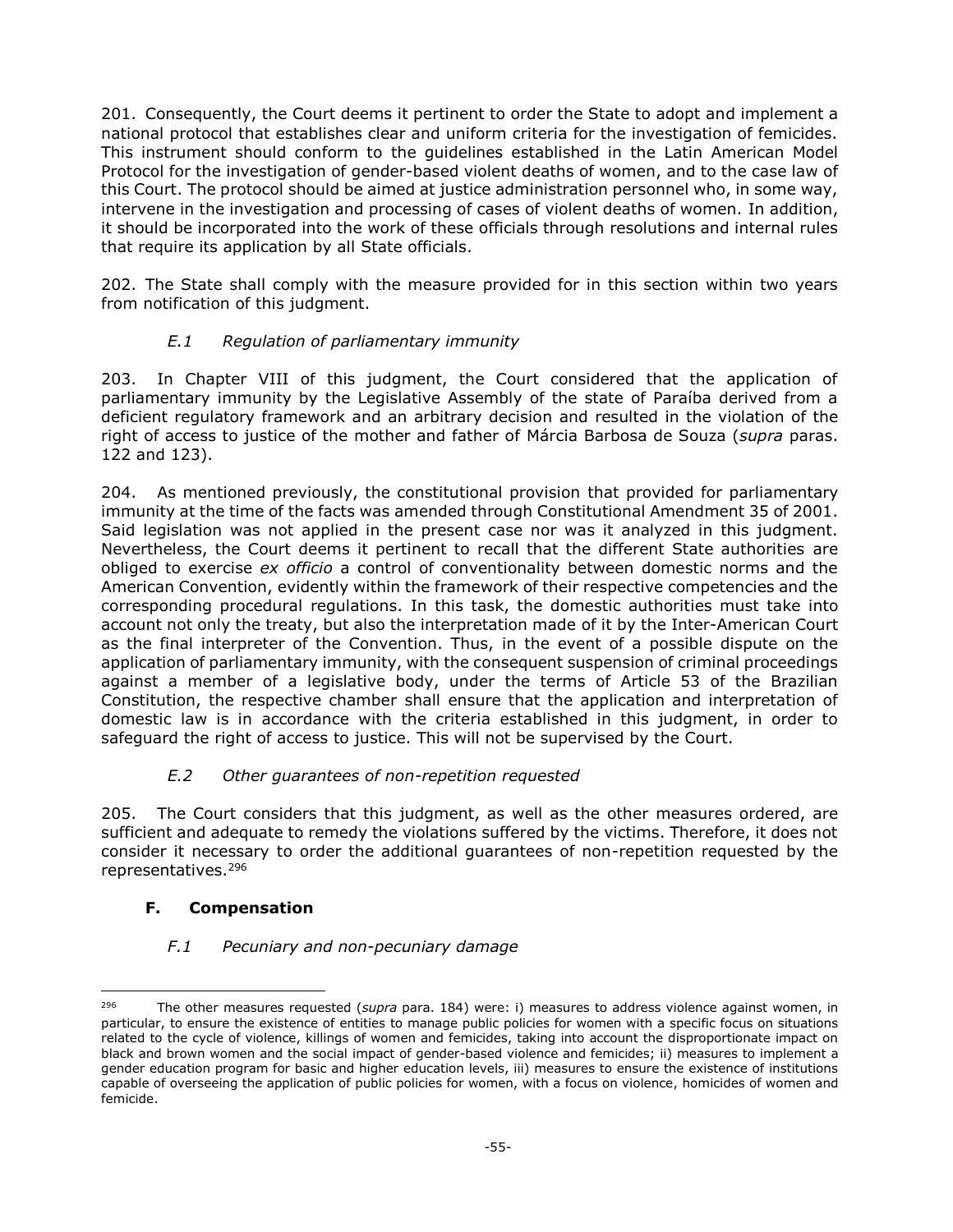201. Consequently, the Court deems it pertinent to order the State to adopt and implement a national protocol that establishes clear and uniform criteria for the investigation of femicides. This instrument should conform to the guidelines established in the Latin American Model Protocol for the investigation of gender-based violent deaths of women, and to the case law of this Court. The protocol should be aimed at justice administration personnel who, in some way, intervene in the investigation and processing of cases of violent deaths of women. In addition, it should be incorporated into the work of these officials through resolutions and internal rules that require its application by all State officials.

202. The State shall comply with the measure provided for in this section within two years from notification of this judgment.

# *E.1 Regulation of parliamentary immunity*

<span id="page-54-0"></span>203. In Chapter VIII of this judgment, the Court considered that the application of parliamentary immunity by the Legislative Assembly of the state of Paraíba derived from a deficient regulatory framework and an arbitrary decision and resulted in the violation of the right of access to justice of the mother and father of Márcia Barbosa de Souza (*supra* paras. 122 and 123).

204. As mentioned previously, the constitutional provision that provided for parliamentary immunity at the time of the facts was amended through Constitutional Amendment 35 of 2001. Said legislation was not applied in the present case nor was it analyzed in this judgment. Nevertheless, the Court deems it pertinent to recall that the different State authorities are obliged to exercise *ex officio* a control of conventionality between domestic norms and the American Convention, evidently within the framework of their respective competencies and the corresponding procedural regulations. In this task, the domestic authorities must take into account not only the treaty, but also the interpretation made of it by the Inter-American Court as the final interpreter of the Convention. Thus, in the event of a possible dispute on the application of parliamentary immunity, with the consequent suspension of criminal proceedings against a member of a legislative body, under the terms of Article 53 of the Brazilian Constitution, the respective chamber shall ensure that the application and interpretation of domestic law is in accordance with the criteria established in this judgment, in order to safeguard the right of access to justice. This will not be supervised by the Court.

# *E.2 Other guarantees of non-repetition requested*

<span id="page-54-1"></span>205. The Court considers that this judgment, as well as the other measures ordered, are sufficient and adequate to remedy the violations suffered by the victims. Therefore, it does not consider it necessary to order the additional guarantees of non-repetition requested by the representatives. 296

# <span id="page-54-2"></span>**F. Compensation**

# *F.1 Pecuniary and non-pecuniary damage*

<sup>-</sup><sup>296</sup> The other measures requested (*supra* para. 184) were: i) measures to address violence against women, in particular, to ensure the existence of entities to manage public policies for women with a specific focus on situations related to the cycle of violence, killings of women and femicides, taking into account the disproportionate impact on black and brown women and the social impact of gender-based violence and femicides; ii) measures to implement a gender education program for basic and higher education levels, iii) measures to ensure the existence of institutions capable of overseeing the application of public policies for women, with a focus on violence, homicides of women and femicide.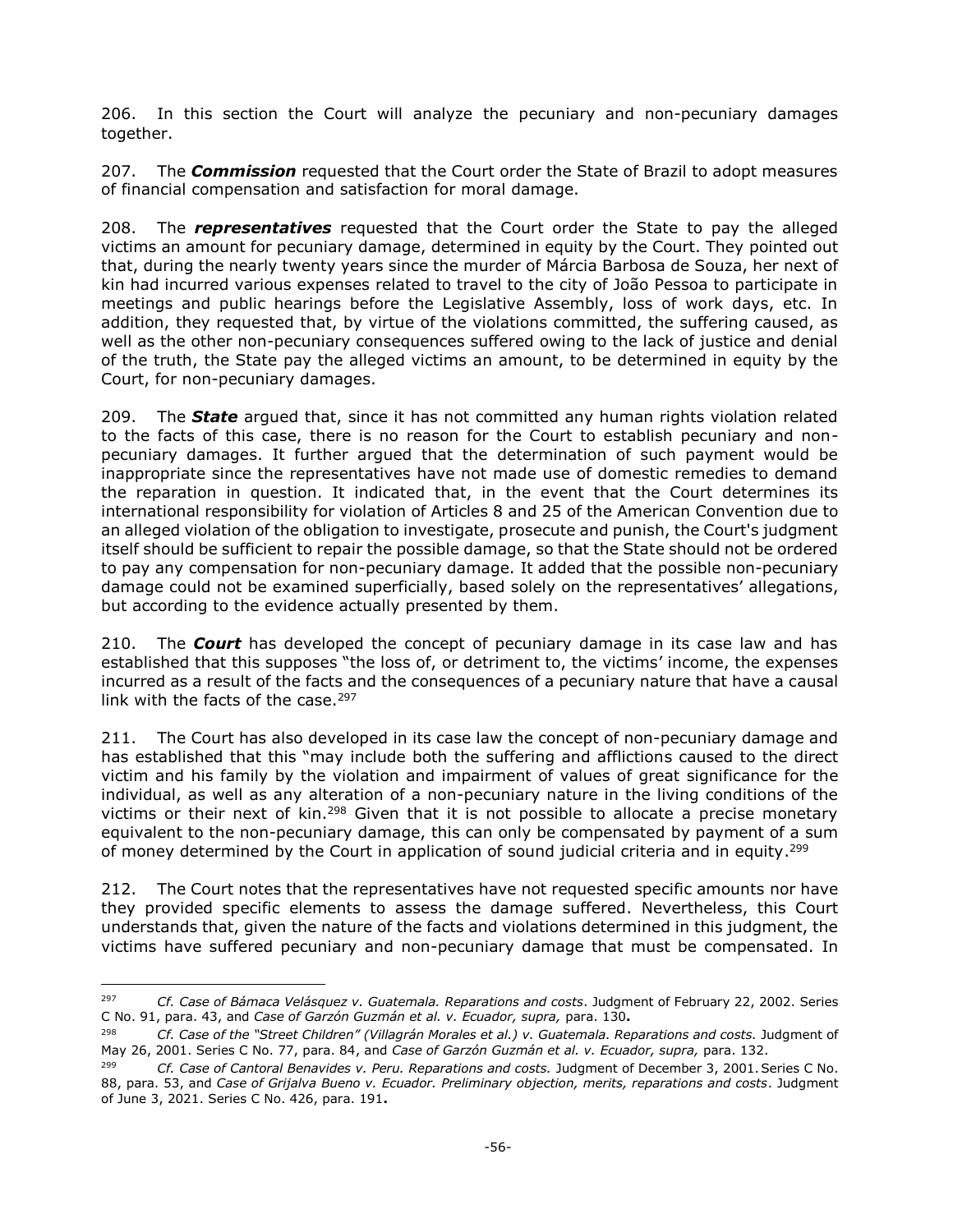206. In this section the Court will analyze the pecuniary and non-pecuniary damages together.

207. The *Commission* requested that the Court order the State of Brazil to adopt measures of financial compensation and satisfaction for moral damage.

208. The *representatives* requested that the Court order the State to pay the alleged victims an amount for pecuniary damage, determined in equity by the Court. They pointed out that, during the nearly twenty years since the murder of Márcia Barbosa de Souza, her next of kin had incurred various expenses related to travel to the city of João Pessoa to participate in meetings and public hearings before the Legislative Assembly, loss of work days, etc. In addition, they requested that, by virtue of the violations committed, the suffering caused, as well as the other non-pecuniary consequences suffered owing to the lack of justice and denial of the truth, the State pay the alleged victims an amount, to be determined in equity by the Court, for non-pecuniary damages.

209. The *State* argued that, since it has not committed any human rights violation related to the facts of this case, there is no reason for the Court to establish pecuniary and nonpecuniary damages. It further argued that the determination of such payment would be inappropriate since the representatives have not made use of domestic remedies to demand the reparation in question. It indicated that, in the event that the Court determines its international responsibility for violation of Articles 8 and 25 of the American Convention due to an alleged violation of the obligation to investigate, prosecute and punish, the Court's judgment itself should be sufficient to repair the possible damage, so that the State should not be ordered to pay any compensation for non-pecuniary damage. It added that the possible non-pecuniary damage could not be examined superficially, based solely on the representatives' allegations, but according to the evidence actually presented by them.

210. The *Court* has developed the concept of pecuniary damage in its case law and has established that this supposes "the loss of, or detriment to, the victims' income, the expenses incurred as a result of the facts and the consequences of a pecuniary nature that have a causal link with the facts of the case. $297$ 

211. The Court has also developed in its case law the concept of non-pecuniary damage and has established that this "may include both the suffering and afflictions caused to the direct victim and his family by the violation and impairment of values of great significance for the individual, as well as any alteration of a non-pecuniary nature in the living conditions of the victims or their next of kin.<sup>298</sup> Given that it is not possible to allocate a precise monetary equivalent to the non-pecuniary damage, this can only be compensated by payment of a sum of money determined by the Court in application of sound judicial criteria and in equity.<sup>299</sup>

212. The Court notes that the representatives have not requested specific amounts nor have they provided specific elements to assess the damage suffered. Nevertheless, this Court understands that, given the nature of the facts and violations determined in this judgment, the victims have suffered pecuniary and non-pecuniary damage that must be compensated. In

<sup>297</sup> <sup>297</sup> *Cf. Case of Bámaca Velásquez v. Guatemala. Reparations and costs*. Judgment of February 22, 2002. Series C No. 91, para. 43, and *Case of Garzón Guzmán et al. v. Ecuador, supra,* para. 130**.**

<sup>298</sup> *Cf. Case of the "Street Children" (Villagrán Morales et al.) v. Guatemala. Reparations and costs.* Judgment of May 26, 2001. Series C No. 77, para. 84, and *Case of Garzón Guzmán et al. v. Ecuador, supra,* para. 132.

<sup>299</sup> *Cf. Case of Cantoral Benavides v. Peru. Reparations and costs.* Judgment of December 3, 2001.Series C No. 88, para. 53, and *Case of Grijalva Bueno v. Ecuador. Preliminary objection, merits, reparations and costs*. Judgment of June 3, 2021. Series C No. 426, para. 191**.**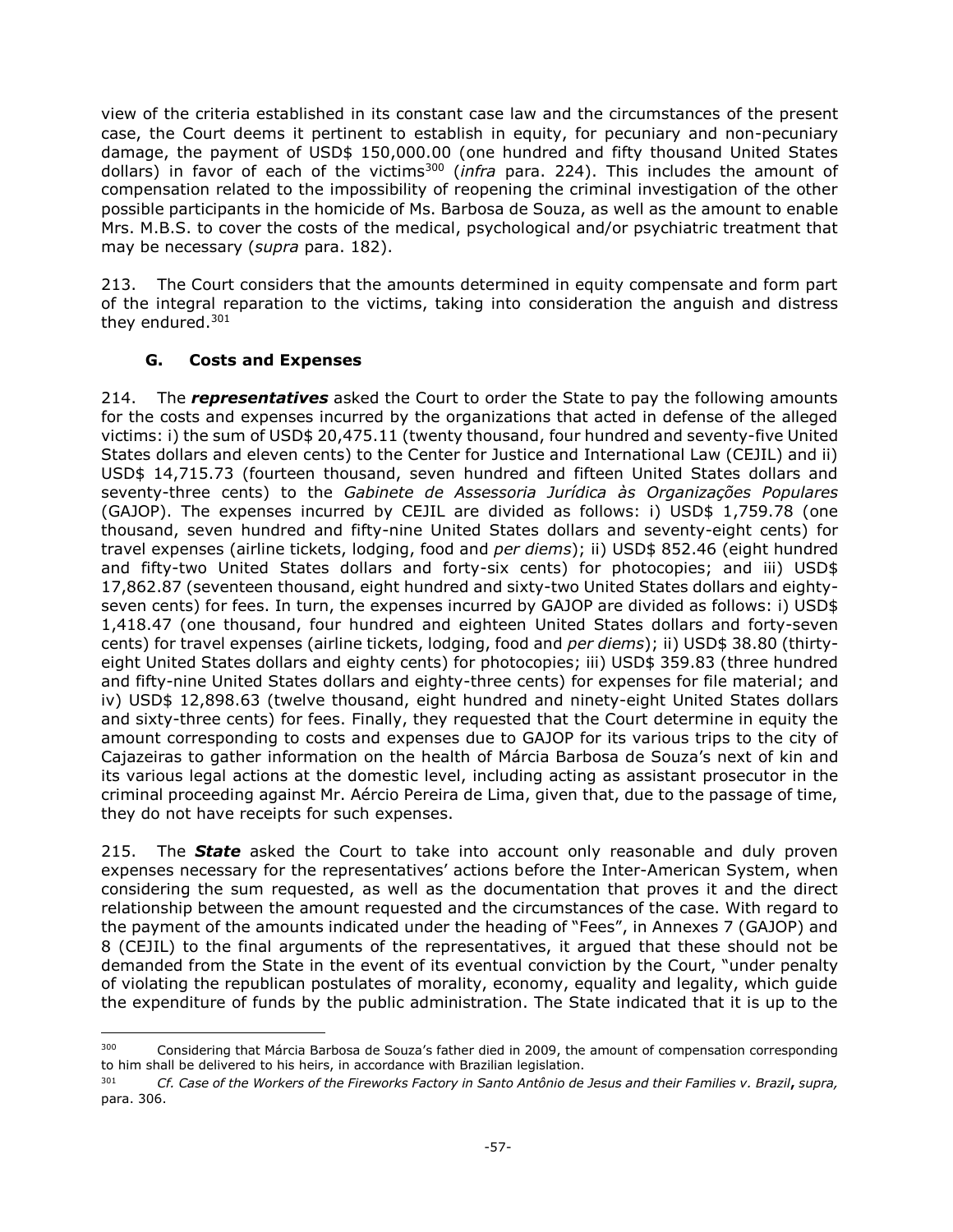view of the criteria established in its constant case law and the circumstances of the present case, the Court deems it pertinent to establish in equity, for pecuniary and non-pecuniary damage, the payment of USD\$ 150,000.00 (one hundred and fifty thousand United States dollars) in favor of each of the victims<sup>300</sup> (*infra* para. 224). This includes the amount of compensation related to the impossibility of reopening the criminal investigation of the other possible participants in the homicide of Ms. Barbosa de Souza, as well as the amount to enable Mrs. M.B.S. to cover the costs of the medical, psychological and/or psychiatric treatment that may be necessary (*supra* para. 182).

213. The Court considers that the amounts determined in equity compensate and form part of the integral reparation to the victims, taking into consideration the anguish and distress they endured.<sup>301</sup>

## **G. Costs and Expenses**

<span id="page-56-0"></span>214. The *representatives* asked the Court to order the State to pay the following amounts for the costs and expenses incurred by the organizations that acted in defense of the alleged victims: i) the sum of USD\$ 20,475.11 (twenty thousand, four hundred and seventy-five United States dollars and eleven cents) to the Center for Justice and International Law (CEJIL) and ii) USD\$ 14,715.73 (fourteen thousand, seven hundred and fifteen United States dollars and seventy-three cents) to the *Gabinete de Assessoria Jurídica às Organizações Populares* (GAJOP). The expenses incurred by CEJIL are divided as follows: i) USD\$ 1,759.78 (one thousand, seven hundred and fifty-nine United States dollars and seventy-eight cents) for travel expenses (airline tickets, lodging, food and *per diems*); ii) USD\$ 852.46 (eight hundred and fifty-two United States dollars and forty-six cents) for photocopies; and iii) USD\$ 17,862.87 (seventeen thousand, eight hundred and sixty-two United States dollars and eightyseven cents) for fees. In turn, the expenses incurred by GAJOP are divided as follows: i) USD\$ 1,418.47 (one thousand, four hundred and eighteen United States dollars and forty-seven cents) for travel expenses (airline tickets, lodging, food and *per diems*); ii) USD\$ 38.80 (thirtyeight United States dollars and eighty cents) for photocopies; iii) USD\$ 359.83 (three hundred and fifty-nine United States dollars and eighty-three cents) for expenses for file material; and iv) USD\$ 12,898.63 (twelve thousand, eight hundred and ninety-eight United States dollars and sixty-three cents) for fees. Finally, they requested that the Court determine in equity the amount corresponding to costs and expenses due to GAJOP for its various trips to the city of Cajazeiras to gather information on the health of Márcia Barbosa de Souza's next of kin and its various legal actions at the domestic level, including acting as assistant prosecutor in the criminal proceeding against Mr. Aércio Pereira de Lima, given that, due to the passage of time, they do not have receipts for such expenses.

215. The *State* asked the Court to take into account only reasonable and duly proven expenses necessary for the representatives' actions before the Inter-American System, when considering the sum requested, as well as the documentation that proves it and the direct relationship between the amount requested and the circumstances of the case. With regard to the payment of the amounts indicated under the heading of "Fees", in Annexes 7 (GAJOP) and 8 (CEJIL) to the final arguments of the representatives, it argued that these should not be demanded from the State in the event of its eventual conviction by the Court, "under penalty of violating the republican postulates of morality, economy, equality and legality, which guide the expenditure of funds by the public administration. The State indicated that it is up to the

 $\overline{a}$ <sup>300</sup> Considering that Márcia Barbosa de Souza's father died in 2009, the amount of compensation corresponding to him shall be delivered to his heirs, in accordance with Brazilian legislation.

<sup>301</sup> *Cf. Case of the Workers of the Fireworks Factory in Santo Antônio de Jesus and their Families v. Brazil***,** *supra,* para. 306.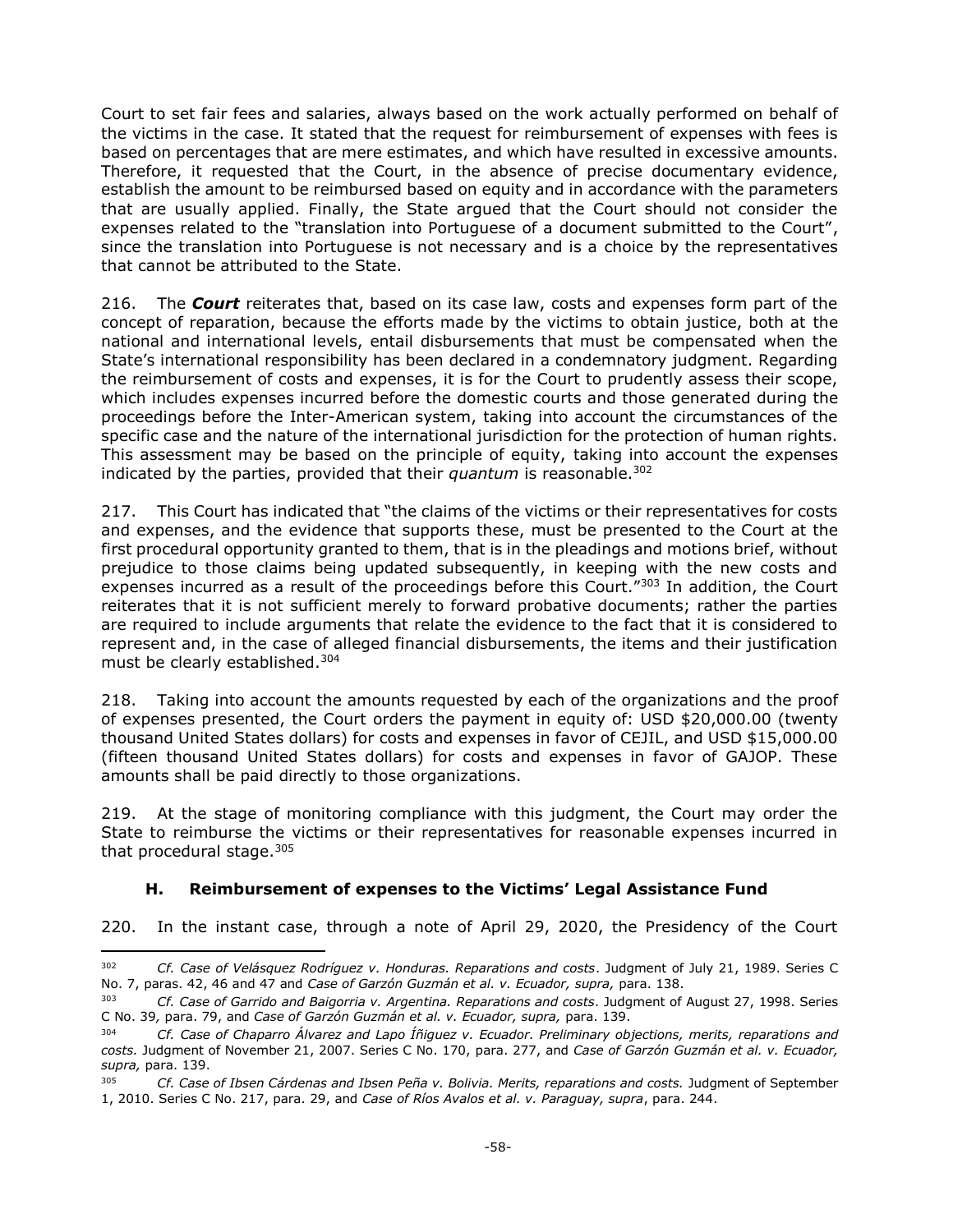Court to set fair fees and salaries, always based on the work actually performed on behalf of the victims in the case. It stated that the request for reimbursement of expenses with fees is based on percentages that are mere estimates, and which have resulted in excessive amounts. Therefore, it requested that the Court, in the absence of precise documentary evidence, establish the amount to be reimbursed based on equity and in accordance with the parameters that are usually applied. Finally, the State argued that the Court should not consider the expenses related to the "translation into Portuguese of a document submitted to the Court", since the translation into Portuguese is not necessary and is a choice by the representatives that cannot be attributed to the State.

216. The *Court* reiterates that, based on its case law, costs and expenses form part of the concept of reparation, because the efforts made by the victims to obtain justice, both at the national and international levels, entail disbursements that must be compensated when the State's international responsibility has been declared in a condemnatory judgment. Regarding the reimbursement of costs and expenses, it is for the Court to prudently assess their scope, which includes expenses incurred before the domestic courts and those generated during the proceedings before the Inter-American system, taking into account the circumstances of the specific case and the nature of the international jurisdiction for the protection of human rights. This assessment may be based on the principle of equity, taking into account the expenses indicated by the parties, provided that their *quantum* is reasonable.<sup>302</sup>

217. This Court has indicated that "the claims of the victims or their representatives for costs and expenses, and the evidence that supports these, must be presented to the Court at the first procedural opportunity granted to them, that is in the pleadings and motions brief, without prejudice to those claims being updated subsequently, in keeping with the new costs and expenses incurred as a result of the proceedings before this Court.<sup>"303</sup> In addition, the Court reiterates that it is not sufficient merely to forward probative documents; rather the parties are required to include arguments that relate the evidence to the fact that it is considered to represent and, in the case of alleged financial disbursements, the items and their justification must be clearly established.<sup>304</sup>

218. Taking into account the amounts requested by each of the organizations and the proof of expenses presented, the Court orders the payment in equity of: USD \$20,000.00 (twenty thousand United States dollars) for costs and expenses in favor of CEJIL, and USD \$15,000.00 (fifteen thousand United States dollars) for costs and expenses in favor of GAJOP. These amounts shall be paid directly to those organizations.

219. At the stage of monitoring compliance with this judgment, the Court may order the State to reimburse the victims or their representatives for reasonable expenses incurred in that procedural stage. $305$ 

## **H. Reimbursement of expenses to the Victims' Legal Assistance Fund**

j

<span id="page-57-0"></span>220. In the instant case, through a note of April 29, 2020, the Presidency of the Court

<sup>302</sup> *Cf. Case of Velásquez Rodríguez v. Honduras. Reparations and costs*. Judgment of July 21, 1989. Series C No. 7, paras. 42, 46 and 47 and *Case of Garzón Guzmán et al. v. Ecuador, supra,* para. 138.

<sup>303</sup> *Cf. Case of Garrido and Baigorria v. Argentina. Reparations and costs*. Judgment of August 27, 1998. Series C No. 39*,* para. 79, and *Case of Garzón Guzmán et al. v. Ecuador, supra,* para. 139.

<sup>304</sup> *Cf. Case of Chaparro Álvarez and Lapo Íñiguez v. Ecuador. Preliminary objections, merits, reparations and costs.* Judgment of November 21, 2007. Series C No. 170, para. 277, and *Case of Garzón Guzmán et al. v. Ecuador, supra,* para. 139.

<sup>&</sup>lt;sup>305</sup> *Cf. Case of Ibsen Cárdenas and Ibsen Peña v. Bolivia. Merits, reparations and costs. Judgment of September* 1, 2010. Series C No. 217, para. 29, and *Case of Ríos Avalos et al. v. Paraguay, supra*, para. 244.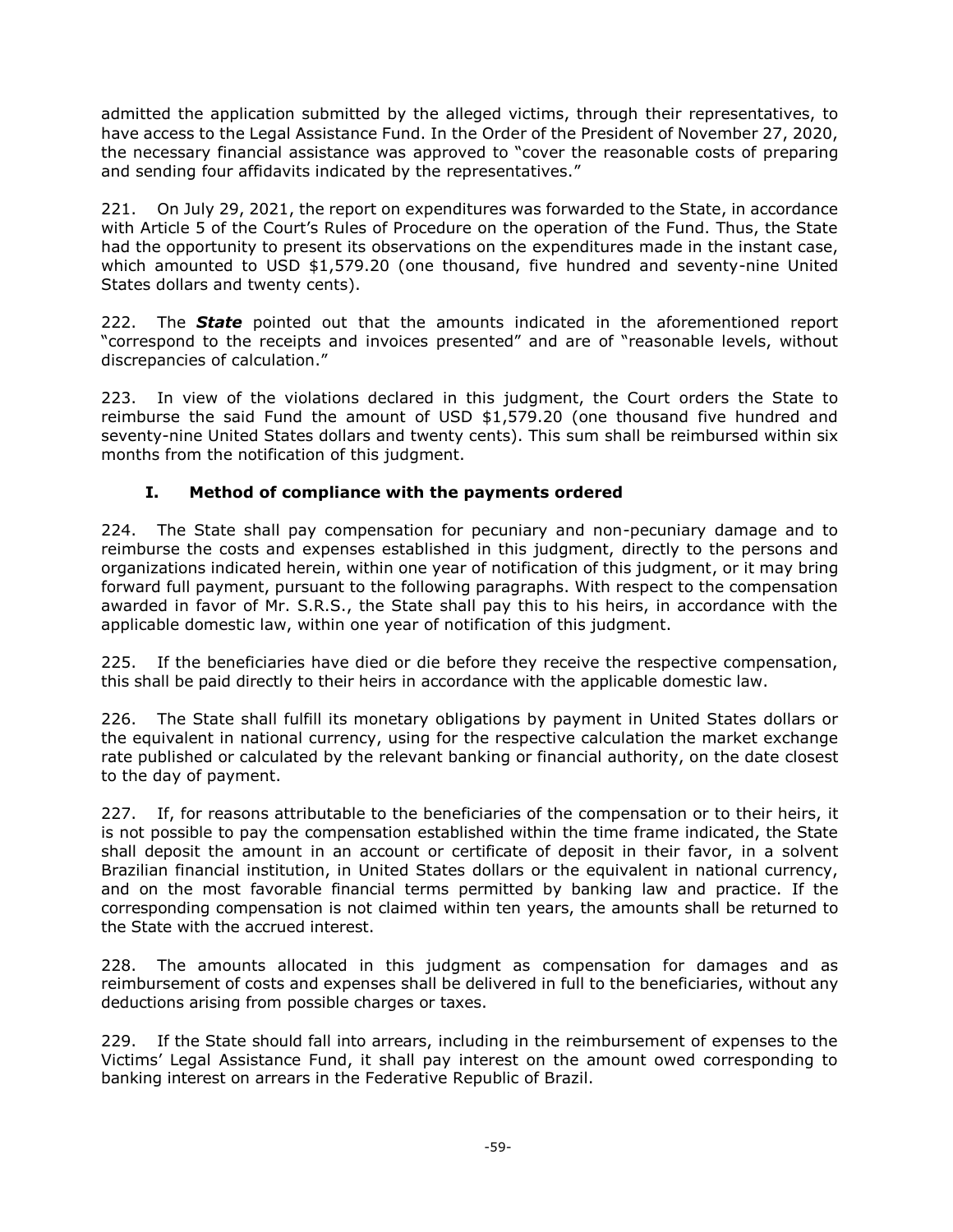admitted the application submitted by the alleged victims, through their representatives, to have access to the Legal Assistance Fund. In the Order of the President of November 27, 2020, the necessary financial assistance was approved to "cover the reasonable costs of preparing and sending four affidavits indicated by the representatives."

221. On July 29, 2021, the report on expenditures was forwarded to the State, in accordance with Article 5 of the Court's Rules of Procedure on the operation of the Fund. Thus, the State had the opportunity to present its observations on the expenditures made in the instant case, which amounted to USD \$1,579.20 (one thousand, five hundred and seventy-nine United States dollars and twenty cents).

222. The *State* pointed out that the amounts indicated in the aforementioned report "correspond to the receipts and invoices presented" and are of "reasonable levels, without discrepancies of calculation."

223. In view of the violations declared in this judgment, the Court orders the State to reimburse the said Fund the amount of USD \$1,579.20 (one thousand five hundred and seventy-nine United States dollars and twenty cents). This sum shall be reimbursed within six months from the notification of this judgment.

# **I. Method of compliance with the payments ordered**

<span id="page-58-0"></span>224. The State shall pay compensation for pecuniary and non-pecuniary damage and to reimburse the costs and expenses established in this judgment, directly to the persons and organizations indicated herein, within one year of notification of this judgment, or it may bring forward full payment, pursuant to the following paragraphs. With respect to the compensation awarded in favor of Mr. S.R.S., the State shall pay this to his heirs, in accordance with the applicable domestic law, within one year of notification of this judgment.

225. If the beneficiaries have died or die before they receive the respective compensation, this shall be paid directly to their heirs in accordance with the applicable domestic law.

226. The State shall fulfill its monetary obligations by payment in United States dollars or the equivalent in national currency, using for the respective calculation the market exchange rate published or calculated by the relevant banking or financial authority, on the date closest to the day of payment.

227. If, for reasons attributable to the beneficiaries of the compensation or to their heirs, it is not possible to pay the compensation established within the time frame indicated, the State shall deposit the amount in an account or certificate of deposit in their favor, in a solvent Brazilian financial institution, in United States dollars or the equivalent in national currency, and on the most favorable financial terms permitted by banking law and practice. If the corresponding compensation is not claimed within ten years, the amounts shall be returned to the State with the accrued interest.

228. The amounts allocated in this judgment as compensation for damages and as reimbursement of costs and expenses shall be delivered in full to the beneficiaries, without any deductions arising from possible charges or taxes.

229. If the State should fall into arrears, including in the reimbursement of expenses to the Victims' Legal Assistance Fund, it shall pay interest on the amount owed corresponding to banking interest on arrears in the Federative Republic of Brazil.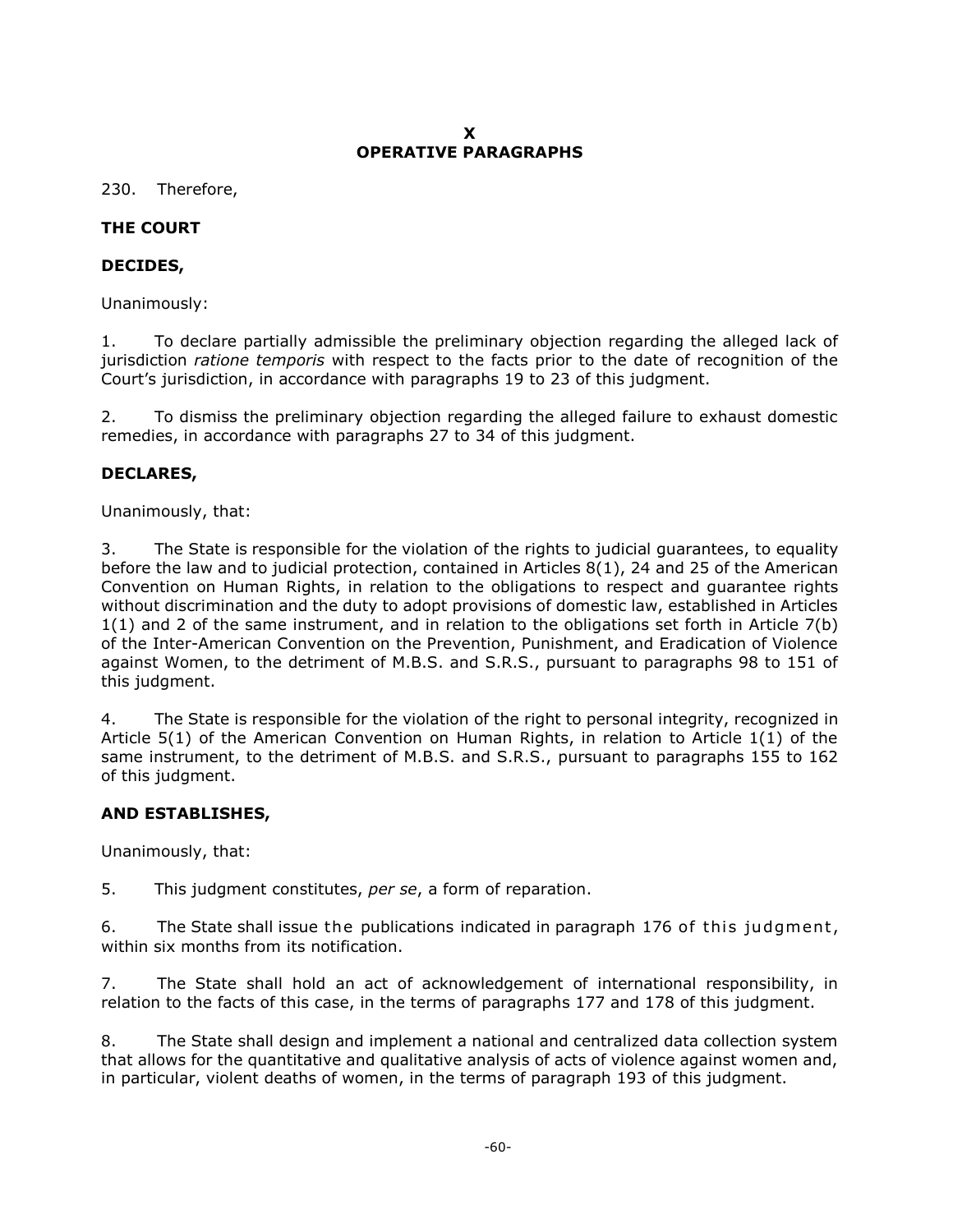### **X OPERATIVE PARAGRAPHS**

<span id="page-59-0"></span>230. Therefore,

# **THE COURT**

# **DECIDES,**

Unanimously:

1. To declare partially admissible the preliminary objection regarding the alleged lack of jurisdiction *ratione temporis* with respect to the facts prior to the date of recognition of the Court's jurisdiction, in accordance with paragraphs 19 to 23 of this judgment.

2. To dismiss the preliminary objection regarding the alleged failure to exhaust domestic remedies, in accordance with paragraphs 27 to 34 of this judgment.

# **DECLARES,**

Unanimously, that:

3. The State is responsible for the violation of the rights to judicial guarantees, to equality before the law and to judicial protection, contained in Articles 8(1), 24 and 25 of the American Convention on Human Rights, in relation to the obligations to respect and guarantee rights without discrimination and the duty to adopt provisions of domestic law, established in Articles 1(1) and 2 of the same instrument, and in relation to the obligations set forth in Article 7(b) of the Inter-American Convention on the Prevention, Punishment, and Eradication of Violence against Women, to the detriment of M.B.S. and S.R.S., pursuant to paragraphs 98 to 151 of this judgment.

4. The State is responsible for the violation of the right to personal integrity, recognized in Article 5(1) of the American Convention on Human Rights, in relation to Article 1(1) of the same instrument, to the detriment of M.B.S. and S.R.S., pursuant to paragraphs 155 to 162 of this judgment.

## **AND ESTABLISHES,**

Unanimously, that:

5. This judgment constitutes, *per se*, a form of reparation.

6. The State shall issue the publications indicated in paragraph 176 of this judgment, within six months from its notification.

7. The State shall hold an act of acknowledgement of international responsibility, in relation to the facts of this case, in the terms of paragraphs 177 and 178 of this judgment.

8. The State shall design and implement a national and centralized data collection system that allows for the quantitative and qualitative analysis of acts of violence against women and, in particular, violent deaths of women, in the terms of paragraph 193 of this judgment.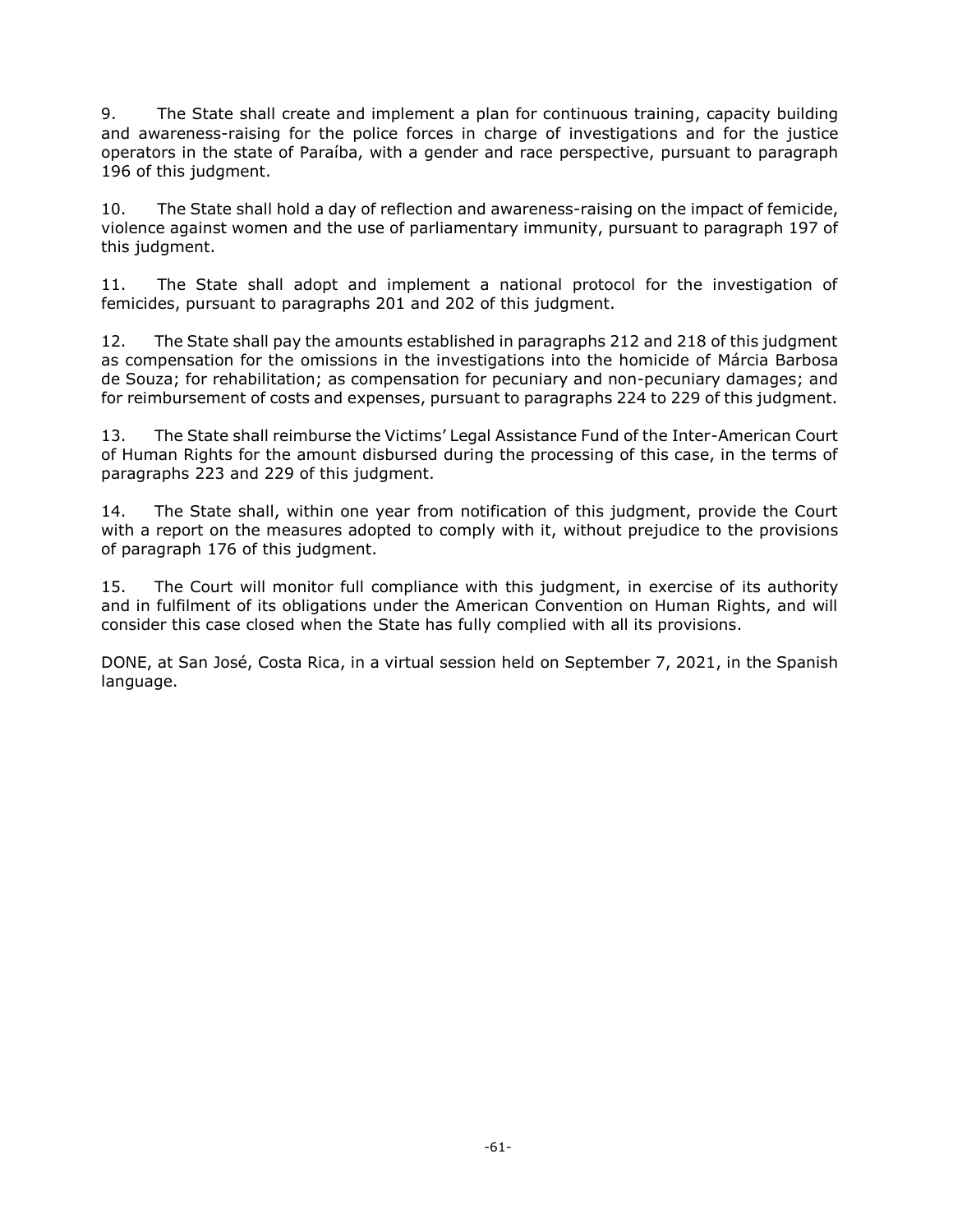9. The State shall create and implement a plan for continuous training, capacity building and awareness-raising for the police forces in charge of investigations and for the justice operators in the state of Paraíba, with a gender and race perspective, pursuant to paragraph 196 of this judgment.

10. The State shall hold a day of reflection and awareness-raising on the impact of femicide, violence against women and the use of parliamentary immunity, pursuant to paragraph 197 of this judgment.

11. The State shall adopt and implement a national protocol for the investigation of femicides, pursuant to paragraphs 201 and 202 of this judgment.

12. The State shall pay the amounts established in paragraphs 212 and 218 of this judgment as compensation for the omissions in the investigations into the homicide of Márcia Barbosa de Souza; for rehabilitation; as compensation for pecuniary and non-pecuniary damages; and for reimbursement of costs and expenses, pursuant to paragraphs 224 to 229 of this judgment.

13. The State shall reimburse the Victims' Legal Assistance Fund of the Inter-American Court of Human Rights for the amount disbursed during the processing of this case, in the terms of paragraphs 223 and 229 of this judgment.

14. The State shall, within one year from notification of this judgment, provide the Court with a report on the measures adopted to comply with it, without prejudice to the provisions of paragraph 176 of this judgment.

15. The Court will monitor full compliance with this judgment, in exercise of its authority and in fulfilment of its obligations under the American Convention on Human Rights, and will consider this case closed when the State has fully complied with all its provisions.

DONE, at San José, Costa Rica, in a virtual session held on September 7, 2021, in the Spanish language.